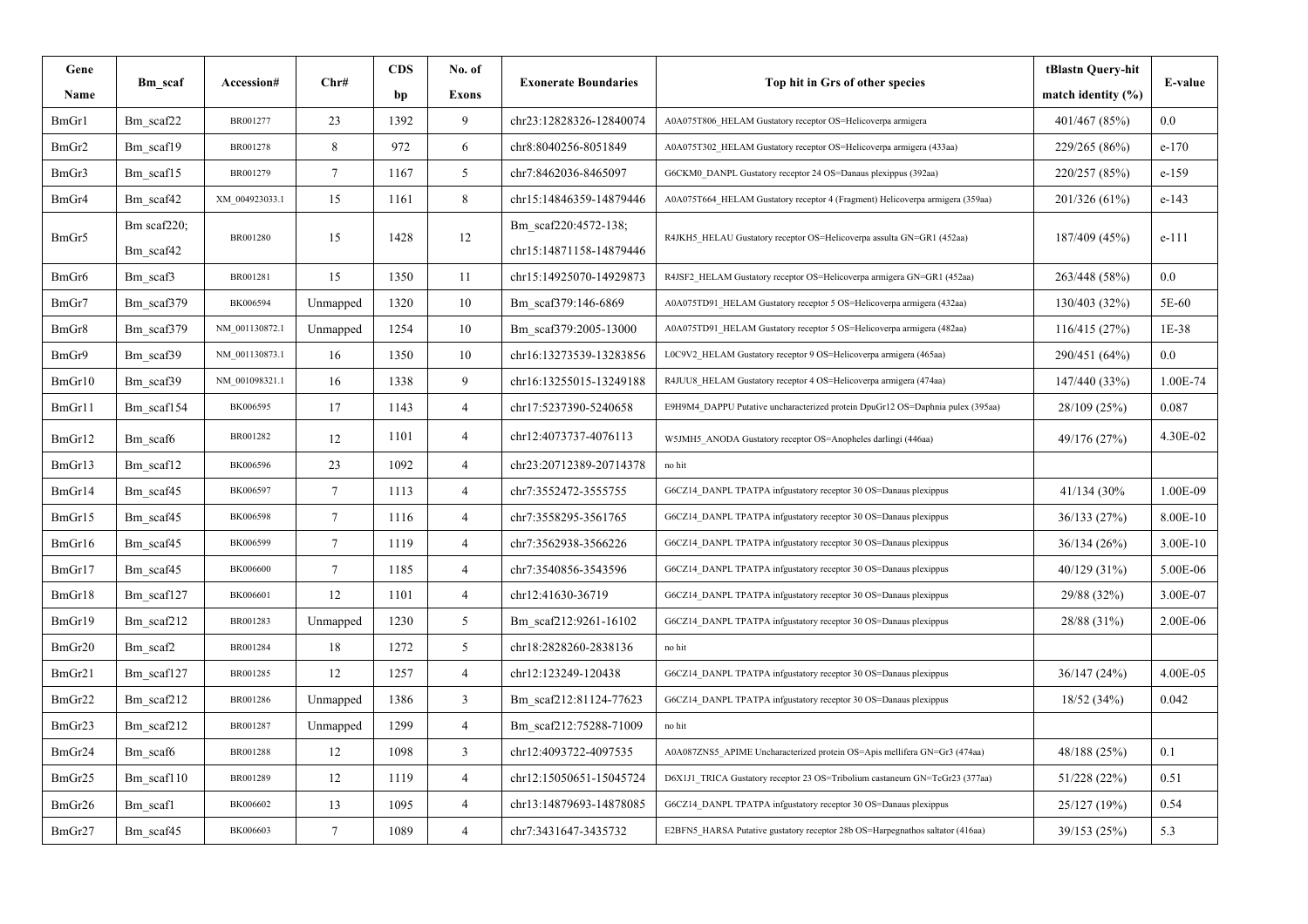| Gene   | Bm scaf         | Accession#     | Chr#            | <b>CDS</b> | No. of               | <b>Exonerate Boundaries</b> | Top hit in Grs of other species                                                | tBlastn Query-hit      |          |
|--------|-----------------|----------------|-----------------|------------|----------------------|-----------------------------|--------------------------------------------------------------------------------|------------------------|----------|
| Name   |                 |                |                 | bp         | <b>Exons</b>         |                             |                                                                                | match identity $(\% )$ | E-value  |
| BmGr1  | Bm scaf22       | BR001277       | 23              | 1392       | 9                    | chr23:12828326-12840074     | A0A075T806 HELAM Gustatory receptor OS=Helicoverpa armigera                    | 401/467 (85%)          | 0.0      |
| BmGr2  | Bm scaf19       | BR001278       | 8               | 972        | 6                    | chr8:8040256-8051849        | A0A075T302_HELAM Gustatory receptor OS=Helicoverpa armigera (433aa)            | 229/265 (86%)          | $e-170$  |
| BmGr3  | Bm scaf15       | BR001279       | $7\overline{ }$ | 1167       | 5                    | chr7:8462036-8465097        | G6CKM0 DANPL Gustatory receptor 24 OS=Danaus plexippus (392aa)                 | 220/257 (85%)          | $e-159$  |
| BmGr4  | Bm scaf42       | XM 004923033.1 | 15              | 1161       | 8                    | chr15:14846359-14879446     | A0A075T664_HELAM Gustatory receptor 4 (Fragment) Helicoverpa armigera (359aa)  | 201/326 (61%)          | $e-143$  |
| BmGr5  | Bm scaf $220$ ; |                | 1428            |            | Bm scaf220:4572-138; |                             |                                                                                | $e-111$                |          |
|        | Bm scaf42       | BR001280       | 15              |            | 12                   | chr15:14871158-14879446     | R4JKH5 HELAU Gustatory receptor OS=Helicoverpa assulta GN=GR1 (452aa)          | 187/409 (45%)          |          |
| BmGr6  | Bm scaf3        | BR001281       | 15              | 1350       | 11                   | chr15:14925070-14929873     | R4JSF2 HELAM Gustatory receptor OS=Helicoverpa armigera GN=GR1 (452aa)         | 263/448 (58%)          | 0.0      |
| BmGr7  | Bm scaf379      | BK006594       | Unmapped        | 1320       | 10                   | Bm scaf379:146-6869         | A0A075TD91_HELAM Gustatory receptor 5 OS=Helicoverpa armigera (432aa)          | 130/403 (32%)          | 5E-60    |
| BmGr8  | Bm scaf379      | NM 001130872.1 | Unmapped        | 1254       | 10                   | Bm scaf379:2005-13000       | A0A075TD91_HELAM Gustatory receptor 5 OS=Helicoverpa armigera (482aa)          | 116/415(27%)           | 1E-38    |
| BmGr9  | Bm scaf39       | NM 001130873.1 | 16              | 1350       | 10                   | chr16:13273539-13283856     | L0C9V2_HELAM Gustatory receptor 9 OS=Helicoverpa armigera (465aa)              | 290/451 (64%)          | 0.0      |
| BmGr10 | Bm_scaf39       | NM 001098321.1 | 16              | 1338       | 9                    | chr16:13255015-13249188     | R4JUU8 HELAM Gustatory receptor 4 OS=Helicoverpa armigera (474aa)              | 147/440 (33%)          | 1.00E-74 |
| BmGr11 | Bm scaf154      | BK006595       | 17              | 1143       | $\overline{4}$       | chr17:5237390-5240658       | E9H9M4 DAPPU Putative uncharacterized protein DpuGr12 OS=Daphnia pulex (395aa) | 28/109 (25%)           | 0.087    |
| BmGr12 | Bm scaf6        | BR001282       | 12              | 1101       | $\overline{4}$       | chr12:4073737-4076113       | W5JMH5 ANODA Gustatory receptor OS=Anopheles darlingi (446aa)                  | 49/176 (27%)           | 4.30E-02 |
| BmGr13 | Bm scaf12       | BK006596       | 23              | 1092       | $\overline{4}$       | chr23:20712389-20714378     | no hit                                                                         |                        |          |
| BmGr14 | Bm scaf45       | BK006597       | $7\phantom{.0}$ | 1113       | $\overline{4}$       | chr7:3552472-3555755        | G6CZ14 DANPL TPATPA infgustatory receptor 30 OS=Danaus plexippus               | 41/134 (30%)           | 1.00E-09 |
| BmGr15 | Bm scaf45       | BK006598       | $\overline{7}$  | 1116       | $\overline{4}$       | chr7:3558295-3561765        | G6CZ14_DANPL TPATPA infgustatory receptor 30 OS=Danaus plexippus               | 36/133(27%)            | 8.00E-10 |
| BmGr16 | Bm scaf45       | BK006599       | $7\phantom{.0}$ | 1119       | $\overline{4}$       | chr7:3562938-3566226        | G6CZ14_DANPL TPATPA infgustatory receptor 30 OS=Danaus plexippus               | 36/134(26%)            | 3.00E-10 |
| BmGr17 | Bm scaf45       | BK006600       | $\tau$          | 1185       | $\overline{4}$       | chr7:3540856-3543596        | G6CZ14_DANPL TPATPA infgustatory receptor 30 OS=Danaus plexippus               | 40/129 (31%)           | 5.00E-06 |
| BmGr18 | Bm scaf127      | BK006601       | 12              | 1101       | $\overline{4}$       | chr12:41630-36719           | G6CZ14 DANPL TPATPA infgustatory receptor 30 OS=Danaus plexippus               | 29/88 (32%)            | 3.00E-07 |
| BmGr19 | Bm scaf212      | BR001283       | Unmapped        | 1230       | 5                    | Bm scaf212:9261-16102       | G6CZ14_DANPL TPATPA infgustatory receptor 30 OS=Danaus plexippus               | 28/88 (31%)            | 2.00E-06 |
| BmGr20 | Bm scaf2        | BR001284       | 18              | 1272       | 5                    | chr18:2828260-2838136       | no hit                                                                         |                        |          |
| BmGr21 | Bm scaf127      | BR001285       | 12              | 1257       | $\overline{4}$       | chr12:123249-120438         | G6CZ14 DANPL TPATPA infgustatory receptor 30 OS=Danaus plexippus               | 36/147(24%)            | 4.00E-05 |
| BmGr22 | Bm scaf212      | BR001286       | Unmapped        | 1386       | $\overline{3}$       | Bm scaf212:81124-77623      | G6CZ14 DANPL TPATPA infgustatory receptor 30 OS=Danaus plexippus               | 18/52 (34%)            | 0.042    |
| BmGr23 | Bm scaf212      | BR001287       | Unmapped        | 1299       | $\overline{4}$       | Bm scaf212:75288-71009      | no hit                                                                         |                        |          |
| BmGr24 | Bm scaf6        | BR001288       | 12              | 1098       | 3                    | chr12:4093722-4097535       | A0A087ZNS5_APIME Uncharacterized protein OS=Apis mellifera GN=Gr3 (474aa)      | 48/188 (25%)           | 0.1      |
| BmGr25 | Bm scaf110      | BR001289       | 12              | 1119       | $\overline{4}$       | chr12:15050651-15045724     | D6X1J1_TRICA Gustatory receptor 23 OS=Tribolium castaneum GN=TcGr23 (377aa)    | 51/228 (22%)           | 0.51     |
| BmGr26 | Bm scaf1        | BK006602       | 13              | 1095       | $\overline{4}$       | chr13:14879693-14878085     | G6CZ14 DANPL TPATPA infgustatory receptor 30 OS=Danaus plexippus               | 25/127 (19%)           | 0.54     |
| BmGr27 | Bm_scaf45       | BK006603       | $\tau$          | 1089       | $\overline{4}$       | chr7:3431647-3435732        | E2BFN5_HARSA Putative gustatory receptor 28b OS=Harpegnathos saltator (416aa)  | 39/153 (25%)           | 5.3      |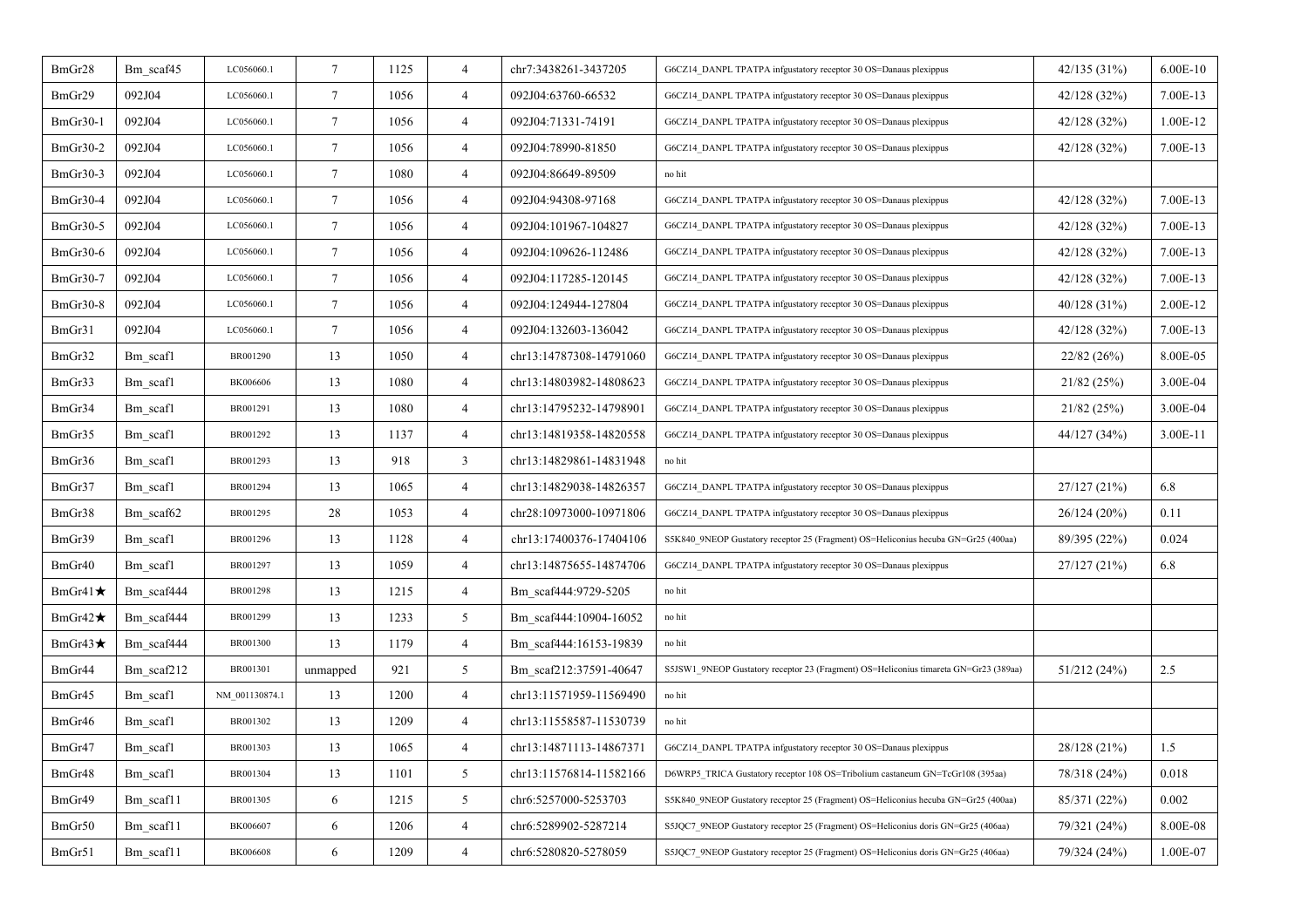| BmGr28          | Bm_scaf45  | LC056060.1     | $\tau$          | 1125 | $\overline{4}$ | chr7:3438261-3437205    | G6CZ14 DANPL TPATPA infgustatory receptor 30 OS=Danaus plexippus                     | 42/135 (31%) | $6.00E-10$ |
|-----------------|------------|----------------|-----------------|------|----------------|-------------------------|--------------------------------------------------------------------------------------|--------------|------------|
| BmGr29          | 092J04     | LC056060.1     | $\tau$          | 1056 | $\overline{4}$ | 092J04:63760-66532      | G6CZ14_DANPL TPATPA infgustatory receptor 30 OS=Danaus plexippus                     | 42/128 (32%) | 7.00E-13   |
| BmGr30-1        | 092J04     | LC056060.1     | $\tau$          | 1056 | $\overline{4}$ | 092J04:71331-74191      | G6CZ14_DANPL TPATPA infgustatory receptor 30 OS=Danaus plexippus                     | 42/128 (32%) | 1.00E-12   |
| <b>BmGr30-2</b> | 092J04     | LC056060.1     | $\tau$          | 1056 | $\overline{4}$ | 092J04:78990-81850      | G6CZ14_DANPL TPATPA infgustatory receptor 30 OS=Danaus plexippus                     | 42/128 (32%) | 7.00E-13   |
| BmGr30-3        | 092J04     | LC056060.1     | $\tau$          | 1080 | $\overline{4}$ | 092J04:86649-89509      | no hit                                                                               |              |            |
| BmGr30-4        | 092J04     | LC056060.1     | $\tau$          | 1056 | $\overline{4}$ | 092J04:94308-97168      | G6CZ14_DANPL TPATPA infgustatory receptor 30 OS=Danaus plexippus                     | 42/128 (32%) | 7.00E-13   |
| BmGr30-5        | 092J04     | LC056060.1     | $\tau$          | 1056 | $\overline{4}$ | 092J04:101967-104827    | G6CZ14_DANPL TPATPA infgustatory receptor 30 OS=Danaus plexippus                     | 42/128 (32%) | 7.00E-13   |
| <b>BmGr30-6</b> | 092J04     | LC056060.1     | $\tau$          | 1056 | $\overline{4}$ | 092J04:109626-112486    | G6CZ14 DANPL TPATPA infgustatory receptor 30 OS=Danaus plexippus                     | 42/128 (32%) | 7.00E-13   |
| <b>BmGr30-7</b> | 092J04     | LC056060.1     | $7\phantom{.0}$ | 1056 | $\overline{4}$ | 092J04:117285-120145    | G6CZ14_DANPL TPATPA infgustatory receptor 30 OS=Danaus plexippus                     | 42/128 (32%) | 7.00E-13   |
| BmGr30-8        | 092J04     | LC056060.1     | $\tau$          | 1056 | $\overline{4}$ | 092J04:124944-127804    | G6CZ14_DANPL TPATPA infgustatory receptor 30 OS=Danaus plexippus                     | 40/128(31%)  | 2.00E-12   |
| BmGr31          | 092J04     | LC056060.1     | $\tau$          | 1056 | $\overline{4}$ | 092J04:132603-136042    | G6CZ14_DANPL TPATPA infgustatory receptor 30 OS=Danaus plexippus                     | 42/128 (32%) | 7.00E-13   |
| BmGr32          | Bm scaf1   | BR001290       | 13              | 1050 | $\overline{4}$ | chr13:14787308-14791060 | G6CZ14_DANPL TPATPA infgustatory receptor 30 OS=Danaus plexippus                     | 22/82(26%)   | 8.00E-05   |
| BmGr33          | Bm scafl   | BK006606       | 13              | 1080 | $\overline{4}$ | chr13:14803982-14808623 | G6CZ14_DANPL TPATPA infgustatory receptor 30 OS=Danaus plexippus                     | 21/82(25%)   | 3.00E-04   |
| BmGr34          | Bm scafl   | BR001291       | 13              | 1080 | $\overline{4}$ | chr13:14795232-14798901 | G6CZ14_DANPL TPATPA infgustatory receptor 30 OS=Danaus plexippus                     | 21/82(25%)   | 3.00E-04   |
| BmGr35          | Bm scafl   | BR001292       | 13              | 1137 | $\overline{4}$ | chr13:14819358-14820558 | G6CZ14 DANPL TPATPA infgustatory receptor 30 OS=Danaus plexippus                     | 44/127 (34%) | 3.00E-11   |
| BmGr36          | Bm scafl   | BR001293       | 13              | 918  | $\mathfrak{Z}$ | chr13:14829861-14831948 | no hit                                                                               |              |            |
| BmGr37          | Bm scaf1   | BR001294       | 13              | 1065 | $\overline{4}$ | chr13:14829038-14826357 | G6CZ14_DANPL TPATPA infgustatory receptor 30 OS=Danaus plexippus                     | 27/127 (21%) | 6.8        |
| BmGr38          | Bm scaf62  | BR001295       | 28              | 1053 | $\overline{4}$ | chr28:10973000-10971806 | G6CZ14_DANPL TPATPA infgustatory receptor 30 OS=Danaus plexippus                     | 26/124(20%)  | 0.11       |
| BmGr39          | Bm_scaf1   | BR001296       | 13              | 1128 | $\overline{4}$ | chr13:17400376-17404106 | S5K840_9NEOP Gustatory receptor 25 (Fragment) OS=Heliconius hecuba GN=Gr25 (400aa)   | 89/395 (22%) | 0.024      |
| BmGr40          | Bm scafl   | BR001297       | 13              | 1059 | $\overline{4}$ | chr13:14875655-14874706 | G6CZ14_DANPL TPATPA infgustatory receptor 30 OS=Danaus plexippus                     | 27/127 (21%) | 6.8        |
| BmGr41 $\star$  | Bm scaf444 | BR001298       | 13              | 1215 | $\overline{4}$ | Bm_scaf444:9729-5205    | no hit                                                                               |              |            |
| BmGr42 $\star$  | Bm scaf444 | BR001299       | 13              | 1233 | 5 <sup>5</sup> | Bm scaf444:10904-16052  | no hit                                                                               |              |            |
| BmGr43 $\star$  | Bm scaf444 | BR001300       | 13              | 1179 | $\overline{4}$ | Bm scaf444:16153-19839  | no hit                                                                               |              |            |
| BmGr44          | Bm scaf212 | BR001301       | unmapped        | 921  | 5 <sup>5</sup> | Bm scaf212:37591-40647  | S5JSW1_9NEOP Gustatory receptor 23 (Fragment) OS=Heliconius timareta GN=Gr23 (389aa) | 51/212(24%)  | 2.5        |
| BmGr45          | Bm scafl   | NM 001130874.1 | 13              | 1200 | $\overline{4}$ | chr13:11571959-11569490 | no hit                                                                               |              |            |
| BmGr46          | Bm scaf1   | BR001302       | 13              | 1209 | $\overline{4}$ | chr13:11558587-11530739 | no hit                                                                               |              |            |
| BmGr47          | Bm scafl   | BR001303       | 13              | 1065 | $\overline{4}$ | chr13:14871113-14867371 | G6CZ14_DANPL TPATPA infgustatory receptor 30 OS=Danaus plexippus                     | 28/128 (21%) | 1.5        |
| BmGr48          | Bm scafl   | BR001304       | 13              | 1101 | 5 <sup>5</sup> | chr13:11576814-11582166 | D6WRP5 TRICA Gustatory receptor 108 OS=Tribolium castaneum GN=TcGr108 (395aa)        | 78/318 (24%) | 0.018      |
| BmGr49          | Bm scaf11  | BR001305       | 6               | 1215 | 5 <sup>5</sup> | chr6:5257000-5253703    | S5K840 9NEOP Gustatory receptor 25 (Fragment) OS=Heliconius hecuba GN=Gr25 (400aa)   | 85/371 (22%) | 0.002      |
| BmGr50          | Bm scaf11  | BK006607       | 6               | 1206 | $\overline{4}$ | chr6:5289902-5287214    | S5JQC7_9NEOP Gustatory receptor 25 (Fragment) OS=Heliconius doris GN=Gr25 (406aa)    | 79/321 (24%) | 8.00E-08   |
| BmGr51          | Bm_scaf11  | BK006608       | 6               | 1209 | $\overline{4}$ | chr6:5280820-5278059    | S5JQC7_9NEOP Gustatory receptor 25 (Fragment) OS=Heliconius doris GN=Gr25 (406aa)    | 79/324 (24%) | 1.00E-07   |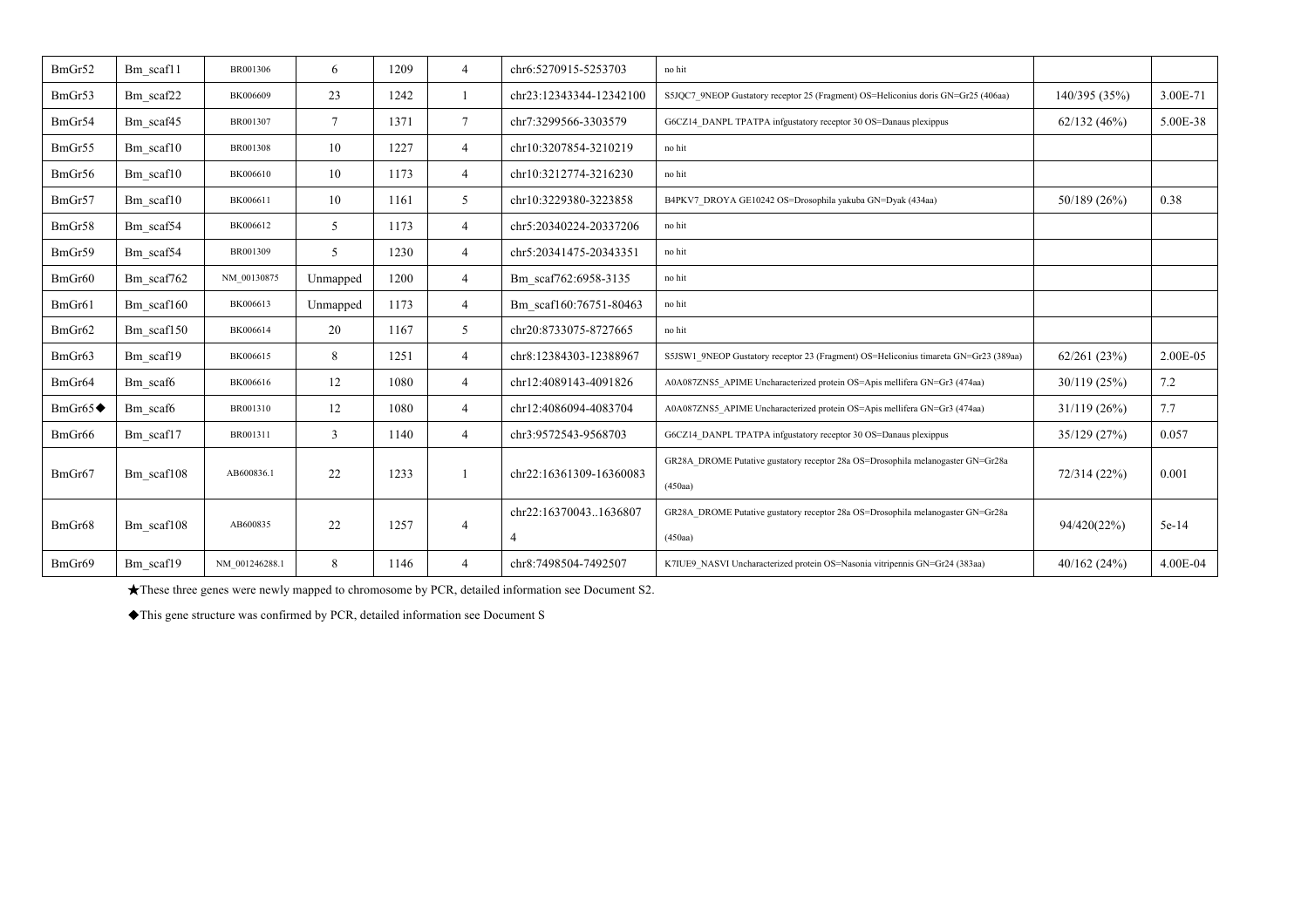| BmGr52                 | Bm scaf11  | BR001306       | 6        | 1209 | $\overline{4}$ | chr6:5270915-5253703    | no hit                                                                                     |               |          |
|------------------------|------------|----------------|----------|------|----------------|-------------------------|--------------------------------------------------------------------------------------------|---------------|----------|
| BmGr53                 | Bm scaf22  | BK006609       | 23       | 1242 |                | chr23:12343344-12342100 | S5JQC7 9NEOP Gustatory receptor 25 (Fragment) OS=Heliconius doris GN=Gr25 (406aa)          | 140/395 (35%) | 3.00E-71 |
| BmGr54                 | Bm scaf45  | BR001307       | 7        | 1371 | $\tau$         | chr7:3299566-3303579    | G6CZ14 DANPL TPATPA infgustatory receptor 30 OS=Danaus plexippus                           | 62/132(46%)   | 5.00E-38 |
| BmGr55                 | Bm scaf10  | BR001308       | 10       | 1227 | 4              | chr10:3207854-3210219   | no hit                                                                                     |               |          |
| BmGr56                 | Bm_scaf10  | BK006610       | 10       | 1173 | $\overline{4}$ | chr10:3212774-3216230   | no hit                                                                                     |               |          |
| BmGr57                 | Bm scaf10  | BK006611       | 10       | 1161 | 5              | chr10:3229380-3223858   | B4PKV7 DROYA GE10242 OS=Drosophila yakuba GN=Dyak (434aa)                                  | 50/189(26%)   | 0.38     |
| BmGr58                 | Bm scaf54  | BK006612       | 5        | 1173 | $\overline{4}$ | chr5:20340224-20337206  | no hit                                                                                     |               |          |
| BmGr59                 | Bm scaf54  | BR001309       | 5        | 1230 | $\overline{4}$ | chr5:20341475-20343351  | no hit                                                                                     |               |          |
| BmGr60                 | Bm_scaf762 | NM 00130875    | Unmapped | 1200 | $\overline{4}$ | Bm scaf762:6958-3135    | no hit                                                                                     |               |          |
| BmGr61                 | Bm scaf160 | BK006613       | Unmapped | 1173 | $\overline{4}$ | Bm scaf160:76751-80463  | no hit                                                                                     |               |          |
| BmGr62                 | Bm scaf150 | BK006614       | 20       | 1167 | 5              | chr20:8733075-8727665   | no hit                                                                                     |               |          |
| BmGr63                 | Bm scaf19  | BK006615       | 8        | 1251 | $\overline{4}$ | chr8:12384303-12388967  | S5JSW1 9NEOP Gustatory receptor 23 (Fragment) OS=Heliconius timareta GN=Gr23 (389aa)       | 62/261(23%)   | 2.00E-05 |
| BmGr64                 | Bm scaf6   | BK006616       | 12       | 1080 | 4              | chr12:4089143-4091826   | A0A087ZNS5 APIME Uncharacterized protein OS=Apis mellifera GN=Gr3 (474aa)                  | 30/119(25%)   | 7.2      |
| $BmGr65 \blacklozenge$ | Bm scaf6   | BR001310       | 12       | 1080 | $\overline{4}$ | chr12:4086094-4083704   | A0A087ZNS5 APIME Uncharacterized protein OS=Apis mellifera GN=Gr3 (474aa)                  | 31/119(26%)   | 7.7      |
| BmGr66                 | Bm scaf17  | BR001311       | 3        | 1140 | 4              | chr3:9572543-9568703    | G6CZ14 DANPL TPATPA infgustatory receptor 30 OS=Danaus plexippus                           | 35/129 (27%)  | 0.057    |
| BmGr67                 | Bm scaf108 | AB600836.1     | 22       | 1233 |                | chr22:16361309-16360083 | GR28A_DROME Putative gustatory receptor 28a OS=Drosophila melanogaster GN=Gr28a<br>(450aa) | 72/314 (22%)  | 0.001    |
| BmGr68                 | Bm scaf108 | AB600835       | 22       | 1257 | $\overline{4}$ | chr22:163700431636807   | GR28A DROME Putative gustatory receptor 28a OS=Drosophila melanogaster GN=Gr28a<br>(450aa) | 94/420(22%)   | 5e-14    |
| BmGr69                 | Bm scaf19  | NM 001246288.1 | 8        | 1146 | $\overline{4}$ | chr8:7498504-7492507    | K7IUE9 NASVI Uncharacterized protein OS=Nasonia vitripennis GN=Gr24 (383aa)                | 40/162(24%)   | 4.00E-04 |

★These three genes were newly mapped to chromosome by PCR, detailed information see Document S2.

◆This gene structure was confirmed by PCR, detailed information see Document S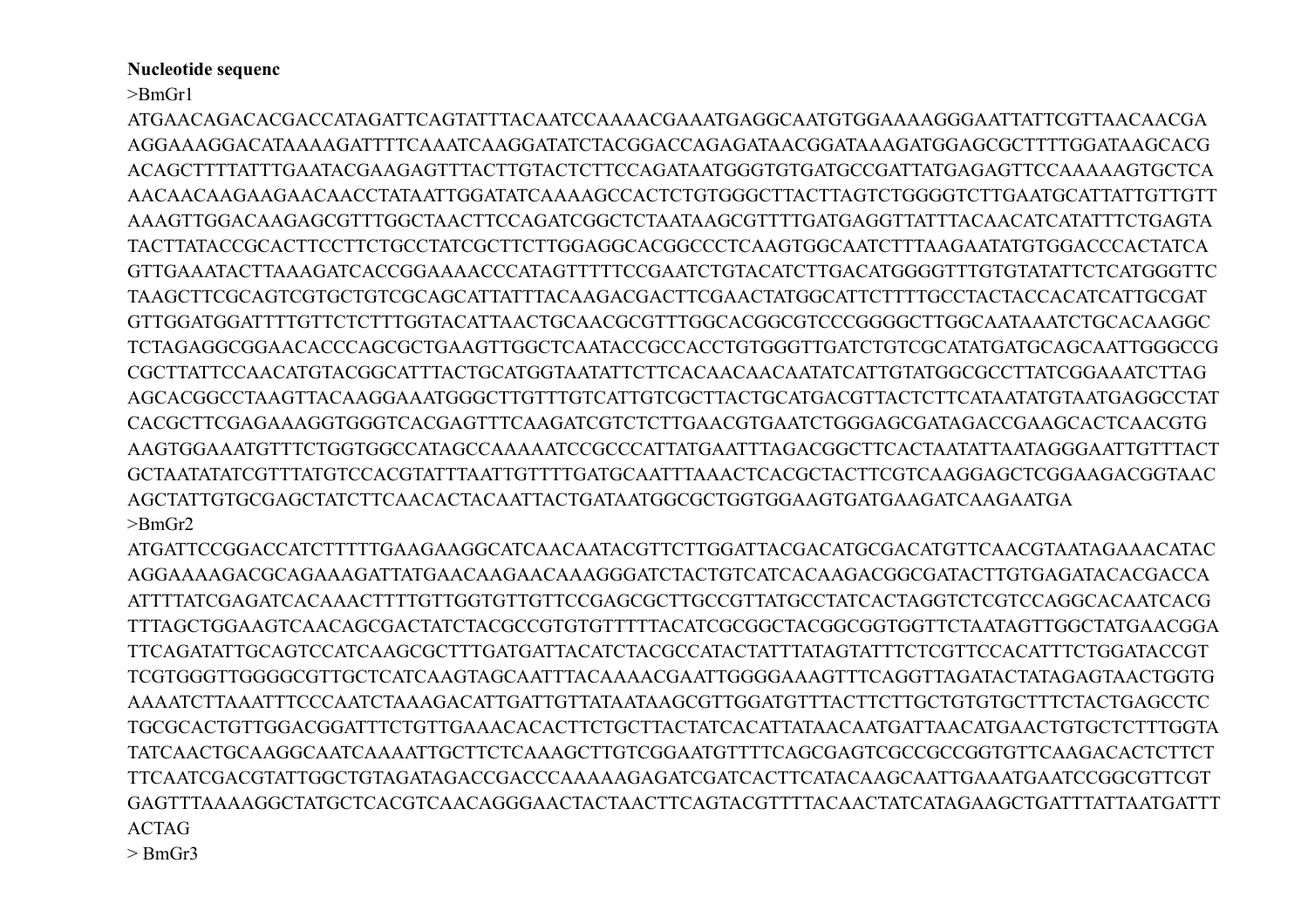## **Nucleotide sequenc**

 $>$ Bm $Gr1$ 

ATGAACAGACACGACCATAGATTCAGTATTTACAATCCAAAACGAAATGAGGCAATGTGGAAAAGGGAATTATTCGTTAACAACGA AGGAAAGGACATAAAAGATTTTCAAATCAAGGATATCTACGGACCAGAGATAACGGATAAAGATGGAGCGCTTTTGGATAAGCACG ACAGCTTTTATTTGAATACGAAGAGTTTACTTGTACTCTTCCAGATAATGGGTGTGATGCCGATTATGAGAGTTCCAAAAAGTGCTCA AAAGTTGGACAAGAGCGTTTGGCTAACTTCCAGATCGGCTCTAATAAGCGTTTTGATGAGGTTATTTACAACATCATATTTCTGAGTA TACTTATACCGCACTTCCTTCTGCCTATCGCTTCTTGGAGGCACGGCCCTCAAGTGGCAATCTTTAAGAATATGTGGACCCACTATCA GTTGAAATACTTAAAGATCACCGGAAAACCCATAGTTTTCCGAATCTGTACATCTTGACATGGGGTTTGTGTATATTCTCATGGGTTC TAAGCTTCGCAGTCGTGCTGCCAGCAGCATTATTTACAAGACGACTTCGAACTATGGCATTCTTTTGCCTACTACCACATCATTGCGAT GTTGGATGGATTTTGTTCTCTTTGGTACATTAACTGCAACGCGTTTGGCACGGCGTCCCGGGGCTTGGCAATAAATCTGCACAAGGC TCTAGAGGCGGAACACCCAGCGCTGAAGTTGGCTCAATACCGCCACCTGTGGGTTGATCTGTCGCATATGATGCAGCAATTGGGCCG CGCTTATTCCAACATGTACGGCATTTACTGCATGGTAATATTCTTCACAACAACAATATCATTGTATGGCGCCTTATCGGAAATCTTAG AGCACGGCCTAAGTTACAAGGAAATGGGCTTGTTTGTCATTGTCGCTTACTGCATGACGTTACTCTTCATAATATGTAATGAGGCCTAT CACGCTTCGAGAAAGGTGGGTCACGAGTTTCAAGATCGTCTCTTGAACGTGAATCTGGGAGCGATAGACCGAAGCACTCAACGTG AAGTGGAAATGTTTCTGGTGGCCATAGCCAAAAATCCGCCCATTATGAATTTAGACGGCTTCACTAATATTAATAGGGAATTGTTTACT GCTAATATATCGTTTATGTCCACGTATTTAATTGTTTTGATGCAATTTAAACTCACGCTACTTCGTCAAGGAGCTCGGAAGACGGTAAC AGCTATTGTGCGAGCTATCTTCAACACTACAATTACTGATAATGGCGCTGGTGGAAGTGATGAAGATCAAGAATGA  $>$ Rm $Gr2$ 

ATGATTCCGGACCATCTTTTGAAGAAGGCATCAACAATACGTTCTTGGATTACGACATGCGACATGTTCAACGTAATAGAAACATAC AGGAAAAGACGCAGAAAGATTATGAACAAGAACAAAGGGATCTACTGTCATCACAAGACGGCGATACTTGTGAGATACACGACCA ATTTTATCGAGATCACAAACTTTTGTTGGTGTTGTTCCGAGCGCTTGCCGTTATGCCTATCACTAGGTCTCGTCCAGGCACAATCACG TTTAGCTGGAAGTCAACAGCGACTATCTACGCCGTGTGTTTTTACATCGCGGCTACGGCGGTGGTTCTAATAGTTGGCTATGAACGGA TTCAGATATTGCAGTCCATCAAGCGCTTTGATGATTACATCTACGCCATACTATTTATAGTATTTCTCGTTCCACATTTCTGGATACCGT TCGTGGGTTGGGCGTTGCTCATCAAGTAGCAATTTACAAAACGAATTGGGGAAAGTTTCAGGTTAGATACTATAGAGTAACTGGTG AAAATCTTAAATTTCCCAATCTAAAGACATTGATTGTATAATAAGCGTTGGATGTTTACTTCTTGCTGTGTGTTTCTACTGAGCCTC TGCGCACTGTTGGACGGATTTCTGTTGAAACACACTTCTGCTTACTATCACATTATAACAATGATTAACATGAACTGTGCTCTTTGGTA TATCAACTGCAAGGCAATCAAAATTGCTTCTCAAAGCTTGTCGGAATGTTTTCAGCGAGTCGCCGCCGGTGTTCAAGACACTCTTCT GAGTTTAAAAGGCTATGCTCACGTCAACAGGGAACTACTAACTTCAGTACGTTTTACAACTATCATAGAAGCTGATTTATTAATGATTT **ACTAG** 

 $>$  BmGr3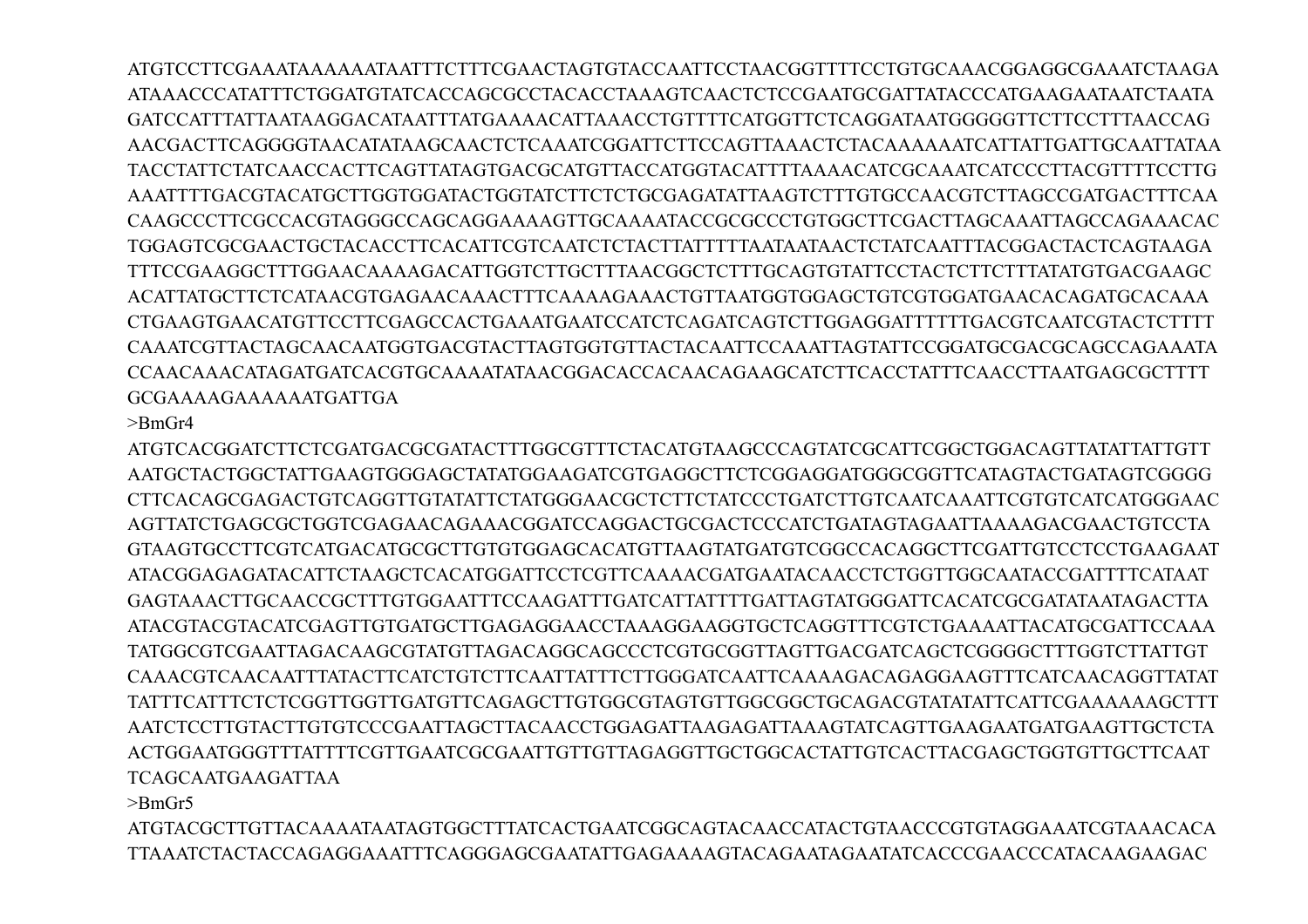ATGTCCTTCGAAATAAAAAATAATTTCTTTCGAACTAGTGTACCAATTCCTAACGGTTTTCCTGTGCAAACGGAGGCGAAATCTAAGA ATAAACCCATATTTCTGGATGTATCACCAGCGCCTACACCTAAAGTCAACTCTCCGAATGCGATTATACCCATGAAGAATAATCTAATA GATCCATTTATTAATAAGGACATAATTTATGAAAACATTAAACCTGTTTTCATGGTTCTCAGGATAATGGGGGTTCTTCCTTTAACCAG AACGACTTCAGGGGTAACATATAAGCAACTCTCAAATCGGATTCTTCCAGTTAAACTCTACAAAAAATCATTATTGATTGCAATTATAA TACCTATTCTATCAACCACTTCAGTTATAGTGACGCATGTTACCATGGTACATTTTAAAACATCGCAAATCATCCCTTACGTTTTCCTTG AAATTTTGACGTACATGCTTGGTGGATACTGGTATCTTCTCTGCGAGATATTAAGTCTTTGTGCCAACGTCTTAGCCGATGACTTTCAA CAAGCCCTTCGCCACGTAGGGCCAGCAGGAAAAGTTGCAAAATACCGCGCCCTGTGGCTTCGACTTAGCAAATTAGCCAGAAACAC TGGAGTCGCGAACTGCTACACCTTCACATTCGTCAATCTCTACTTATTTTTAATAATAACTCTATCAATTTACGGACTACTCAGTAAGA TTTCCGAAGGCTTTGGAACAAAAGACATTGGTCTTGCTTTAACGGCTCTTTGCAGTGTATTCCTACTCTTCTTTATATGTGACGAAGC ACATTATGCTTCTCATAACGTGAGAACAAACTTTCAAAAGAAACTGTTAATGGTGGAGCTGTCGTGGATGAACACAGATGCACAAA CTGAAGTGAACATGTTCCTTCGAGCCACTGAAATGAATCCATCTCAGATCAGTCTTGGAGGATTTTTTGACGTCAATCGTACTCTTTT CAAATCGTTACTAGCAACAATGGTGACGTACTTAGTGGTGTTACTACAATTCCAAATTAGTATTCCGGATGCGACGCAGCCAGAAATA CCAACAAACATAGATGATCACGTGCAAAATATAACGGACACCACAACAGAAGCATCTTCACCTATTTCAACCTTAATGAGCGCTTTT GCGAAAAGAAAAAATGATTGA

 $>$ BmGr4

ATGTCACGGATCTTCTCGATGACGCGATACTTTGGCGTTTCTACATGTAAGCCCAGTATCGCATTCGGCTGGACAGTTATATTATTGTT AATGCTACTGGCTATTGAAGTGGGAGCTATATGGAAGATCGTGAGGCTTCTCGGAGGATGGGCGGTTCATAGTACTGATAGTCGGGG CTTCACAGCGAGACTGTCAGGTTGTATATTCTATGGGAACGCTCTTCTATCCCTGATCTTGTCAATCAAATTCGTGTCATCATGGGAAC AGTTATCTGAGCGCTGGTCGAGAACAGAAACGGATCCAGGACTGCGACTCCCATCTGATAGTAGAATTAAAAGACGAACTGTCCTA GTAAGTGCCTTCGTCATGACATGCGCTTGTGTGGAGCACATGTTAAGTATGATGTCGGCCACAGGCTTCGATTGTCCTCCTGAAGAAT ATACGGAGAGATACATTCTAAGCTCACATGGATTCCTCGTTCAAAACGATGAATACAACCTCTGGTTGGCAATACCGATTTTCATAAT GAGTAAACTTGCAACCGCTTTGTGGAATTTCCAAGATTTGATCATTATTTTGATTAGTATGGGATTCACATCGCGATATAATAGACTTA ATACGTACGTACATCGAGTTGTGATGCTTGAGAGGAACCTAAAGGAAGGTGCTCAGGTTTCGTCTGAAAATTACATGCGATTCCAAA TATGGCGTCGAATTAGACAAGCGTATGTTAGACAGGCAGCCCTCGTGCGGTTAGTTGACGATCAGCTCGGGGCTTTGGTCTTATTGT CAAACGTCAACAATTTATACTTCATCTGTCTTCAATTATTTCTTGGGATCAATTCAAAAGACAGAGGAAGTTTCATCAACAGGTTATAT TATTTCATTTCTCTCGGTTGGTTGATGTTCAGAGCTTGTGGCGTAGTGTTGGCGGCTGCAGACGTATATATTCATTCGAAAAAAGCTTT AATCTCCTTGTACTTGTGTCCCGAATTAGCTTACAACCTGGAGATTAAGAGATTAAAGTATCAGTTGAAGAATGATGAAGTTGCTCTA ACTGGAATGGGTTTATTTTCGTTGAATCGCGAATTGTTGTTAGAGGTTGCTGGCACTATTGTCACTTACGAGCTGGTGTTGCTTCAAT TCAGCAATGAAGATTAA

>BmGr5

ATGTACGCTTGTTACAAAATAATAGTGGCTTTATCACTGAATCGGCAGTACAACCATACTGTAACCCGTGTAGGAAATCGTAAACACA TTAAATCTACTACCAGAGGAAATTTCAGGGAGCGAATATTGAGAAAAGTACAGAATAGAATATCACCCGAACCCATACAAGAAGAC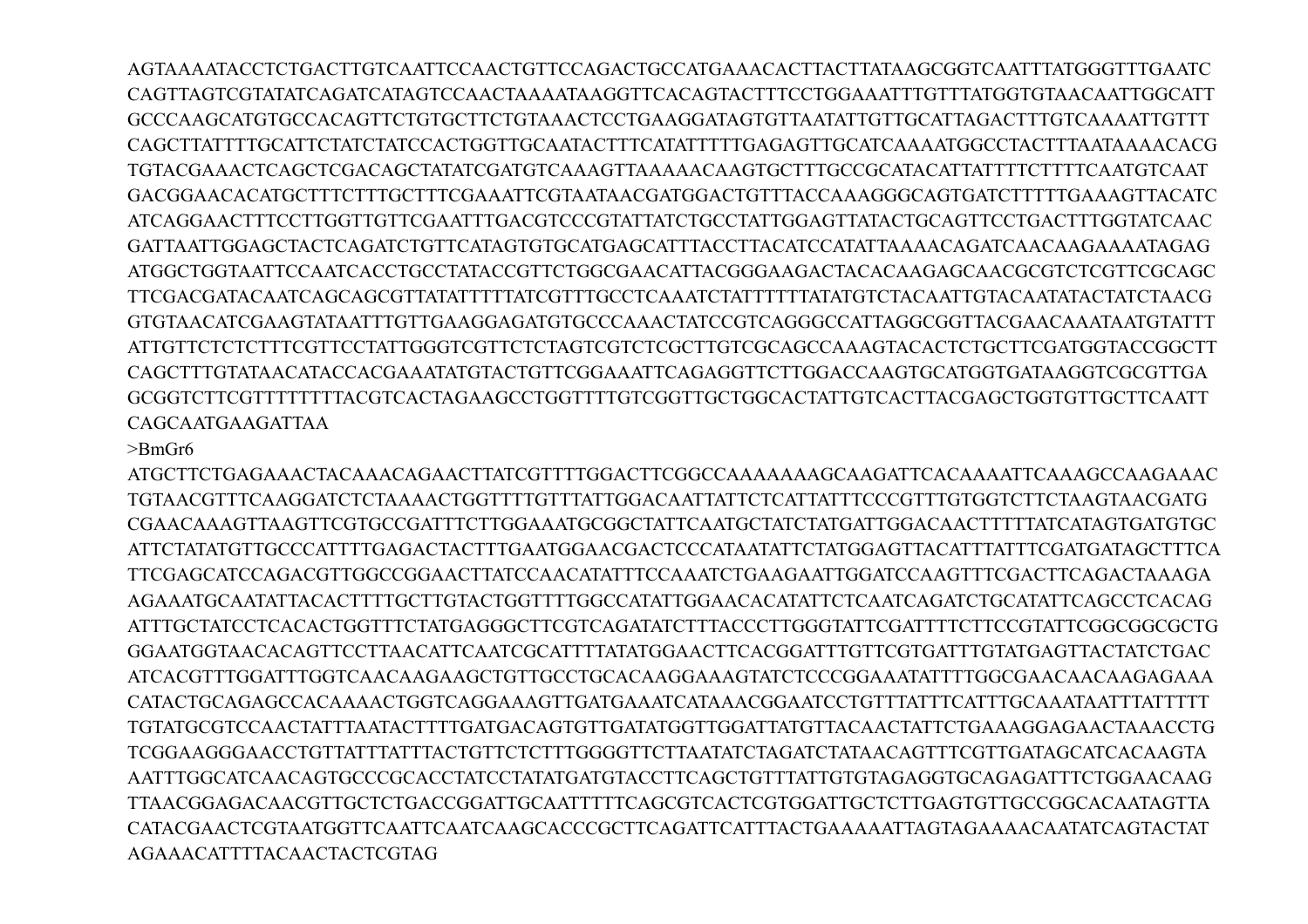AGTAAAATACCTCTGACTTGTCAATTCCAACTGTTCCAGACTGCCATGAAACACTTACTTATAAGCGGTCAATTTATGGGTTTGAATC CAGTTAGTCGTATATCAGATCATAGTCCAACTAAAATAAGGTTCACAGTACTTTCCTGGAAATTTGTTTATGGTGTAACAATTGGCATT GCCCAAGCATGTGCCACAGTTCTGTGCTTCTGTAAACTCCTGAAGGATAGTGTTAATATTGTTGCATTAGACTTTGTCAAAATTGTTT CAGCTTATTTTGCATTCTATCTATCCACTGGTTGCAATACTTTCATATTTTTGAGAGTTGCATCAAAATGGCCTACTTTAATAAAACACG TGTACGAAACTCAGCTCGACAGCTATATCGATGTCAAAGTTAAAAACAAGTGCTTTGCCGCATACATTATTTTCTTTTCAATGTCAAT GACGGAACACATGCTTTCTTTGCTTTCGAAATTCGTAATAACGATGGACTGTTTACCAAAGGGCAGTGATCTTTTTGAAAGTTACATC ATCAGGAACTTTCCTTGGTTGTTCGAATTTGACGTCCCGTATTATCTGCCTATTGGAGTTATACTGCAGTTCCTGACTTTGGTATCAAC GATTAATTGGAGCTACTCAGATCTGTTCATAGTGTGCATGAGCATTTACCTTACATCCATATTAAAACAGATCAACAAGAAAATAGAG ATGGCTGGTAATTCCAATCACCTGCCTATACCGTTCTGGCGAACATTACGGGAAGACTACACAAGAGCAACGCGTCTCGTTCGCAGC TTCGACGATACAATCAGCAGCGTTATATTTTTATCGTTTGCCTCAAATCTATTTTTTATATGTCTACAATTGTACAATATACTATCTAACG GTGTAACATCGAAGTATAATTTGTTGAAGGAGATGTGCCCAAACTATCCGTCAGGGCCATTAGGCGGTTACGAACAAATAATGTATTT ATTGTTCTCTCTTTCGTTCCTATTGGGTCGTTCTCTAGTCGTCTCGCTTGTCGCAGCCAAAGTACACTCTGCTTCGATGGTACCGGCTT CAGCTTTGTATAACATACCACGAAATATGTACTGTTCGGAAATTCAGAGGTTCTTGGACCAAGTGCATGGTGATAAGGTCGCGTTGA GCGGTCTTCGTTTTTTTTACGTCACTAGAAGCCTGGTTTTGTCGGTTGCTGGCACTATTGTCACTTACGAGCTGGTGTTGCTTCAATT CAGCAATGAAGATTAA

## >BmGr6

ATGCTTCTGAGAAACTACAAACAGAACTTATCGTTTTGGACTTCGGCCAAAAAAAGCAAGATTCACAAAATTCAAAGCCAAGAAAC TGTAACGTTTCAAGGATCTCTAAAACTGGTTTTGTTTATTGGACAATTATTCTCATTATTTCCCGTTTGTGGTCTTCTAAGTAACGATG CGAACAAAGTTAAGTTCGTGCCGATTTCTTGGAAATGCGGCTATTCAATGCTATCTATGATTGGACAACTTTTTATCATAGTGATGTGC ATTCTATATGTTGCCCATTTTGAGACTACTTTGAATGGAACGACTCCCATAATATTCTATGGAGTTACATTTATTTCGATGATAGCTTTCA TTCGAGCATCCAGACGTTGGCCGGAACTTATCCAACATATTTCCAAATCTGAAGAATTGGATCCAAGTTTCGACTTCAGACTAAAGA AGAAATGCAATATTACACTTTTGCTTGTACTGGTTTTGGCCATATTGGAACACATATTCTCAATCAGATCTGCATATTCAGCCTCACAG ATTTGCTATCCTCACACTGGTTTCTATGAGGGCTTCGTCAGATATCTTTACCCTTGGGTATTCGATTTTCTTCCGTATTCGGCGGCGCTG GGAATGGTAACACAGTTCCTTAACATTCAATCGCATTTTATATGGAACTTCACGGATTTGTTCGTGATTTGTATGAGTTACTATCTGAC ATCACGTTTGGATTTGGTCAACAAGAAGCTGTTGCCTGCACAAGGAAAGTATCTCCCGGAAATATTTTGGCGAACAACAAGAGAAA CATACTGCAGAGCCACAAAACTGGTCAGGAAAGTTGATGAAATCATAAACGGAATCCTGTTTATTTCATTTGCAAATAATTTATTTTT TGTATGCGTCCAACTATTTAATACTTTTGATGACAGTGTTGATATGGTTGGATTATGTTACAACTATTCTGAAAGGAGAACTAAACCTG TCGGAAGGGAACCTGTTATTTATTTACTGTTCTCTTTGGGGTTCTTAATATCTAGATCTATAACAGTTTCGTTGATAGCATCACAAGTA AATTTGGCATCAACAGTGCCCGCACCTATCCTATATGATGTACCTTCAGCTGTTTATTGTGTAGAGGTGCAGAGATTTCTGGAACAAG TTAACGGAGACAACGTTGCTCTGACCGGATTGCAATTTTTCAGCGTCACTCGTGGATTGCTCTTGAGTGTTGCCGGCACAATAGTTA CATACGAACTCGTAATGGTTCAATTCAATCAAGCACCCGCTTCAGATTCATTTACTGAAAAATTAGTAGAAAACAATATCAGTACTAT AGAAACATTTTACAACTACTCGTAG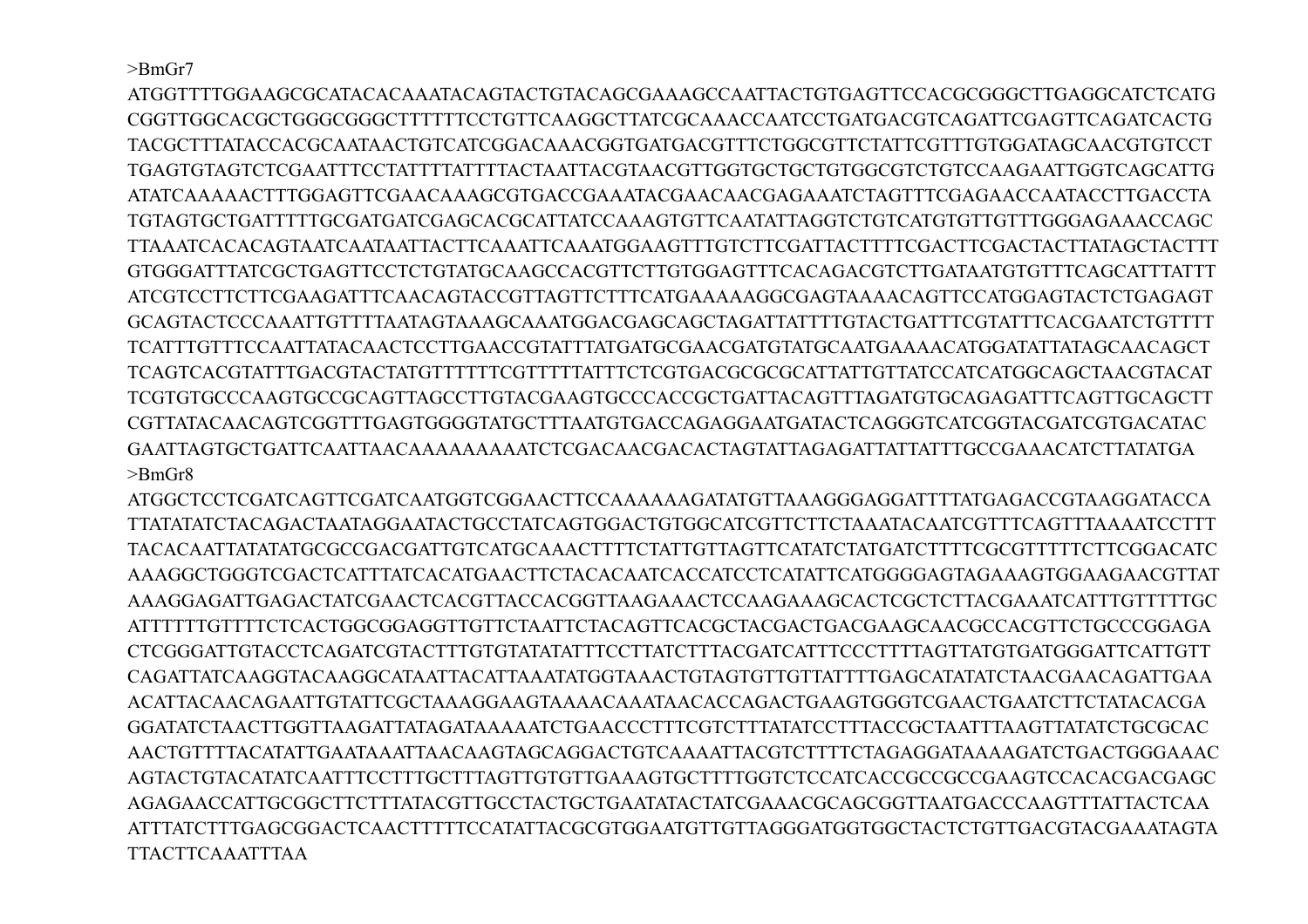>BmGr7

ATGGTTTTGGAAGCGCATACACAAATACAGTACTGTACAGCGAAAGCCAATTACTGTGAGTTCCACGCGGGCTTGAGGCATCTCATG CGGTTGGCACGCTGGGCGGGCTTTTTTCCTGTTCAAGGCTTATCGCAAACCAATCCTGATGACGTCAGATTCGAGTTCAGATCACTG TACGCTTTATACCACGCAATAACTGTCATCGGACAAACGGTGATGACGTTTCTGGCGTTCTATTCGTTTGTGGATAGCAACGTGTCCT TGAGTGTAGTCTCGAATTTCCTATTTTATTTTACTAATTACGTAACGTTGGTGCTGCTGTGGCGTCTGTCCAAGAATTGGTCAGCATTG ATATCAAAAACTTTGGAGTTCGAACAAAGCGTGACCGAAATACGAACAACGAGAAATCTAGTTTCGAGAACCAATACCTTGACCTA TGTAGTGCTGATTTTTGCGATGATCGAGCACGCATTATCCAAAGTGTTCAATATTAGGTCTGTCATGTGTTGTTTGGGAGAAACCAGC TTAAATCACACAGTAATCAATAATTACTTCAAATTCAAATGGAAGTTTGTCTTCGATTACTTTTCGACTTCGACTACTTATAGCTACTTT GTGGGATTTATCGCTGAGTTCCTCTGTATGCAAGCCACGTTCTTGTGGAGTTTCACAGACGTCTTGATAATGTGTTTCAGCATTTATTT ATCGTCCTTCTTCGAAGATTTCAACAGTACCGTTAGTTCTTTCATGAAAAAGGCGAGTAAAACAGTTCCATGGAGTACTCTGAGAGT GCAGTACTCCCAAATTGTTTTAATAGTAAAGCAAATGGACGAGCAGCTAGATTATTTTGTACTGATTTCGTATTTCACGAATCTGTTTT TCATTTGTTTCCAATTATACAACTCCTTGAACCGTATTTATGATGCGAACGATGTATGCAATGAAAACATGGATATTATAGCAACAGCT TCAGTCACGTATTTGACGTACTATGTTTTTTCGTTTTTATTTCTCGTGACGCGCGCATTATTGTTATCCATCATGGCAGCTAACGTACAT TCGTGTGCCCAAGTGCCGCAGTTAGCCTTGTACGAAGTGCCCACCGCTGATTACAGTTTAGATGTGCAGAGATTTCAGTTGCAGCTT CGTTATACAACAGTCGGTTTGAGTGGGGTATGCTTTAATGTGACCAGAGGAATGATACTCAGGGTCATCGGTACGATCGTGACATAC GAATTAGTGCTGATTCAATTAACAAAAAAAAATCTCGACAACGACACTAGTATTAGAGATTATTATTTGCCGAAACATCTTATATGA >BmGr8

ATGGCTCCTCGATCAGTTCGATCAATGGTCGGAACTTCCAAAAAAGATATGTTAAAGGGAGGATTTTATGAGACCGTAAGGATACCA TTATATATCTACAGACTAATAGGAATACTGCCTATCAGTGGACTGTGGCATCGTTCTTCTAAATACAATCGTTTCAGTTTAAAATCCTTT TACACAATTATATATGCGCCGACGATTGTCATGCAAACTTTTCTATTGTTAGTTCATATCTATGATCTTTTCGCGTTTTTCTTCGGACATC AAAGGCTGGGTCGACTCATTTATCACATGAACTTCTACACAATCACCATCCTCATATTCATGGGGAGTAGAAAGTGGAAGAACGTTAT AAAGGAGATTGAGACTATCGAACTCACGTTACCACGGTTAAGAAACTCCAAGAAAGCACTCGCTCTTACGAAATCATTTGTTTTTGC ATTTTTTGTTTTCTCACTGGCGGAGGTTGTTCTAATTCTACAGTTCACGCTACGACTGACGAAGCAACGCCACGTTCTGCCCGGAGA CTCGGGATTGTACCTCAGATCGTACTTTGTGTATATATTTCCTTATCTTTACGATCATTTCCCTTTTAGTTATGTGATGGGATTCATTGTT CAGATTATCAAGGTACAAGGCATAATTACATTAAATATGGTAAACTGTAGTGTTGTTATTTTGAGCATATATCTAACGAACAGATTGAA ACATTACAACAGAATTGTATTCGCTAAAGGAAGTAAAACAAATAACACCAGACTGAAGTGGGTCGAACTGAATCTTCTATACACGA GGATATCTAACTTGGTTAAGATTATAGATAAAAATCTGAACCCTTTCGTCTTTATATCCTTTACCGCTAATTTAAGTTATATCTGCGCAC AACTGTTTTACATATTGAATAAATTAACAAGTAGCAGGACTGTCAAAATTACGTCTTTTCTAGAGGATAAAAGATCTGACTGGGAAAC AGTACTGTACATATCAATTTCCTTTGCTTTAGTTGTGTTGAAAGTGCTTTTGGTCTCCATCACCGCCGCCGAAGTCCACACGACGAGC AGAGAACCATTGCGGCTTCTTTATACGTTGCCTACTGCTGAATATACTATCGAAACGCAGCGGTTAATGACCCAAGTTTATTACTCAA ATTTATCTTTGAGCGGACTCAACTTTTTCCATATTACGCGTGGAATGTTGTTAGGGATGGTGGCTACTCTGTTGACGTACGAAATAGTA TTACTTCAAATTTAA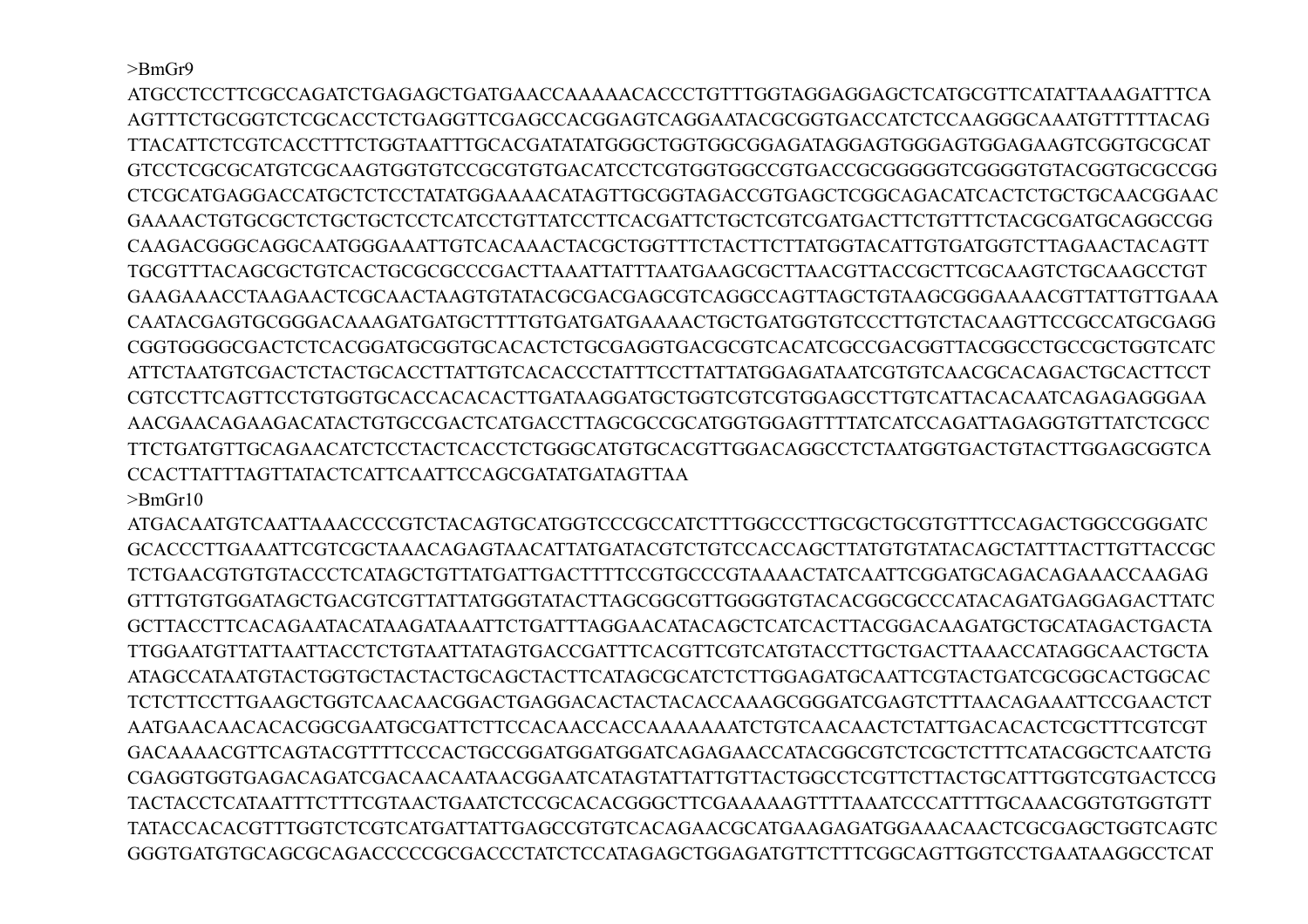$>$ BmGr9

ATGCCTCCTTCGCCAGATCTGAGAGCTGATGAACCAAAAACACCCTGTTTGGTAGGAGGAGCTCATGCGTTCATATTAAAGATTTCA AGTTTCTGCGGTCTCGCACCTCTGAGGTTCGAGCCACGGAGTCAGGAATACGCGGTGACCATCTCCAAGGGCAAATGTTTTTACAG TTACATTCTCGTCACCTTTCTGGTAATTTGCACGATATATGGGCTGGTGGCGGAGATAGGAGTGGGAGTGGAGAAGTCGGTGCGCAT GTCCTCGCGCATGTCGCAAGTGGTGTCCGCGTGTGACATCCTCGTGGTGGCCGTGACCGCGGGGGTCGGGGTGTACGGTGCGCCGG CTCGCATGAGGACCATGCTCTCCTATATGGAAAACATAGTTGCGGTAGACCGTGAGCTCGGCAGACATCACTCTGCTGCAACGGAAC GAAAACTGTGCGCTCTGCTGCTCCTCATCCTGTTATCCTTCACGATTCTGCTCGTCGATGACTTCTGTTTCTACGCGATGCAGGCCGG CAAGACGGGCAGGCAATGGGAAATTGTCACAAACTACGCTGGTTTCTACTTCTTATGGTACATTGTGATGGTCTTAGAACTACAGTT TGCGTTTACAGCGCTGTCACTGCGCGCCCGACTTAAATTATTTAATGAAGCGCTTAACGTTACCGCTTCGCAAGTCTGCAAGCCTGT GAAGAAACCTAAGAACTCGCAACTAAGTGTATACGCGACGAGCGTCAGGCCAGTTAGCTGTAAGCGGGAAAACGTTATTGTTGAAA CAATACGAGTGCGGGACAAAGATGATGCTTTTGTGATGATGAAAACTGCTGATGGTGTCCCTTGTCTACAAGTTCCGCCATGCGAGG CGGTGGGGCGACTCTCACGGATGCGGTGCACACTCTGCGAGGTGACGCGTCACATCGCCGACGGTTACGGCCTGCCGCTGGTCATC ATTCTAATGTCGACTCTACTGCACCTTATTGTCACACCCTATTTCCTTATTATGGAGATAATCGTGTCAACGCACAGACTGCACTTCCT CGTCCTTCAGTTCCTGTGGTGCACCACACACTTGATAAGGATGCTGGTCGTCGTGGAGCCTTGTCATTACACAATCAGAGAGGGAA AACGAACAGAAGACATACTGTGCCGACTCATGACCTTAGCGCCGCATGGTGGAGTTTTATCATCCAGATTAGAGGTGTTATCTCGCC TTCTGATGTTGCAGAACATCTCCTACTCACCTCTGGGCATGTGCACGTTGGACAGGCCTCTAATGGTGACTGTACTTGGAGCGGTCA CCACTTATTTAGTTATACTCATTCAATTCCAGCGATATGATAGTTAA

 $>$ BmGr10

ATGACAATGTCAATTAAACCCCGTCTACAGTGCATGGTCCCGCCATCTTTGGCCCTTGCGCTGCGTGTTTCCAGACTGGCCGGGATC GCACCCTTGAAATTCGTCGCTAAACAGAGTAACATTATGATACGTCTGTCCACCAGCTTATGTGTATACAGCTATTTACTTGTTACCGC TCTGAACGTGTGTACCCTCATAGCTGTTATGATTGACTTTTCCGTGCCCGTAAAACTATCAATTCGGATGCAGACAGAAACCAAGAG GTTTGTGTGGATAGCTGACGTCGTTATTATGGGTATACTTAGCGGCGTTGGGGTGTACACGGCGCCCATACAGATGAGGAGACTTATC GCTTACCTTCACAGAATACATAAGATAAATTCTGATTTAGGAACATACAGCTCATCACTTACGGACAAGATGCTGCATAGACTGACTA TTGGAATGTTATTAATTACCTCTGTAATTATAGTGACCGATTTCACGTTCGTCATGTACCTTGCTGACTTAAACCATAGGCAACTGCTA ATAGCCATAATGTACTGGTGCTACTACTGCAGCTACTTCATAGCGCATCTCTTGGAGATGCAATTCGTACTGATCGCGGCACTGGCAC TCTCTTCCTTGAAGCTGGTCAACAACGGACTGAGGACACTACTACACCAAAGCGGGATCGAGTCTTTAACAGAAATTCCGAACTCT AATGAACAACACACGGCGAATGCGATTCTTCCACAACCACCAAAAAAATCTGTCAACAACTCTATTGACACACTCGCTTTCGTCGT GACAAAACGTTCAGTACGTTTTCCCACTGCCGGATGGATGGATCAGAGAACCATACGGCGTCTCGCTCTTTCATACGGCTCAATCTG CGAGGTGGTGAGACAGATCGACAACAATAACGGAATCATAGTATTATTGTTACTGGCCTCGTTCTTACTGCATTTGGTCGTGACTCCG TACTACCTCATAATTTCTTTCGTAACTGAATCTCCGCACACGGGCTTCGAAAAAGTTTTAAATCCCATTTTGCAAACGGTGTGGTGTT TATACCACACGTTTGGTCTCGTCATGATTATTGAGCCGTGTCACAGAACGCATGAAGAGATGGAAACAACTCGCGAGCTGGTCAGTC GGGTGATGTGCAGCGCAGACCCCCGCGACCCTATCTCCATAGAGCTGGAGATGTTCTTTCGGCAGTTGGTCCTGAATAAGGCCTCAT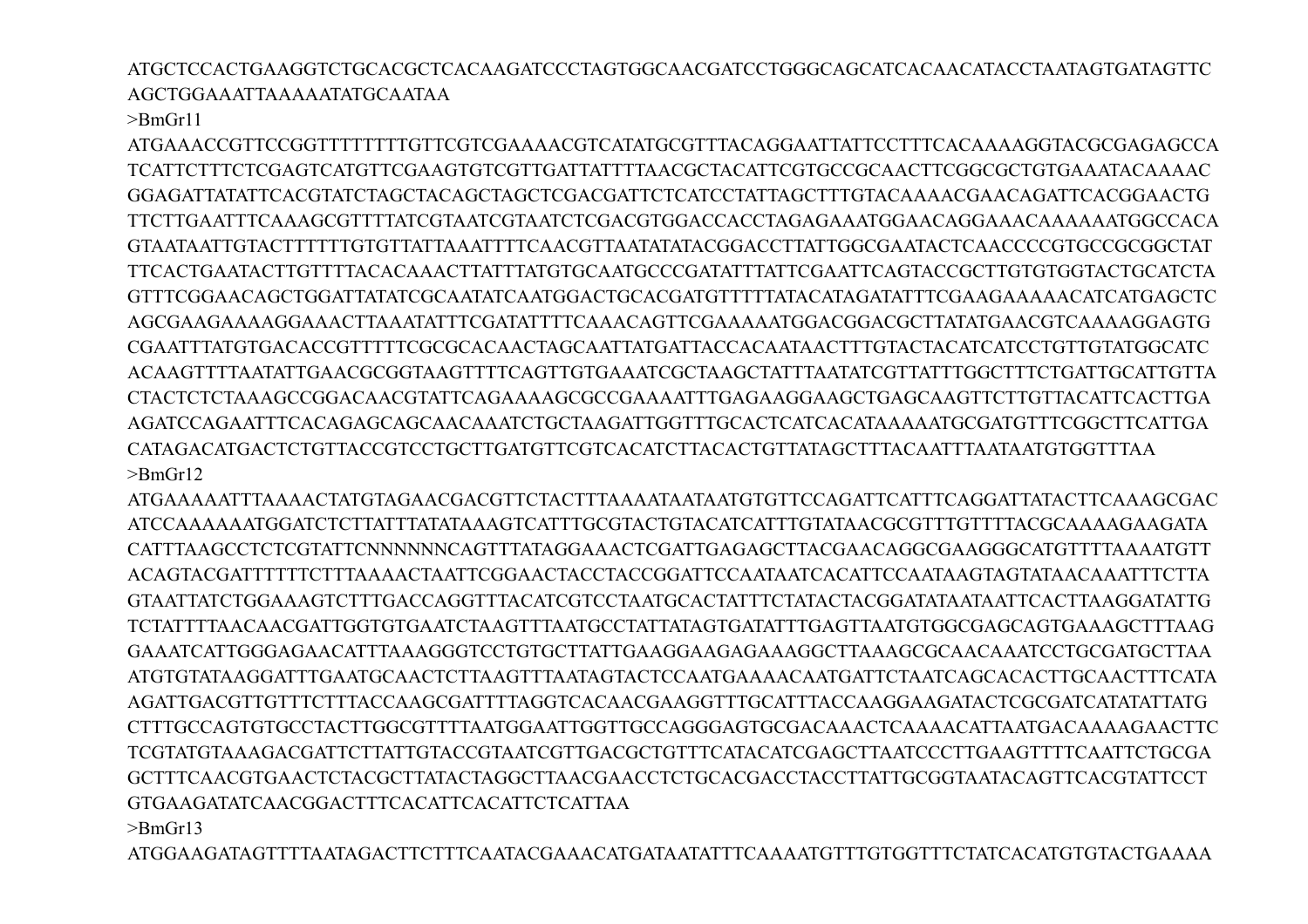ATGCTCCACTGAAGGTCTGCACGCTCACAAGATCCCTAGTGGCAACGATCCTGGGCAGCATCACAACATACCTAATAGTGATAGTTC AGCTGGAAATTAAAAATATGCAATAA

 $>$ BmGr11

ATGAAACCGTTCCGGTTTTTTTTGTTCGTCGAAAACGTCATATGCGTTTACAGGAATTATTCCTTTCACAAAAGGTACGCGAGAGCCA TCATTCTTTCTCGAGTCATGTTCGAAGTGTCGTTGATTATTTTAACGCTACATTCGTGCCGCAACTTCGGCGCTGTGAAATACAAAAC GGAGATTATATTCACGTATCTAGCTACAGCTAGCTCGACGATTCTCATCCTATTAGCTTTGTACAAAACGAACAGATTCACGGAACTG TTCTTGAATTTCAAAGCGTTTTATCGTAATCGTAATCTCGACGTGGACCACCTAGAGAAATGGAACAGGAAACAAAAAATGGCCACA GTAATAATTGTACTTTTTTGTGTTATTAAATTTTCAACGTTAATATATACGGACCTTATTGGCGAATACTCAACCCCGTGCCGCGGCTAT TTCACTGAATACTTGTTTTACACAAACTTATTTATGTGCAATGCCCGATATTTATTCGAATTCAGTACCGCTTGTGTGGTACTGCATCTA GTTTCGGAACAGCTGGATTATATCGCAATATCAATGGACTGCACGATGTTTTTATACATAGATATTTCGAAGAAAAACATCATGAGCTC AGCGAAGAAAAGGAAACTTAAATATTTCGATATTTTCAAACAGTTCGAAAAATGGACGGACGCTTATATGAACGTCAAAAGGAGTG CGAATTTATGTGACACCGTTTTTCGCGCACAACTAGCAATTATGATTACCACAATAACTTTGTACTACATCATCCTGTTGTATGGCATC ACAAGTTTTAATATTGAACGCGGTAAGTTTTCAGTTGTGAAATCGCTAAGCTATTTAATATCGTTATTTGGCTTTCTGATTGCATTGTTA CTACTCTCTAAAGCCGGACAACGTATTCAGAAAAGCGCCGAAAATTTGAGAAGGAAGCTGAGCAAGTTCTTGTTACATTCACTTGA AGATCCAGAATTTCACAGAGCAGCAACAAATCTGCTAAGATTGGTTTGCACTCATCACATAAAAATGCGATGTTTCGGCTTCATTGA CATAGACATGACTCTGTTACCGTCCTGCTTGATGTTCGTCACATCTTACACTGTTATAGCTTTACAATTTAATAATGTGGTTTAA >BmGr12

ATGAAAAATTTAAAACTATGTAGAACGACGTTCTACTTTAAAATAATAATGTGTTCCAGATTCATTTCAGGATTATACTTCAAAGCGAC ATCCAAAAAATGGATCTCTTATTTATATAAAGTCATTTGCGTACTGTACATCATTTGTATAACGCGTTTGTTTTACGCAAAAGAAGATA CATTTAAGCCTCTCGTATTCNNNNNNCAGTTTATAGGAAACTCGATTGAGAGCTTACGAACAGGCGAAGGGCATGTTTTAAAATGTT ACAGTACGATTTTTTCTTTAAAACTAATTCGGAACTACCTACCGGATTCCAATAATCACATTCCAATAAGTAGTATAACAAATTTCTTA GTAATTATCTGGAAAGTCTTTGACCAGGTTTACATCGTCCTAATGCACTATTTCTATACTACGGATATAATAATTCACTTAAGGATATTG TCTATTTTAACAACGATTGGTGTGAATCTAAGTTTAATGCCTATTATAGTGATATTTGAGTTAATGTGGCGAGCAGTGAAAGCTTTAAG GAAATCATTGGGAGAACATTTAAAGGGTCCTGTGCTTATTGAAGGAAGAGAAAGGCTTAAAGCGCAACAAATCCTGCGATGCTTAA ATGTGTATAAGGATTTGAATGCAACTCTTAAGTTTAATAGTACTCCAATGAAAACAATGATTCTAATCAGCACACTTGCAACTTTCATA AGATTGACGTTGTTTCTTTACCAAGCGATTTTAGGTCACAACGAAGGTTTGCATTTACCAAGGAAGATACTCGCGATCATATATTATG CTTTGCCAGTGTGCCTACTTGGCGTTTTAATGGAATTGGTTGCCAGGGAGTGCGACAAACTCAAAACATTAATGACAAAAGAACTTC TCGTATGTAAAGACGATTCTTATTGTACCGTAATCGTTGACGCTGTTTCATACATCGAGCTTAATCCCTTGAAGTTTTCAATTCTGCGA GCTTTCAACGTGAACTCTACGCTTATACTAGGCTTAACGAACCTCTGCACGACCTACCTTATTGCGGTAATACAGTTCACGTATTCCT GTGAAGATATCAACGGACTTTCACATTCACATTCTCATTAA

>BmGr13

ATGGAAGATAGTTTTAATAGACTTCTTTCAATACGAAACATGATAATATTTCAAAATGTTTGTGGTTTCTATCACATGTGTACTGAAAA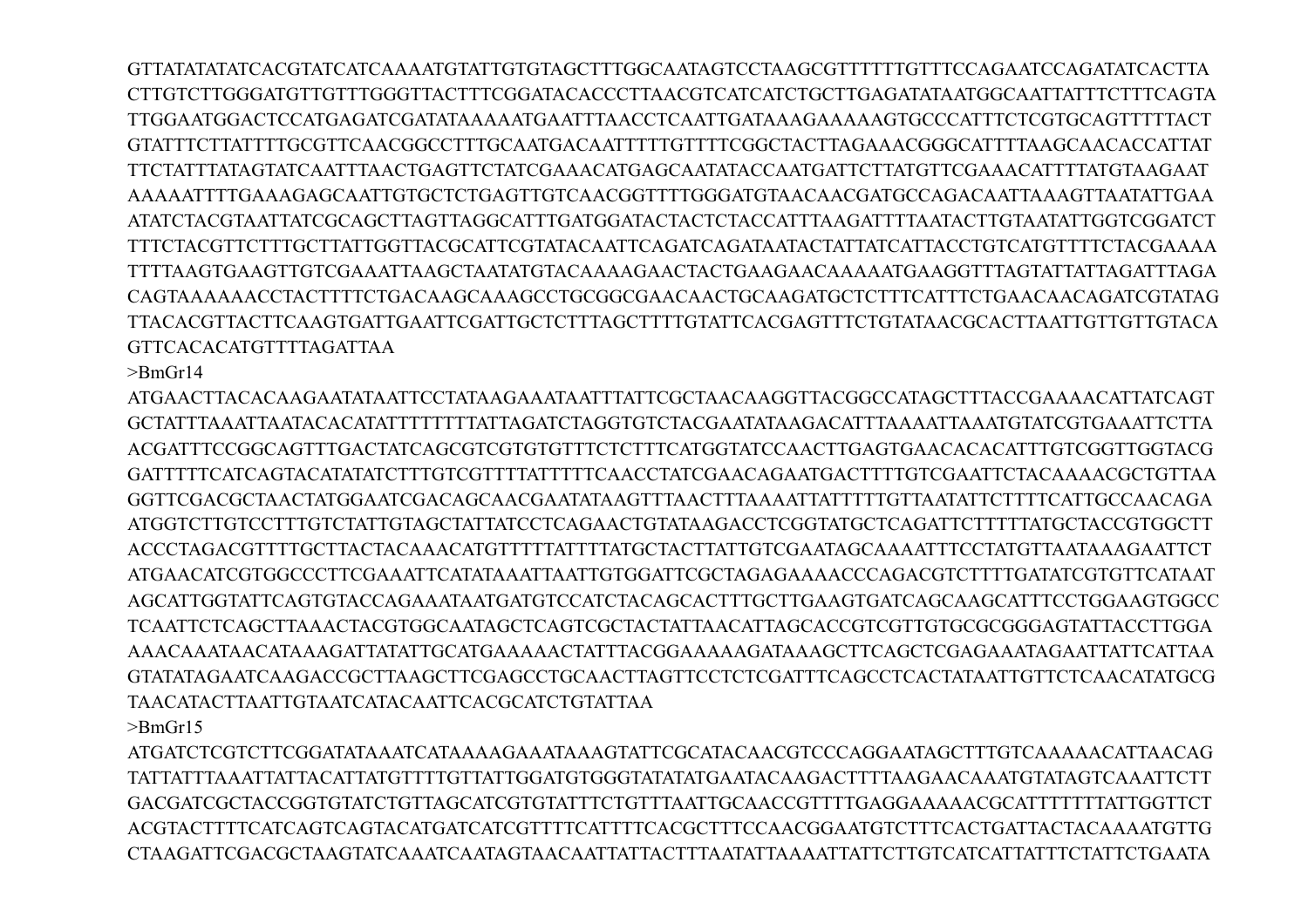GTTATATATATCACGTATCATCAAAATGTATTGTGTAGCTTTGGCAATAGTCCTAAGCGTTTTTTGTTTCCAGAATCCAGATATCACTTA CTTGTCTTGGGATGTTGTTTGGGTTACTTTCGGATACACCCTTAACGTCATCATCTGCTTGAGATATAATGGCAATTATTTCTTTCAGTA TTGGAATGGACTCCATGAGATCGATATAAAAATGAATTTAACCTCAATTGATAAAGAAAAAGTGCCCATTTCTCGTGCAGTTTTTACT GTATTTCTTATTTTGCGTTCAACGGCCTTTGCAATGACAATTTTTGTTTTCGGCTACTTAGAAACGGGCATTTTAAGCAACACCATTAT TTCTATTTATAGTATCAATTTAACTGAGTTCTATCGAAACATGAGCAATATACCAATGATTCTTATGTTCGAAACATTTTATGTAAGAAT AAAAATTTTGAAAGAGCAATTGTGCTCTGAGTTGTCAACGGTTTTGGGATGTAACAACGATGCCAGACAATTAAAGTTAATATTGAA ATATCTACGTAATTATCGCAGCTTAGTTAGGCATTTGATGGATACTACTCTACCATTTAAGATTTTAATACTTGTAATATTGGTCGGATCT TTTCTACGTTCTTTGCTTATTGGTTACGCATTCGTATACAATTCAGATCAGATAATACTATTATCATTACCTGTCATGTTTTCTACGAAAA TTTTAAGTGAAGTTGTCGAAATTAAGCTAATATGTACAAAAGAACTACTGAAGAACAAAAATGAAGGTTTAGTATTATTAGATTTAGA CAGTAAAAAACCTACTTTTCTGACAAGCAAAGCCTGCGGCGAACAACTGCAAGATGCTCTTTCATTTCTGAACAACAGATCGTATAG TTACACGTTACTTCAAGTGATTGAATTCGATTGCTCTTTAGCTTTTGTATTCACGAGTTTCTGTATAACGCACTTAATTGTTGTTGTACA GTTCACACATGTTTTAGATTAA

 $>$ BmGr14

ATGAACTTACACAAGAATATAATTCCTATAAGAAATAATTTATTCGCTAACAAGGTTACGGCCATAGCTTTACCGAAAACATTATCAGT GCTATTTAAATTAATACACATATTTTTTTTATTAGATCTAGGTGTCTACGAATATAAGACATTTAAAATTAAATGTATCGTGAAATTCTTA ACGATTTCCGGCAGTTTGACTATCAGCGTCGTGTGTTTCTCTTTCATGGTATCCAACTTGAGTGAACACACATTTGTCGGTTGGTACG GATTTTTCATCAGTACATATATCTTTGTCGTTTTATTTTTCAACCTATCGAACAGAATGACTTTTGTCGAATTCTACAAAACGCTGTTAA GGTTCGACGCTAACTATGGAATCGACAGCAACGAATATAAGTTTAACTTTAAAATTATTTTTGTTAATATTCTTTTCATTGCCAACAGA ATGGTCTTGTCCTTTGTCTATTGTAGCTATTATCCTCAGAACTGTATAAGACCTCGGTATGCTCAGATTCTTTTTATGCTACCGTGGCTT ACCCTAGACGTTTTGCTTACTACAAACATGTTTTTATTTTATGCTACTTATTGTCGAATAGCAAAATTTCCTATGTTAATAAAGAATTCT ATGAACATCGTGGCCCTTCGAAATTCATATAAATTAATTGTGGATTCGCTAGAGAAAACCCAGACGTCTTTTGATATCGTGTTCATAAT AGCATTGGTATTCAGTGTACCAGAAATAATGATGTCCATCTACAGCACTTTGCTTGAAGTGATCAGCAAGCATTTCCTGGAAGTGGCC TCAATTCTCAGCTTAAACTACGTGGCAATAGCTCAGTCGCTACTATTAACATTAGCACCGTCGTTGTGCGCGGGAGTATTACCTTGGA AAACAAATAACATAAAGATTATATTGCATGAAAAACTATTTACGGAAAAAGATAAAGCTTCAGCTCGAGAAATAGAATTATTCATTAA GTATATAGAATCAAGACCGCTTAAGCTTCGAGCCTGCAACTTAGTTCCTCTCGATTTCAGCCTCACTATAATTGTTCTCAACATATGCG TAACATACTTAATTGTAATCATACAATTCACGCATCTGTATTAA  $>$ BmGr15

ATGATCTCGTCTTCGGATATAAATCATAAAAGAAATAAAGTATTCGCATACAACGTCCCAGGAATAGCTTTGTCAAAAACATTAACAG TATTATTTAAATTATTACATTATGTTTTGTTATTGGATGTGGGTATATATGAATACAAGACTTTTAAGAACAAATGTATAGTCAAATTCTT GACGATCGCTACCGGTGTATCTGTTAGCATCGTGTATTTCTGTTTAATTGCAACCGTTTTGAGGAAAAACGCATTTTTTTATTGGTTCT ACGTACTTTTCATCAGTCAGTACATGATCATCGTTTTCATTTTCACGCTTTCCAACGGAATGTCTTTCACTGATTACTACAAAATGTTG CTAAGATTCGACGCTAAGTATCAAATCAATAGTAACAATTATTACTTTAATATTAAAATTATTCTTGTCATCATTATTTCTATTCTGAATA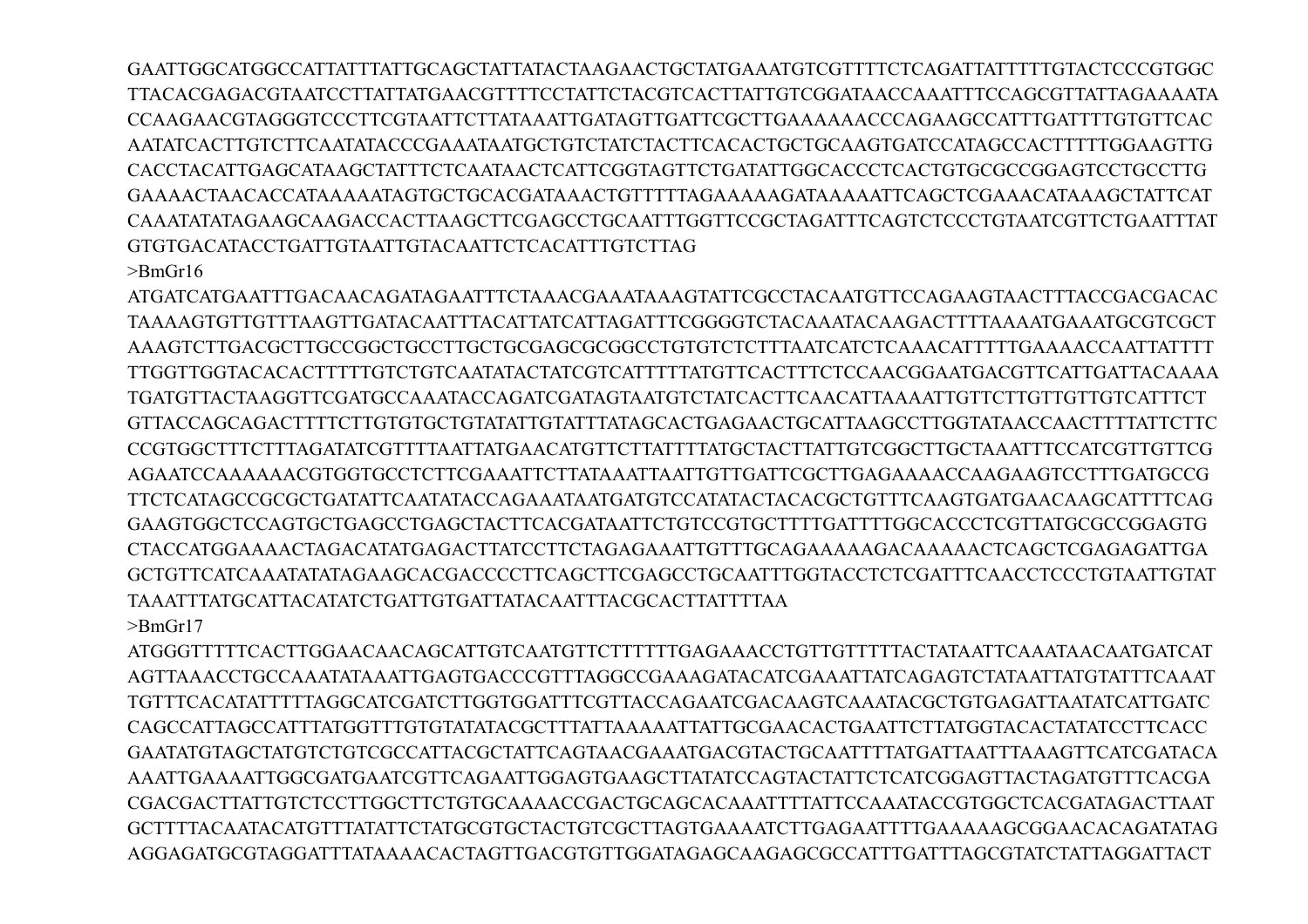GAATTGGCATGGCCATTATTTATTGCAGCTATTATACTAAGAACTGCTATGAAATGTCGTTTTCTCAGATTATTTTTGTACTCCCGTGGC TTACACGAGACGTAATCCTTATTATGAACGTTTTCCTATTCTACGTCACTTATTGTCGGATAACCAAATTTCCAGCGTTATTAGAAAATA CCAAGAACGTAGGGTCCCTTCGTAATTCTTATAAATTGATAGTTGATTCGCTTGAAAAAACCCAGAAGCCATTTGATTTTGTGTTCAC CACCTACATTGAGCATAAGCTATTTCTCAATAACTCATTCGGTAGTTCTGATATTGGCACCCTCACTGTGCGCCGGAGTCCTGCCTTG GAAAACTAACACCATAAAAATAGTGCTGCACGATAAACTGTTTTTAGAAAAAGATAAAAATTCAGCTCGAAACATAAAGCTATTCAT CAAATATATAGAAGCAAGACCACTTAAGCTTCGAGCCTGCAATTTGGTTCCGCTAGATTTCAGTCTCCCTGTAATCGTTCTGAATTTAT GTGTGACATACCTGATTGTAATTGTACAATTCTCACATTTGTCTTAG

 $>$ BmGr16

ATGATCATGAATTTGACAACAGATAGAATTTCTAAACGAAATAAAGTATTCGCCTACAATGTTCCAGAAGTAACTTTACCGACGACAC TA A A AGTGTTGTTTA AGTTGATACA ATTTACATTATCATTAGATTTCGGGGTCTACA A ATACA AGACTTTTA A A ATGA A ATGCGTCGCT AAAGTCTTGACGCTTGCCGGCTGCCTTGCTGCGAGCGCGGCCTGTGTCTCTTTAATCATCTCAAACATTTTTGAAAACCAATTATTT TTGGTTGGTACACACTTTTTGTCTGTCAATATACTATCGTCATTTTTATGTTCACTTTCTCCAACGGAATGACGTTCATTGATTACAAAA TGATGTTACTA AGGTTCGATGCCA A ATA CCA GATCGATA GTA ATGTCTATCA CTTCA A CATTA A A ATTGTTCTTGTTGTTGTCATTTCT GTTACCAGCAGACTTTTCTTGTGTGCTGTATATTGTATTTATAGCACTGAGAACTGCATTAAGCCTTGGTATAACCAACTTTTATTCTTC CCGTGGCTTTCTTTAGATATCGTTTTAATTATGAACATGTTCTTATTTTATGCTACTTATTGTCGGCTTGCTAAATTTCCATCGTTGTTCG TTCTCATAGCCGCGCTGATATTCAATATACCAGAAATAATGATGTCCATATACTACACGCTGTTTCAAGTGATGAACAAGCATTTTCAG GAAGTGGCTCCAGTGCTGAGCCTGAGCTACTTCACGATAATTCTGTCCGTGCTTTTGATTTTGGCACCCTCGTTATGCGCCGGAGTG CTACCATGGAAAACTAGACATATGAGACTTATCCTTCTAGAGAAATTGTTTGCAGAAAAAGACAAAAACTCAGCTCGAGAGATTGA GCTGTTCATCAAATATATAGAAGCACGACCCCTTCAGCTTCGAGCCTGCAATTTGGTACCTCTCGATTTCAACCTCCCTGTAATTGTAT **TAAATTTATGCATTACATATCTGATTGTGATTATACAATTTACGCACTTATTTTAA**  $>$ Rm $Gr17$ 

ATGGGTTTTTCACTTGGAACAACAGCATTGTCAATGTTCTTTTTGAGAAACCTGTTGTTTTACTATAATTCAAATAACAATGATCAT AGTTAAACCTGCCAAATATAAATTGAGTGACCCGTTTAGGCCGAAAGATACATCGAAATTATCAGAGTCTATAATTATGTATTTCAAAT TGTTTCACATATTTTTAGGCATCGATCTTGGTGGATTTCGTTACCAGAATCGACAAGTCAAATACGCTGTGAGATTAATATCATTGATC CAGCCATTAGCCATTTATGGTTTGTGTATATACGCTTTATTAAAAATTATTGCGAACACTGAATTCTTATGGTACACTATATCCTTCACC GAATATGTAGCTATGTCTGTCGCCATTACGCTATTCAGTAACGAAATGACGTACTGCAATTTTATGATTAATTTAAAGTTCATCGATACA AAATTGAAAATTGGCGATGAATCGTTCAGAATTGGAGTGAAGCTTATATCCAGTACTATTCTCATCGGAGTTACTAGATGTTTCACGA CGACGACTTATTGTCTCCTTGGCTTCTGTGCAAAACCGACTGCAGCACAAATTTTATTCCAAATACCGTGGCTCACGATAGACTTAAT GCTTTTACAATACATGTTTATATTCTATGCGTGCTACTGTCGCTTAGTGAAAATCTTGAGAATTTTGAAAAAGCGGAACACAGATATAG AGGAGATGCGTAGGATTTATAAAACACTAGTTGACGTGTTGGATAGAGCAAGAGCGCCATTTGATTTAGCGTATCTATTAGGATTACT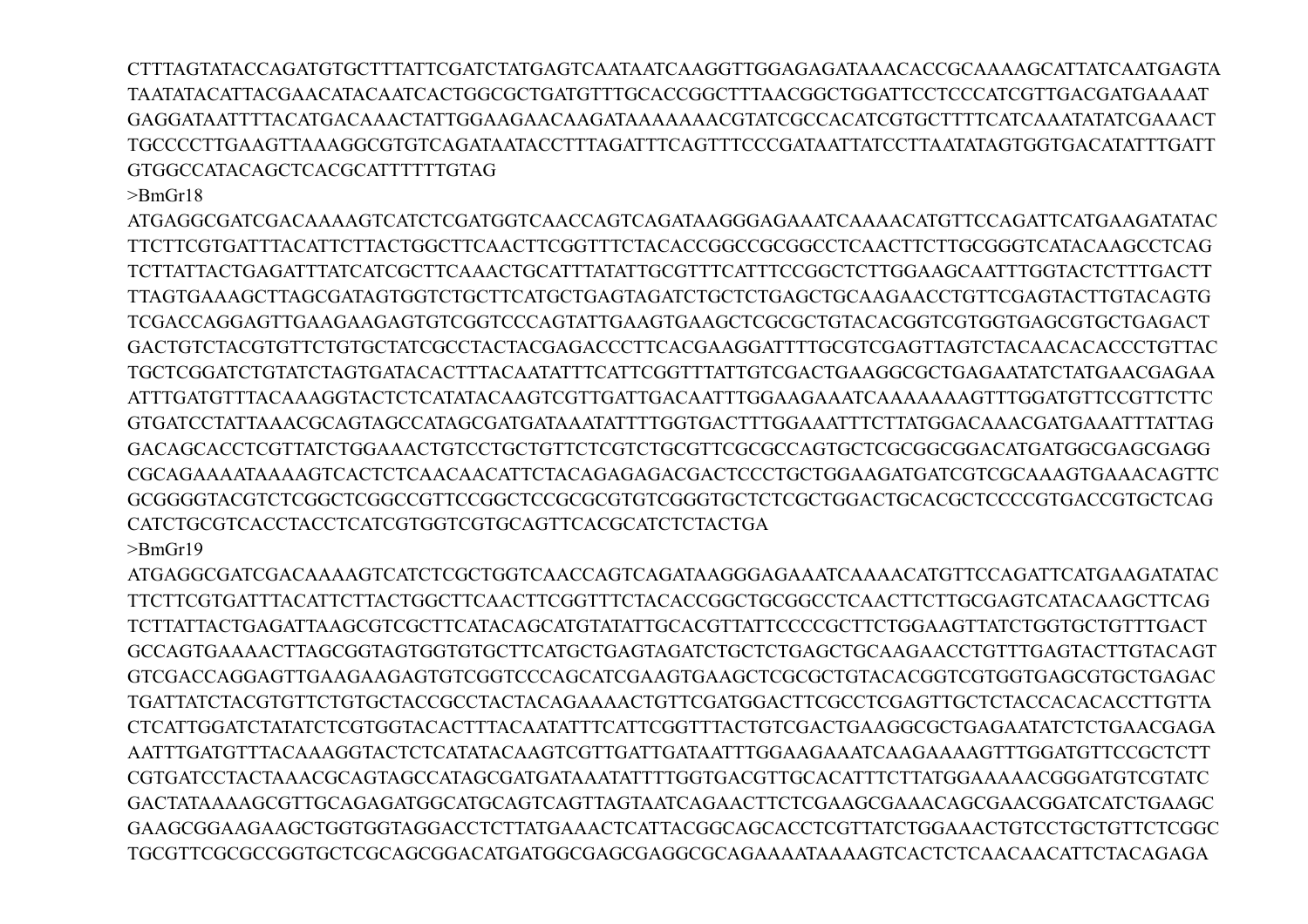CTTTAGTATACCAGATGTGCTTTATTCGATCTATGAGTCAATAATCAAGGTTGGAGAGATAAACACCGCAAAAGCATTATCAATGAGTA TAATATACATTACGAACATACAATCACTGGCGCTGATGTTTGCACCGGCTTTAACGGCTGGATTCCTCCCATCGTTGACGATGAAAAT GAGGATAATTTTACATGACAAACTATTGGAAGAACAAGATAAAAAAACGTATCGCCACATCGTGCTTTTCATCAAATATATCGAAACT TGCCCCTTGAAGTTAAAGGCGTGTCAGATAATACCTTTAGATTTCAGTTTCCCGATAATTATCCTTAATATAGTGGTGACATATTTGATT GTGGCCATACAGCTCACGCATTTTTTGTAG

>BmGr18

ATGAGGCGATCGACAAAAGTCATCTCGATGGTCAACCAGTCAGATAAGGGAGAAATCAAAACATGTTCCAGATTCATGAAGATATAC TTCTTCGTGATTTACATTCTTACTGGCTTCAACTTCGGTTTCTACACCGGCCGCGGCCTCAACTTCTTGCGGGTCATACAAGCCTCAG TCTTATTACTGAGATTTATCATCGCTTCAAACTGCATTTATATTGCGTTTCATTTCCGGCTCTTGGAAGCAATTTGGTACTCTTTGACTT TTAGTGAAAGCTTAGCGATAGTGGTCTGCTTCATGCTGAGTAGATCTGCTCTGAGCTGCAAGAACCTGTTCGAGTACTTGTACAGTG TCGACCAGGAGTTGAAGAAGAGTGTCGGTCCCAGTATTGAAGTGAAGCTCGCGCTGTACACGGTCGTGGTGAGCGTGCTGAGACT GACTGTCTACGTGTTCTGTGCTATCGCCTACTACGAGACCCTTCACGAAGGATTTTGCGTCGAGTTAGTCTACAACACACCCTGTTAC TGCTCGGATCTGTATCTAGTGATACACTTTACAATATTTCATTCGGTTTATTGTCGACTGAAGGCGCTGAGAATATCTATGAACGAGAA ATTTGATGTTTACAAAGGTACTCTCATATACAAGTCGTTGATTGACAATTTGGAAGAAATCAAAAAAAGTTTGGATGTTCCGTTCTTC GTGATCCTATTAAACGCAGTAGCCATAGCGATGATAAATATTTTGGTGACTTTGGAAATTTCTTATGGACAAACGATGAAATTTATTAG GACAGCACCTCGTTATCTGGAAACTGTCCTGCTGTTCTCGTCTGCGTTCGCGCCAGTGCTCGCGGCGGACATGATGGCGAGCGAGG CGCAGAAAATAAAAGTCACTCTCAACAACATTCTACAGAGAGACGACTCCCTGCTGGAAGATGATCGTCGCAAAGTGAAACAGTTC GCGGGGTACGTCTCGGCTCGGCCGTTCCGGCTCCGCGCGTGTCGGGTGCTCTCGCTGGACTGCACGCTCCCCGTGACCGTGCTCAG CATCTGCGTCACCTACCTCATCGTGGTCGTGCAGTTCACGCATCTCTACTGA >BmGr19

ATGAGGCGATCGACAAAAGTCATCTCGCTGGTCAACCAGTCAGATAAGGGAGAAATCAAAACATGTTCCAGATTCATGAAGATATAC TTCTTCGTGATTTACATTCTTACTGGCTTCAACTTCGGTTTCTACACCGGCTGCGGCCTCAACTTCTTGCGAGTCATACAAGCTTCAG TCTTATTACTGAGATTAAGCGTCGCTTCATACAGCATGTATATTGCACGTTATTCCCCGCTTCTGGAAGTTATCTGGTGCTGTTTGACT GCCAGTGAAAACTTAGCGGTAGTGGTGTGCTTCATGCTGAGTAGATCTGCTCTGAGCTGCAAGAACCTGTTTGAGTACTTGTACAGT GTCGACCAGGAGTTGAAGAAGAGTGTCGGTCCCAGCATCGAAGTGAAGCTCGCGCTGTACACGGTCGTGGTGAGCGTGCTGAGAC TGATTATCTACGTGTTCTGTGCTACCGCCTACTACAGAAAACTGTTCGATGGACTTCGCCTCGAGTTGCTCTACCACACACCTTGTTA CTCATTGGATCTATATCTCGTGGTACACTTTACAATATTTCATTCGGTTTACTGTCGACTGAAGGCGCTGAGAATATCTCTGAACGAGA AATTTGATGTTTACAAAGGTACTCTCATATACAAGTCGTTGATTGATAATTTGGAAGAAATCAAGAAAAGTTTGGATGTTCCGCTCTT CGTGATCCTACTAAACGCAGTAGCCATAGCGATGATAAATATTTTGGTGACGTTGCACATTTCTTATGGAAAAACGGGATGTCGTATC GACTATAAAAGCGTTGCAGAGATGGCATGCAGTCAGTTAGTAATCAGAACTTCTCGAAGCGAAACAGCGAACGGATCATCTGAAGC GAAGCGGAAGAAGCTGGTGGTAGGACCTCTTATGAAACTCATTACGGCAGCACCTCGTTATCTGGAAACTGTCCTGCTGTTCTCGGC TGCGTTCGCGCCGGTGCTCGCAGCGGACATGATGGCGAGCGAGGCGCAGAAAATAAAAGTCACTCTCAACAACATTCTACAGAGA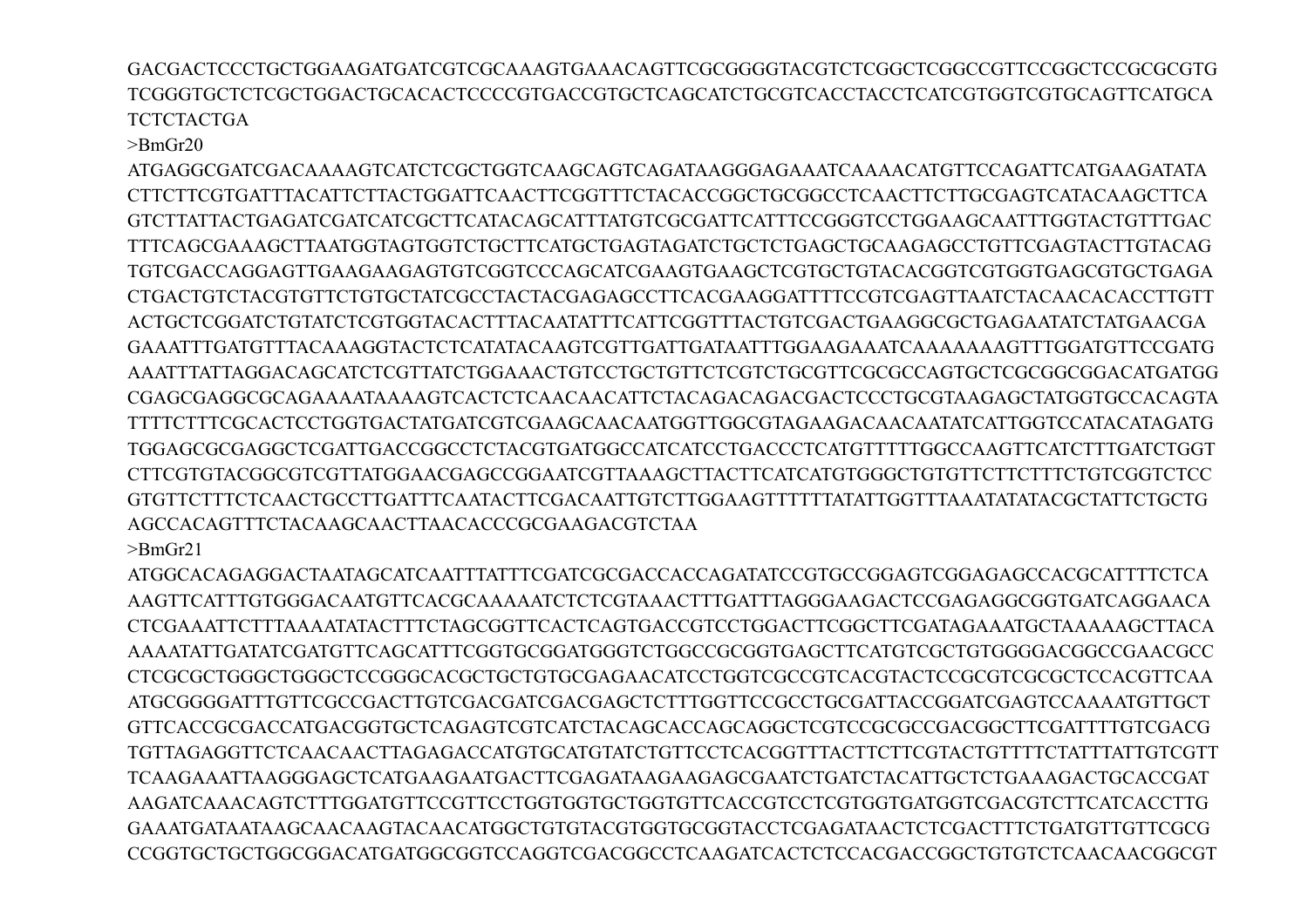GACGACTCCCTGCTGGAAGATGATCGTCGCAAAGTGAAACAGTTCGCGGGGTACGTCTCGGCTCGGCCGTTCCGGCTCCGCGCGTG TCGGGTGCTCTCGCTGGACTGCACACTCCCCGTGACCGTGCTCAGCATCTGCGTCACCTACCTCATCGTGGTCGTGCAGTTCATGCA **TCTCTACTGA** 

 $>$ BmGr20

ATGAGGCGATCGACAAAAGTCATCTCGCTGGTCAAGCAGTCAGATAAGGGAGAAATCAAAACATGTTCCAGATTCATGAAGATATA CTTCTTCGTGATTTACATTCTTACTGGATTCAACTTCGGTTTCTACACCGGCTGCGGCCTCAACTTCTTGCGAGTCATACAAGCTTCA GTCTTATTACTGAGATCGATCATCGCTTCATACAGCATTTATGTCGCGATTCATTTCCGGGTCCTGGAAGCAATTTGGTACTGTTTGAC TTTCAGCGAAAGCTTAATGGTAGTGGTCTGCTTCATGCTGAGTAGATCTGCTCTGAGCTGCAAGAGCCTGTTCGAGTACTTGTACAG TGTCGACCAGGAGTTGAAGAAGAGTGTCGGTCCCAGCATCGAAGTGAAGCTCGTGCTGTACACGGTCGTGGTGAGCGTGCTGAGA CTGACTGTCTACGTGTTCTGTGCTATCGCCTACTACGAGAGCCTTCACGAAGGATTTTCCGTCGAGTTAATCTACAACACACCTTGTT ACTGCTCGGATCTGTATCTCGTGGTACACTTTACAATATTTCATTCGGTTTACTGTCGACTGAAGGCGCTGAGAATATCTATGAACGA GAAATTTGATGTTTACAAAGGTACTCTCATATACAAGTCGTTGATTGATAATTTGGAAGAAATCAAAAAAAGTTTGGATGTTCCGATG AAATTTATTAGGACAGCATCTCGTTATCTGGAAACTGTCCTGCTGTTCTCGTCTGCGTTCGCGCCAGTGCTCGCGGCGGACATGATGG CGAGCGAGGCGCAGAAAATAAAAGTCACTCTCAACAACATTCTACAGACAGACGACTCCCTGCGTAAGAGCTATGGTGCCACAGTA TTTTCTTTCGCACTCCTGGTGACTATGATCGTCGAAGCAACAATGGTTGGCGTAGAAGACAACAATATCATTGGTCCATACATAGATG TGGAGCGCGAGGCTCGATTGACCGGCCTCTACGTGATGGCCATCATCCTGACCCTCATGTTTTTGGCCAAGTTCATCTTTGATCTGGT CTTCGTGTACGGCGTCGTTATGGAACGAGCCGGAATCGTTAAAGCTTACTTCATCATGTGGGCTGTGTTCTTCTTTCTGTCGGTCTCC GTGTTCTTTCTCAACTGCCTTGATTTCAATACTTCGACAATTGTCTTGGAAGTTTTTTATATTGGTTTAAATATATACGCTATTCTGCTG AGCCACAGTTTCTACAAGCAACTTAACACCCGCGAAGACGTCTAA >BmGr21

ATGGCACAGAGGACTAATAGCATCAATTTATTTCGATCGCGACCACCAGATATCCGTGCCGGAGTCGGAGAGCCACGCATTTTCTCA AAGTTCATTTGTGGGACAATGTTCACGCAAAAATCTCTCGTAAACTTTGATTTAGGGAAGACTCCGAGAGGCGGTGATCAGGAACA CTCGAAATTCTTTAAAATATACTTTCTAGCGGTTCACTCAGTGACCGTCCTGGACTTCGGCTTCGATAGAAATGCTAAAAAGCTTACA AAAATATTGATATCGATGTTCAGCATTTCGGTGCGGATGGGTCTGGCCGCGGTGAGCTTCATGTCGCTGTGGGGACGGCCGAACGCC CTCGCGCTGGGCTGGGCTCCGGGCACGCTGCTGTGCGAGAACATCCTGGTCGCCGTCACGTACTCCGCGTCGCGCTCCACGTTCAA ATGCGGGGATTTGTTCGCCGACTTGTCGACGATCGACGAGCTCTTTGGTTCCGCCTGCGATTACCGGATCGAGTCCAAAATGTTGCT GTTCACCGCGACCATGACGGTGCTCAGAGTCGTCATCTACAGCACCAGCAGGCTCGTCCGCGCCGACGGCTTCGATTTTGTCGACG TGTTAGAGGTTCTCAACAACTTAGAGACCATGTGCATGTATCTGTTCCTCACGGTTTACTTCTTCGTACTGTTTTCTATTTATTGTCGTT TCAAGAAATTAAGGGAGCTCATGAAGAATGACTTCGAGATAAGAAGAGCGAATCTGATCTACATTGCTCTGAAAGACTGCACCGAT AAGATCAAACAGTCTTTGGATGTTCCGTTCCTGGTGGTGCTGGTGTTCACCGTCCTCGTGGTGATGGTCGACGTCTTCATCACCTTG GAAATGATAATAAGCAACAAGTACAACATGGCTGTGTACGTGGTGCGGTACCTCGAGATAACTCTCGACTTTCTGATGTTGTTCGCG CCGGTGCTGCTGGCGGACATGATGGCGGTCCAGGTCGACGGCCTCAAGATCACTCTCCACGACCGGCTGTGTCTCAACAACGGCGT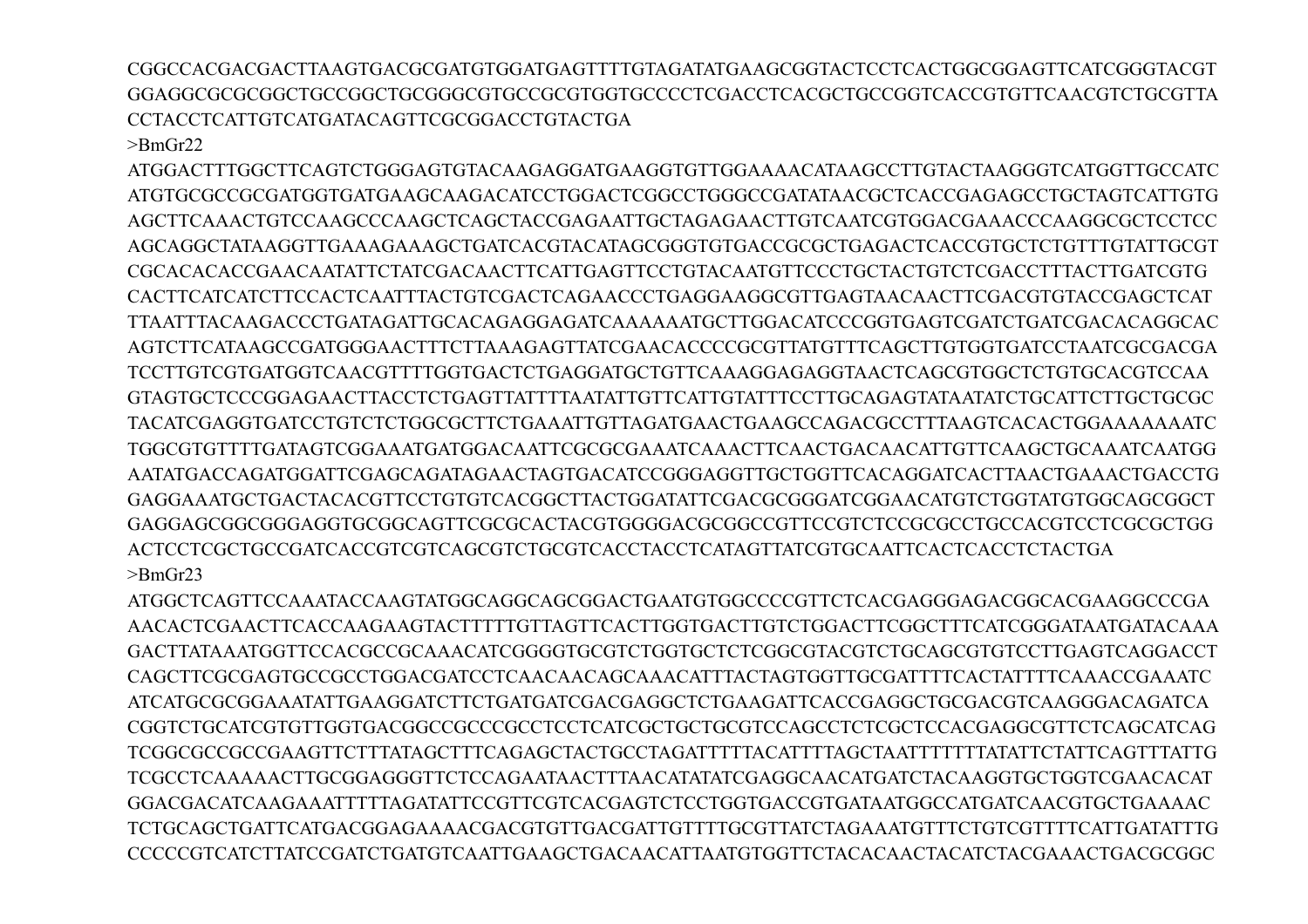CGGCCACGACGACTTAAGTGACGCGATGTGGATGAGTTTTGTAGATATGAAGCGGTACTCCTCACTGGCGGAGTTCATCGGGTACGT GGAGGCGCGCGGCTGCCGGCTGCGGGCGTGCCGCGTGGTGCCCCTCGACCTCACGCTGCCGGTCACCGTGTTCAACGTCTGCGTTA CCTACCTCATTGTCATGATACAGTTCGCGGACCTGTACTGA

 $>$ BmGr22

ATGGACTTTGGCTTCAGTCTGGGAGTGTACAAGAGGATGAAGGTGTTGGAAAACATAAGCCTTGTACTAAGGGTCATGGTTGCCATC ATGTGCGCCGCGATGGTGATGAAGCAAGACATCCTGGACTCGGCCTGGGCCGATATAACGCTCACCGAGAGCCTGCTAGTCATTGTG AGCTTCAAACTGTCCAAGCCCAAGCTCAGCTACCGAGAATTGCTAGAGAACTTGTCAATCGTGGACGAAACCCAAGGCGCTCCTCC AGCAGGCTATAAGGTTGAAAGAAAGCTGATCACGTACATAGCGGGTGTGACCGCGCTGAGACTCACCGTGCTCTGTTTGTATTGCGT CGCACACACCGAACAATATTCTATCGACAACTTCATTGAGTTCCTGTACAATGTTCCCTGCTACTGTCTCGACCTTTACTTGATCGTG CACTTCATCATCTTCCACTCAATTTACTGTCGACTCAGAACCCTGAGGAAGGCGTTGAGTAACAACTTCGACGTGTACCGAGCTCAT TTAATTTACAAGACCCTGATAGATTGCACAGAGGAGATCAAAAAATGCTTGGACATCCCGGTGAGTCGATCTGATCGACACAGGCAC AGTCTTCATAAGCCGATGGGAACTTTCTTAAAGAGTTATCGAACACCCCGCGTTATGTTTCAGCTTGTGGTGATCCTAATCGCGACGA TCCTTGTCGTGATGGTCAACGTTTTGGTGACTCTGAGGATGCTGTTCAAAGGAGAGGTAACTCAGCGTGGCTCTGTGCACGTCCAA GTAGTGCTCCCGGAGAACTTACCTCTGAGTTATTTTAATATTGTTCATTGTATTTCCTTGCAGAGTATAATATCTGCATTCTTGCTGCGC TACATCGAGGTGATCCTGTCTCTGGCGCTTCTGAAATTGTTAGATGAACTGAAGCCAGACGCCTTTAAGTCACACTGGAAAAAAATC TGGCGTGTTTTGATAGTCGGAAATGATGGACAATTCGCGCGAAATCAAACTTCAACTGACAACATTGTTCAAGCTGCAAATCAATGG AATATGACCAGATGGATTCGAGCAGATAGAACTAGTGACATCCGGGAGGTTGCTGGTTCACAGGATCACTTAACTGAAACTGACCTG GAGGAAATGCTGACTACACGTTCCTGTGTCACGGCTTACTGGATATTCGACGCGGGATCGGAACATGTCTGGTATGTGGCAGCGGCT GAGGAGCGGCGGGAGGTGCGGCAGTTCGCGCACTACGTGGGGACGCGGCCGTTCCGTCTCCGCGCCTGCCACGTCCTCGCGCTGG ACTCCTCGCTGCCGATCACCGTCGTCAGCGTCTGCGTCACCTACCTCATAGTTATCGTGCAATTCACTCACCTCTACTGA >BmGr23

ATGGCTCAGTTCCAAATACCAAGTATGGCAGGCAGCGGACTGAATGTGGCCCCGTTCTCACGAGGGAGACGGCACGAAGGCCCGA AACACTCGAACTTCACCAAGAAGTACTTTTTGTTAGTTCACTTGGTGACTTGTCTGGACTTCGGCTTTCATCGGGATAATGATACAAA GACTTATAAATGGTTCCACGCCGCAAACATCGGGGTGCGTCTGGTGCTCTCGGCGTACGTCTGCAGCGTGTCCTTGAGTCAGGACCT CAGCTTCGCGAGTGCCGCCTGGACGATCCTCAACAACAGCAAACATTTACTAGTGGTTGCGATTTTCACTATTTTCAAACCGAAATC ATCATGCGCGGAAATATTGAAGGATCTTCTGATGATCGACGAGGCTCTGAAGATTCACCGAGGCTGCGACGTCAAGGGACAGATCA CGGTCTGCATCGTGTTGGTGACGGCCGCCCGCCTCCTCATCGCTGCTGCGTCCAGCCTCTCGCTCCACGAGGCGTTCTCAGCATCAG TCGGCGCCGCCGAAGTTCTTTATAGCTTTCAGAGCTACTGCCTAGATTTTTACATTTTAGCTAATTTTTTTATATTCTATTCAGTTTATTG TCGCCTCAAAAACTTGCGGAGGGTTCTCCAGAATAACTTTAACATATATCGAGGCAACATGATCTACAAGGTGCTGGTCGAACACAT GGACGACATCAAGAAATTTTTAGATATTCCGTTCGTCACGAGTCTCCTGGTGACCGTGATAATGGCCATGATCAACGTGCTGAAAAC TCTGCAGCTGATTCATGACGGAGAAAACGACGTGTTGACGATTGTTTTGCGTTATCTAGAAATGTTTCTGTCGTTTTCATTGATATTTG CCCCCGTCATCTTATCCGATCTGATGTCAATTGAAGCTGACAACATTAATGTGGTTCTACACAACTACATCTACGAAACTGACGCGGC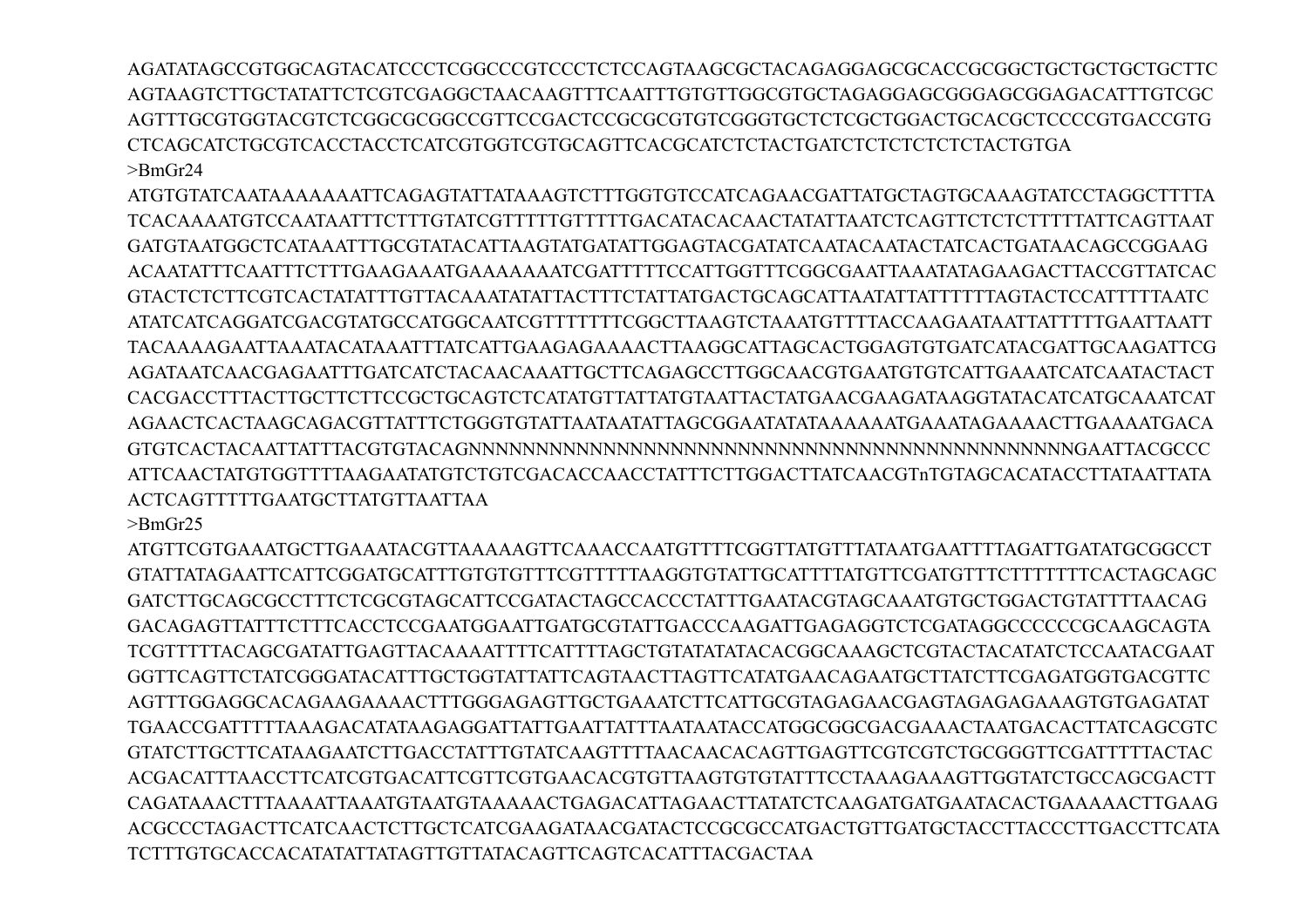AGATATAGCCGTGGCAGTACATCCCTCGGCCCGTCCCTCTCCAGTAAGCGCTACAGAGGAGCGCACCGCGGCTGCTGCTGCTGCTTC AGTAAGTCTTGCTATATTCTCGTCGAGGCTAACAAGTTTCAATTTGTGTTGGCGTGCTAGAGGAGCGGGAGCGGAGACATTTGTCGC AGTTTGCGTGGTACGTCTCGGCGCGGCCGTTCCGACTCCGCGCGTGTCGGGTGCTCTCGCTGGACTGCACGCTCCCCGTGACCGTG CTCAGCATCTGCGTCACCTACCTCATCGTGGTCGTGCAGTTCACGCATCTCTACTGATCTCTCTCTCTCTACTGTGA >BmGr24

ATGTGTATCAATAAAAAAATTCAGAGTATTATAAAGTCTTTGGTGTCCATCAGAACGATTATGCTAGTGCAAAGTATCCTAGGCTTTTA TCACAAAATGTCCAATAATTTCTTTGTATCGTTTTTGTTTTTGACATACACAACTATATTAATCTCAGTTCTCTCTTTTTATTCAGTTAAT GATGTAATGGCTCATAAATTTGCGTATACATTAAGTATGATATTGGAGTACGATATCAATACAATACTATCACTGATAACAGCCGGAAG ACAATATTTCAATTTCTTTGAAGAAATGAAAAAAATCGATTTTTCCATTGGTTTCGGCGAATTAAATATAGAAGACTTACCGTTATCAC GTACTCTCTTCGTCACTATATTTGTTACAAATATATTACTTTCTATTATGACTGCAGCATTAATATTATTTTTTAGTACTCCATTTTTAATC ATATCATCAGGATCGACGTATGCCATGGCAATCGTTTTTTTCGGCTTAAGTCTAAATGTTTTACCAAGAATAATTATTTTTGAATTAATT TACAAAAGAATTAAATACATAAATTTATCATTGAAGAGAAAACTTAAGGCATTAGCACTGGAGTGTGATCATACGATTGCAAGATTCG AGATAATCAACGAGAATTTGATCATCTACAACAAATTGCTTCAGAGCCTTGGCAACGTGAATGTGTCATTGAAATCATCAATACTACT CACGACCTTTACTTGCTTCTTCCGCTGCAGTCTCATATGTTATTATGTAATTACTATGAACGAAGATAAGGTATACATCATGCAAATCAT AGAACTCACTAAGCAGACGTTATTTCTGGGTGTATTAATAATATTAGCGGAATATATAAAAAATGAAATAGAAAACTTGAAAATGACA GTGTCACTACAATTATTTACGTGTACAGNNNNNNNNNNNNNNNNNNNNNNNNNNNNNNNNNNNNNNNNNNNNNGAATTACGCCC ATTCAACTATGTGGTTTTAAGAATATGTCTGTCGACACCAACCTATTTCTTGGACTTATCAACGTnTGTAGCACATACCTTATAATTATA ACTCAGTTTTTGAATGCTTATGTTAATTAA

>BmGr25

ATGTTCGTGAAATGCTTGAAATACGTTAAAAAGTTCAAACCAATGTTTTCGGTTATGTTTATAATGAATTTTAGATTGATATGCGGCCT GTATTATAGAATTCATTCGGATGCATTTGTGTGTTTCGTTTTTAAGGTGTATTGCATTTTATGTTCGATGTTTCTTTTTTTCACTAGCAGC GATCTTGCAGCGCCTTTCTCGCGTAGCATTCCGATACTAGCCACCCTATTTGAATACGTAGCAAATGTGCTGGACTGTATTTTAACAG GACAGAGTTATTTCTTTCACCTCCGAATGGAATTGATGCGTATTGACCCAAGATTGAGAGGTCTCGATAGGCCCCCCGCAAGCAGTA TCGTTTTTACAGCGATATTGAGTTACAAAATTTTCATTTTAGCTGTATATATACACGGCAAAGCTCGTACTACATATCTCCAATACGAAT GGTTCAGTTCTATCGGGATACATTTGCTGGTATTATTCAGTAACTTAGTTCATATGAACAGAATGCTTATCTTCGAGATGGTGACGTTC AGTTTGGAGGCACAGAAGAAAACTTTGGGAGAGTTGCTGAAATCTTCATTGCGTAGAGAACGAGTAGAGAGAAAGTGTGAGATAT TGAACCGATTTTTAAAGACATATAAGAGGATTATTGAATTATTTAATAATACCATGGCGGCGACGAAACTAATGACACTTATCAGCGTC GTATCTTGCTTCATAAGAATCTTGACCTATTTGTATCAAGTTTTAACAACACAGTTGAGTTCGTCGTCTGCGGGTTCGATTTTTACTAC ACGACATTTAACCTTCATCGTGACATTCGTTCGTGAACACGTGTTAAGTGTGTATTTCCTAAAGAAAGTTGGTATCTGCCAGCGACTT CAGATAAACTTTAAAATTAAATGTAATGTAAAAACTGAGACATTAGAACTTATATCTCAAGATGATGAATACACTGAAAAACTTGAAG ACGCCCTAGACTTCATCAACTCTTGCTCATCGAAGATAACGATACTCCGCGCCATGACTGTTGATGCTACCTTACCCTTGACCTTCATA TCTTTGTGCACCACATATATTATAGTTGTTATACAGTTCAGTCACATTTACGACTAA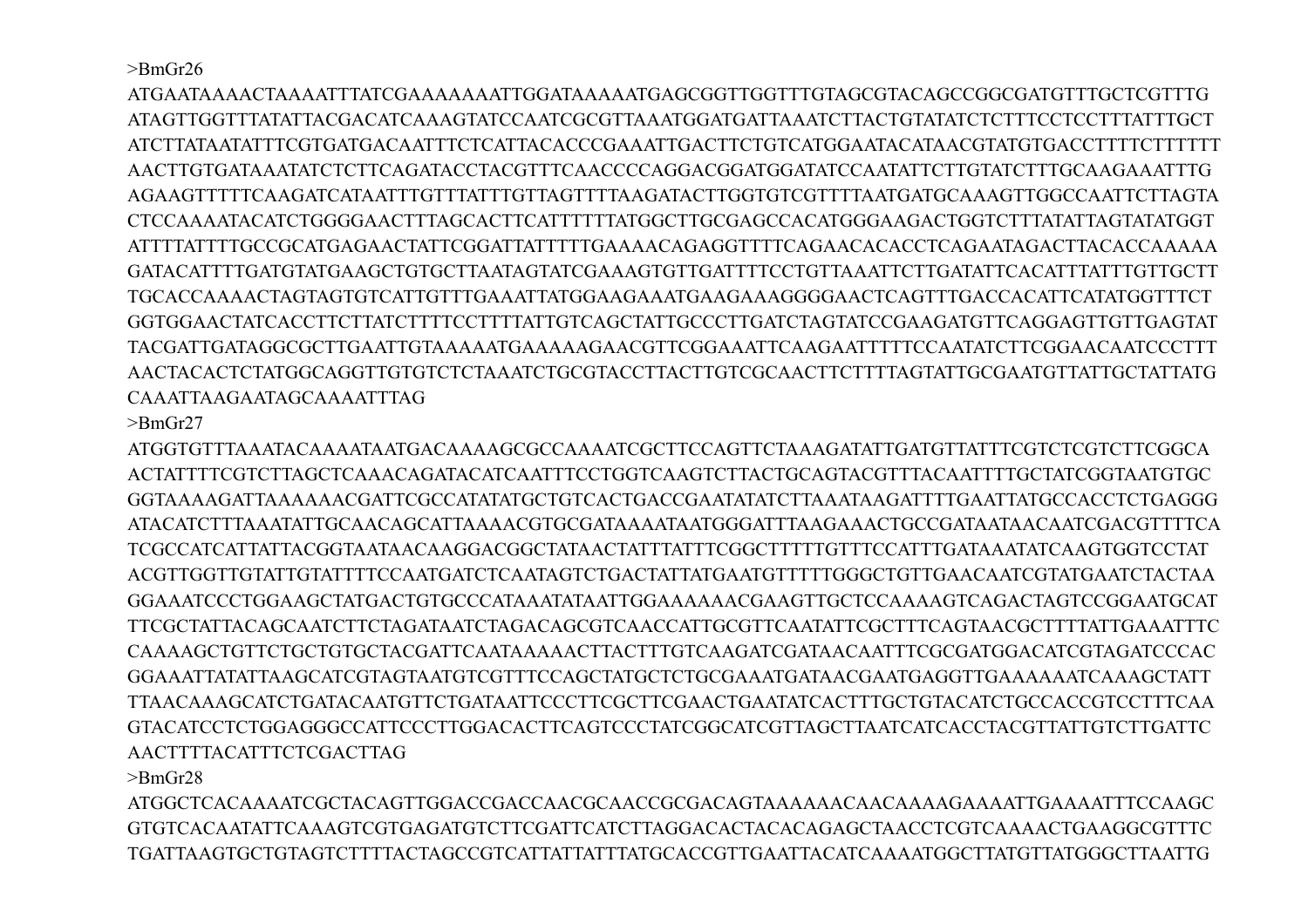>BmGr26

ATGAATAAAACTAAAATTTATCGAAAAAAATTGGATAAAAATGAGCGGTTGGTTTGTAGCGTACAGCCGGCGATGTTTGCTCGTTTG ATAGTTGGTTTATATTACGACATCAAAGTATCCAATCGCGTTAAATGGATGATTAAATCTTACTGTATATCTCTTTCCTCCTTTATTTGCT ATCTTATAATATTTCGTGATGACAATTTCTCATTACACCCGAAATTGACTTCTGTCATGGAATACATAACGTATGTGACCTTTTCTTTTTT AACTTGTGATAAATATCTCTTCAGATACCTACGTTTCAACCCCAGGACGGATGGATATCCAATATTCTTGTATCTTTGCAAGAAATTTG AGAAGTTTTTCAAGATCATAATTTGTTTATTTGTTAGTTTTAAGATACTTGGTGTCGTTTTAATGATGCAAAGTTGGCCAATTCTTAGTA CTCCAAAATACATCTGGGGAACTTTAGCACTTCATTTTTTATGGCTTGCGAGCCACATGGGAAGACTGGTCTTTATATTAGTATATGGT ATTTTATTTTGCCGCATGAGAACTATTCGGATTATTTTTGAAAACAGAGGTTTTCAGAACACACCTCAGAATAGACTTACACCAAAAA GATACATTTTGATGTATGAAGCTGTGCTTAATAGTATCGAAAGTGTTGATTTTCCTGTTAAATTCTTGATATTCACATTTATTTGTTGCTT TGCACCAAAACTAGTAGTGTCATTGTTTGAAATTATGGAAGAAATGAAGAAAGGGGAACTCAGTTTGACCACATTCATATGGTTTCT GGTGGAACTATCACCTTCTTATCTTTTCCTTTTATTGTCAGCTATTGCCCTTGATCTAGTATCCGAAGATGTTCAGGAGTTGTTGAGTAT TACGATTGATAGGCGCTTGAATTGTAAAAATGAAAAAGAACGTTCGGAAATTCAAGAATTTTTCCAATATCTTCGGAACAATCCCTTT AACTACACTCTATGGCAGGTTGTGTCTCTAAATCTGCGTACCTTACTTGTCGCAACTTCTTTTAGTATTGCGAATGTTATTGCTATTATG CAAATTAAGAATAGCAAAATTTAG

>BmGr27

ATGGTGTTTAAATACAAAATAATGACAAAAGCGCCAAAATCGCTTCCAGTTCTAAAGATATTGATGTTATTTCGTCTCGTCTTCGGCA ACTATTTTCGTCTTAGCTCAAACAGATACATCAATTTCCTGGTCAAGTCTTACTGCAGTACGTTTACAATTTTGCTATCGGTAATGTGC GGTAAAAGATTAAAAAACGATTCGCCATATATGCTGTCACTGACCGAATATATCTTAAATAAGATTTTGAATTATGCCACCTCTGAGGG ATACATCTTTAAATATTGCAACAGCATTAAAACGTGCGATAAAATAATGGGATTTAAGAAACTGCCGATAATAACAATCGACGTTTTCA TCGCCATCATTATTACGGTAATAACAAGGACGGCTATAACTATTTATTTCGGCTTTTTGTTTCCATTTGATAAATATCAAGTGGTCCTAT ACGTTGGTTGTATTGTATTTTCCAATGATCTCAATAGTCTGACTATTATGAATGTTTTTGGGCTGTTGAACAATCGTATGAATCTACTAA GGAAATCCCTGGAAGCTATGACTGTGCCCATAAATATAATTGGAAAAAACGAAGTTGCTCCAAAAGTCAGACTAGTCCGGAATGCAT TTCGCTATTACAGCAATCTTCTAGATAATCTAGACAGCGTCAACCATTGCGTTCAATATTCGCTTTCAGTAACGCTTTTATTGAAATTTC CAAAAGCTGTTCTGCTGTGCTACGATTCAATAAAAACTTACTTTGTCAAGATCGATAACAATTTCGCGATGGACATCGTAGATCCCAC GGAAATTATATTAAGCATCGTAGTAATGTCGTTTCCAGCTATGCTCTGCGAAATGATAACGAATGAGGTTGAAAAAATCAAAGCTATT TTAACAAAGCATCTGATACAATGTTCTGATAATTCCCTTCGCTTCGAACTGAATATCACTTTGCTGTACATCTGCCACCGTCCTTTCAA GTACATCCTCTGGAGGGCCATTCCCTTGGACACTTCAGTCCCTATCGGCATCGTTAGCTTAATCATCACCTACGTTATTGTCTTGATTC AACTTTTACATTTCTCGACTTAG

>BmGr28

ATGGCTCACAAAATCGCTACAGTTGGACCGACCAACGCAACCGCGACAGTAAAAAACAACAAAAGAAAATTGAAAATTTCCAAGC GTGTCACAATATTCAAAGTCGTGAGATGTCTTCGATTCATCTTAGGACACTACACAGAGCTAACCTCGTCAAAACTGAAGGCGTTTC TGATTAAGTGCTGTAGTCTTTTACTAGCCGTCATTATTATTTATGCACCGTTGAATTACATCAAAATGGCTTATGTTATGGGCTTAATTG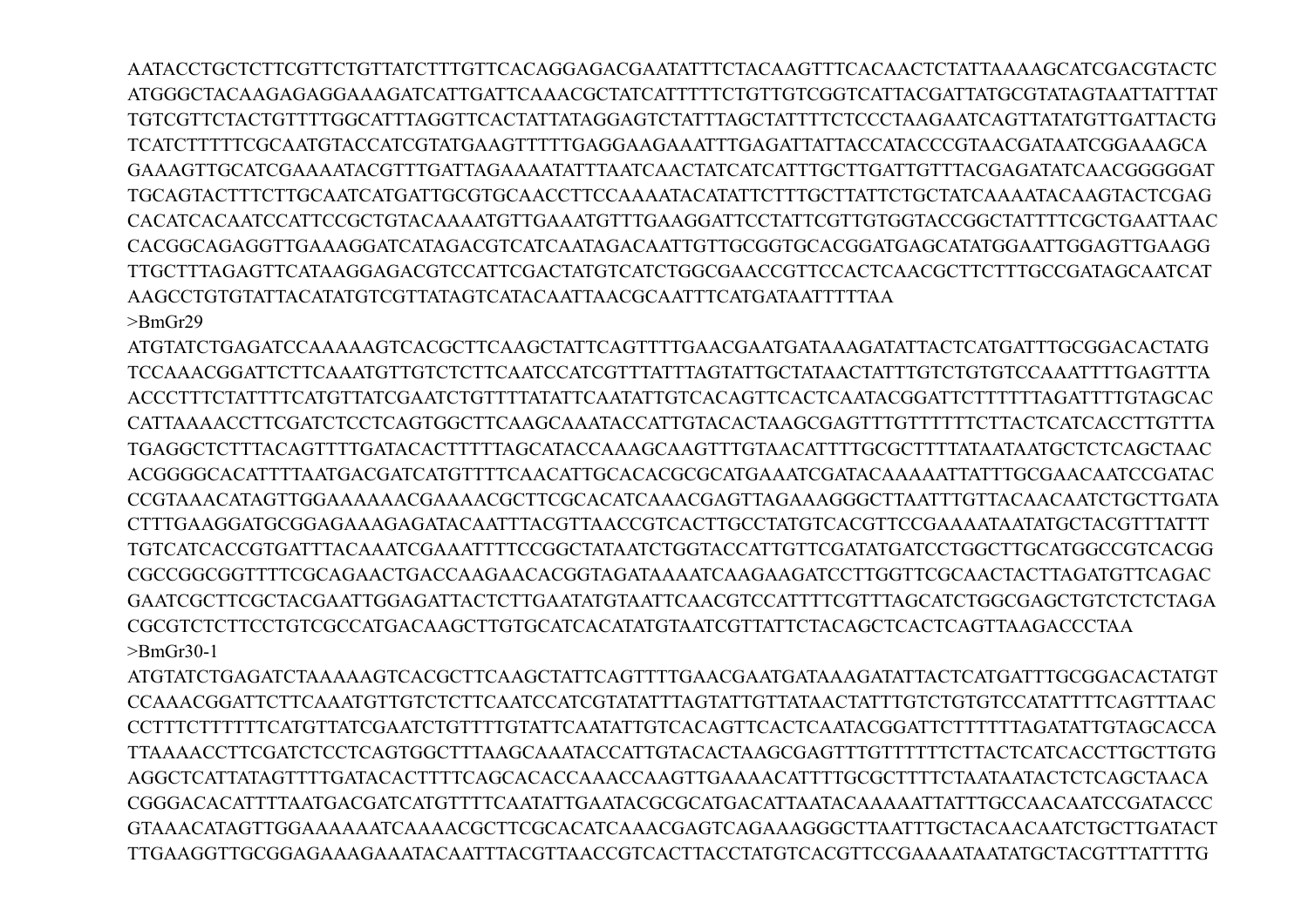AATACCTGCTCTTCGTTCTGTTATCTTTGTTCACAGGAGACGAATATTTCTACAAGTTTCACAACTCTATTAAAAGCATCGACGTACTC ATGGGCTACAAGAGAGGAAAGATCATTGATTCAAACGCTATCATTTTTCTGTTGTCGGTCATTACGATTATGCGTATAGTAATTATTTAT TGTCGTTCTACTGTTTTGGCATTTAGGTTCACTATTATAGGAGTCTATTTAGCTATTTTCTCCCTAAGAATCAGTTATATGTTGATTACTG TCATCTTTTTCGCAATGTACCATCGTATGAAGTTTTTGAGGAAGAAATTTGAGATTATTACCATACCCGTAACGATAATCGGAAAGCA GAAAGTTGCATCGAAAATACGTTTGATTAGAAAATATTTAATCAACTATCATCATTTGCTTGATTGTTTACGAGATATCAACGGGGGAT TGCAGTACTTTCTTGCAATCATGATTGCGTGCAACCTTCCAAAATACATATTCTTTGCTTATTCTGCTATCAAAATACAAGTACTCGAG CACATCACAATCCATTCCGCTGTACAAAATGTTGAAATGTTTGAAGGATTCCTATTCGTTGTGGTACCGGCTATTTTCGCTGAATTAAC CACGGCAGAGGTTGAAAGGATCATAGACGTCATCAATAGACAATTGTTGCGGTGCACGGATGAGCATATGGAATTGGAGTTGAAGG TTGCTTTAGAGTTCATAAGGAGACGTCCATTCGACTATGTCATCTGGCGAACCGTTCCACTCAACGCTTCTTTGCCGATAGCAATCAT AAGCCTGTGTATTACATATGTCGTTATAGTCATACAATTAACGCAATTTCATGATAATTTTTAA  $>$ BmGr29

ATGTATCTGAGATCCAAAAAGTCACGCTTCAAGCTATTCAGTTTTGAACGAATGATAAAGATATTACTCATGATTTGCGGACACTATG TCCAAACGGATTCTTCAAATGTTGTCTCTTCAATCCATCGTTTATTTAGTATTGCTATAACTATTTGTCTGTGTCCAAATTTTGAGTTTA ACCCTTTCTATTTTCATGTTATCGAATCTGTTTTATATTCAATATTGTCACAGTTCACTCAATACGGATTCTTTTTTAGATTTTGTAGCAC CATTAAAACCTTCGATCTCCTCAGTGGCTTCAAGCAAATACCATTGTACACTAAGCGAGTTTGTTTTTTCTTACTCATCACCTTGTTTA TGAGGCTCTTTACAGTTTTGATACACTTTTTAGCATACCAAAGCAAGTTTGTAACATTTTGCGCTTTTATAATAATGCTCTCAGCTAAC ACGGGGCACATTTTAATGACGATCATGTTTTCAACATTGCACACGCGCATGAAATCGATACAAAAATTATTTGCGAACAATCCGATAC CCGTAAACATAGTTGGAAAAAACGAAAACGCTTCGCACATCAAACGAGTTAGAAAGGGCTTAATTTGTTACAACAATCTGCTTGATA CTTTGAAGGATGCGGAGAAAGAGATACAATTTACGTTAACCGTCACTTGCCTATGTCACGTTCCGAAAATAATATGCTACGTTTATTT TGTCATCACCGTGATTTACAAATCGAAATTTTCCGGCTATAATCTGGTACCATTGTTCGATATGATCCTGGCTTGCATGGCCGTCACGG CGCCGGCGGTTTTCGCAGAACTGACCAAGAACACGGTAGATAAAATCAAGAAGATCCTTGGTTCGCAACTACTTAGATGTTCAGAC GAATCGCTTCGCTACGAATTGGAGATTACTCTTGAATATGTAATTCAACGTCCATTTTCGTTTAGCATCTGGCGAGCTGTCTCTCTAGA CGCGTCTCTTCCTGTCGCCATGACAAGCTTGTGCATCACATATGTAATCGTTATTCTACAGCTCACTCAGTTAAGACCCTAA >BmGr30-1

ATGTATCTGAGATCTAAAAAGTCACGCTTCAAGCTATTCAGTTTTGAACGAATGATAAAGATATTACTCATGATTTGCGGACACTATGT CCAAACGGATTCTTCAAATGTTGTCTCTTCAATCCATCGTATATTTAGTATTGTTATAACTATTTGTCTGTGTCCATATTTTCAGTTTAAC CCTTTCTTTTTTCATGTTATCGAATCTGTTTTGTATTCAATATTGTCACAGTTCACTCAATACGGATTCTTTTTTAGATATTGTAGCACCA TTAAAACCTTCGATCTCCTCAGTGGCTTTAAGCAAATACCATTGTACACTAAGCGAGTTTGTTTTTTCTTACTCATCACCTTGCTTGTG AGGCTCATTATAGTTTTGATACACTTTTCAGCACACCAAACCAAGTTGAAAACATTTTGCGCTTTTCTAATAATACTCTCAGCTAACA CGGGACACATTTTAATGACGATCATGTTTTCAATATTGAATACGCGCATGACATTAATACAAAAATTATTTGCCAACAATCCGATACCC GTAAACATAGTTGGAAAAAATCAAAACGCTTCGCACATCAAACGAGTCAGAAAGGGCTTAATTTGCTACAACAATCTGCTTGATACT TTGAAGGTTGCGGAGAAAGAAATACAATTTACGTTAACCGTCACTTACCTATGTCACGTTCCGAAAATAATATGCTACGTTTATTTTG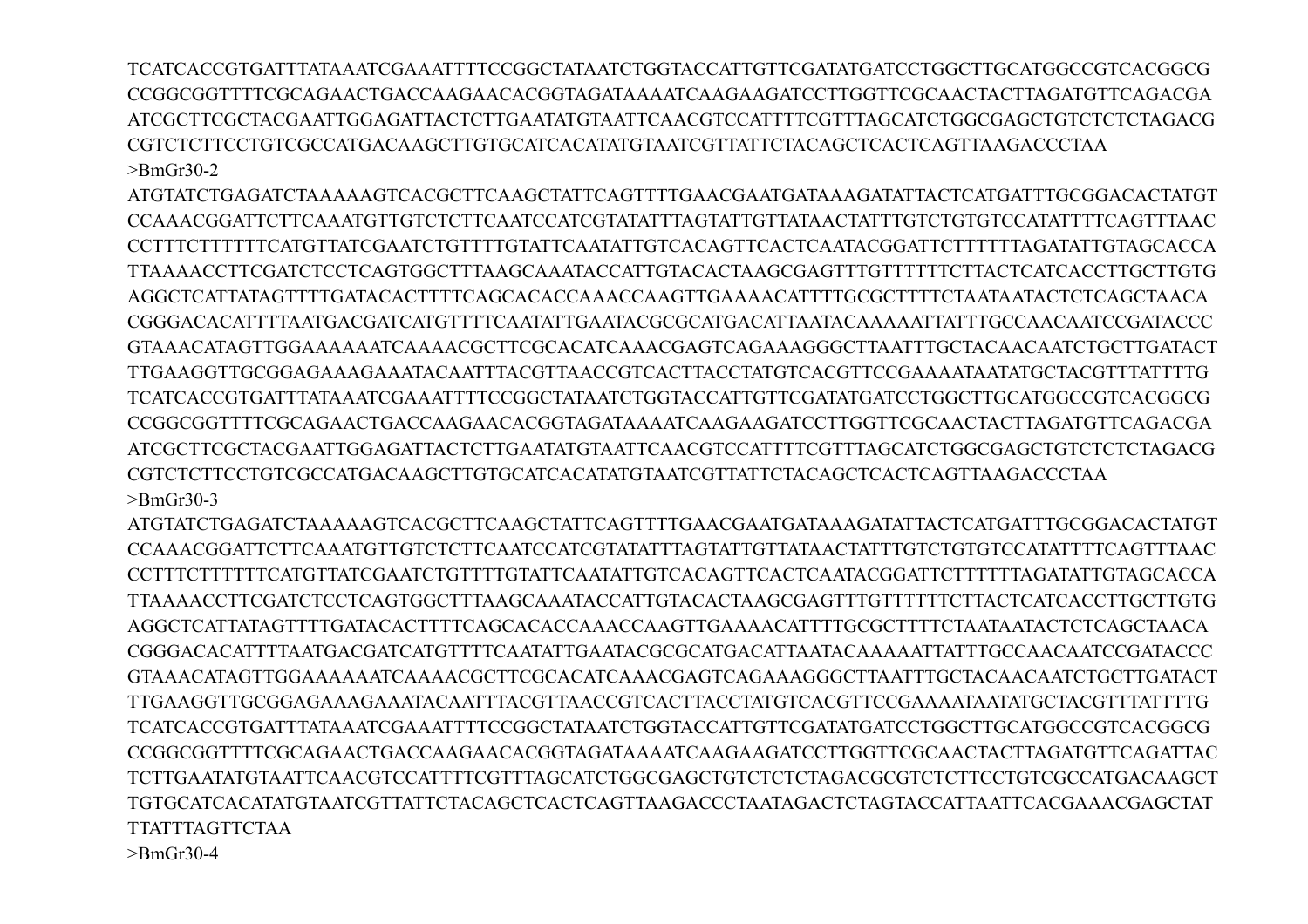TCATCACCGTGATTTATAAATCGAAATTTTCCGGCTATAATCTGGTACCATTGTTCGATATGATCCTGGCTTGCATGGCCGTCACGGCG CCGGCGGTTTTCGCAGAACTGACCAAGAACACGGTAGATAAAATCAAGAAGATCCTTGGTTCGCAACTACTTAGATGTTCAGACGA ATCGCTTCGCTACGAATTGGAGATTACTCTTGAATATGTAATTCAACGTCCATTTTCGTTTAGCATCTGGCGAGCTGTCTCTCTAGACG CGTCTCTTCCTGTCGCCATGACAAGCTTGTGCATCACATATGTAATCGTTATTCTACAGCTCACTCAGTTAAGACCCTAA >BmGr30-2

ATGTATCTGAGATCTAAAAAGTCACGCTTCAAGCTATTCAGTTTTGAACGAATGATAAAGATATTACTCATGATTTGCGGACACTATGT CCAAACGGATTCTTCAAATGTTGTCTCTTCAATCCATCGTATATTTAGTATTGTTATAACTATTTGTCTGTGTCCATATTTTCAGTTTAAC CCTTTCTTTTTTCATGTTATCGAATCTGTTTTGTATTCAATATTGTCACAGTTCACTCAATACGGATTCTTTTTTAGATATTGTAGCACCA TTAAAACCTTCGATCTCCTCAGTGGCTTTAAGCAAATACCATTGTACACTAAGCGAGTTTGTTTTTTCTTACTCATCACCTTGCTTGTG AGGCTCATTATAGTTTTGATACACTTTTCAGCACACCAAACCAAGTTGAAAACATTTTGCGCTTTTCTAATAATACTCTCAGCTAACA CGGGACACATTTTAATGACGATCATGTTTTCAATATTGAATACGCGCATGACATTAATACAAAAATTATTTGCCAACAATCCGATACCC GTAAACATAGTTGGAAAAAATCAAAACGCTTCGCACATCAAACGAGTCAGAAAGGGCTTAATTTGCTACAACAATCTGCTTGATACT TTGAAGGTTGCGGAGAAAGAAATACAATTTACGTTAACCGTCACTTACCTATGTCACGTTCCGAAAATAATATGCTACGTTTATTTTG TCATCACCGTGATTTATAAATCGAAATTTTCCGGCTATAATCTGGTACCATTGTTCGATATGATCCTGGCTTGCATGGCCGTCACGGCG CCGGCGGTTTTCGCAGAACTGACCAAGAACACGGTAGATAAAATCAAGAAGATCCTTGGTTCGCAACTACTTAGATGTTCAGACGA ATCGCTTCGCTACGAATTGGAGATTACTCTTGAATATGTAATTCAACGTCCATTTTCGTTTAGCATCTGGCGAGCTGTCTCTCTAGACG CGTCTCTTCCTGTCGCCATGACAAGCTTGTGCATCACATATGTAATCGTTATTCTACAGCTCACTCAGTTAAGACCCTAA >BmGr30-3

ATGTATCTGAGATCTAAAAAGTCACGCTTCAAGCTATTCAGTTTTGAACGAATGATAAAGATATTACTCATGATTTGCGGACACTATGT CCAAACGGATTCTTCAAATGTTGTCTCTTCAATCCATCGTATATTTAGTATTGTTATAACTATTTGTCTGTGTCCATATTTTCAGTTTAAC CCTTTCTTTTTTCATGTTATCGAATCTGTTTTGTATTCAATATTGTCACAGTTCACTCAATACGGATTCTTTTTTAGATATTGTAGCACCA TTAAAACCTTCGATCTCCTCAGTGGCTTTAAGCAAATACCATTGTACACTAAGCGAGTTTGTTTTTTCTTACTCATCACCTTGCTTGTG AGGCTCATTATAGTTTTGATACACTTTTCAGCACACCAAACCAAGTTGAAAACATTTTGCGCTTTTCTAATAATACTCTCAGCTAACA CGGGACACATTTTAATGACGATCATGTTTTCAATATTGAATACGCGCATGACATTAATACAAAAATTATTTGCCAACAATCCGATACCC GTAAACATAGTTGGAAAAAATCAAAACGCTTCGCACATCAAACGAGTCAGAAAGGGCTTAATTTGCTACAACAATCTGCTTGATACT TTGAAGGTTGCGGAGAAAGAAATACAATTTACGTTAACCGTCACTTACCTATGTCACGTTCCGAAAATAATATGCTACGTTTATTTTG TCATCACCGTGATTTATAAATCGAAATTTTCCGGCTATAATCTGGTACCATTGTTCGATATGATCCTGGCTTGCATGGCCGTCACGGCG CCGGCGGTTTTCGCAGAACTGACCAAGAACACGGTAGATAAAATCAAGAAGATCCTTGGTTCGCAACTACTTAGATGTTCAGATTAC TCTTGAATATGTAATTCAACGTCCATTTTCGTTTAGCATCTGGCGAGCTGTCTCTCTAGACGCGTCTCTTCCTGTCGCCATGACAAGCT TGTGCATCACATATGTAATCGTTATTCTACAGCTCACTCAGTTAAGACCCTAATAGACTCTAGTACCATTAATTCACGAAACGAGCTAT TTATTTAGTTCTAA

>BmGr30-4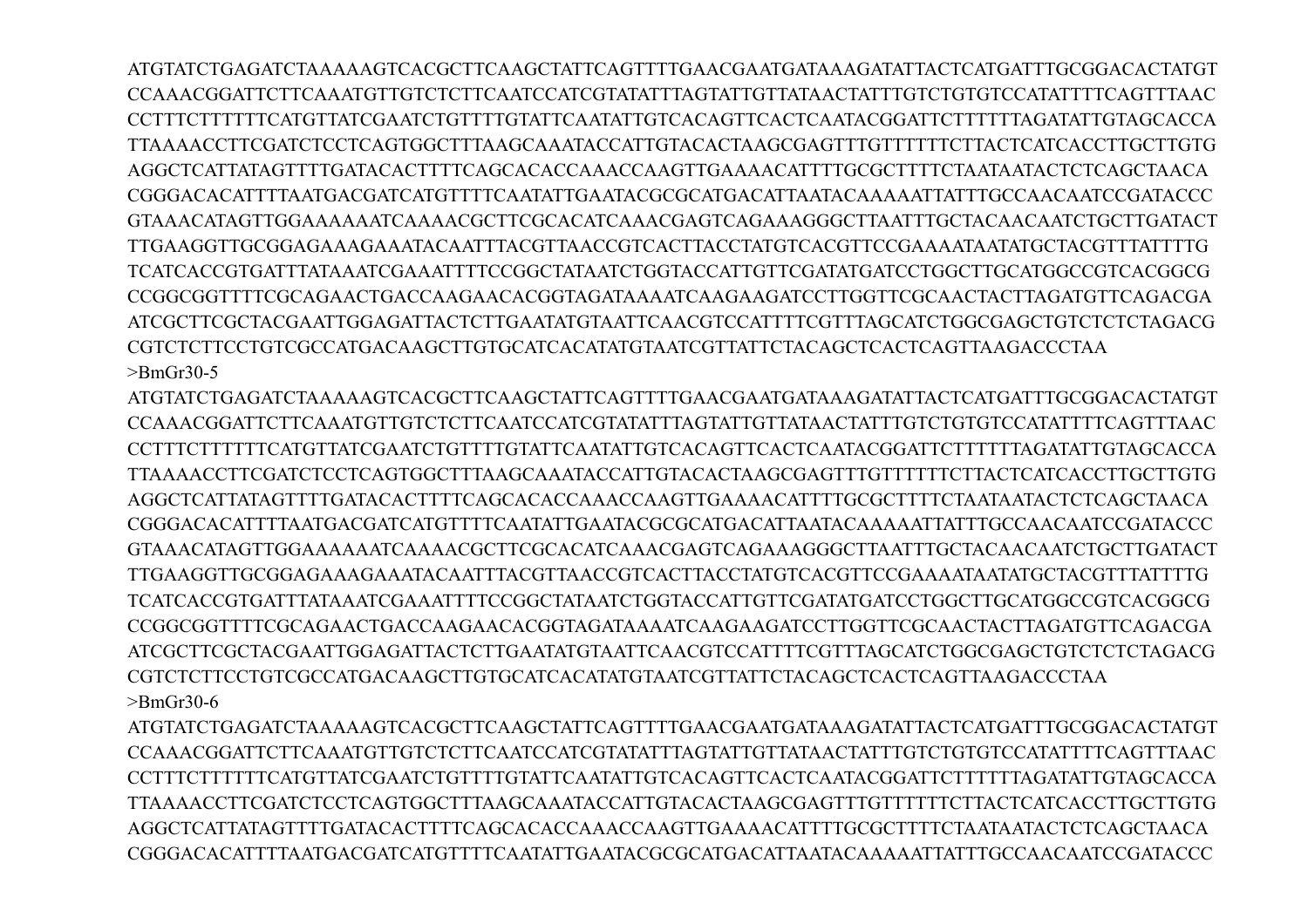ATGTATCTGAGATCTAAAAAGTCACGCTTCAAGCTATTCAGTTTTGAACGAATGATAAAGATATTACTCATGATTTGCGGACACTATGT CCAAACGGATTCTTCAAATGTTGTCTCTTCAATCCATCGTATATTTAGTATTGTTATAACTATTTGTCTGTGTCCATATTTTCAGTTTAAC CCTTTCTTTTTTCATGTTATCGAATCTGTTTTGTATTCAATATTGTCACAGTTCACTCAATACGGATTCTTTTTTAGATATTGTAGCACCA TTAAAACCTTCGATCTCCTCAGTGGCTTTAAGCAAATACCATTGTACACTAAGCGAGTTTGTTTTTTCTTACTCATCACCTTGCTTGTG AGGCTCATTATAGTTTTGATACACTTTTCAGCACACCAAACCAAGTTGAAAACATTTTGCGCTTTTCTAATAATACTCTCAGCTAACA CGGGACACATTTTAATGACGATCATGTTTTCAATATTGAATACGCGCATGACATTAATACAAAAATTATTTGCCAACAATCCGATACCC GTAAACATAGTTGGAAAAAATCAAAACGCTTCGCACATCAAACGAGTCAGAAAGGGCTTAATTTGCTACAACAATCTGCTTGATACT TTGAAGGTTGCGGAGAAAGAAATACAATTTACGTTAACCGTCACTTACCTATGTCACGTTCCGAAAATAATATGCTACGTTTATTTTG TCATCACCGTGATTTATAAATCGAAATTTTCCGGCTATAATCTGGTACCATTGTTCGATATGATCCTGGCTTGCATGGCCGTCACGGCG CCGGCGGTTTTCGCAGAACTGACCAAGAACACGGTAGATAAAATCAAGAAGATCCTTGGTTCGCAACTACTTAGATGTTCAGACGA ATCGCTTCGCTACGAATTGGAGATTACTCTTGAATATGTAATTCAACGTCCATTTTCGTTTAGCATCTGGCGAGCTGTCTCTCTAGACG CGTCTCTTCCTGTCGCCATGACAAGCTTGTGCATCACATATGTAATCGTTATTCTACAGCTCACTCAGTTAAGACCCTAA >BmGr30-5

ATGTATCTGAGATCTAAAAAGTCACGCTTCAAGCTATTCAGTTTTGAACGAATGATAAAGATATTACTCATGATTTGCGGACACTATGT CCAAACGGATTCTTCAAATGTTGTCTCTTCAATCCATCGTATATTTAGTATTGTTATAACTATTTGTCTGTGTCCATATTTTCAGTTTAAC CCTTTCTTTTTTCATGTTATCGAATCTGTTTTGTATTCAATATTGTCACAGTTCACTCAATACGGATTCTTTTTTAGATATTGTAGCACCA TTAAAACCTTCGATCTCCTCAGTGGCTTTAAGCAAATACCATTGTACACTAAGCGAGTTTGTTTTTTCTTACTCATCACCTTGCTTGTG AGGCTCATTATAGTTTTGATACACTTTTCAGCACACCAAACCAAGTTGAAAACATTTTGCGCTTTTCTAATAATACTCTCAGCTAACA CGGGACACATTTTAATGACGATCATGTTTTCAATATTGAATACGCGCATGACATTAATACAAAAATTATTTGCCAACAATCCGATACCC GTAAACATAGTTGGAAAAAATCAAAACGCTTCGCACATCAAACGAGTCAGAAAGGGCTTAATTTGCTACAACAATCTGCTTGATACT TTGAAGGTTGCGGAGAAAGAAATACAATTTACGTTAACCGTCACTTACCTATGTCACGTTCCGAAAATAATATGCTACGTTTATTTTG TCATCACCGTGATTTATAAATCGAAATTTTCCGGCTATAATCTGGTACCATTGTTCGATATGATCCTGGCTTGCATGGCCGTCACGGCG CCGGCGGTTTTCGCAGAACTGACCAAGAACACGGTAGATAAAATCAAGAAGATCCTTGGTTCGCAACTACTTAGATGTTCAGACGA ATCGCTTCGCTACGAATTGGAGATTACTCTTGAATATGTAATTCAACGTCCATTTTCGTTTAGCATCTGGCGAGCTGTCTCTCTAGACG CGTCTCTTCCTGTCGCCATGACAAGCTTGTGCATCACATATGTAATCGTTATTCTACAGCTCACTCAGTTAAGACCCTAA >BmGr30-6

ATGTATCTGAGATCTAAAAAGTCACGCTTCAAGCTATTCAGTTTTGAACGAATGATAAAGATATTACTCATGATTTGCGGACACTATGT CCAAACGGATTCTTCAAATGTTGTCTCTTCAATCCATCGTATATTTAGTATTGTTATAACTATTTGTCTGTGTCCATATTTTCAGTTTAAC CCTTTCTTTTTTCATGTTATCGAATCTGTTTTGTATTCAATATTGTCACAGTTCACTCAATACGGATTCTTTTTTAGATATTGTAGCACCA TTAAAACCTTCGATCTCCTCAGTGGCTTTAAGCAAATACCATTGTACACTAAGCGAGTTTGTTTTTTCTTACTCATCACCTTGCTTGTG AGGCTCATTATAGTTTTGATACACTTTTCAGCACACCAAACCAAGTTGAAAACATTTTGCGCTTTTCTAATAATACTCTCAGCTAACA CGGGACACATTTTAATGACGATCATGTTTTCAATATTGAATACGCGCATGACATTAATACAAAAATTATTTGCCAACAATCCGATACCC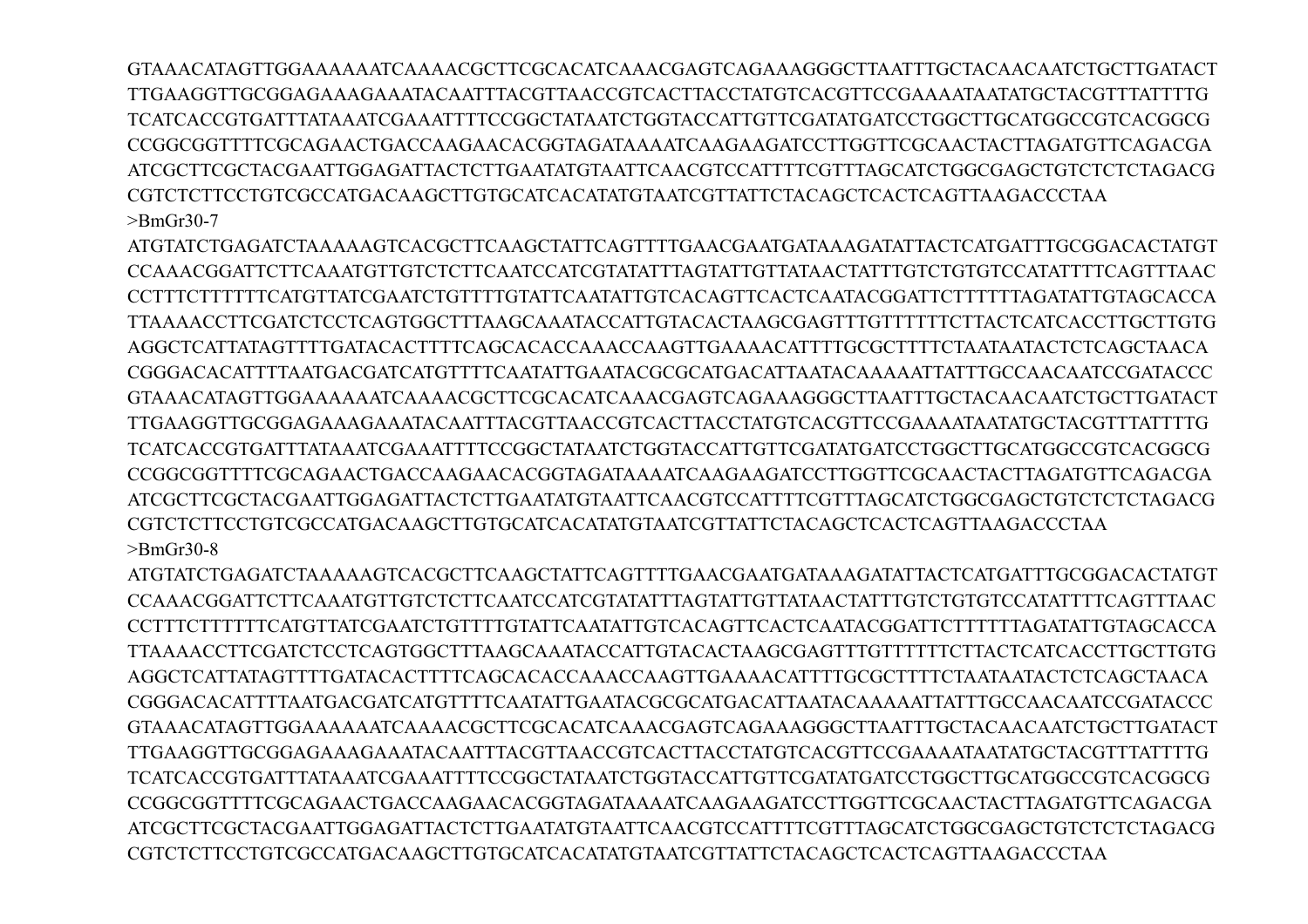GTAAACATAGTTGGAAAAAATCAAAACGCTTCGCACATCAAACGAGTCAGAAAGGGCTTAATTTGCTACAACAATCTGCTTGATACT TTGAAGGTTGCGGAGAAAGAAATACAATTTACGTTAACCGTCACTTACCTATGTCACGTTCCGAAAATAATATGCTACGTTTATTTTG TCATCACCGTGATTTATA A ATCGA A ATTTTCCGGCTATA ATCTGGTACCATTGTTCGATATGATCCTGGCTTGCATGGCCGTCACGGCG CCGGCGGTTTTCGCAGAACTGACCAAGAACACGGTAGATAAAATCAAGAAGATCCTTGGTTCGCAACTACTTAGATGTTCAGACGA ATCGCTTCGCTACGAATTGGAGATTACTCTTGAATATGTAATTCAACGTCCATTTTCGTTTAGCATCTGGCGAGCTGTCTCTCTAGACG  $\text{BrmGr30-7}$ 

ATGTATCTGAGATCTAAAAAGTCACGCTTCAAGCTATTCAGTTTTGAACGAATGATAAAGATATTACTCATGATTTGCGGACACTATGT CCAAACGGATTCTTCAAATGTTGTCTCTCAATCCATCGTATATTTAGTATTGTTATAACTATTTGTCTGTGTCCATATTTTCAGTTTAAC CCTTTCTTTTTCATGTTATCGAATCTGTTTTGTATTCAATATTGTCACAGTTCACTCAATACGGATTCTTTTTAGATATTGTAGCACCA TTA A A ACCTTCGATCTCCTCAGTGGCTTTA AGCA A ATACCATTGTA CACTA AGCGAGTTTGTTTTTTCTTACTCATCACCTTGCTTGTG AGGCTCATTATAGTTTTGATACACTTTTCAGCACACCAAACCAAGTTGAAAACATTTTGCGCTTTTCTAATAATACTCTCAGCTAACA CGGGACACATTTTAATGACGATCATGTTTTCAATATTGAATACGCGCATGACATTAATACAAAAATTATTTGCCAACAATCCGATACCC GTAAACATAGTTGGAAAAAATCAAAACGCTTCGCACATCAAACGAGTCAGAAAGGGCTTAATTTGCTACAACAATCTGCTTGATACT TTGAAGGTTGCGGAGAAAGAAATACAATTTACGTTAACCGTCACTTACCTATGTCACGTTCCGAAAATAATATGCTACGTTTATTTTG TCATCACCGTGATTTATAAATCGAAATTTTCCGGCTATAATCTGGTACCATTGTTCGATATGATCCTGGCTTGCATGGCCGTCACGGCG CCGGCGGTTTTCGCAGAACTGACCAAGAACACGGTAGATAAAATCAAGAAGATCCTTGGTTCGCAACTACTTAGATGTTCAGACGA ATCGCTTCGCTACGAATTGGAGATTACTCTTGAATATGTAATTCAACGTCCATTTTCGTTTAGCATCTGGCGAGCTGTCTCTCTAGACG  $>$ BmGr30-8

ATGTATCTGAGATCTAAAAAAGTCACGCTTCAAGCTATTCAGTTTTGAACGAATGATAAAGATATTACTCATGATTTGCGGACACTATGT CCAAACGGATTCTTCAAATGTTGTCTCTTCAATCCATCGTATATTTAGTATTGTTATAACTATTTGTCTGTGTCCATATTTTCAGTTTAAC CCTTTCTTTTTCATGTTATCGAATCTGTTTTGTATTCAATATTGTCACAGTTCACTCAATACGGATTCTTTTTAGATATTGTAGCACCA AGGCTCATTATAGTTTTGATACACTTTTCAGCACACCAAACCAAGTTGAAAACATTTTGCGCTTTTCTAATAATACTCTCAGCTAACA CGGGACACATTTTAATGACGATCATGTTTTCAATATTGAATACGCGCATGACATTAATACAAAAATTATTTGCCAACAATCCGATACCC GTAAACATAGTTGGAAAAAATCAAAACGCTTCGCACATCAAACGAGTCAGAAAGGGCTTAATTTGCTACAACAATCTGCTTGATACT TTGAAGGTTGCGGAGAAAGAAATACAATTTACGTTAACCGTCACTTACCTATGTCACGTTCCGAAAATAATATGCTACGTTTATTTTG TCATCACCGTGATTTATAAATCGAAATTTTCCGGCTATAATCTGGTACCATTGTTCGATATGATCCTGGCTTGCATGGCCGTCACGGCG CCGGCGGTTTTCGCAGAACTGACCAAGAACACGGTAGATAAAATCAAGAAGATCCTTGGTTCGCAACTACTTAGATGTTCAGACGA ATCGCTTCGCTACGAATTGGAGATTACTCTTGAATATGTAATTCAACGTCCATTTTCGTTTAGCATCTGGCGAGCTGTCTCTCTAGACG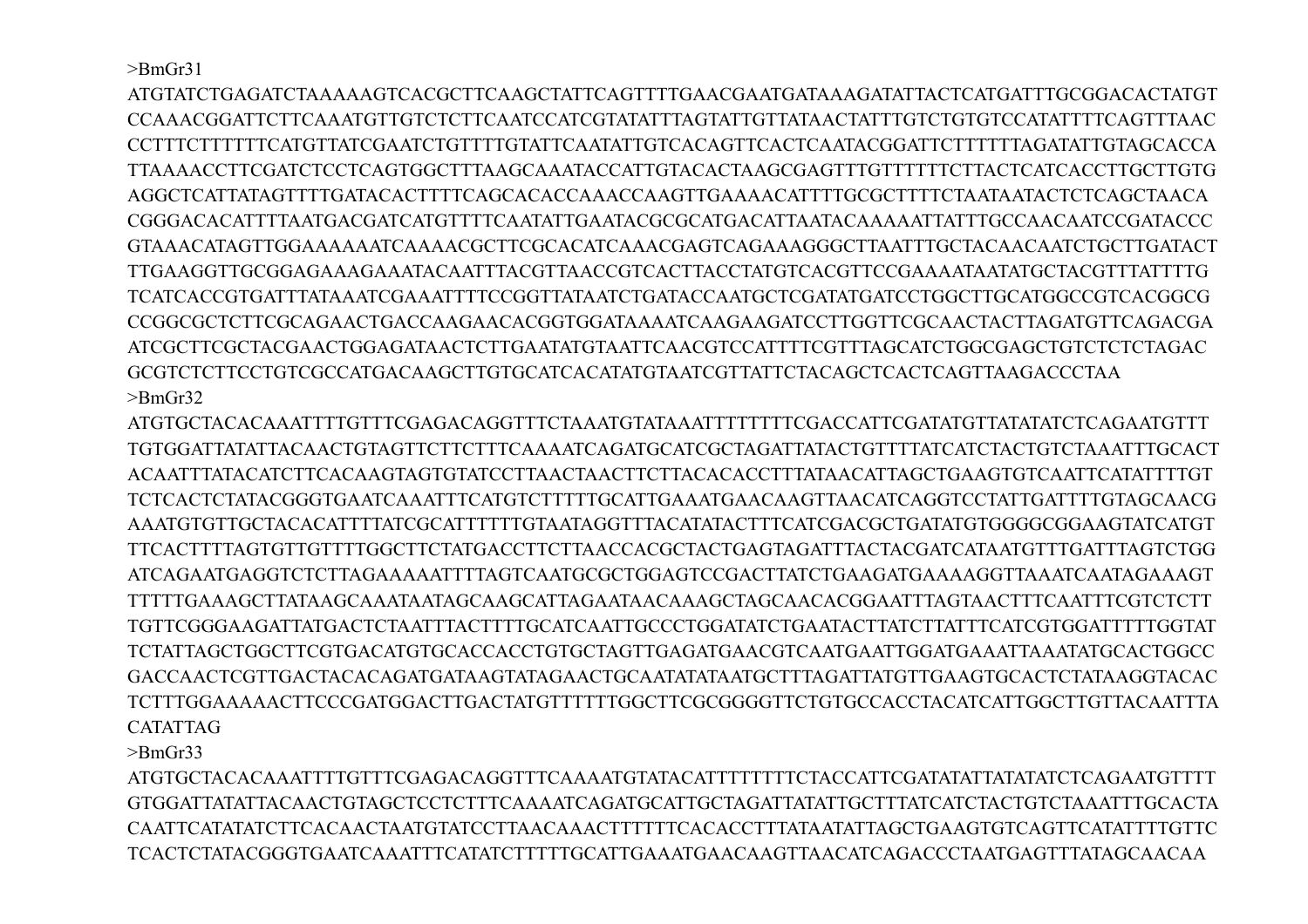>BmGr31

ATGTATCTGAGATCTAAAAAGTCACGCTTCAAGCTATTCAGTTTTGAACGAATGATAAAGATATTACTCATGATTTGCGGACACTATGT CCAAACGGATTCTTCAAATGTTGTCTCTTCAATCCATCGTATATTTAGTATTGTTATAACTATTTGTCTGTGTCCATATTTTCAGTTTAAC CCTTTCTTTTTTCATGTTATCGAATCTGTTTTGTATTCAATATTGTCACAGTTCACTCAATACGGATTCTTTTTTAGATATTGTAGCACCA TTAAAACCTTCGATCTCCTCAGTGGCTTTAAGCAAATACCATTGTACACTAAGCGAGTTTGTTTTTTCTTACTCATCACCTTGCTTGTG AGGCTCATTATAGTTTTGATACACTTTTCAGCACACCAAACCAAGTTGAAAACATTTTGCGCTTTTCTAATAATACTCTCAGCTAACA CGGGACACATTTTAATGACGATCATGTTTTCAATATTGAATACGCGCATGACATTAATACAAAAATTATTTGCCAACAATCCGATACCC GTAAACATAGTTGGAAAAAATCAAAACGCTTCGCACATCAAACGAGTCAGAAAGGGCTTAATTTGCTACAACAATCTGCTTGATACT TTGAAGGTTGCGGAGAAAGAAATACAATTTACGTTAACCGTCACTTACCTATGTCACGTTCCGAAAATAATATGCTACGTTTATTTTG TCATCACCGTGATTTATAAATCGAAATTTTCCGGTTATAATCTGATACCAATGCTCGATATGATCCTGGCTTGCATGGCCGTCACGGCG CCGGCGCTCTTCGCAGAACTGACCAAGAACACGGTGGATAAAATCAAGAAGATCCTTGGTTCGCAACTACTTAGATGTTCAGACGA ATCGCTTCGCTACGAACTGGAGATAACTCTTGAATATGTAATTCAACGTCCATTTTCGTTTAGCATCTGGCGAGCTGTCTCTCTAGAC GCGTCTCTTCCTGTCGCCATGACAAGCTTGTGCATCACATATGTAATCGTTATTCTACAGCTCACTCAGTTAAGACCCTAA >BmGr32

ATGTGCTACACAAATTTTGTTTCGAGACAGGTTTCTAAATGTATAAATTTTTTTTCGACCATTCGATATGTTATATATCTCAGAATGTTT TGTGGATTATATTACAACTGTAGTTCTTCTTTCAAAATCAGATGCATCGCTAGATTATACTGTTTTATCATCTACTGTCTAAATTTGCACT ACAATTTATACATCTTCACAAGTAGTGTATCCTTAACTAACTTCTTACACACCTTTATAACATTAGCTGAAGTGTCAATTCATATTTTGT TCTCACTCTATACGGGTGAATCAAATTTCATGTCTTTTTGCATTGAAATGAACAAGTTAACATCAGGTCCTATTGATTTTGTAGCAACG AAATGTGTTGCTACACATTTTATCGCATTTTTTGTAATAGGTTTACATATACTTTCATCGACGCTGATATGTGGGGCGGAAGTATCATGT TTCACTTTTAGTGTTGTTTTGGCTTCTATGACCTTCTTAACCACGCTACTGAGTAGATTTACTACGATCATAATGTTTGATTTAGTCTGG ATCAGAATGAGGTCTCTTAGAAAAATTTTAGTCAATGCGCTGGAGTCCGACTTATCTGAAGATGAAAAGGTTAAATCAATAGAAAGT TTTTTGAAAGCTTATAAGCAAATAATAGCAAGCATTAGAATAACAAAGCTAGCAACACGGAATTTAGTAACTTTCAATTTCGTCTCTT TGTTCGGGAAGATTATGACTCTAATTTACTTTTGCATCAATTGCCCTGGATATCTGAATACTTATCTTATTTCATCGTGGATTTTTGGTAT TCTATTAGCTGGCTTCGTGACATGTGCACCACCTGTGCTAGTTGAGATGAACGTCAATGAATTGGATGAAATTAAATATGCACTGGCC GACCAACTCGTTGACTACACAGATGATAAGTATAGAACTGCAATATATAATGCTTTAGATTATGTTGAAGTGCACTCTATAAGGTACAC TCTTTGGAAAAACTTCCCGATGGACTTGACTATGTTTTTTGGCTTCGCGGGGTTCTGTGCCACCTACATCATTGGCTTGTTACAATTTA CATATTAG

>BmGr33

ATGTGCTACACAAATTTTGTTTCGAGACAGGTTTCAAAATGTATACATTTTTTTTCTACCATTCGATATATTATATATCTCAGAATGTTTT GTGGATTATATTACAACTGTAGCTCCTCTTTCAAAATCAGATGCATTGCTAGATTATATTGCTTTATCATCTACTGTCTAAATTTGCACTA CAATTCATATATCTTCACAACTAATGTATCCTTAACAAACTTTTTTCACACCTTTATAATATTAGCTGAAGTGTCAGTTCATATTTTGTTC TCACTCTATACGGGTGAATCAAATTTCATATCTTTTTGCATTGAAATGAACAAGTTAACATCAGACCCTAATGAGTTTATAGCAACAA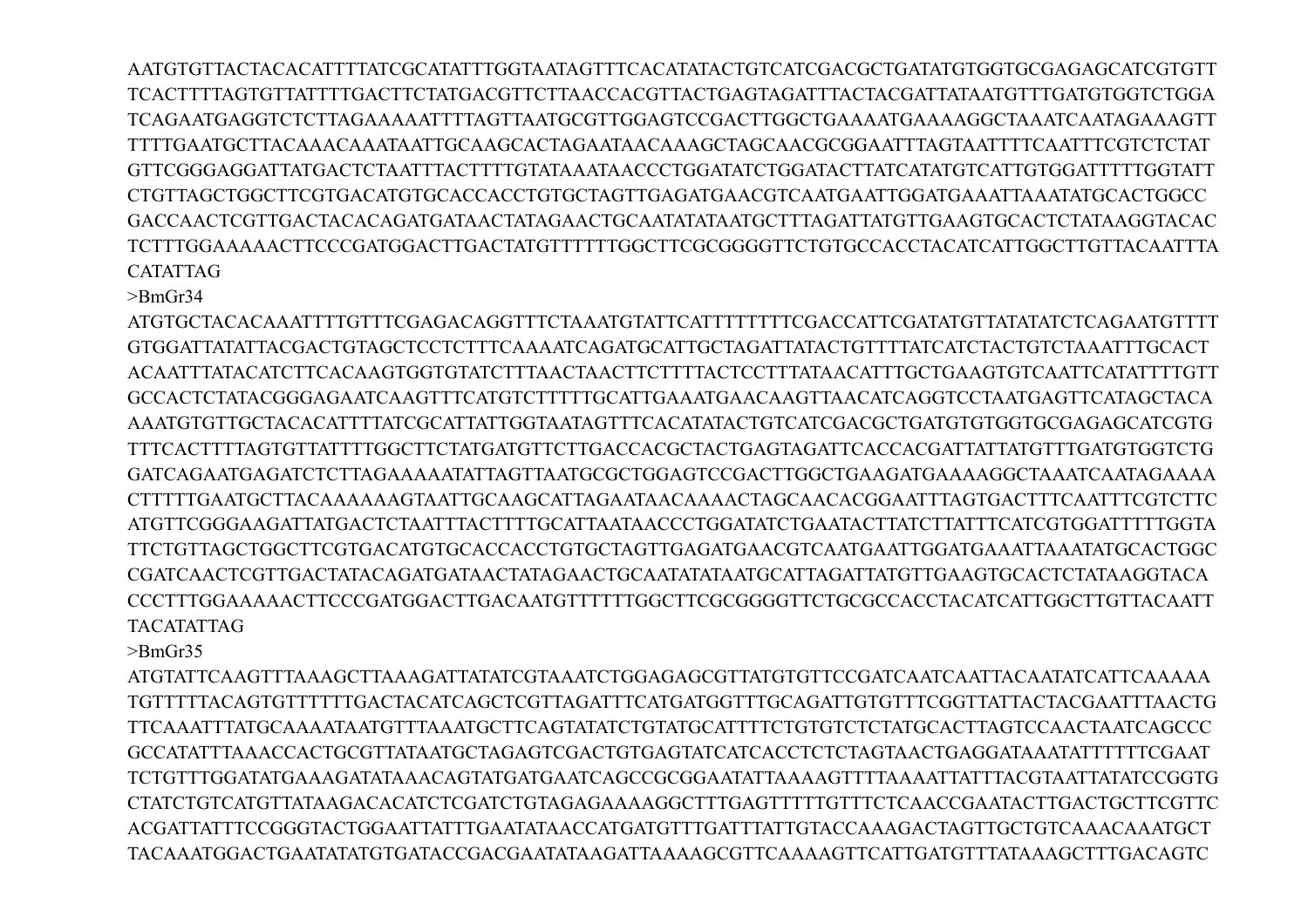AATGTGTTACTACACATTTTATCGCATATTTGGTAATAGTTTCACATATACTGTCATCGACGCTGATATGTGGTGCGAGAGCATCGTGTT TCACTTTTAGTGTTATTTTGACTTCTATGACGTTCTTAACCACGTTACTGAGTAGATTTACTACGATTATAATGTTTGATGTGGTCTGGA TCAGAATGAGGTCTCTTAGAAAAATTTTAGTTAATGCGTTGGAGTCCGACTTGGCTGAAAATGAAAAGGCTAAATCAATAGAAAGTT TTTTGAATGCTTACAAACAAATAATTGCAAGCACTAGAATAACAAAGCTAGCAACGCGGAATTTAGTAATTTTCAATTTCGTCTCTAT GTTCGGGAGGATTATGACTCTAATTTACTTTTGTATAAATAACCCTGGATATCTGGATACTTATCATATGTCATTGTGGATTTTTGGTATT CTGTTAGCTGGCTTCGTGACATGTGCACCACCTGTGCTAGTTGAGATGAACGTCAATGAATTGGATGAAATTAAATATGCACTGGCC GACCAACTCGTTGACTACACAGATGATAACTATAGAACTGCAATATATAATGCTTTAGATTATGTTGAAGTGCACTCTATAAGGTACAC TCTTTGGAAAAACTTCCCGATGGACTTGACTATGTTTTTTGGCTTCGCGGGGTTCTGTGCCACCTACATCATTGGCTTGTTACAATTTA CATATTAG

>BmGr34

ATGTGCTACACAAATTTTGTTTCGAGACAGGTTTCTAAATGTATTCATTTTTTTTCGACCATTCGATATGTTATATATCTCAGAATGTTTT GTGGATTATATTACGACTGTAGCTCCTCTTTCAAAATCAGATGCATTGCTAGATTATACTGTTTTATCATCTACTGTCTAAATTTGCACT ACAATTTATACATCTTCACAAGTGGTGTATCTTTAACTAACTTCTTTTACTCCTTTATAACATTTGCTGAAGTGTCAATTCATATTTTGTT GCCACTCTATACGGGAGAATCAAGTTTCATGTCTTTTTGCATTGAAATGAACAAGTTAACATCAGGTCCTAATGAGTTCATAGCTACA AAATGTGTTGCTACACATTTTATCGCATTATTGGTAATAGTTTCACATATACTGTCATCGACGCTGATGTGTGGTGCGAGAGCATCGTG TTTCACTTTTAGTGTTATTTTGGCTTCTATGATGTTCTTGACCACGCTACTGAGTAGATTCACCACGATTATTATGTTTGATGTGGTCTG GATCAGAATGAGATCTCTTAGAAAAATATTAGTTAATGCGCTGGAGTCCGACTTGGCTGAAGATGAAAAGGCTAAATCAATAGAAAA CTTTTTGAATGCTTACAAAAAAGTAATTGCAAGCATTAGAATAACAAAACTAGCAACACGGAATTTAGTGACTTTCAATTTCGTCTTC ATGTTCGGGAAGATTATGACTCTAATTTACTTTTGCATTAATAACCCTGGATATCTGAATACTTATCTTATTTCATCGTGGATTTTTGGTA TTCTGTTAGCTGGCTTCGTGACATGTGCACCACCTGTGCTAGTTGAGATGAACGTCAATGAATTGGATGAAATTAAATATGCACTGGC CGATCAACTCGTTGACTATACAGATGATAACTATAGAACTGCAATATATAATGCATTAGATTATGTTGAAGTGCACTCTATAAGGTACA CCCTTTGGAAAAACTTCCCGATGGACTTGACAATGTTTTTTGGCTTCGCGGGGTTCTGCGCCACCTACATCATTGGCTTGTTACAATT TACATATTAG

>BmGr35

ATGTATTCAAGTTTAAAGCTTAAAGATTATATCGTAAATCTGGAGAGCGTTATGTGTTCCGATCAATCAATTACAATATCATTCAAAAA TGTTTTTACAGTGTTTTTTGACTACATCAGCTCGTTAGATTTCATGATGGTTTGCAGATTGTGTTTCGGTTATTACTACGAATTTAACTG TTCAAATTTATGCAAAATAATGTTTAAATGCTTCAGTATATCTGTATGCATTTTCTGTGTCTCTATGCACTTAGTCCAACTAATCAGCCC GCCATATTTAAACCACTGCGTTATAATGCTAGAGTCGACTGTGAGTATCATCACCTCTCTAGTAACTGAGGATAAATATTTTTTCGAAT TCTGTTTGGATATGAAAGATATAAACAGTATGATGAATCAGCCGCGGAATATTAAAAGTTTTAAAATTATTTACGTAATTATATCCGGTG CTATCTGTCATGTTATAAGACACATCTCGATCTGTAGAGAAAAGGCTTTGAGTTTTTGTTTCTCAACCGAATACTTGACTGCTTCGTTC ACGATTATTTCCGGGTACTGGAATTATTTGAATATAACCATGATGTTTGATTTATTGTACCAAAGACTAGTTGCTGTCAAACAAATGCT TACAAATGGACTGAATATATGTGATACCGACGAATATAAGATTAAAAGCGTTCAAAAGTTCATTGATGTTTATAAAGCTTTGACAGTC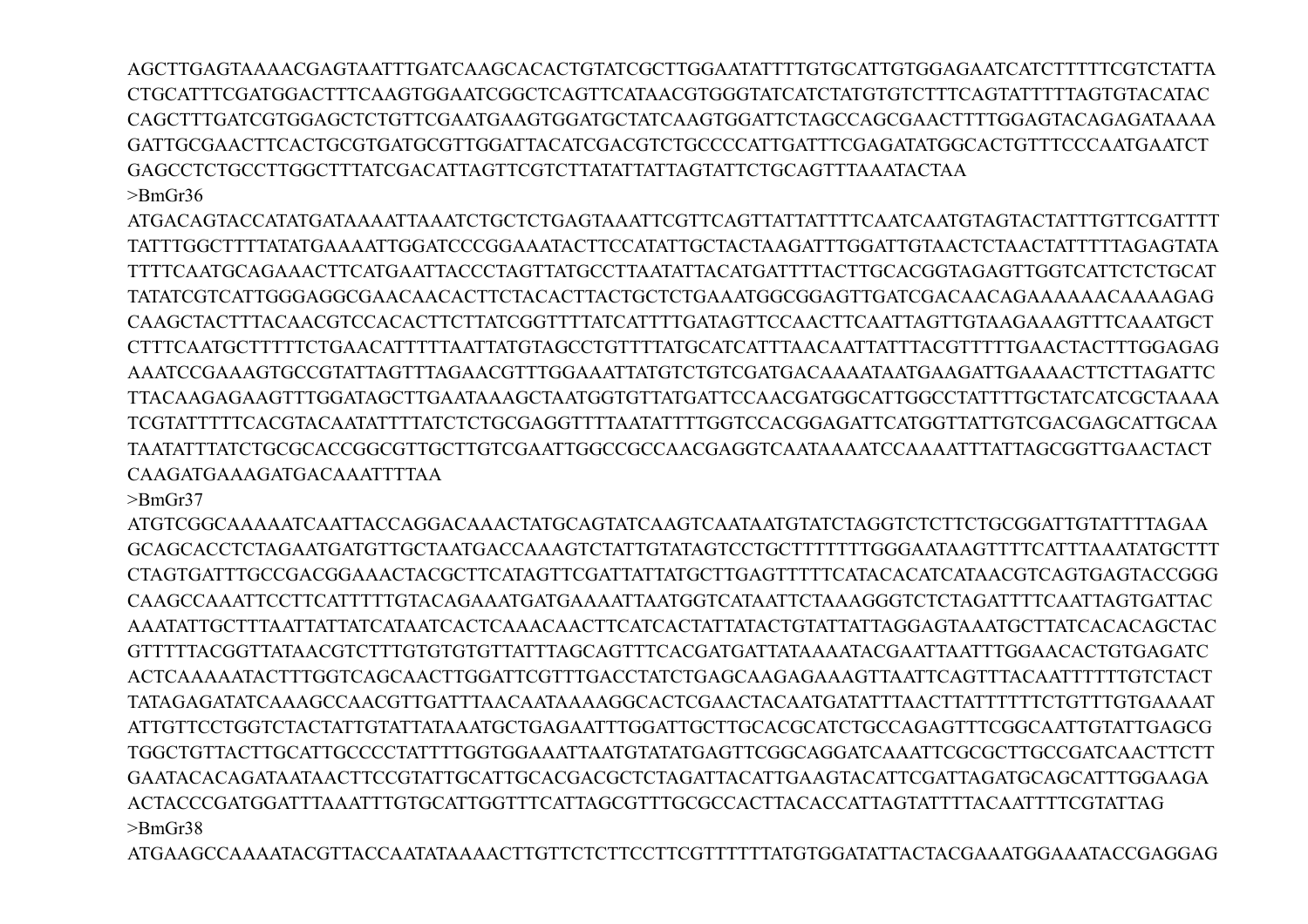AGCTTGAGTAAAACGAGTAATTTGATCAAGCACACTGTATCGCTTGGAATATTTTGTGCATTGTGGAGAATCATCTTTTTCGTCTATTA CTGCATTTCGATGGACTTTCAAGTGGAATCGGCTCAGTTCATAACGTGGGTATCATCTATGTGTCTTTCAGTATTTTTAGTGTACATAC CAGCTTTGATCGTGGAGCTCTGTTCGAATGAAGTGGATGCTATCAAGTGGATTCTAGCCAGCGAACTTTTGGAGTACAGAGATAAAA GATTGCGAACTTCACTGCGTGATGCGTTGGATTACATCGACGTCTGCCCCATTGATTTCGAGATATGGCACTGTTTCCCAATGAATCT GAGCCTCTGCCTTGGCTTTATCGACATTAGTTCGTCTTATATTATTAGTATTCTGCAGTTTAAATACTAA >BmGr36

ATGACAGTACCATATGATAAAATTAAATCTGCTCTGAGTAAATTCGTTCAGTTATTATTTTCAATCAATGTAGTACTATTTGTTCGATTTT TATTTGGCTTTTATATGAAAATTGGATCCCGGAAATACTTCCATATTGCTACTAAGATTTGGATTGTAACTCTAACTATTTTTAGAGTATA TTTTCAATGCAGAAACTTCATGAATTACCCTAGTTATGCCTTAATATTACATGATTTTACTTGCACGGTAGAGTTGGTCATTCTCTGCAT TATATCGTCATTGGGAGGCGAACAACACTTCTACACTTACTGCTCTGAAATGGCGGAGTTGATCGACAACAGAAAAAACAAAAGAG CAAGCTACTTTACAACGTCCACACTTCTTATCGGTTTTATCATTTTGATAGTTCCAACTTCAATTAGTTGTAAGAAAGTTTCAAATGCT CTTTCAATGCTTTTTCTGAACATTTTTAATTATGTAGCCTGTTTTATGCATCATTTAACAATTATTTACGTTTTTGAACTACTTTGGAGAG AAATCCGAAAGTGCCGTATTAGTTTAGAACGTTTGGAAATTATGTCTGTCGATGACAAAATAATGAAGATTGAAAACTTCTTAGATTC TTACAAGAGAAGTTTGGATAGCTTGAATAAAGCTAATGGTGTTATGATTCCAACGATGGCATTGGCCTATTTTGCTATCATCGCTAAAA TCGTATTTTTCACGTACAATATTTTATCTCTGCGAGGTTTTAATATTTTGGTCCACGGAGATTCATGGTTATTGTCGACGAGCATTGCAA TAATATTTATCTGCGCACCGGCGTTGCTTGTCGAATTGGCCGCCAACGAGGTCAATAAAATCCAAAATTTATTAGCGGTTGAACTACT CAAGATGAAAGATGACAAATTTTAA

>BmGr37

ATGTCGGCAAAAATCAATTACCAGGACAAACTATGCAGTATCAAGTCAATAATGTATCTAGGTCTCTTCTGCGGATTGTATTTTAGAA GCAGCACCTCTAGAATGATGTTGCTAATGACCAAAGTCTATTGTATAGTCCTGCTTTTTTTGGGAATAAGTTTTCATTTAAATATGCTTT CTAGTGATTTGCCGACGGAAACTACGCTTCATAGTTCGATTATTATGCTTGAGTTTTTCATACACATCATAACGTCAGTGAGTACCGGG CAAGCCAAATTCCTTCATTTTTGTACAGAAATGATGAAAATTAATGGTCATAATTCTAAAGGGTCTCTAGATTTTCAATTAGTGATTAC AAATATTGCTTTAATTATTATCATAATCACTCAAACAACTTCATCACTATTATACTGTATTATTAGGAGTAAATGCTTATCACACAGCTAC GTTTTTACGGTTATAACGTCTTTGTGTGTGTTATTTAGCAGTTTCACGATGATTATAAAATACGAATTAATTTGGAACACTGTGAGATC ACTCAAAAATACTTTGGTCAGCAACTTGGATTCGTTTGACCTATCTGAGCAAGAGAAAGTTAATTCAGTTTACAATTTTTTGTCTACT TATAGAGATATCAAAGCCAACGTTGATTTAACAATAAAAGGCACTCGAACTACAATGATATTTAACTTATTTTTTCTGTTTGTGAAAAT ATTGTTCCTGGTCTACTATTGTATTATAAATGCTGAGAATTTGGATTGCTTGCACGCATCTGCCAGAGTTTCGGCAATTGTATTGAGCG TGGCTGTTACTTGCATTGCCCCTATTTTGGTGGAAATTAATGTATATGAGTTCGGCAGGATCAAATTCGCGCTTGCCGATCAACTTCTT GAATACACAGATAATAACTTCCGTATTGCATTGCACGACGCTCTAGATTACATTGAAGTACATTCGATTAGATGCAGCATTTGGAAGA ACTACCCGATGGATTTAAATTTGTGCATTGGTTTCATTAGCGTTTGCGCCACTTACACCATTAGTATTTTACAATTTTCGTATTAG >BmGr38

ATGAAGCCAAAATACGTTACCAATATAAAACTTGTTCTCTTCCTTCGTTTTTTATGTGGATATTACTACGAAATGGAAATACCGAGGAG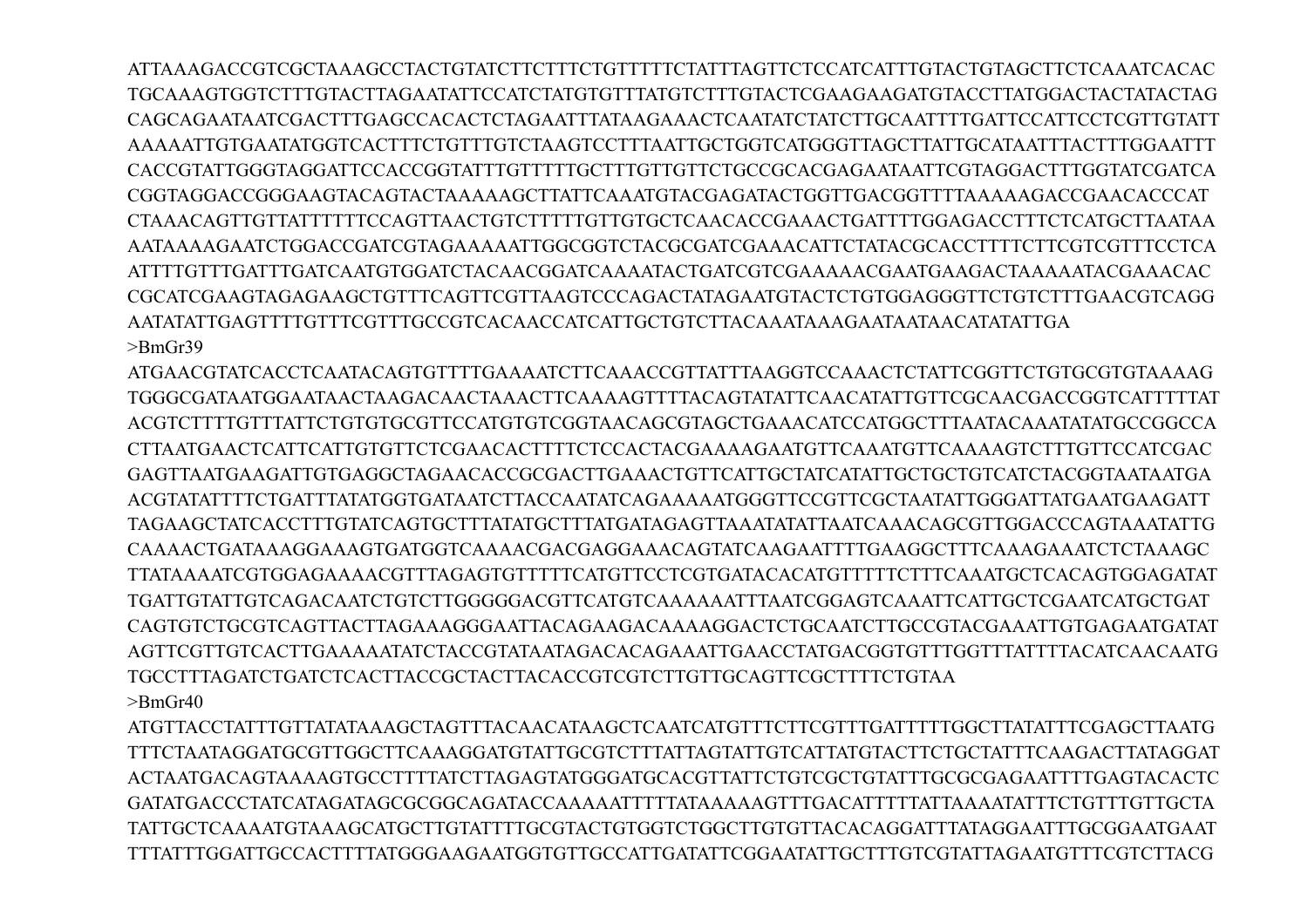ATTAAAGACCGTCGCTAAAGCCTACTGTATCTTCTTTCTGTTTTTCTATTTAGTTCTCCATCATTTGTACTGTAGCTTCTCAAATCACAC TGCAAAGTGGTCTTTGTACTTAGAATATTCCATCTATGTGTTTATGTCTTTGTACTCGAAGAAGATGTACCTTATGGACTACTATACTAG CAGCAGAATAATCGACTTTGAGCCACACTCTAGAATTTATAAGAAACTCAATATCTATCTTGCAATTTTGATTCCATTCCTCGTTGTATT AAAAATTGTGAATATGGTCACTTTCTGTTTGTCTAAGTCCTTTAATTGCTGGTCATGGGTTAGCTTATTGCATAATTTACTTTGGAATTT CACCGTATTGGGTAGGATTCCACCGGTATTTGTTTTTGCTTTGTTGTTCTGCCGCACGAGAATAATTCGTAGGACTTTGGTATCGATCA CGGTAGGACCGGGAAGTACAGTACTAAAAAGCTTATTCAAATGTACGAGATACTGGTTGACGGTTTTAAAAAGACCGAACACCCAT CTAAACAGTTGTTATTTTTTCCAGTTAACTGTCTTTTTGTTGTGCTCAACACCGAAACTGATTTTGGAGACCTTTCTCATGCTTAATAA AATAAAAGAATCTGGACCGATCGTAGAAAAATTGGCGGTCTACGCGATCGAAACATTCTATACGCACCTTTTCTTCGTCGTTTCCTCA ATTTTGTTTGATTTGATCAATGTGGATCTACAACGGATCAAAATACTGATCGTCGAAAAACGAATGAAGACTAAAAATACGAAACAC CGCATCGAAGTAGAGAAGCTGTTTCAGTTCGTTAAGTCCCAGACTATAGAATGTACTCTGTGGAGGGTTCTGTCTTTGAACGTCAGG AATATATTGAGTTTTGTTTCGTTTGCCGTCACAACCATCATTGCTGTCTTACAAATAAAGAATAATAACATATATTGA >BmGr39

ATGAACGTATCACCTCAATACAGTGTTTTGAAAATCTTCAAACCGTTATTTAAGGTCCAAACTCTATTCGGTTCTGTGCGTGTAAAAG TGGGCGATAATGGAATAACTAAGACAACTAAACTTCAAAAGTTTTACAGTATATTCAACATATTGTTCGCAACGACCGGTCATTTTTAT ACGTCTTTTGTTTATTCTGTGTGCGTTCCATGTGTCGGTAACAGCGTAGCTGAAACATCCATGGCTTTAATACAAATATATGCCGGCCA CTTAATGAACTCATTCATTGTGTTCTCGAACACTTTTCTCCACTACGAAAAGAATGTTCAAATGTTCAAAAGTCTTTGTTCCATCGAC GAGTTAATGAAGATTGTGAGGCTAGAACACCGCGACTTGAAACTGTTCATTGCTATCATATTGCTGCTGTCATCTACGGTAATAATGA ACGTATATTTTCTGATTTATATGGTGATAATCTTACCAATATCAGAAAAATGGGTTCCGTTCGCTAATATTGGGATTATGAATGAAGATT TAGAAGCTATCACCTTTGTATCAGTGCTTTATATGCTTTATGATAGAGTTAAATATATTAATCAAACAGCGTTGGACCCAGTAAATATTG CAAAACTGATAAAGGAAAGTGATGGTCAAAACGACGAGGAAACAGTATCAAGAATTTTGAAGGCTTTCAAAGAAATCTCTAAAGC TTATAAAATCGTGGAGAAAACGTTTAGAGTGTTTTTCATGTTCCTCGTGATACACATGTTTTTCTTTCAAATGCTCACAGTGGAGATAT TGATTGTATTGTCAGACAATCTGTCTTGGGGGACGTTCATGTCAAAAAATTTAATCGGAGTCAAATTCATTGCTCGAATCATGCTGAT CAGTGTCTGCGTCAGTTACTTAGAAAGGGAATTACAGAAGACAAAAGGACTCTGCAATCTTGCCGTACGAAATTGTGAGAATGATAT AGTTCGTTGTCACTTGAAAAATATCTACCGTATAATAGACACAGAAATTGAACCTATGACGGTGTTTGGTTTATTTTACATCAACAATG TGCCTTTAGATCTGATCTCACTTACCGCTACTTACACCGTCGTCTTGTTGCAGTTCGCTTTTCTGTAA  $>$ BmGr40

ATGTTACCTATTTGTTATATAAAGCTAGTTTACAACATAAGCTCAATCATGTTTCTTCGTTTGATTTTTGGCTTATATTTCGAGCTTAATG TTTCTAATAGGATGCGTTGGCTTCAAAGGATGTATTGCGTCTTTATTAGTATTGTCATTATGTACTTCTGCTATTTCAAGACTTATAGGAT ACTAATGACAGTAAAAGTGCCTTTTATCTTAGAGTATGGGATGCACGTTATTCTGTCGCTGTATTTGCGCGAGAATTTTGAGTACACTC GATATGACCCTATCATAGATAGCGCGGCAGATACCAAAAATTTTTATAAAAAGTTTGACATTTTTATTAAAATATTTCTGTTTGTTGCTA TATTGCTCAAAATGTAAAGCATGCTTGTATTTTGCGTACTGTGGTCTGGCTTGTGTTACACAGGATTTATAGGAATTTGCGGAATGAAT TTTATTTGGATTGCCACTTTTATGGGAAGAATGGTGTTGCCATTGATATTCGGAATATTGCTTTGTCGTATTAGAATGTTTCGTCTTACG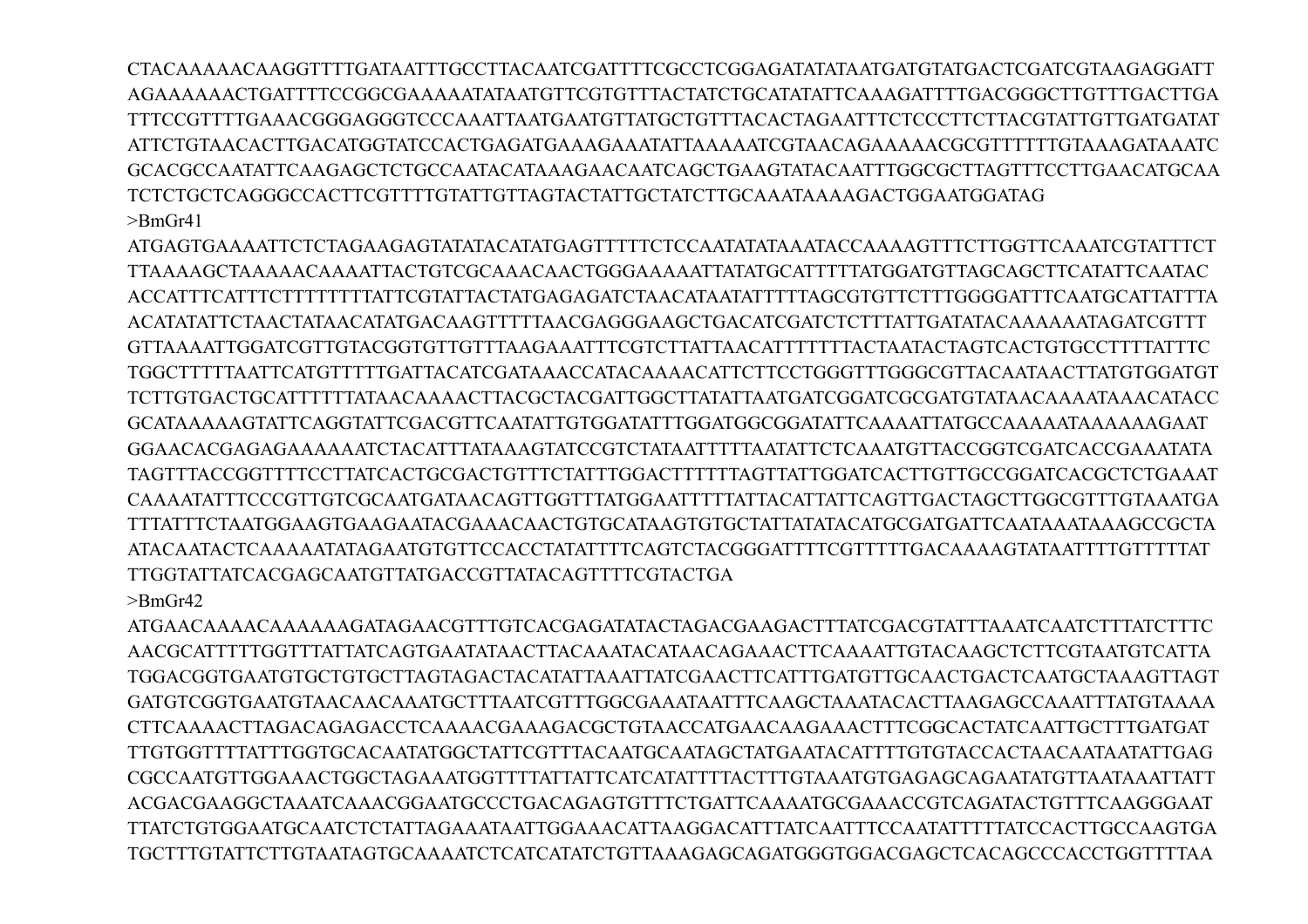CTACAAAAACAAGGTTTTGATAATTTGCCTTACAATCGATTTTCGCCTCGGAGATATATAATGATGTATGACTCGATCGTAAGAGGATT AGAAAAAACTGATTTTCCGGCGAAAAATATAATGTTCGTGTTTACTATCTGCATATATTCAAAGATTTTGACGGGCTTGTTTGACTTGA TTTCCGTTTTGAAACGGGAGGGTCCCAAATTAATGAATGTTATGCTGTTTACACTAGAATTTCTCCCTTCTTACGTATTGTTGATGATAT GCACGCCAATATTCAAGAGCTCTGCCAATACATAAAGAACAATCAGCTGAAGTATACAATTTGGCGCTTAGTTTCCTTGAACATGCAA TCTCTGCTCAGGGCCACTTCGTTTTGTATTGTAGTACTATTGCTATCTTGCAAATAAAAGACTGGAATGGATAG  $>$ Rm $Gr41$ 

ATGAGTGAAAATTCTCTAGAAGAGTATATACATATGAGTTTTTCTCCAATATATAAATACCAAAAGTTTCTTGGTTCAAATCGTATTTCT TTAAAAGCTAAAAACAAAATTACTGTCGCAAACAACTGGGAAAAATTATGCATTTTTATGGATGTTAGCAGCTTCATATTCAATAC ACCATTTCATTTCTTTTTTTTATTCGTATTACTATGAGAGATCTAACATAATATTTTTAGCGTGTTCTTTGGGGATTTCAATGCATTATTTA ACATATATTCTA ACTATA ACATATGACA AGTTTTTA ACGAGGGA AGCTGACATCGATCTCTTTATTGATATACA A A A A ATAGATCGTTT GTTAAAATTGGATCGTTGTACGGTGTTGTTTAAGAAATTTCGTCTTATTAACATTTTTTACTAATACTAGTCACTGTGCCTTTTATTTC TGGCTTTTTAATTCATGTTTTTGATTACATCGATAAACCATACAAAACATTCTTCCTGGGTTTGGGCGTTACAATAACTTATGTGGATGT TCTTGTGACTGCATTTTTTATAACAAAACTTACGCTACGATTGGCTTATATTAATGATCGGATCGCGATGTATAACAAAATAAACATACC GCATAAAAAGTATTCAGGTATTCGACGTTCAATATTGTGGATATTTGGATGGCGGATATTCAAAATTATGCCAAAAATAAAAAAGAAT GGAACACGAGAGAAAAAAATCTACATTTATAAAGTATCCGTCTATAATTTTTAATATTCTCAAATGTTACCGGTCGATCACCGAAATATA TAGTTTACCGGTTTTCCTTATCACTGCGACTGTTTCTATTTGGACTTTTTTAGTTATTGGATCACTTGTTGCCGGATCACGCTCTGAAAT CAAAATATTTCCCGTTGTCGCAATGATAACAGTTGGTTTATGGAATTTTTATTACATTATTCAGTTGACTAGCTTGGCGTTTGTAAATGA ATACA ATACTCA A A AATATAGA ATGTGTTCCA CCTATATTTTCA GTCTA CGGGATTTTCGTTTTGA CA A A A GTATA ATTTTGTTTTAT TTGGTATTATCACGAGCAATGTTATGACCGTTATACAGTTTTCGTACTGA  $>$ Rm $Gr42$ 

AACGCATTTTTGGTTTATTATCAGTGAATATAACTTACAAATACATAACAGAAACTTCAAAATTGTACAAGCTCTTCGTAATGTCATTA TGGACGGTGAATGTGCTGTGCTTAGTAGACTACATATTAAATTATCGAACTTCATTTGATGTTGCAACTGACTCAATGCTAAAGTTAGT GATGTCGGTGAATGTAACAACAAATGCTTTAATCGTTTGGCGAAATAATTTCAAGCTAAATACACTTAAGAGCCAAATTTATGTAAAA CTTCAAAACTTAGACAGAGACCTCAAAACGAAAGACGCTGTAACCATGAACAAGAAACTTTCGGCACTATCAATTGCTTTGATGAT TIGTGGTTTTATTTGGTGCACAATATGGCTATTCGTTTACAATGCAATAGCTATGAATACATTTTGTGTACCACTAACAATAATATTGAG CGCCAATGTTGGAAACTGGCTAGAAATGGTTTTATTATTCATCATATTTTACTTTGTAAATGTGAGAGCAGAATATGTTAATAAATTATT ACGACGAAGGCTAAATCAAACGGAATGCCCTGACAGAGTGTTTCTGATTCAAAATGCGAAACCGTCAGATACTGTTTCAAGGGAAT TTATCTGTGGAATGCAATCTCTATTAGAAATAATTGGAAACATTAAGGACATTTATCAATTTCCAATATTTTATCCACTTGCCAAGTGA TGCTTTGTATTCTTGTAATAGTGCAAAATCTCATCATATCTGTTAAAGAGCAGATGGGTGGACGAGCTCACAGCCCACCTGGTTTTAA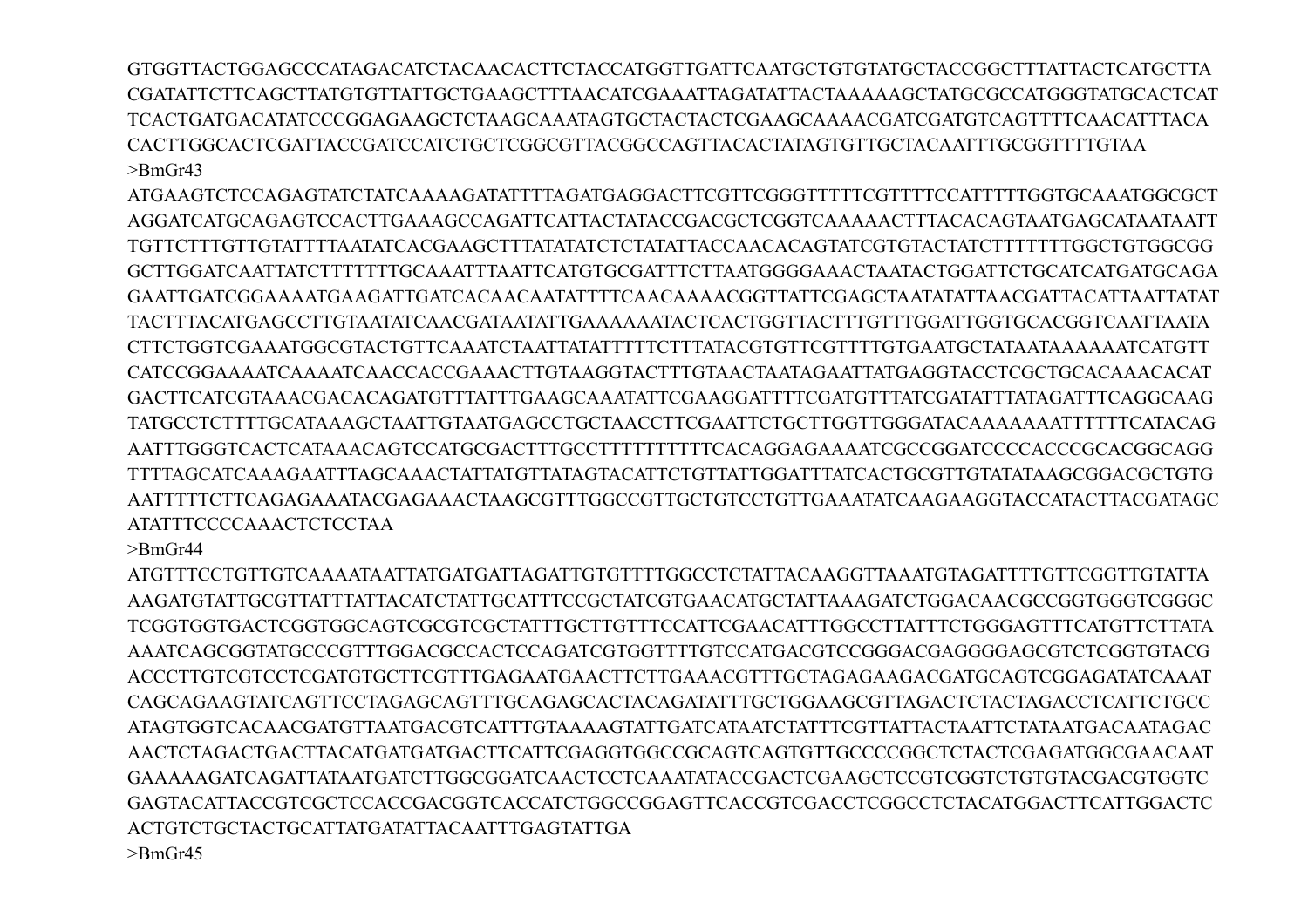GTGGTTACTGGAGCCCATAGACATCTACAACACTTCTACCATGGTTGATTCAATGCTGTGTATGCTACCGGCTTTATTACTCATGCTTA CGATATTCTTCAGCTTATGTGTTATTGCTGAAGCTTTAACATCGAAATTAGATATTACTAAAAAGCTATGCGCCATGGGTATGCACTCAT TCACTGATGACATATCCCGGAGAAGCTCTAAGCAAATAGTGCTACTACTCGAAGCAAAACGATCGATGTCAGTTTTCAACATTTACA CACTTGGCACTCGATTACCGATCCATCTGCTCGGCGTTACGGCCAGTTACACTATAGTGTTGCTACAATTTGCGGTTTTGTAA  $>$ BmGr43

ATGAAGTCTCCAGAGTATCTATCAAAAGATATTTTAGATGAGGACTTCGTTCGGGTTTTTCGTTTTCCATTTTTGGTGCAAATGGCGCT AGGATCATGCAGAGTCCACTTGAAAGCCAGATTCATTACTATACCGACGCTCGGTCAAAAACTTTACACAGTAATGAGCATAATAATT TGTTCTTTGTTGTATTTTAATATCACGAAGCTTTATATATCTCTATATTACCAACACAGTATCGTGTACTATCTTTTTTTGGCTGTGGCGG GCTTGGATCAATTATCTTTTTTTGCAAATTTAATTCATGTGCGATTTCTTAATGGGGAAACTAATACTGGATTCTGCATCATGATGCAGA GAATTGATCGGAAAATGAAGATTGATCACAACAATATTTTCAACAAAACGGTTATTCGAGCTAATATATTAACGATTACATTAATTATAT TACTTTACATGAGCCTTGTAATATCAACGATAATATTGAAAAAATACTCACTGGTTACTTTGTTTGGATTGGTGCACGGTCAATTAATA CTTCTGGTCGAAATGGCGTACTGTTCAAATCTAATTATATTTTTCTTTATACGTGTTCGTTTTGTGAATGCTATAATAAAAAATCATGTT CATCCGGAAAATCAAAATCAACCACCGAAACTTGTAAGGTACTTTGTAACTAATAGAATTATGAGGTACCTCGCTGCACAAACACAT GACTTCATCGTAAACGACACAGATGTTTATTTGAAGCAAATATTCGAAGGATTTTCGATGTTTATCGATATTTATAGATTTCAGGCAAG TATGCCTCTTTTGCATAAAGCTAATTGTAATGAGCCTGCTAACCTTCGAATTCTGCTTGGTTGGGATACAAAAAAATTTTTTCATACAG AATTTGGGTCACTCATAAACAGTCCATGCGACTTTGCCTTTTTTTTTTCACAGGAGAAAATCGCCGGATCCCCACCCGCACGGCAGG TTTTAGCATCAAAGAATTTAGCAAACTATTATGTTATAGTACATTCTGTTATTGGATTTATCACTGCGTTGTATATAAGCGGACGCTGTG AATTTTTCTTCAGAGAAATACGAGAAACTAAGCGTTTGGCCGTTGCTGTCCTGTTGAAATATCAAGAAGGTACCATACTTACGATAGC ATATTTCCCCAAACTCTCCTAA

>BmGr44

ATGTTTCCTGTTGTCAAAATAATTATGATGATTAGATTGTGTTTTGGCCTCTATTACAAGGTTAAATGTAGATTTTGTTCGGTTGTATTA AAGATGTATTGCGTTATTTATTACATCTATTGCATTTCCGCTATCGTGAACATGCTATTAAAGATCTGGACAACGCCGGTGGGTCGGGC TCGGTGGTGACTCGGTGGCAGTCGCGTCGCTATTTGCTTGTTTCCATTCGAACATTTGGCCTTATTTCTGGGAGTTTCATGTTCTTATA AAATCAGCGGTATGCCCGTTTGGACGCCACTCCAGATCGTGGTTTTGTCCATGACGTCCGGGACGAGGGGAGCGTCTCGGTGTACG ACCCTTGTCGTCCTCGATGTGCTTCGTTTGAGAATGAACTTCTTGAAACGTTTGCTAGAGAAGACGATGCAGTCGGAGATATCAAAT CAGCAGAAGTATCAGTTCCTAGAGCAGTTTGCAGAGCACTACAGATATTTGCTGGAAGCGTTAGACTCTACTAGACCTCATTCTGCC ATAGTGGTCACAACGATGTTAATGACGTCATTTGTAAAAGTATTGATCATAATCTATTTCGTTATTACTAATTCTATAATGACAATAGAC AACTCTAGACTGACTTACATGATGATGACTTCATTCGAGGTGGCCGCAGTCAGTGTTGCCCCGGCTCTACTCGAGATGGCGAACAAT GAAAAAGATCAGATTATAATGATCTTGGCGGATCAACTCCTCAAATATACCGACTCGAAGCTCCGTCGGTCTGTGTACGACGTGGTC GAGTACATTACCGTCGCTCCACCGACGGTCACCATCTGGCCGGAGTTCACCGTCGACCTCGGCCTCTACATGGACTTCATTGGACTC ACTGTCTGCTACTGCATTATGATATTACAATTTGAGTATTGA >BmGr45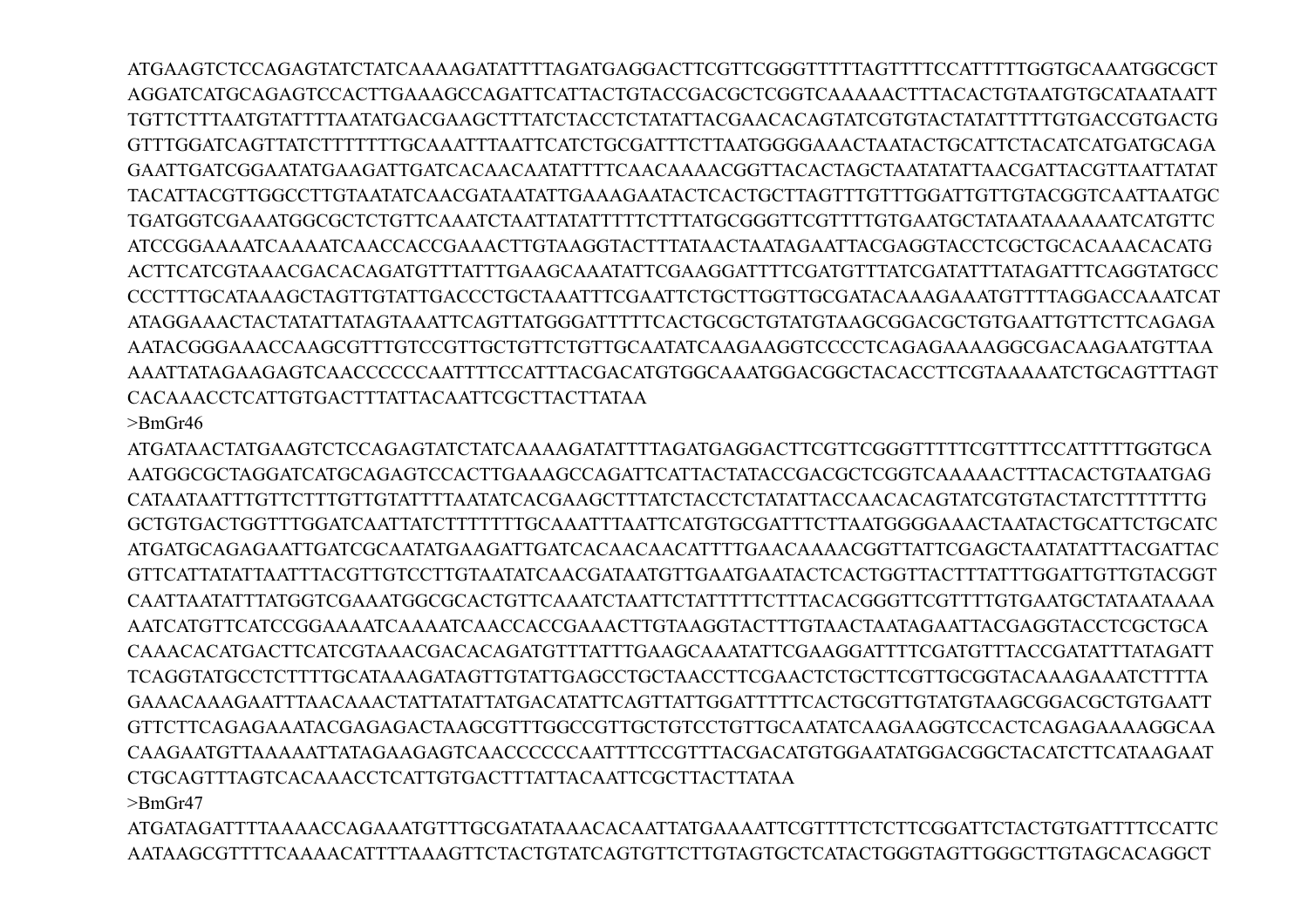ATGAAGTCTCCAGAGTATCTATCAAAAGATATTTTAGATGAGGACTTCGTTCGGGTTTTTAGTTTTCCATTTTTGGTGCAAATGGCGCT AGGATCATGCAGAGTCCACTTGAAAGCCAGATTCATTACTGTACCGACGCTCGGTCAAAAACTTTACACTGTAATGTGCATAATAATT TGTTCTTTAATGTATTTTAATATGACGAAGCTTTATCTACCTCTATATTACGAACACAGTATCGTGTACTATATTTTTGTGACCGTGACTG GTTTGGATCAGTTATCTTTTTTTGCAAATTTAATTCATCTGCGATTTCTTAATGGGGAAACTAATACTGCATTCTACATCATGATGCAGA GAATTGATCGGAATATGAAGATTGATCACAACAATATTTTCAACAAAACGGTTACACTAGCTAATATATTAACGATTACGTTAATTATAT TACATTACGTTGGCCTTGTAATATCAACGATAATATTGAAAGAATACTCACTGCTTAGTTTGTTTGGATTGTTGTACGGTCAATTAATGC TGATGGTCGAAATGGCGCTCTGTTCAAATCTAATTATATTTTTCTTTATGCGGGTTCGTTTTGTGAATGCTATAATAAAAAATCATGTTC ATCCGGAAAATCAAAATCAACCACCGAAACTTGTAAGGTACTTTATAACTAATAGAATTACGAGGTACCTCGCTGCACAAACACATG ACTTCATCGTAAACGACACAGATGTTTATTTGAAGCAAATATTCGAAGGATTTTCGATGTTTATCGATATTTATAGATTTCAGGTATGCC CCCTTTGCATAAAGCTAGTTGTATTGACCCTGCTAAATTTCGAATTCTGCTTGGTTGCGATACAAAGAAATGTTTTAGGACCAAATCAT ATAGGAAACTACTATATTATAGTAAATTCAGTTATGGGATTTTTCACTGCGCTGTATGTAAGCGGACGCTGTGAATTGTTCTTCAGAGA AATACGGGAAACCAAGCGTTTGTCCGTTGCTGTTCTGTTGCAATATCAAGAAGGTCCCCTCAGAGAAAAGGCGACAAGAATGTTAA AAATTATAGAAGAGTCAACCCCCCAATTTTCCATTTACGACATGTGGCAAATGGACGGCTACACCTTCGTAAAAATCTGCAGTTTAGT CACAAACCTCATTGTGACTTTATTACAATTCGCTTACTTATAA

>BmGr46

ATGATAACTATGAAGTCTCCAGAGTATCTATCAAAAGATATTTTAGATGAGGACTTCGTTCGGGTTTTTCGTTTTCCATTTTTGGTGCA AATGGCGCTAGGATCATGCAGAGTCCACTTGAAAGCCAGATTCATTACTATACCGACGCTCGGTCAAAAACTTTACACTGTAATGAG CATAATAATTTGTTCTTTGTTGTATTTTAATATCACGAAGCTTTATCTACCTCTATATTACCAACACAGTATCGTGTACTATCTTTTTTTG GCTGTGACTGGTTTGGATCAATTATCTTTTTTTGCAAATTTAATTCATGTGCGATTTCTTAATGGGGAAACTAATACTGCATTCTGCATC ATGATGCAGAGAATTGATCGCAATATGAAGATTGATCACAACAACATTTTGAACAAAACGGTTATTCGAGCTAATATATTTACGATTAC GTTCATTATATTAATTTACGTTGTCCTTGTAATATCAACGATAATGTTGAATGAATACTCACTGGTTACTTTATTTGGATTGTTGTACGGT CAATTAATATTTATGGTCGAAATGGCGCACTGTTCAAATCTAATTCTATTTTTCTTTACACGGGTTCGTTTTGTGAATGCTATAATAAAA AATCATGTTCATCCGGAAAATCAAAATCAACCACCGAAACTTGTAAGGTACTTTGTAACTAATAGAATTACGAGGTACCTCGCTGCA CAAACACATGACTTCATCGTAAACGACACAGATGTTTATTTGAAGCAAATATTCGAAGGATTTTCGATGTTTACCGATATTTATAGATT TCAGGTATGCCTCTTTTGCATAAAGATAGTTGTATTGAGCCTGCTAACCTTCGAACTCTGCTTCGTTGCGGTACAAAGAAATCTTTTA GAAACAAAGAATTTAACAAACTATTATATTATGACATATTCAGTTATTGGATTTTTCACTGCGTTGTATGTAAGCGGACGCTGTGAATT GTTCTTCAGAGAAATACGAGAGACTAAGCGTTTGGCCGTTGCTGTCCTGTTGCAATATCAAGAAGGTCCACTCAGAGAAAAGGCAA CAAGAATGTTAAAAATTATAGAAGAGTCAACCCCCCAATTTTCCGTTTACGACATGTGGAATATGGACGGCTACATCTTCATAAGAAT CTGCAGTTTAGTCACAAACCTCATTGTGACTTTATTACAATTCGCTTACTTATAA >BmGr47

ATGATAGATTTTAAAACCAGAAATGTTTGCGATATAAACACAATTATGAAAATTCGTTTTCTCTTCGGATTCTACTGTGATTTTCCATTC AATAAGCGTTTTCAAAACATTTTAAAGTTCTACTGTATCAGTGTTCTTGTAGTGCTCATACTGGGTAGTTGGGCTTGTAGCACAGGCT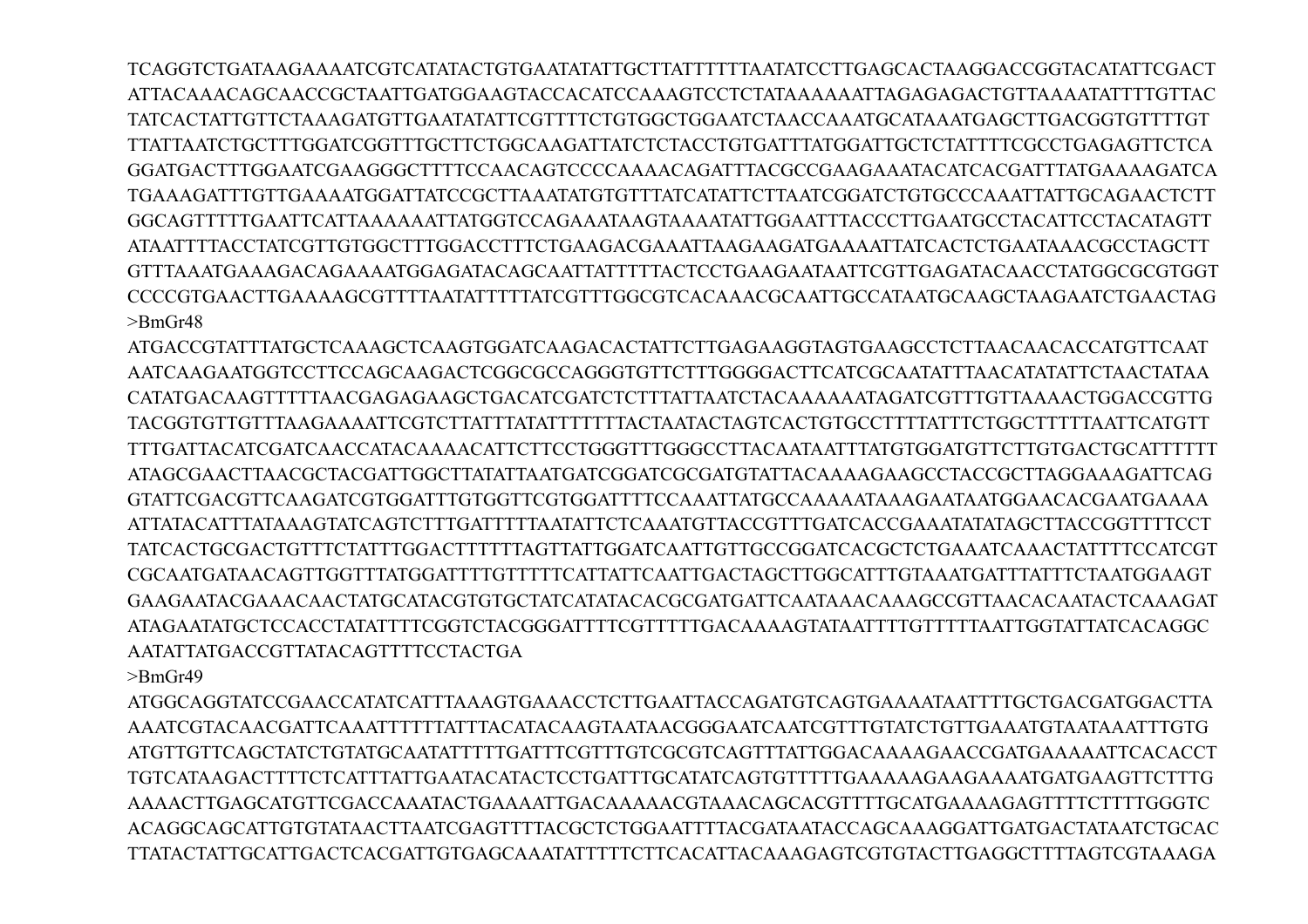TCAGGTCTGATAAGAAAATCGTCATATACTGTGAATATATTGCTTATTTTTTAATATCCTTGAGCACTAAGGACCGGTACATATTCGACT ATTACAAACAGCAACCGCTAATTGATGGAAGTACCACATCCAAAGTCCTCTATAAAAAATTAGAGAGACTGTTAAAATATTTTGTTAC TATCACTATTGTTCTAAAGATGTTGAATATATTCGTTTTCTGTGGCTGGAATCTAACCAAATGCATAAATGAGCTTGACGGTGTTTTGT TTATTAATCTGCTTTGGATCGGTTTGCTTCTGGCAAGATTATCTCTACCTGTGATTTATGGATTGCTCTATTTTCGCCTGAGAGTTCTCA GGATGACTTTGGAATCGAAGGGCTTTTCCAACAGTCCCCAAAACAGATTTACGCCGAAGAAATACATCACGATTTATGAAAAGATCA TGAAAGATTTGTTGAAAATGGATTATCCGCTTAAATATGTGTTTATCATATTCTTAATCGGATCTGTGCCCAAATTATTGCAGAACTCTT GGCAGTTTTTGAATTCATTAAAAAATTATGGTCCAGAAATAAGTAAAATATTGGAATTTACCCTTGAATGCCTACATTCCTACATAGTT ATAATTTTACCTATCGTTGTGGCTTTGGACCTTTCTGAAGACGAAATTAAGAAGATGAAAATTATCACTCTGAATAAACGCCTAGCTT GTTTAAATGAAAGACAGAAAATGGAGATACAGCAATTATTTTTACTCCTGAAGAATAATTCGTTGAGATACAACCTATGGCGCGTGGT CCCCGTGAACTTGAAAAGCGTTTTAATATTTTTATCGTTTGGCGTCACAAACGCAATTGCCATAATGCAAGCTAAGAATCTGAACTAG  $>$ BmGr48

ATGACCGTATTTATGCTCAAAGCTCAAGTGGATCAAGACACTATTCTTGAGAAGGTAGTGAAGCCTCTTAACAACACCATGTTCAAT AATCAAGAATGGTCCTTCCAGCAAGACTCGGCGCCAGGGTGTTCTTTGGGGACTTCATCGCAATATTTAACATATATTCTAACTATAA CATATGACAAGTTTTTAACGAGAGAAGCTGACATCGATCTCTTTATTAATCTACAAAAAATAGATCGTTTGTTAAAACTGGACCGTTG TACGGTGTTGTTTAAGAAAATTCGTCTTATTTATATTTTTTTACTAATACTAGTCACTGTGCCTTTTATTTCTGGCTTTTTAATTCATGTT TTTGATTACATCGATCAACCATACAAAACATTCTTCCTGGGTTTGGGCCTTACAATAATTTATGTGGATGTTCTTGTGACTGCATTTTTT ATAGCGAACTTAACGCTACGATTGGCTTATATTAATGATCGGATCGCGATGTATTACAAAAGAAGCCTACCGCTTAGGAAAGATTCAG GTATTCGACGTTCAAGATCGTGGATTTGTGGTTCGTGGATTTTCCAAATTATGCCAAAAATAAAGAATAATGGAACACGAATGAAAA ATTATACATTTATAAAGTATCAGTCTTTGATTTTTAATATTCTCAAATGTTACCGTTTGATCACCGAAATATATAGCTTACCGGTTTTCCT TATCACTGCGACTGTTTCTATTTGGACTTTTTTAGTTATTGGATCAATTGTTGCCGGATCACGCTCTGAAATCAAACTATTTTCCATCGT CGCAATGATAACAGTTGGTTTATGGATTTTGTTTTTCATTATTCAATTGACTAGCTTGGCATTTGTAAATGATTTATTTCTAATGGAAGT GAAGAATACGAAACAACTATGCATACGTGTGCTATCATATACACGCGATGATTCAATAAACAAAGCCGTTAACACAATACTCAAAGAT ATAGAATATGCTCCACCTATATTTTCGGTCTACGGGATTTTCGTTTTTGACAAAAGTATAATTTTGTTTTTAATTGGTATTATCACAGGC AATATTATGACCGTTATACAGTTTTCCTACTGA

>BmGr49

ATGGCAGGTATCCGAACCATATCATTTAAAGTGAAACCTCTTGAATTACCAGATGTCAGTGAAAATAATTTTGCTGACGATGGACTTA AAATCGTACAACGATTCAAATTTTTTATTTACATACAAGTAATAACGGGAATCAATCGTTTGTATCTGTTGAAATGTAATAAATTTGTG ATGTTGTTCAGCTATCTGTATGCAATATTTTTGATTTCGTTTGTCGCGTCAGTTTATTGGACAAAAGAACCGATGAAAAATTCACACCT TGTCATAAGACTTTTCTCATTTATTGAATACATACTCCTGATTTGCATATCAGTGTTTTTGAAAAAGAAGAAAATGATGAAGTTCTTTG AAAACTTGAGCATGTTCGACCAAATACTGAAAATTGACAAAAACGTAAACAGCACGTTTTGCATGAAAAGAGTTTTCTTTTGGGTC ACAGGCAGCATTGTGTATAACTTAATCGAGTTTTACGCTCTGGAATTTTACGATAATACCAGCAAAGGATTGATGACTATAATCTGCAC TTATACTATTGCATTGACTCACGATTGTGAGCAAATATTTTTCTTCACATTACAAAGAGTCGTGTACTTGAGGCTTTTAGTCGTAAAGA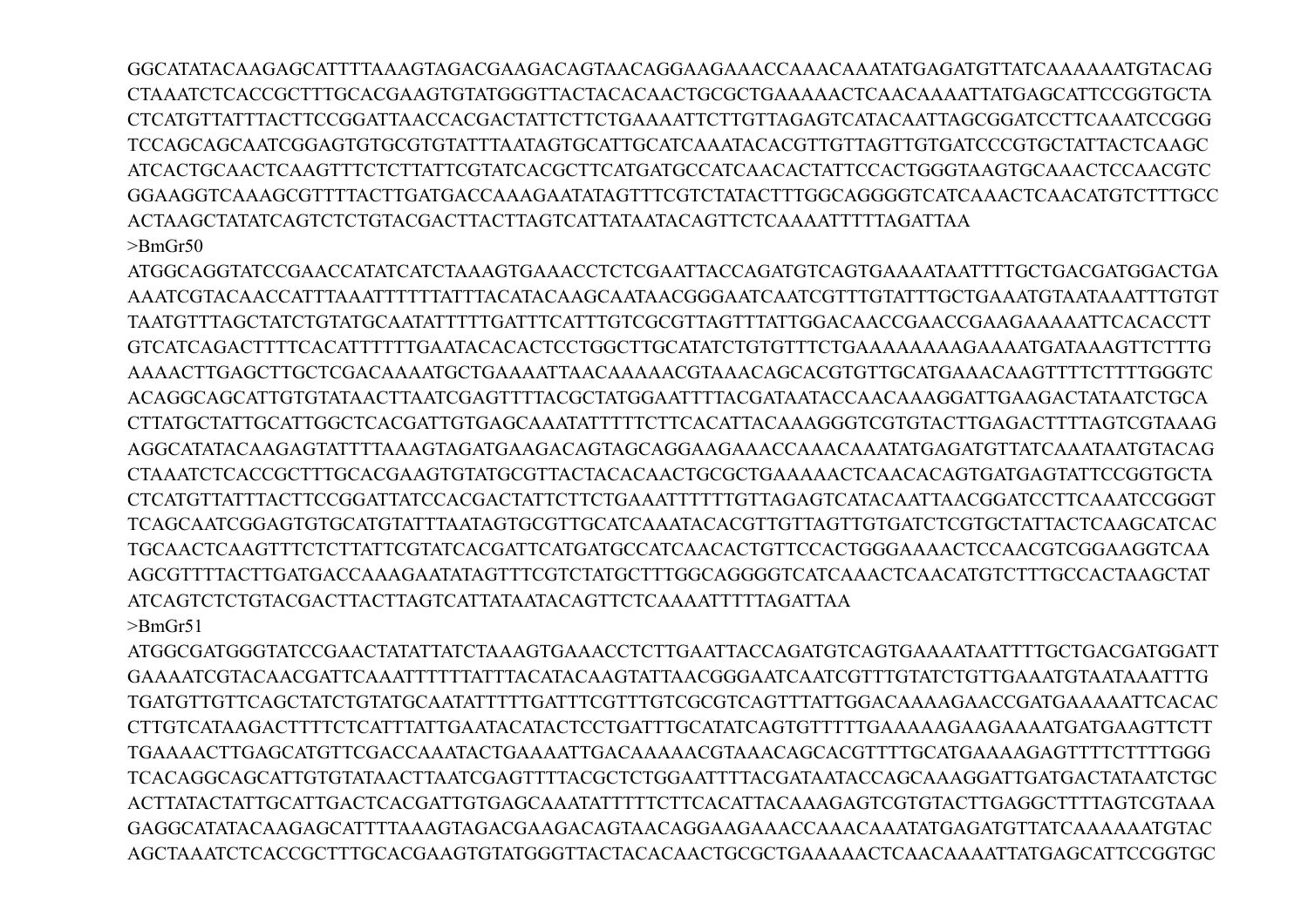GGCATATACAAGAGCATTTTAAAGTAGACGAAGACAGTAACAGGAAGAAGCAAACAATATGAGATGTTATCAAAAAATGTACAG CTAAATCTCACCGCTTTGCACGAAGTGTATGGGTTACTACACAACTGCGCTGAAAAACTCAACAAAATTATGAGCATTCCGGTGCTA CTCATGTTATTTACTTCCGGATTAACCACGACTATTCTTCTGAAAATTCTTGTTAGAGTCATACAATTAGCGGATCCTTCAAATCCGGG TCCAGCAGCAATCGGAGTGTGCGTGTATTTAATAGTGCATTGCATCAAATACACGTTGTTAGTTGTGATCCCGTGCTATTACTCAAGC ATCACTGCAACTCAAGTTTCTCTTATTCGTATCACGCTTCATGATGCCATCAACACTATTCCACTGGGTAAGTGCAAACTCCAACGTC GGAAGGTCAAAGCGTTTTACTTGATGACCAAAGAATATAGTTTCGTCTATACTTTGGCAGGGGTCATCAAACTCAACATGTCTTTGCC ACTAAGCTATATCAGTCTCTGTACGACTTACTTAGTCATTATAATACAGTTCTCAAAATTTTTAGATTAA  $\rm>BmGr50$ 

ATGGCAGGTATCCGAACCATATCATCTAAAGTGAAACCTCTCGAATTACCAGATGTCAGTGAAAATAATTTTGCTGACGATGGACTGA AAAACTTGAGCTTGCTCGACAAAATGCTGAAAATTAACAAAAACGTAAACAGCACGTGTTGCATGAAACAAGTTTTCTTTTGGGTC ACAGGCAGCATTGTGTATAACTTAATCGAGTTTTACGCTATGGAATTTTACGATAATACCAACAAAGGATTGAAGACTATAATCTGCA CTTATGCTATTGCATTGGCTCACGATTGTGAGCAAATATTTTTCTTCACATTACAAAGGGTCGTGTACTTGAGACTTTTAGTCGTAAAG CTAAATCTCACCGCTTTGCACGAAGTGTATGCGTTACTACAAACTGCGCTGAAAAACTCAACACAGTGATGAGTATTCCGGTGCTA CTCATGTTATTTACTTCCGGATTATCCACGACTATTCTTCTGAAATTTTTTGTTAGAGTCATACAATTAACGGATCCTTCAAATCCGGGT TCAGCAATCGGAGTGTGCATGTATTTAATAGTGCGTTGCATCAAATACACGTTGTTAGTTGTGATCTCGTGCTATTACTCAAGCATCAC TGCAACTCAAGTTTCTCTTATTCGTATCACGATTCATGATGCCATCAACACTGTTCCACTGGGAAAACTCCAACGTCGGAAGGTCAA AGCGTTTTACTTGATGACCAAAGAATATAGTTTCGTCTATGCTTTGGCAGGGGTCATCAAACTCAACATGTCTTTGCCACTAAGCTAT ATCAGTCTCTGTACGACTTACTTAGTCATTATAATACAGTTCTCAAAATTTTTAGATTAA  $>$ Rm $Gr51$ 

ATGGCGATGGGTATCCGAACTATATTATCTAAAGTGAAACCTCTTGAATTACCAGATGTCAGTGAAAATAATTTTGCTGACGATGGATT TGATGTTGTTCAGCTATCTGTATGCAATATTTTTGATTTCGTTTGTCGCGTCAGTTTATTGGACAAAAGAACCGATGAAAAATTCACAC TGAAAACTTGAGCATGTTCGACCAAATACTGAAAATTGACAAAAACGTAAACAGCACGTTTTGCATGAAAAGAGTTTTCTTTTGGG TCACAGGCAGCATTGTGTATAACTTAATCGAGTTTTACGCTCTGGAATTTTACGATAATACCAGCAAAGGATTGATGACTATAATCTGC ACTTATACTATTGCATTGACTCACGATTGTGAGCAAATATTTTCTTCACATTACAAAGAGTCGTGTACTTGAGGCTTTTAGTCGTAAA AGCTAAATCTCACCGCTTTGCACGAAGTGTATGGGTTACTACACAACTGCGCTGAAAAACTCAACAAAATTATGAGCATTCCGGTGC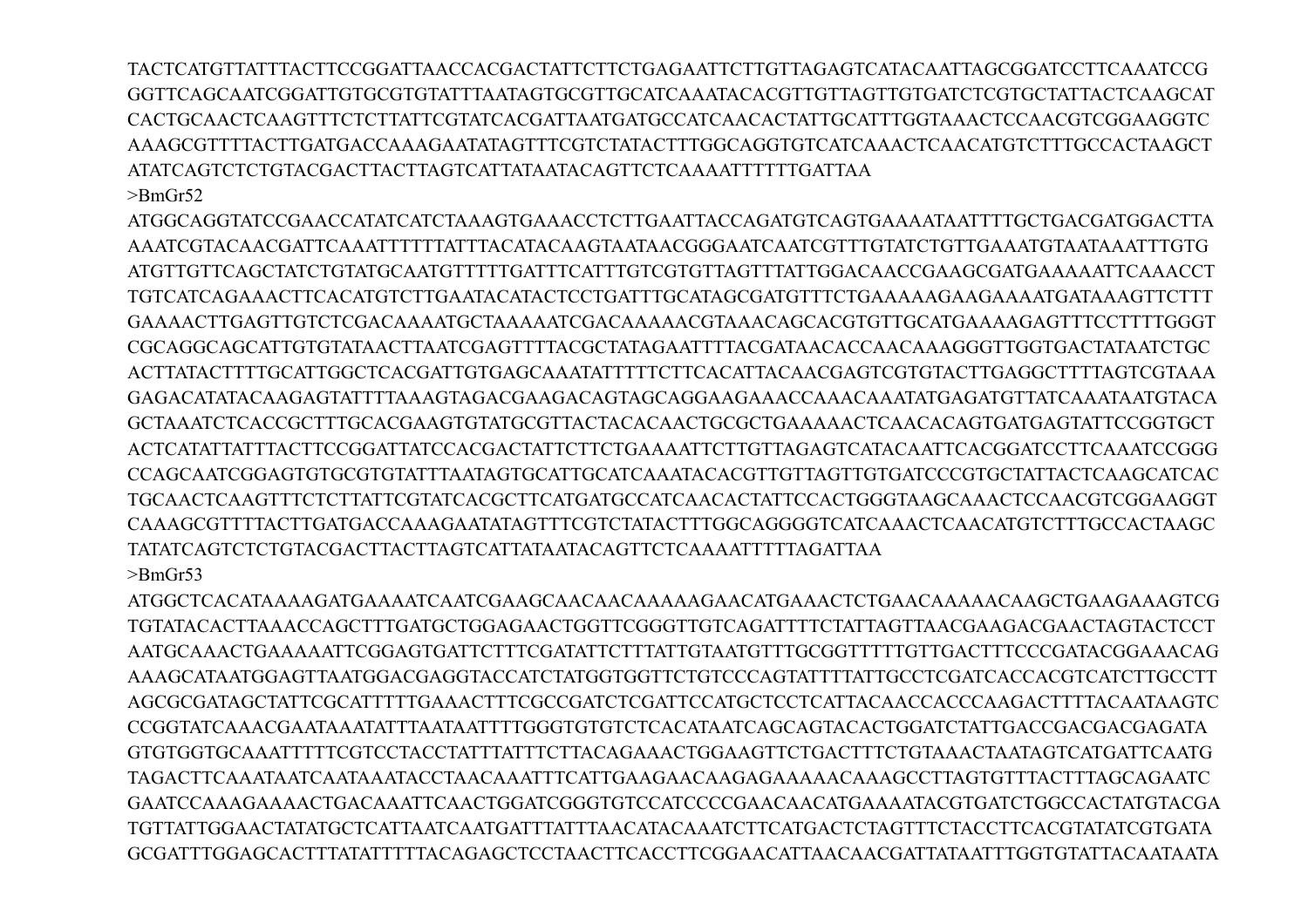TACTCATGTTATTTACTTCCGGATTAACCACGACTATTCTTCTGAGAATTCTTGTTAGAGTCATACAATTAGCGGATCCTTCAAATCCG GGTTCAGCAATCGGATTGTGCGTGTATTTAATAGTGCGTTGCATCAAATACACGTTGTTAGTTGTGATCTCGTGCTATTACTCAAGCAT CACTGCAACTCAAGTTTCTCTTATTCGTATCACGATTAATGATGCCATCAACACTATTGCATTTGGTAAACTCCAACGTCGGAAGGTC AAAGCGTTTTACTTGATGACCAAAGAATATAGTTTCGTCTATACTTTGGCAGGTGTCATCAAACTCAACATGTCTTTGCCACTAAGCT ATATCAGTCTCTGTACGACTTACTTAGTCATTATAATACAGTTCTCAAAATTTTTTGATTAA >BmGr52

ATGGCAGGTATCCGAACCATATCATCTAAAGTGAAACCTCTTGAATTACCAGATGTCAGTGAAAATAATTTTGCTGACGATGGACTTA AAATCGTACAACGATTCAAATTTTTTATTTACATACAAGTAATAACGGGAATCAATCGTTTGTATCTGTTGAAATGTAATAAATTTGTG ATGTTGTTCAGCTATCTGTATGCAATGTTTTTGATTTCATTTGTCGTGTTAGTTTATTGGACAACCGAAGCGATGAAAAATTCAAACCT TGTCATCAGAAACTTCACATGTCTTGAATACATACTCCTGATTTGCATAGCGATGTTTCTGAAAAAGAAGAAAATGATAAAGTTCTTT GAAAACTTGAGTTGTCTCGACAAAATGCTAAAAATCGACAAAAACGTAAACAGCACGTGTTGCATGAAAAGAGTTTCCTTTTGGGT CGCAGGCAGCATTGTGTATAACTTAATCGAGTTTTACGCTATAGAATTTTACGATAACACCAACAAAGGGTTGGTGACTATAATCTGC ACTTATACTTTTGCATTGGCTCACGATTGTGAGCAAATATTTTTCTTCACATTACAACGAGTCGTGTACTTGAGGCTTTTAGTCGTAAA GAGACATATACAAGAGTATTTTAAAGTAGACGAAGACAGTAGCAGGAAGAAACCAAACAAATATGAGATGTTATCAAATAATGTACA GCTAAATCTCACCGCTTTGCACGAAGTGTATGCGTTACTACACAACTGCGCTGAAAAACTCAACACAGTGATGAGTATTCCGGTGCT ACTCATATTATTTACTTCCGGATTATCCACGACTATTCTTCTGAAAATTCTTGTTAGAGTCATACAATTCACGGATCCTTCAAATCCGGG CCAGCAATCGGAGTGTGCGTGTATTTAATAGTGCATTGCATCAAATACACGTTGTTAGTTGTGATCCCGTGCTATTACTCAAGCATCAC TGCAACTCAAGTTTCTCTTATTCGTATCACGCTTCATGATGCCATCAACACTATTCCACTGGGTAAGCAAACTCCAACGTCGGAAGGT CAAAGCGTTTTACTTGATGACCAAAGAATATAGTTTCGTCTATACTTTGGCAGGGGTCATCAAACTCAACATGTCTTTGCCACTAAGC TATATCAGTCTCTGTACGACTTACTTAGTCATTATAATACAGTTCTCAAAATTTTTAGATTAA >BmGr53

ATGGCTCACATAAAAGATGAAAATCAATCGAAGCAACAACAAAAAGAACATGAAACTCTGAACAAAAACAAGCTGAAGAAAGTCG TGTATACACTTAAACCAGCTTTGATGCTGGAGAACTGGTTCGGGTTGTCAGATTTTCTATTAGTTAACGAAGACGAACTAGTACTCCT AATGCAAACTGAAAAATTCGGAGTGATTCTTTCGATATTCTTTATTGTAATGTTTGCGGTTTTTGTTGACTTTCCCGATACGGAAACAG AAAGCATAATGGAGTTAATGGACGAGGTACCATCTATGGTGGTTCTGTCCCAGTATTTTATTGCCTCGATCACCACGTCATCTTGCCTT AGCGCGATAGCTATTCGCATTTTTGAAACTTTCGCCGATCTCGATTCCATGCTCCTCATTACAACCACCCAAGACTTTTACAATAAGTC CCGGTATCAAACGAATAAATATTTAATAATTTTGGGTGTGTCTCACATAATCAGCAGTACACTGGATCTATTGACCGACGACGAGATA GTGTGGTGCAAATTTTTCGTCCTACCTATTTATTTCTTACAGAAACTGGAAGTTCTGACTTTCTGTAAACTAATAGTCATGATTCAATG TAGACTTCAAATAATCAATAAATACCTAACAAATTTCATTGAAGAACAAGAGAAAAACAAAGCCTTAGTGTTTACTTTAGCAGAATC GAATCCAAAGAAAACTGACAAATTCAACTGGATCGGGTGTCCATCCCCGAACAACATGAAAATACGTGATCTGGCCACTATGTACGA TGTTATTGGAACTATATGCTCATTAATCAATGATTTATTTAACATACAAATCTTCATGACTCTAGTTTCTACCTTCACGTATATCGTGATA GCGATTTGGAGCACTTTATATTTTTACAGAGCTCCTAACTTCACCTTCGGAACATTAACAACGATTATAATTTGGTGTATTACAATAATA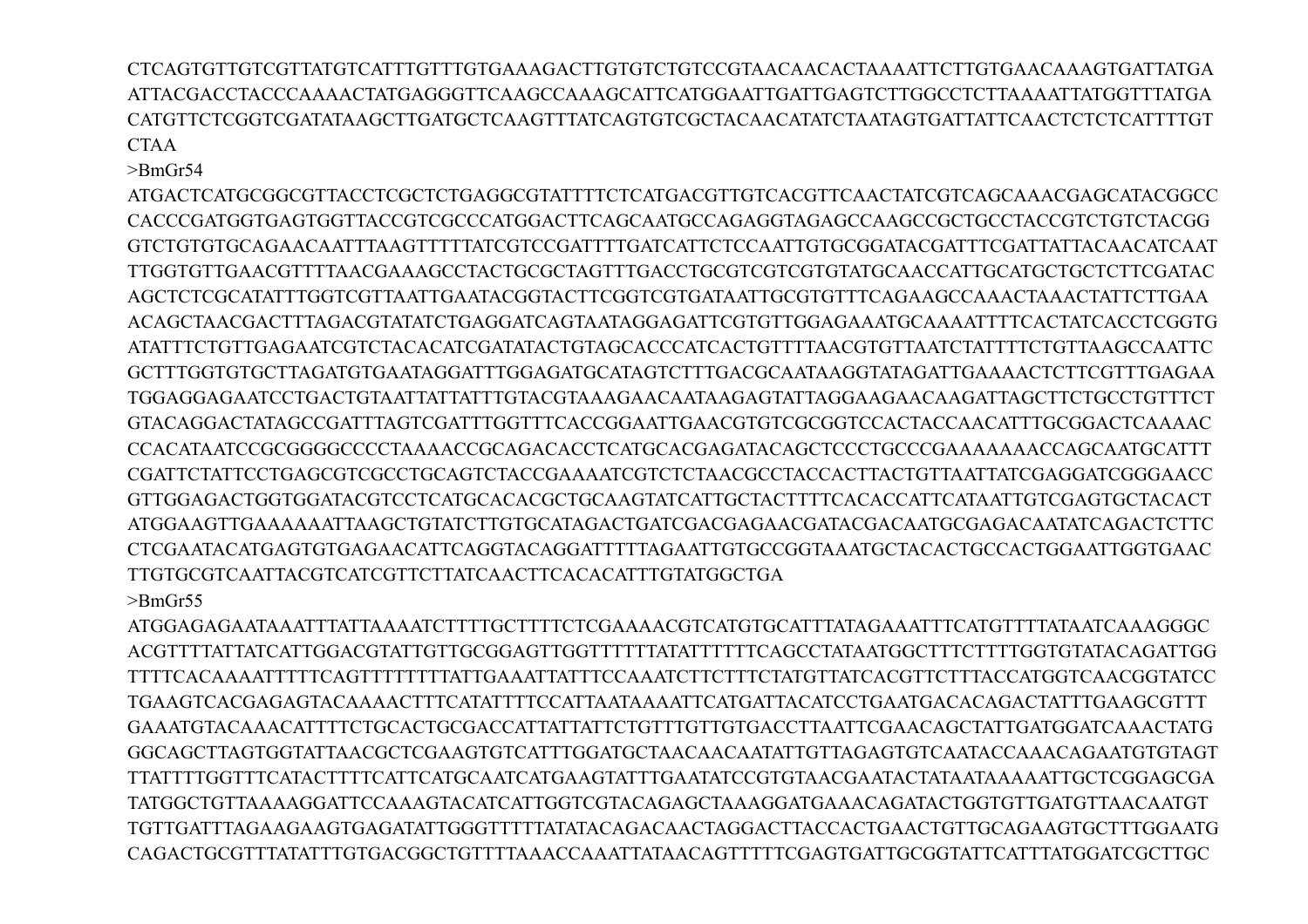CTCAGTGTTGTCGTTATGTCATTTGTTTGTGAAAGACTTGTGTCTGTCCGTAACAACACTAAAATTCTTGTGAACAAAGTGATTATGA ATTACGACCTACCCAAAACTATGAGGGTTCAAGCCAAAGCATTCATGGAATTGATTGAGTCTTGGCCTCTTAAAATTATGGTTTATGA CATGTTCTCGGTCGATATAAGCTTGATGCTCAAGTTTATCAGTGTCGCTACAACATATCTAATAGTGATTATTCAACTCTCTCATTTTGT CTAA

>BmGr54

ATGACTCATGCGGCGTTACCTCGCTCTGAGGCGTATTTTCTCATGACGTTGTCACGTTCAACTATCGTCAGCAAACGAGCATACGGCC CACCCGATGGTGAGTGGTTACCGTCGCCCATGGACTTCAGCAATGCCAGAGGTAGAGCCAAGCCGCTGCCTACCGTCTGTCTACGG GTCTGTGTGCAGAACAATTTAAGTTTTTATCGTCCGATTTTGATCATTCTCCAATTGTGCGGATACGATTTCGATTATTACAACATCAAT TTGGTGTTGAACGTTTTAACGAAAGCCTACTGCGCTAGTTTGACCTGCGTCGTCGTGTATGCAACCATTGCATGCTGCTCTTCGATAC AGCTCTCGCATATTTGGTCGTTAATTGAATACGGTACTTCGGTCGTGATAATTGCGTGTTTCAGAAGCCAAACTAAACTATTCTTGAA ACAGCTAACGACTTTAGACGTATATCTGAGGATCAGTAATAGGAGATTCGTGTTGGAGAAATGCAAAATTTTCACTATCACCTCGGTG ATATTTCTGTTGAGAATCGTCTACACATCGATATACTGTAGCACCCATCACTGTTTTAACGTGTTAATCTATTTTCTGTTAAGCCAATTC GCTTTGGTGTGCTTAGATGTGAATAGGATTTGGAGATGCATAGTCTTTGACGCAATAAGGTATAGATTGAAAACTCTTCGTTTGAGAA TGGAGGAGAATCCTGACTGTAATTATTATTTGTACGTAAAGAACAATAAGAGTATTAGGAAGAACAAGATTAGCTTCTGCCTGTTTCT GTACAGGACTATAGCCGATTTAGTCGATTTGGTTTCACCGGAATTGAACGTGTCGCGGTCCACTACCAACATTTGCGGACTCAAAAC CCACATAATCCGCGGGGCCCCTAAAACCGCAGACACCTCATGCACGAGATACAGCTCCCTGCCCGAAAAAAACCAGCAATGCATTT CGATTCTATTCCTGAGCGTCGCCTGCAGTCTACCGAAAATCGTCTCTAACGCCTACCACTTACTGTTAATTATCGAGGATCGGGAACC GTTGGAGACTGGTGGATACGTCCTCATGCACACGCTGCAAGTATCATTGCTACTTTTCACACCATTCATAATTGTCGAGTGCTACACT ATGGAAGTTGAAAAAATTAAGCTGTATCTTGTGCATAGACTGATCGACGAGAACGATACGACAATGCGAGACAATATCAGACTCTTC CTCGAATACATGAGTGTGAGAACATTCAGGTACAGGATTTTTAGAATTGTGCCGGTAAATGCTACACTGCCACTGGAATTGGTGAAC TTGTGCGTCAATTACGTCATCGTTCTTATCAACTTCACACATTTGTATGGCTGA >BmGr55

ATGGAGAGAATAAATTTATTAAAATCTTTTGCTTTTCTCGAAAACGTCATGTGCATTTATAGAAATTTCATGTTTTATAATCAAAGGGC ACGTTTTATTATCATTGGACGTATTGTTGCGGAGTTGGTTTTTTATATTTTTTCAGCCTATAATGGCTTTCTTTTGGTGTATACAGATTGG TTTTCACAAAATTTTTCAGTTTTTTTTATTGAAATTATTTCCAAATCTTCTTTCTATGTTATCACGTTCTTTACCATGGTCAACGGTATCC TGAAGTCACGAGAGTACAAAACTTTCATATTTTCCATTAATAAAATTCATGATTACATCCTGAATGACACAGACTATTTGAAGCGTTT GAAATGTACAAACATTTTCTGCACTGCGACCATTATTATTCTGTTTGTTGTGACCTTAATTCGAACAGCTATTGATGGATCAAACTATG GGCAGCTTAGTGGTATTAACGCTCGAAGTGTCATTTGGATGCTAACAACAATATTGTTAGAGTGTCAATACCAAACAGAATGTGTAGT TTATTTTGGTTTCATACTTTTCATTCATGCAATCATGAAGTATTTGAATATCCGTGTAACGAATACTATAATAAAAATTGCTCGGAGCGA TATGGCTGTTAAAAGGATTCCAAAGTACATCATTGGTCGTACAGAGCTAAAGGATGAAACAGATACTGGTGTTGATGTTAACAATGT TGTTGATTTAGAAGAAGTGAGATATTGGGTTTTTATATACAGACAACTAGGACTTACCACTGAACTGTTGCAGAAGTGCTTTGGAATG CAGACTGCGTTTATATTTGTGACGGCTGTTTTAAACCAAATTATAACAGTTTTTCGAGTGATTGCGGTATTCATTTATGGATCGCTTGC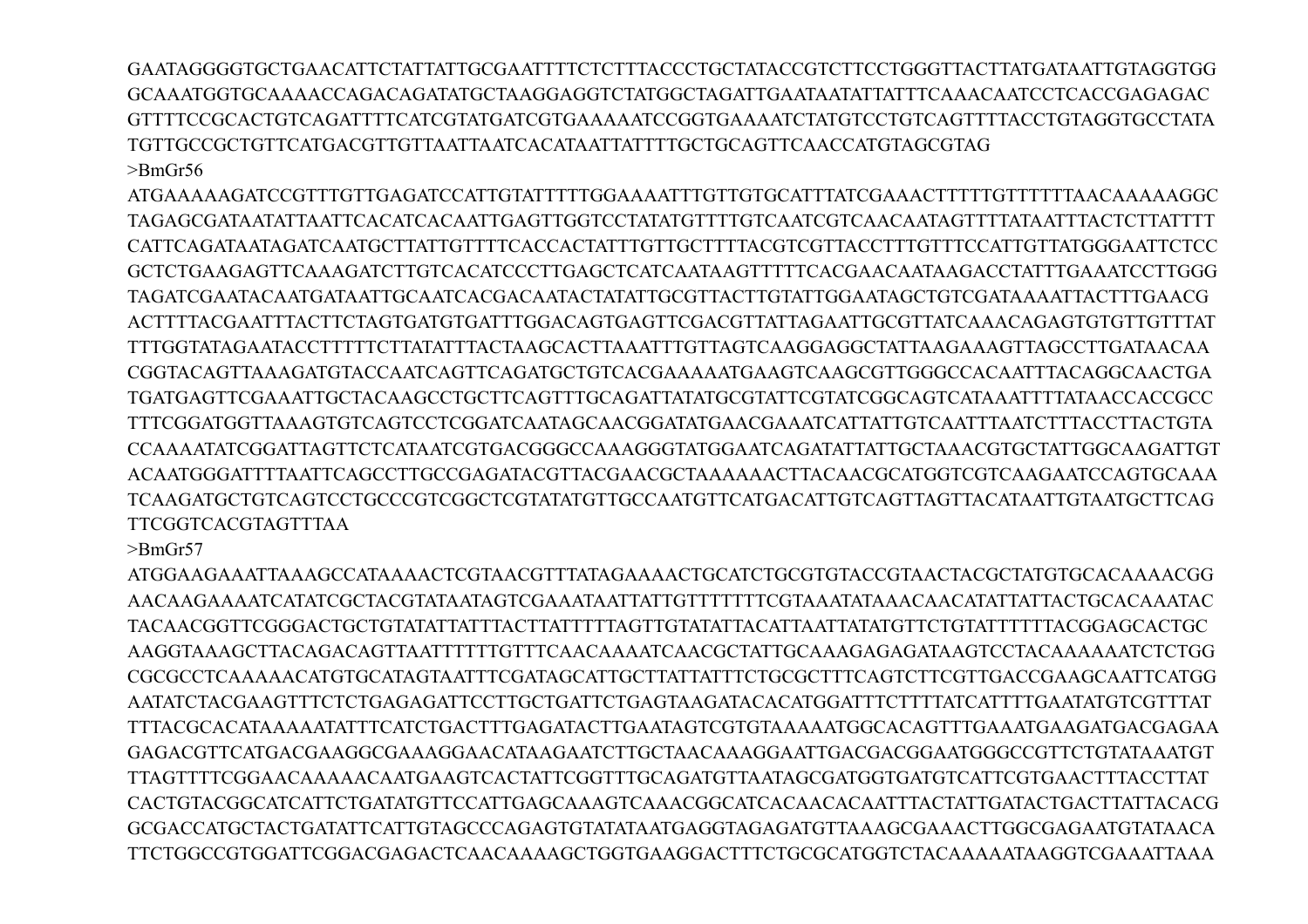GAATAGGGGTGCTGAACATTCTATTATTGCGAATTTTCTCTTTACCCTGCTATACCGTCTTCCTGGGTTACTTATGATAATTGTAGGTGG GCAAATGGTGCAAAACCAGACAGATATGCTAAGGAGGTCTATGGCTAGATTGAATAATATTATTTCAAACAATCCTCACCGAGAGAC GTTTTCCGCACTGTCAGATTTTCATCGTATGATCGTGAAAAATCCGGTGAAAATCTATGTCCTGTCAGTTTTACCTGTAGGTGCCTATA TGTTGCCGCTGTTCATGACGTTGTTAATTAATCACATAATTATTTTGCTGCAGTTCAACCATGTAGCGTAG >BmGr56

ATGAAAAAGATCCGTTTGTTGAGATCCATTGTATTTTTGGAAAATTTGTTGTGCATTTATCGAAACTTTTTGTTTTTTAACAAAAAGGC TAGAGCGATAATATTAATTCACATCACAATTGAGTTGGTCCTATATGTTTTGTCAATCGTCAACAATAGTTTTATAATTTACTCTTATTTT CATTCAGATAATAGATCAATGCTTATTGTTTTCACCACTATTTGTTGCTTTTACGTCGTTACCTTTGTTTCCATTGTTATGGGAATTCTCC GCTCTGAAGAGTTCAAAGATCTTGTCACATCCCTTGAGCTCATCAATAAGTTTTTCACGAACAATAAGACCTATTTGAAATCCTTGGG TAGATCGAATACAATGATAATTGCAATCACGACAATACTATATTGCGTTACTTGTATTGGAATAGCTGTCGATAAAATTACTTTGAACG ACTTTTACGAATTTACTTCTAGTGATGTGATTTGGACAGTGAGTTCGACGTTATTAGAATTGCGTTATCAAACAGAGTGTGTTGTTTAT TTTGGTATAGAATACCTTTTTCTTATATTTACTAAGCACTTAAATTTGTTAGTCAAGGAGGCTATTAAGAAAGTTAGCCTTGATAACAA CGGTACAGTTAAAGATGTACCAATCAGTTCAGATGCTGTCACGAAAAATGAAGTCAAGCGTTGGGCCACAATTTACAGGCAACTGA TGATGAGTTCGAAATTGCTACAAGCCTGCTTCAGTTTGCAGATTATATGCGTATTCGTATCGGCAGTCATAAATTTTATAACCACCGCC TTTCGGATGGTTAAAGTGTCAGTCCTCGGATCAATAGCAACGGATATGAACGAAATCATTATTGTCAATTTAATCTTTACCTTACTGTA CCAAAATATCGGATTAGTTCTCATAATCGTGACGGGCCAAAGGGTATGGAATCAGATATTATTGCTAAACGTGCTATTGGCAAGATTGT ACAATGGGATTTTAATTCAGCCTTGCCGAGATACGTTACGAACGCTAAAAAACTTACAACGCATGGTCGTCAAGAATCCAGTGCAAA TCAAGATGCTGTCAGTCCTGCCCGTCGGCTCGTATATGTTGCCAATGTTCATGACATTGTCAGTTAGTTACATAATTGTAATGCTTCAG TTCGGTCACGTAGTTTAA

>BmGr57

ATGGAAGAAATTAAAGCCATAAAACTCGTAACGTTTATAGAAAACTGCATCTGCGTGTACCGTAACTACGCTATGTGCACAAAACGG AACAAGAAAATCATATCGCTACGTATAATAGTCGAAATAATTATTGTTTTTTTCGTAAATATAAACAACATATTATTACTGCACAAATAC TACAACGGTTCGGGACTGCTGTATATTATTTACTTATTTTTAGTTGTATATTACATTAATTATATGTTCTGTATTTTTTACGGAGCACTGC AAGGTAAAGCTTACAGACAGTTAATTTTTTGTTTCAACAAAATCAACGCTATTGCAAAGAGAGATAAGTCCTACAAAAAATCTCTGG CGCGCCTCAAAAACATGTGCATAGTAATTTCGATAGCATTGCTTATTATTTCTGCGCTTTCAGTCTTCGTTGACCGAAGCAATTCATGG AATATCTACGAAGTTTCTCTGAGAGATTCCTTGCTGATTCTGAGTAAGATACACATGGATTTCTTTTATCATTTTGAATATGTCGTTTAT TTTACGCACATAAAAATATTTCATCTGACTTTGAGATACTTGAATAGTCGTGTAAAAATGGCACAGTTTGAAATGAAGATGACGAGAA GAGACGTTCATGACGAAGGCGAAAGGAACATAAGAATCTTGCTAACAAAGGAATTGACGACGGAATGGGCCGTTCTGTATAAATGT TTAGTTTTCGGAACAAAAACAATGAAGTCACTATTCGGTTTGCAGATGTTAATAGCGATGGTGATGTCATTCGTGAACTTTACCTTAT CACTGTACGGCATCATTCTGATATGTTCCATTGAGCAAAGTCAAACGGCATCACAACACAATTTACTATTGATACTGACTTATTACACG GCGACCATGCTACTGATATTCATTGTAGCCCAGAGTGTATATAATGAGGTAGAGATGTTAAAGCGAAACTTGGCGAGAATGTATAACA TTCTGGCCGTGGATTCGGACGAGACTCAACAAAAGCTGGTGAAGGACTTTCTGCGCATGGTCTACAAAAATAAGGTCGAAATTAAA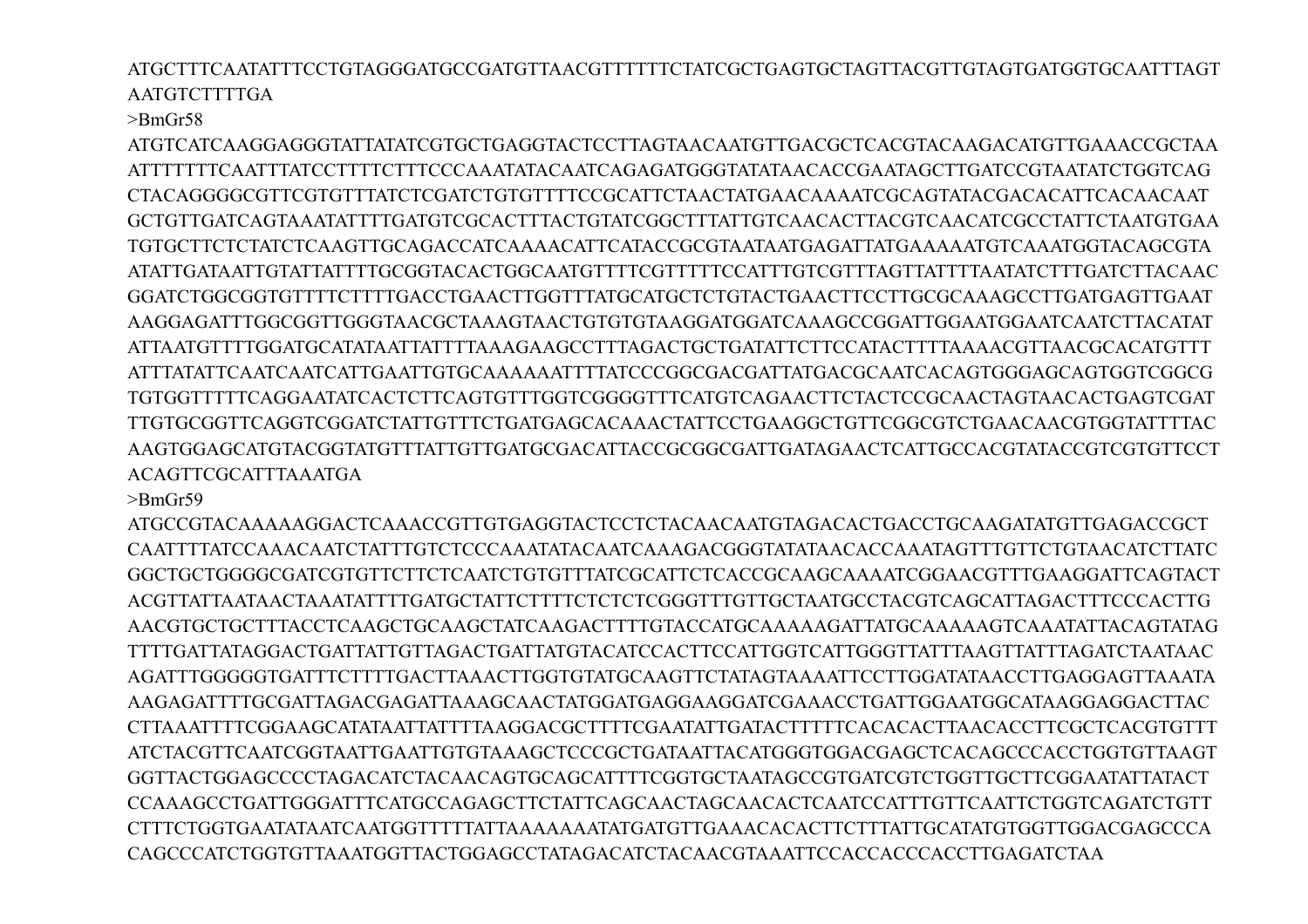ATGCTTTCAATATTTCCTGTAGGGATGCCGATGTTAACGTTTTTTCTATCGCTGAGTGCTAGTTACGTTGTAGTGATGGTGCAATTTAGT **AATGTCTTTTGA** 

## >BmGr58

ATGTCATCAAGGAGGGTATTATATCGTGCTGAGGTACTCCTTAGTAACAATGTTGACGCTCACGTACAAGACATGTTGAAACCGCTAA ATTTTTTTCAATTTATCCTTTTCTTTCCCAAATATACAATCAGAGATGGGTATATAACACCGAATAGCTTGATCCGTAATATCTGGTCAG CTACAGGGGCGTTCGTGTTTATCTCGATCTGTGTTTTCCGCATTCTAACTATGAACAAAATCGCAGTATACGACACATTCACAACAAT GCTGTTGATCAGTAAATATTTTGATGTCGCACTTTACTGTATCGGCTTTATTGTCAACACTTACGTCAACATCGCCTATTCTAATGTGAA TGTGCTTCTCTATCTCAAGTTGCAGACCATCAAAACATTCATACCGCGTAATAATGAGATTATGAAAAATGTCAAATGGTACAGCGTA ATATTGATAATTGTATTATTTTGCGGTACACTGGCAATGTTTTCGTTTTTCCATTTGTCGTTTAGTTATTTTAATATCTTTGATCTTACAAC GGATCTGGCGGTGTTTTCTTTTGACCTGAACTTGGTTTATGCATGCTCTGTACTGAACTTCCTTGCGCAAAGCCTTGATGAGTTGAAT AAGGAGATTTGGCGGTTGGGTAACGCTAAAGTAACTGTGTGTAAGGATGGATCAAAGCCGGATTGGAATGGAATCAATCTTACATAT ATTAATGTTTTGGATGCATATAATTATTTTAAAGAAGCCTTTAGACTGCTGATATTCTTCCATACTTTTAAAACGTTAACGCACATGTTT ATTTATATTCAATCAATCATTGAATTGTGCAAAAAATTTTATCCCGGCGACGATTATGACGCAATCACAGTGGGAGCAGTGGTCGGCG TGTGGTTTTTCAGGAATATCACTCTTCAGTGTTTGGTCGGGGTTTCATGTCAGAACTTCTACTCCGCAACTAGTAACACTGAGTCGAT TTGTGCGGTTCAGGTCGGATCTATTGTTTCTGATGAGCACAAACTATTCCTGAAGGCTGTTCGGCGTCTGAACAACGTGGTATTTTAC AAGTGGAGCATGTACGGTATGTTTATTGTTGATGCGACATTACCGCGGCGATTGATAGAACTCATTGCCACGTATACCGTCGTGTTCCT ACAGTTCGCATTTAAATGA

>BmGr59

ATGCCGTACAAAAAGGACTCAAACCGTTGTGAGGTACTCCTCTACAACAATGTAGACACTGACCTGCAAGATATGTTGAGACCGCT CAATTTTATCCAAACAATCTATTTGTCTCCCAAATATACAATCAAAGACGGGTATATAACACCAAATAGTTTGTTCTGTAACATCTTATC GGCTGCTGGGGCGATCGTGTTCTTCTCAATCTGTGTTTATCGCATTCTCACCGCAAGCAAAATCGGAACGTTTGAAGGATTCAGTACT ACGTTATTAATAACTAAATATTTTGATGCTATTCTTTTCTCTCTCGGGTTTGTTGCTAATGCCTACGTCAGCATTAGACTTTCCCACTTG AACGTGCTGCTTTACCTCAAGCTGCAAGCTATCAAGACTTTTGTACCATGCAAAAAGATTATGCAAAAAGTCAAATATTACAGTATAG TTTTGATTATAGGACTGATTATTGTTAGACTGATTATGTACATCCACTTCCATTGGTCATTGGGTTATTTAAGTTATTTAGATCTAATAAC AGATTTGGGGGTGATTTCTTTTGACTTAAACTTGGTGTATGCAAGTTCTATAGTAAAATTCCTTGGATATAACCTTGAGGAGTTAAATA AAGAGATTTTGCGATTAGACGAGATTAAAGCAACTATGGATGAGGAAGGATCGAAACCTGATTGGAATGGCATAAGGAGGACTTAC CTTAAATTTTCGGAAGCATATAATTATTTTAAGGACGCTTTTCGAATATTGATACTTTTTCACACACTTAACACCTTCGCTCACGTGTTT ATCTACGTTCAATCGGTAATTGAATTGTGTAAAGCTCCCGCTGATAATTACATGGGTGGACGAGCTCACAGCCCACCTGGTGTTAAGT GGTTACTGGAGCCCCTAGACATCTACAACAGTGCAGCATTTTCGGTGCTAATAGCCGTGATCGTCTGGTTGCTTCGGAATATTATACT CCAAAGCCTGATTGGGATTTCATGCCAGAGCTTCTATTCAGCAACTAGCAACACTCAATCCATTTGTTCAATTCTGGTCAGATCTGTT CTTTCTGGTGAATATAATCAATGGTTTTTATTAAAAAAATATGATGTTGAAACACACTTCTTTATTGCATATGTGGTTGGACGAGCCCA CAGCCCATCTGGTGTTAAATGGTTACTGGAGCCTATAGACATCTACAACGTAAATTCCACCACCCACCTTGAGATCTAA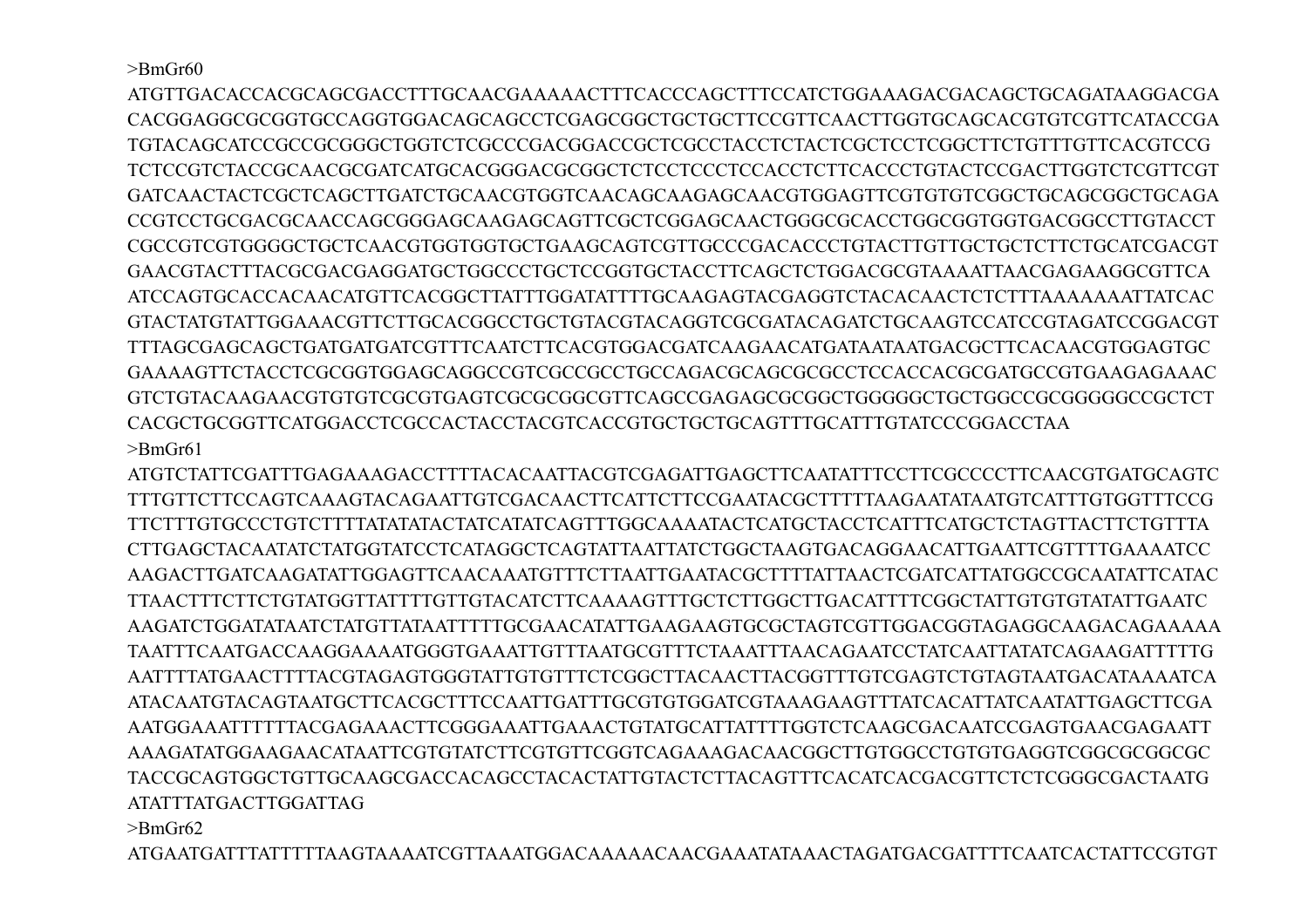$>$ BmGr60

ATGTTGACACCACGCAGCGACCTTTGCAACGAAAAACTTTCACCCAGCTTTCCATCTGGAAAGACGACAGCTGCAGATAAGGACGA CACGGAGGCGCGGTGCCAGGTGGACAGCAGCCTCGAGCGGCTGCTGCTTCCGTTCAACTTGGTGCAGCACGTGTCGTTCATACCGA TGTACAGCATCCGCCGCGGGCTGGTCTCGCCCGACGGACCGCTCGCCTACCTCTACTCGCTCCTCGGCTTCTGTTTGTTCACGTCCG TCTCCGTCTACCGCAACGCGATCATGCACGGGACGCGGCTCTCCTCCCTCCACCTCTTCACCCTGTACTCCGACTTGGTCTCGTTCGT GATCAACTACTCGCTCAGCTTGATCTGCAACGTGGTCAACAGCAAGAGCAACGTGGAGTTCGTGTGTCGGCTGCAGCGGCTGCAGA CCGTCCTGCGACGCAACCAGCGGGAGCAAGAGCAGTTCGCTCGGAGCAACTGGGCGCACCTGGCGGTGGTGACGGCCTTGTACCT CGCCGTCGTGGGGCTGCTCAACGTGGTGGTGCTGAAGCAGTCGTTGCCCGACACCCTGTACTTGTTGCTGCTCTTCTGCATCGACGT GAACGTACTTTACGCGACGAGGATGCTGGCCCTGCTCCGGTGCTACCTTCAGCTCTGGACGCGTAAAATTAACGAGAAGGCGTTCA ATCCAGTGCACCACAACATGTTCACGGCTTATTTGGATATTTTGCAAGAGTACGAGGTCTACACAACTCTCTTTAAAAAAATTATCAC GTACTATGTATTGGAAACGTTCTTGCACGGCCTGCTGTACGTACAGGTCGCGATACAGATCTGCAAGTCCATCCGTAGATCCGGACGT TTTAGCGAGCAGCTGATGATGATCGTTTCAATCTTCACGTGGACGATCAAGAACATGATAATAATGACGCTTCACAACGTGGAGTGC GAAAAGTTCTACCTCGCGGTGGAGCAGGCCGTCGCCGCCTGCCAGACGCAGCGCGCCTCCACCACGCGATGCCGTGAAGAGAAAC GTCTGTACAAGAACGTGTGTCGCGTGAGTCGCGCGGCGTTCAGCCGAGAGCGCGGCTGGGGGCTGCTGGCCGCGGGGGCCGCTCT CACGCTGCGGTTCATGGACCTCGCCACTACCTACGTCACCGTGCTGCTGCAGTTTGCATTTGTATCCCGGACCTAA >BmGr61

ATGTCTATTCGATTTGAGAAAGACCTTTTACACAATTACGTCGAGATTGAGCTTCAATATTTCCTTCGCCCCTTCAACGTGATGCAGTC TTTGTTCTTCCAGTCAAAGTACAGAATTGTCGACAACTTCATTCTTCCGAATACGCTTTTTAAGAATATAATGTCATTTGTGGTTTCCG TTCTTTGTGCCCTGTCTTTTATATATACTATCATATCAGTTTGGCAAAATACTCATGCTACCTCATTTCATGCTCTAGTTACTTCTGTTTA CTTGAGCTACAATATCTATGGTATCCTCATAGGCTCAGTATTAATTATCTGGCTAAGTGACAGGAACATTGAATTCGTTTTGAAAATCC AAGACTTGATCAAGATATTGGAGTTCAACAAATGTTTCTTAATTGAATACGCTTTTATTAACTCGATCATTATGGCCGCAATATTCATAC TTAACTTTCTTCTGTATGGTTATTTTGTTGTACATCTTCAAAAGTTTGCTCTTGGCTTGACATTTTCGGCTATTGTGTGTATATTGAATC AAGATCTGGATATAATCTATGTTATAATTTTTGCGAACATATTGAAGAAGTGCGCTAGTCGTTGGACGGTAGAGGCAAGACAGAAAAA TAATTTCAATGACCAAGGAAAATGGGTGAAATTGTTTAATGCGTTTCTAAATTTAACAGAATCCTATCAATTATATCAGAAGATTTTTG AATTTTATGAACTTTTACGTAGAGTGGGTATTGTGTTTCTCGGCTTACAACTTACGGTTTGTCGAGTCTGTAGTAATGACATAAAATCA ATACAATGTACAGTAATGCTTCACGCTTTCCAATTGATTTGCGTGTGGATCGTAAAGAAGTTTATCACATTATCAATATTGAGCTTCGA AATGGAAATTTTTTACGAGAAACTTCGGGAAATTGAAACTGTATGCATTATTTTGGTCTCAAGCGACAATCCGAGTGAACGAGAATT AAAGATATGGAAGAACATAATTCGTGTATCTTCGTGTTCGGTCAGAAAGACAACGGCTTGTGGCCTGTGTGAGGTCGGCGCGGCGC TACCGCAGTGGCTGTTGCAAGCGACCACAGCCTACACTATTGTACTCTTACAGTTTCACATCACGACGTTCTCTCGGGCGACTAATG ATATTTATGACTTGGATTAG

>BmGr62

ATGAATGATTTATTTTTAAGTAAAATCGTTAAATGGACAAAAACAACGAAATATAAACTAGATGACGATTTTCAATCACTATTCCGTGT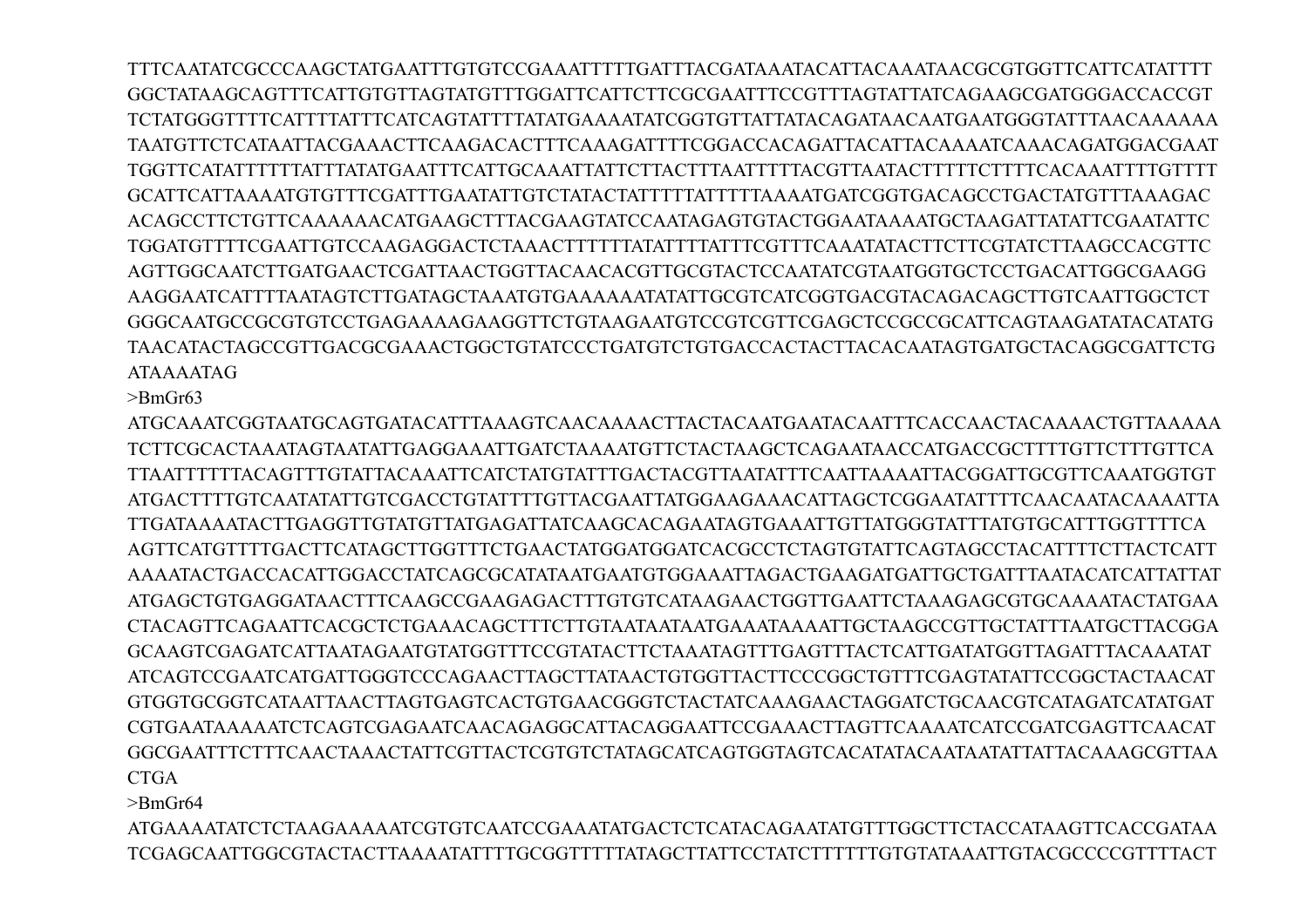TTTCAATATCGCCCAAGCTATGAATTTGTGTCCGAAATTTTTGATTTACGATAAATACATTACAAATAACGCGTGGTTCATTCATATTTT GGCTATAAGCAGTTTCATTGTGTTAGTATGTTTGGATTCATTCTTCGCGAATTTCCGTTTAGTATTATCAGAAGCGATGGGACCACCGT TCTATGGGTTTTCATTTTATTTCATCAGTATTTTATATGAAAATATCGGTGTTATTATACAGATAACAATGAATGGGTATTTAACAAAAAA TAATGTTCTCATAATTACGAAACTTCAAGACACTTTCAAAGATTTTCGGACCACAGATTACATTACAAAATCAAACAGATGGACGAAT TGGTTCATATTTTTTATTTATATGAATTTCATTGCAAATTATTCTTACTTTAATTTTTACGTTAATACTTTTTCTTTTCACAAATTTTGTTTT GCATTCATTAAAATGTGTTTCGATTTGAATATTGTCTATACTATTTTTATTTTTAAAATGATCGGTGACAGCCTGACTATGTTTAAAGAC ACAGCCTTCTGTTCAAAAAACATGAAGCTTTACGAAGTATCCAATAGAGTGTACTGGAATAAAATGCTAAGATTATATTCGAATATTC TGGATGTTTTCGAATTGTCCAAGAGGACTCTAAACTTTTTTATATTTTATTTCGTTTCAAATATACTTCTTCGTATCTTAAGCCACGTTC AGTTGGCAATCTTGATGAACTCGATTAACTGGTTACAACACGTTGCGTACTCCAATATCGTAATGGTGCTCCTGACATTGGCGAAGG AAGGAATCATTTTAATAGTCTTGATAGCTAAATGTGAAAAAATATATTGCGTCATCGGTGACGTACAGACAGCTTGTCAATTGGCTCT GGGCAATGCCGCGTGTCCTGAGAAAAGAAGGTTCTGTAAGAATGTCCGTCGTTCGAGCTCCGCCGCATTCAGTAAGATATACATATG TAACATACTAGCCGTTGACGCGAAACTGGCTGTATCCCTGATGTCTGTGACCACTACTTACACAATAGTGATGCTACAGGCGATTCTG ATAAAATAG

>BmGr63

ATGCAAATCGGTAATGCAGTGATACATTTAAAGTCAACAAAACTTACTACAATGAATACAATTTCACCAACTACAAAACTGTTAAAAA TCTTCGCACTAAATAGTAATATTGAGGAAATTGATCTAAAATGTTCTACTAAGCTCAGAATAACCATGACCGCTTTTGTTCTTTGTTCA TTAATTTTTTACAGTTTGTATTACAAATTCATCTATGTATTTGACTACGTTAATATTTCAATTAAAATTACGGATTGCGTTCAAATGGTGT ATGACTTTTGTCAATATATTGTCGACCTGTATTTTGTTACGAATTATGGAAGAAACATTAGCTCGGAATATTTTCAACAATACAAAATTA TTGATAAAATACTTGAGGTTGTATGTTATGAGATTATCAAGCACAGAATAGTGAAATTGTTATGGGTATTTATGTGCATTTGGTTTTCA AGTTCATGTTTTGACTTCATAGCTTGGTTTCTGAACTATGGATGGATCACGCCTCTAGTGTATTCAGTAGCCTACATTTTCTTACTCATT AAAATACTGACCACATTGGACCTATCAGCGCATATAATGAATGTGGAAATTAGACTGAAGATGATTGCTGATTTAATACATCATTATTAT ATGAGCTGTGAGGATAACTTTCAAGCCGAAGAGACTTTGTGTCATAAGAACTGGTTGAATTCTAAAGAGCGTGCAAAATACTATGAA CTACAGTTCAGAATTCACGCTCTGAAACAGCTTTCTTGTAATAATAATGAAATAAAATTGCTAAGCCGTTGCTATTTAATGCTTACGGA GCAAGTCGAGATCATTAATAGAATGTATGGTTTCCGTATACTTCTAAATAGTTTGAGTTTACTCATTGATATGGTTAGATTTACAAATAT ATCAGTCCGAATCATGATTGGGTCCCAGAACTTAGCTTATAACTGTGGTTACTTCCCGGCTGTTTCGAGTATATTCCGGCTACTAACAT GTGGTGCGGTCATAATTAACTTAGTGAGTCACTGTGAACGGGTCTACTATCAAAGAACTAGGATCTGCAACGTCATAGATCATATGAT CGTGAATAAAAATCTCAGTCGAGAATCAACAGAGGCATTACAGGAATTCCGAAACTTAGTTCAAAATCATCCGATCGAGTTCAACAT GGCGAATTTCTTTCAACTAAACTATTCGTTACTCGTGTCTATAGCATCAGTGGTAGTCACATATACAATAATATTATTACAAAGCGTTAA CTGA

>BmGr64

ATGAAAATATCTCTAAGAAAAATCGTGTCAATCCGAAATATGACTCTCATACAGAATATGTTTGGCTTCTACCATAAGTTCACCGATAA TCGAGCAATTGGCGTACTACTTAAAATATTTTGCGGTTTTTATAGCTTATTCCTATCTTTTTTGTGTATAAATTGTACGCCCCGTTTTACT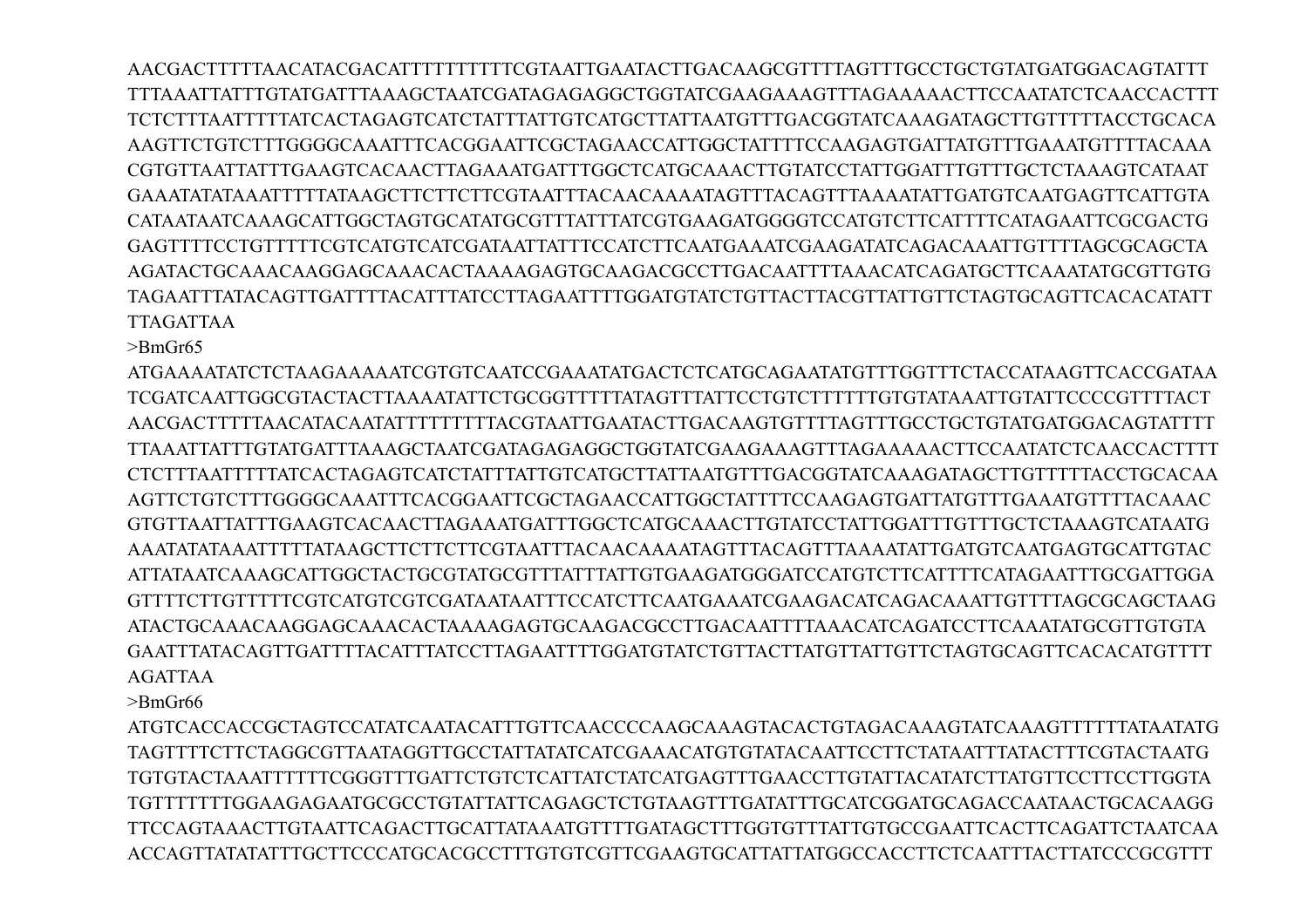AACGACTTTTTAACATACGACATTTTTTTTTTCGTAATTGAATACTTGACAAGCGTTTTAGTTTGCCTGCTGTATGATGGACAGTATTT TTTAAATTATTTGTATGATTTAAAGCTAATCGATAGAGAGGCTGGTATCGAAGAAAGTTTAGAAAAACTTCCAATATCTCAACCACTTT TCTCTTTAATTTTTATCACTAGAGTCATCTATTTATTGTCATGCTTATTAATGTTTGACGGTATCAAAGATAGCTTGTTTTTACCTGCACA AAGTTCTGTCTTTGGGGCAAATTTCACGGAATTCGCTAGAACCATTGGCTATTTTCCAAGAGTGATTATGTTTGAAATGTTTTACAAA CGTGTTAATTATTTGAAGTCACAACTTAGAAATGATTTGGCTCATGCAAACTTGTATCCTATTGGATTTGTTTGCTCTAAAGTCATAAT GAAATATATAAATTTTTATAAGCTTCTTCTTCGTAATTTACAACAAAATAGTTTACAGTTTAAAATATTGATGTCAATGAGTTCATTGTA CATAATAATCAAAGCATTGGCTAGTGCATATGCGTTTATTTATCGTGAAGATGGGGTCCATGTCTTCATTTTCATAGAATTCGCGACTG GAGTTTTCCTGTTTTTCGTCATGTCATCGATAATTATTTCCATCTTCAATGAAATCGAAGATATCAGACAAATTGTTTTAGCGCAGCTA AGATACTGCAAACAAGGAGCAAACACTAAAAGAGTGCAAGACGCCTTGACAATTTTAAACATCAGATGCTTCAAATATGCGTTGTG TAGAATTTATACAGTTGATTTTACATTTATCCTTAGAATTTTGGATGTATCTGTTACTTACGTTATTGTTCTAGTGCAGTTCACACATATT TTAGATTAA

>BmGr65

ATGAAAATATCTCTAAGAAAAATCGTGTCAATCCGAAATATGACTCTCATGCAGAATATGTTTGGTTTCTACCATAAGTTCACCGATAA TCGATCAATTGGCGTACTACTTAAAATATTCTGCGGTTTTTATAGTTTATTCCTGTCTTTTTTGTGTATAAATTGTATTCCCCGTTTTACT AACGACTTTTTAACATACAATATTTTTTTTTACGTAATTGAATACTTGACAAGTGTTTTAGTTTGCCTGCTGTATGATGGACAGTATTTT TTAAATTATTTGTATGATTTAAAGCTAATCGATAGAGAGGCTGGTATCGAAGAAAGTTTAGAAAAACTTCCAATATCTCAACCACTTTT CTCTTTAATTTTTATCACTAGAGTCATCTATTTATTGTCATGCTTATTAATGTTTGACGGTATCAAAGATAGCTTGTTTTTACCTGCACAA AGTTCTGTCTTTGGGGCAAATTTCACGGAATTCGCTAGAACCATTGGCTATTTTCCAAGAGTGATTATGTTTGAAATGTTTTACAAAC GTGTTAATTATTTGAAGTCACAACTTAGAAATGATTTGGCTCATGCAAACTTGTATCCTATTGGATTTGTTTGCTCTAAAGTCATAATG AAATATATAAATTTTTATAAGCTTCTTCTTCGTAATTTACAACAAAATAGTTTACAGTTTAAAATATTGATGTCAATGAGTGCATTGTAC ATTATAATCAAAGCATTGGCTACTGCGTATGCGTTTATTTATTGTGAAGATGGGATCCATGTCTTCATTTTCATAGAATTTGCGATTGGA GTTTTCTTGTTTTTCGTCATGTCGTCGATAATAATTTCCATCTTCAATGAAATCGAAGACATCAGACAAATTGTTTTAGCGCAGCTAAG ATACTGCAAACAAGGAGCAAACACTAAAAGAGTGCAAGACGCCTTGACAATTTTAAACATCAGATCCTTCAAATATGCGTTGTGTA GAATTTATACAGTTGATTTTACATTTATCCTTAGAATTTTGGATGTATCTGTTACTTATGTTATTGTTCTAGTGCAGTTCACACATGTTTT AGATTAA

>BmGr66

ATGTCACCACCGCTAGTCCATATCAATACATTTGTTCAACCCCAAGCAAAGTACACTGTAGACAAAGTATCAAAGTTTTTTATAATATG TAGTTTTCTTCTAGGCGTTAATAGGTTGCCTATTATATCATCGAAACATGTGTATACAATTCCTTCTATAATTTATACTTTCGTACTAATG TGTGTACTAAATTTTTTCGGGTTTGATTCTGTCTCATTATCTATCATGAGTTTGAACCTTGTATTACATATCTTATGTTCCTTCCTTGGTA TGTTTTTTTGGAAGAGAATGCGCCTGTATTATTCAGAGCTCTGTAAGTTTGATATTTGCATCGGATGCAGACCAATAACTGCACAAGG TTCCAGTAAACTTGTAATTCAGACTTGCATTATAAATGTTTTGATAGCTTTGGTGTTTATTGTGCCGAATTCACTTCAGATTCTAATCAA ACCAGTTATATATTTGCTTCCCATGCACGCCTTTGTGTCGTTCGAAGTGCATTATTATGGCCACCTTCTCAATTTACTTATCCCGCGTTT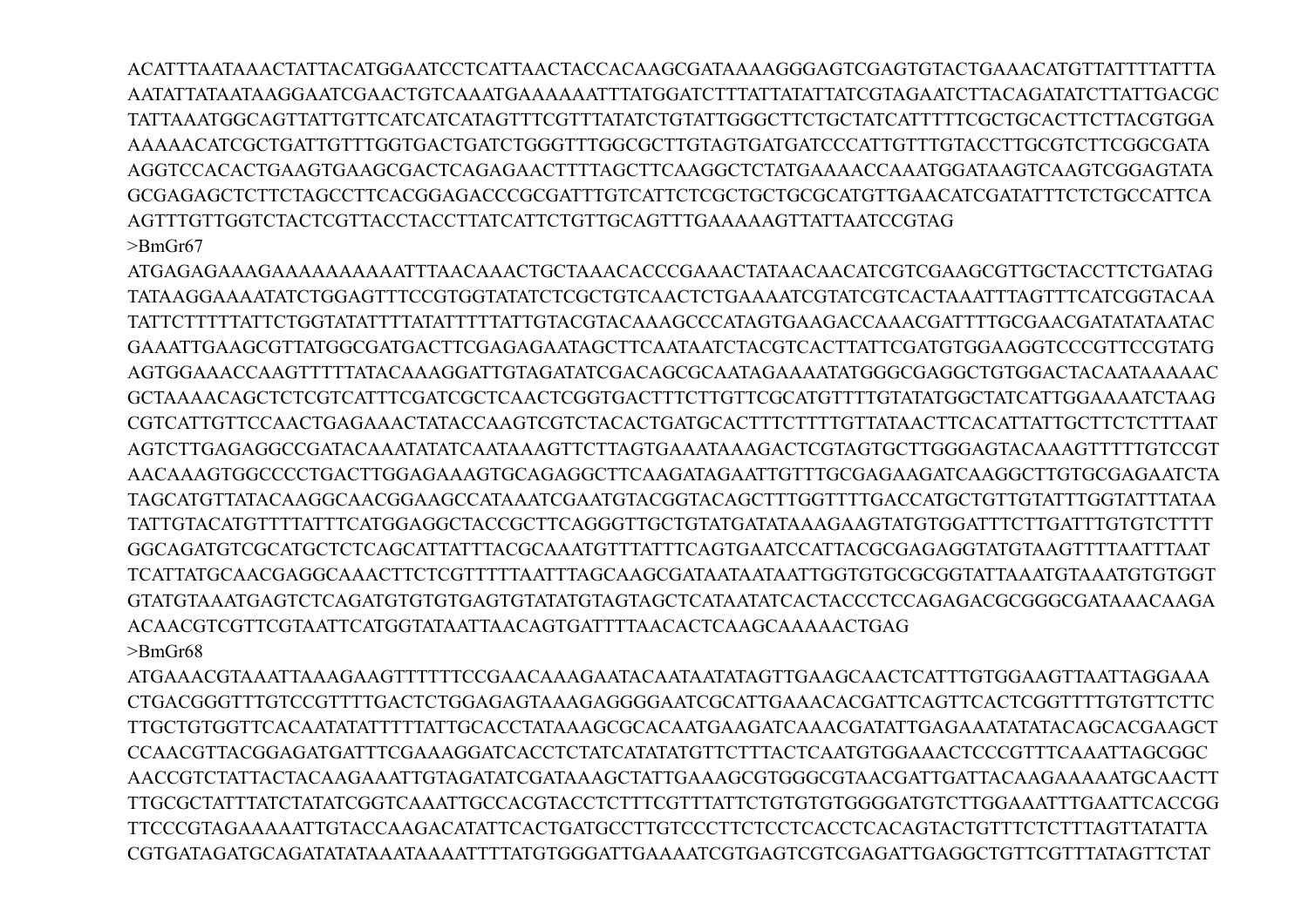ACATTTAATAAACTATTACATGGAATCCTCATTAACTACCACAAGCGATAAAAGGGAGTCGAGTGTACTGAAACATGTTATTTTATTTA AATATTATAATAAGGAATCGAACTGTCAAATGAAAAAATTTATGGATCTTTATTATATTATCGTAGAATCTTACAGATATCTTATTGACGC TATTAAATGGCAGTTATTGTTCATCATCATAGTTTCGTTTATATCTGTATTGGGCTTCTGCTATCATTTTTCGCTGCACTTCTTACGTGGA AAAAACATCGCTGATTGTTTGGTGACTGATCTGGGTTTGGCGCTTGTAGTGATGATCCCATTGTTTGTACCTTGCGTCTTCGGCGATA AGGTCCACACTGAAGTGAAGCGACTCAGAGAACTTTTAGCTTCAAGGCTCTATGAAAACCAAATGGATAAGTCAAGTCGGAGTATA GCGAGAGCTCTTCTAGCCTTCACGGAGACCCGCGATTTGTCATTCTCGCTGCTGCGCATGTTGAACATCGATATTTCTCTGCCATTCA AGTTTGTTGGTCTACTCGTTACCTACCTTATCATTCTGTTGCAGTTTGAAAAAGTTATTAATCCGTAG >BmGr67

ATGAGAGAAAGAAAAAAAAAATTTAACAAACTGCTAAACACCCGAAACTATAACAACATCGTCGAAGCGTTGCTACCTTCTGATAG TATAAGGAAAATATCTGGAGTTTCCGTGGTATATCTCGCTGTCAACTCTGAAAATCGTATCGTCACTAAATTTAGTTTCATCGGTACAA TATTCTTTTTATTCTGGTATATTTTATATTTTTATTGTACGTACAAAGCCCATAGTGAAGACCAAACGATTTTGCGAACGATATATAATAC GAAATTGAAGCGTTATGGCGATGACTTCGAGAGAATAGCTTCAATAATCTACGTCACTTATTCGATGTGGAAGGTCCCGTTCCGTATG AGTGGAAACCAAGTTTTTATACAAAGGATTGTAGATATCGACAGCGCAATAGAAAATATGGGCGAGGCTGTGGACTACAATAAAAAC GCTAAAACAGCTCTCGTCATTTCGATCGCTCAACTCGGTGACTTTCTTGTTCGCATGTTTTGTATATGGCTATCATTGGAAAATCTAAG CGTCATTGTTCCAACTGAGAAACTATACCAAGTCGTCTACACTGATGCACTTTCTTTTGTTATAACTTCACATTATTGCTTCTCTTTAAT AGTCTTGAGAGGCCGATACAAATATATCAATAAAGTTCTTAGTGAAATAAAGACTCGTAGTGCTTGGGAGTACAAAGTTTTTGTCCGT AACAAAGTGGCCCCTGACTTGGAGAAAGTGCAGAGGCTTCAAGATAGAATTGTTTGCGAGAAGATCAAGGCTTGTGCGAGAATCTA TAGCATGTTATACAAGGCAACGGAAGCCATAAATCGAATGTACGGTACAGCTTTGGTTTTGACCATGCTGTTGTATTTGGTATTTATAA TATTGTACATGTTTTATTTCATGGAGGCTACCGCTTCAGGGTTGCTGTATGATATAAAGAAGTATGTGGATTTCTTGATTTGTGTCTTTT GGCAGATGTCGCATGCTCTCAGCATTATTTACGCAAATGTTTATTTCAGTGAATCCATTACGCGAGAGGTATGTAAGTTTTAATTTAAT TCATTATGCAACGAGGCAAACTTCTCGTTTTTAATTTAGCAAGCGATAATAATAATTGGTGTGCGCGGTATTAAATGTAAATGTGTGGT GTATGTAAATGAGTCTCAGATGTGTGTGAGTGTATATGTAGTAGCTCATAATATCACTACCCTCCAGAGACGCGGGCGATAAACAAGA ACAACGTCGTTCGTAATTCATGGTATAATTAACAGTGATTTTAACACTCAAGCAAAAACTGAG >BmGr68

ATGAAACGTAAATTAAAGAAGTTTTTTCCGAACAAAGAATACAATAATATAGTTGAAGCAACTCATTTGTGGAAGTTAATTAGGAAA CTGACGGGTTTGTCCGTTTTGACTCTGGAGAGTAAAGAGGGGAATCGCATTGAAACACGATTCAGTTCACTCGGTTTTGTGTTCTTC TTGCTGTGGTTCACAATATATTTTTATTGCACCTATAAAGCGCACAATGAAGATCAAACGATATTGAGAAATATATACAGCACGAAGCT CCAACGTTACGGAGATGATTTCGAAAGGATCACCTCTATCATATATGTTCTTTACTCAATGTGGAAACTCCCGTTTCAAATTAGCGGC AACCGTCTATTACTACAAGAAATTGTAGATATCGATAAAGCTATTGAAAGCGTGGGCGTAACGATTGATTACAAGAAAAATGCAACTT TTGCGCTATTTATCTATATCGGTCAAATTGCCACGTACCTCTTTCGTTTATTCTGTGTGTGGGGATGTCTTGGAAATTTGAATTCACCGG TTCCCGTAGAAAAATTGTACCAAGACATATTCACTGATGCCTTGTCCCTTCTCCTCACCTCACAGTACTGTTTCTCTTTAGTTATATTA CGTGATAGATGCAGATATATAAATAAAATTTTATGTGGGATTGAAAATCGTGAGTCGTCGAGATTGAGGCTGTTCGTTTATAGTTCTAT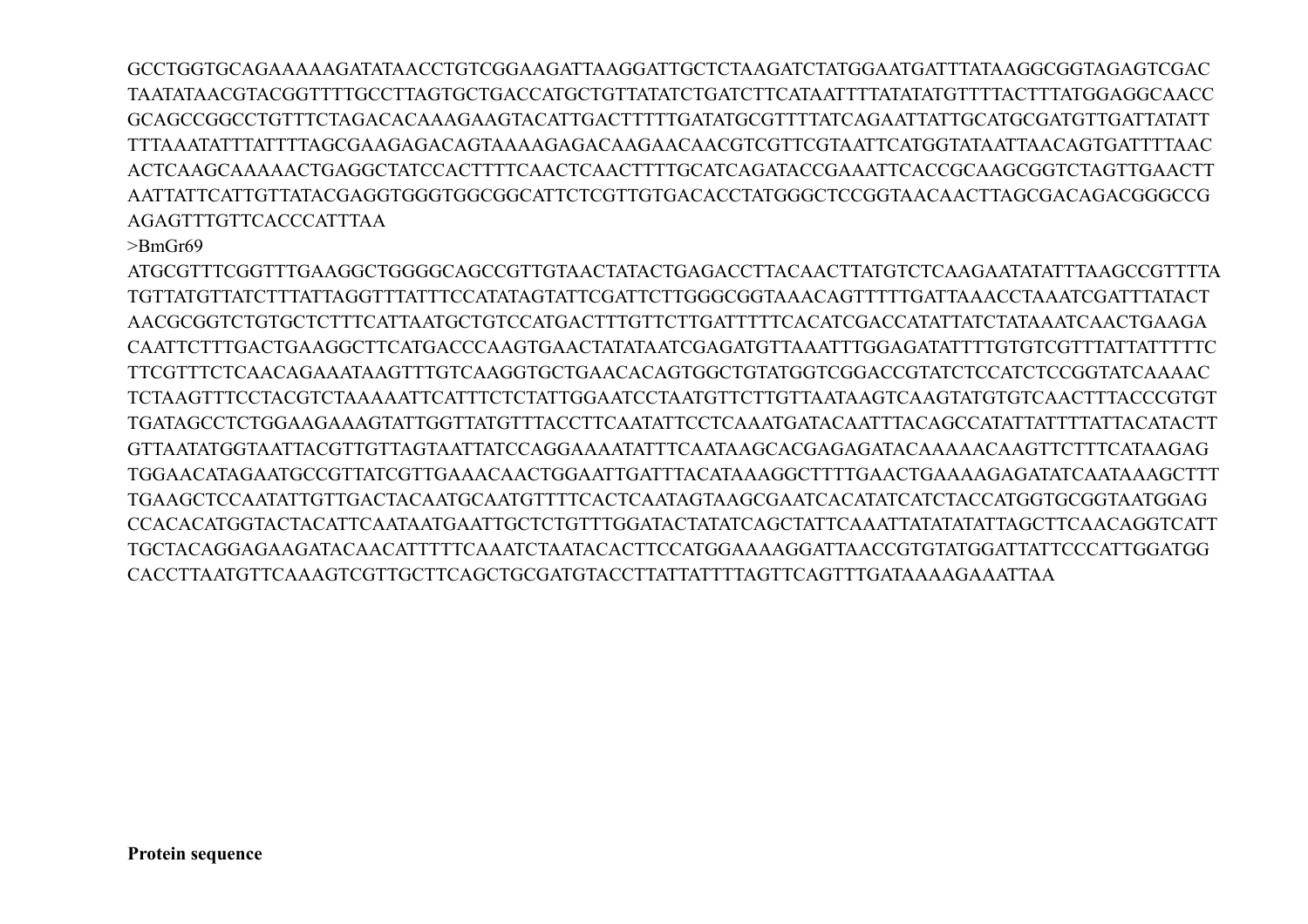GCCTGGTGCAGAAAAAGATATAACCTGTCGGAAGATTAAGGATTGCTCTAAGATCTATGGAATGATTTATAAGGCGGTAGAGTCGAC TAATATAACGTACGGTTTTGCCTTAGTGCTGACCATGCTGTTATATCTGATCTTCATAATTTTATATATGTTTTACTTTATGGAGGCAACC GCAGCCGGCCTGTTTCTAGACACAAAGAAGTACATTGACTTTTTGATATGCGTTTTATCAGAATTATTGCATGCGATGTTGATTATATT TTTAAATATTTATTTTAGCGAAGAGACAGTAAAAGAGACAAGAACAACGTCGTTCGTAATTCATGGTATAATTAACAGTGATTTTAAC ACTCAAGCAAAAACTGAGGCTATCCACTTTTCAACTCAACTTTTGCATCAGATACCGAAATTCACCGCAAGCGGTCTAGTTGAACTT AATTATTCATTGTTATACGAGGTGGGTGGCGGCATTCTCGTTGTGACACCTATGGGCTCCGGTAACAACTTAGCGACAGACGGGCCG AGAGTTTGTTCACCCATTTAA

>BmGr69

ATGCGTTTCGGTTTGAAGGCTGGGGCAGCCGTTGTAACTATACTGAGACCTTACAACTTATGTCTCAAGAATATATTTAAGCCGTTTTA TGTTATGTTATCTTTATTAGGTTTATTTCCATATAGTATTCGATTCTTGGGCGGTAAACAGTTTTTGATTAAACCTAAATCGATTTATACT AACGCGGTCTGTGCTCTTTCATTAATGCTGTCCATGACTTTGTTCTTGATTTTTCACATCGACCATATTATCTATAAATCAACTGAAGA CAATTCTTTGACTGAAGGCTTCATGACCCAAGTGAACTATATAATCGAGATGTTAAATTTGGAGATATTTTGTGTCGTTTATTATTTTTC TTCGTTTCTCAACAGAAATAAGTTTGTCAAGGTGCTGAACACAGTGGCTGTATGGTCGGACCGTATCTCCATCTCCGGTATCAAAAC TCTAAGTTTCCTACGTCTAAAAATTCATTTCTCTATTGGAATCCTAATGTTCTTGTTAATAAGTCAAGTATGTGTCAACTTTACCCGTGT TGATAGCCTCTGGAAGAAAGTATTGGTTATGTTTACCTTCAATATTCCTCAAATGATACAATTTACAGCCATATTATTTTATTACATACTT GTTAATATGGTAATTACGTTGTTAGTAATTATCCAGGAAAATATTTCAATAAGCACGAGAGATACAAAAACAAGTTCTTTCATAAGAG TGGAACATAGAATGCCGTTATCGTTGAAACAACTGGAATTGATTTACATAAAGGCTTTTGAACTGAAAAGAGATATCAATAAAGCTTT TGAAGCTCCAATATTGTTGACTACAATGCAATGTTTTCACTCAATAGTAAGCGAATCACATATCATCTACCATGGTGCGGTAATGGAG CCACACATGGTACTACATTCAATAATGAATTGCTCTGTTTGGATACTATATCAGCTATTCAAATTATATATATTAGCTTCAACAGGTCATT TGCTACAGGAGAAGATACAACATTTTTCAAATCTAATACACTTCCATGGAAAAGGATTAACCGTGTATGGATTATTCCCATTGGATGG CACCTTAATGTTCAAAGTCGTTGCTTCAGCTGCGATGTACCTTATTATTTTAGTTCAGTTTGATAAAAGAAATTAA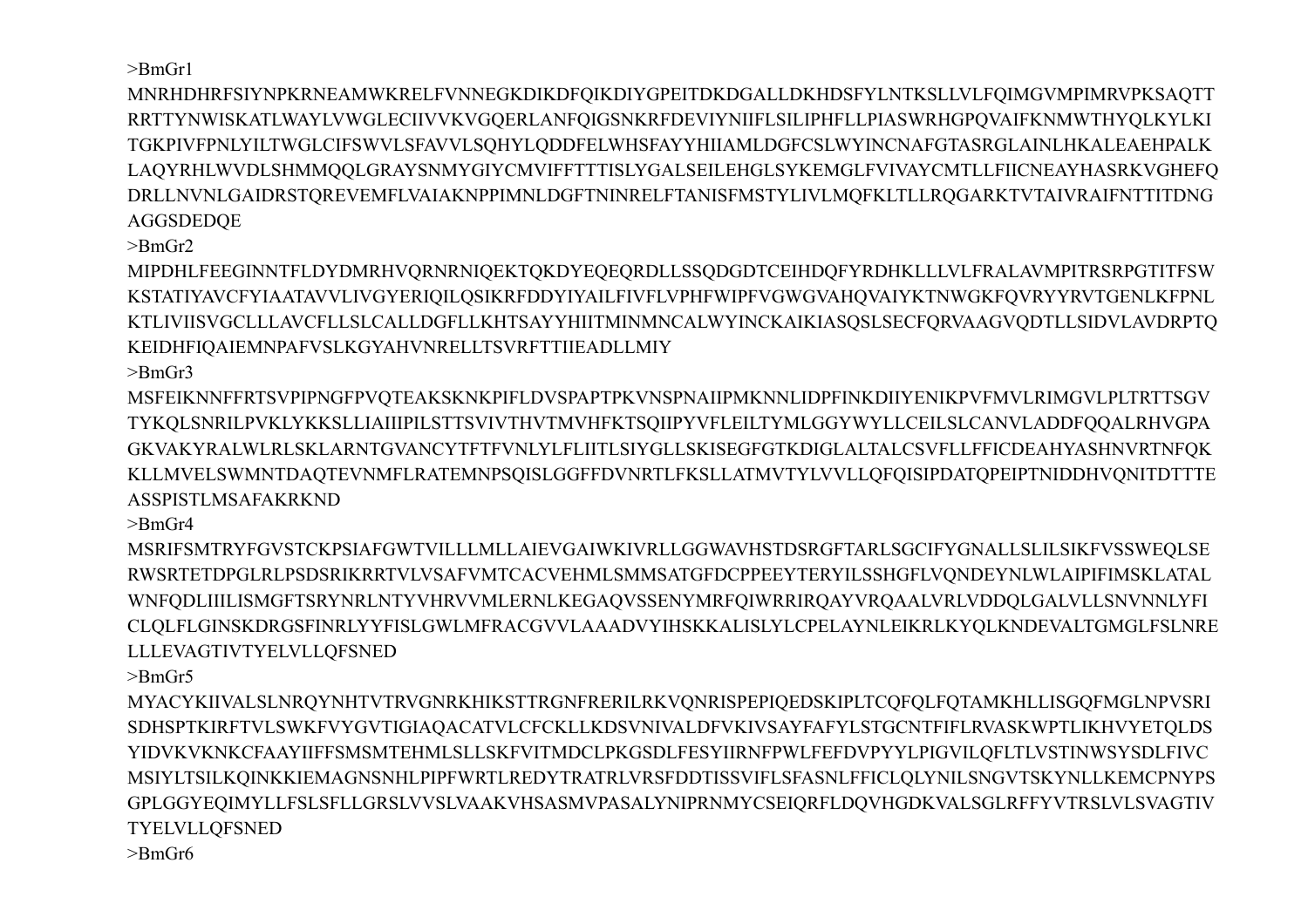$>$ Bm $Gr1$ 

MNRHDHRFSIYNPKRNEAMWKRELFVNNEGKDIKDFQIKDIYGPEITDKDGALLDKHDSFYLNTKSLLVLFQIMGVMPIMRVPKSAQTT RRTTYNWISKATLWAYLVWGLECIIVVKVGOERLANFOIGSNKRFDEVIYNIIFLSILIPHFLLPIASWRHGPOVAIFKNMWTHYOLKYLKI TGKPIVFPNLYILTWGLCIFSWVLSFAVVLSOHYLODDFELWHSFAYYHIIAMLDGFCSLWYINCNAFGTASRGLAINLHKALEAEHPALK LAQYRHLWVDLSHMMQQLGRAYSNMYGIYCMVIFFTTTISLYGALSEILEHGLSYKEMGLFVIVAYCMTLLFIICNEAYHASRKVGHEFQ DRLLNVNLGAIDRSTQREVEMFLVAIAKNPPIMNLDGFTNINRELFTANISFMSTYLIVLMQFKLTLLRQGARKTVTAIVRAIFNTTITDNG **AGGSDEDOE** 

 $\text{~}$ BmGr2

MIPDHLFEEGINNTFLDYDMRHVQRNRNIQEKTQKDYEQEQRDLLSSQDGDTCEIHDQFYRDHKLLLVLFRALAVMPITRSRPGTITFSW KSTATIYAVCFYIAATAVVLIVGYERIQILQSIKRFDDYIYAILFIVFLVPHFWIPFVGWGVAHQVAIYKTNWGKFQVRYYRVTGENLKFPNL KTLIVIISVGCLLLAVCFLLSLCALLDGFLLKHTSAYYHIITMINMNCALWYINCKAIKIASOSLSECFORVAAGVODTLLSIDVLAVDRPTO KEIDHFIQAIEMNPAFVSLKGYAHVNRELLTSVRFTTIIEADLLMIY

 $\text{~}$ -BmGr3

 $>$ BmGr4

 $\text{BrmGr5}$ 

 $\text{~}$ -BmGr6

TYELVLLQFSNED

**LLLEVAGTIVTYELVLLQFSNED** 

MSFEIKNNFFRTSVPIPNGFPVOTEAKSKNKPIFLDVSPAPTPKVNSPNAIIPMKNNLIDPFINKDIIYENIKPVFMVLRIMGVLPLTRTTSGV TYKQLSNRILPVKLYKKSLLIAIIIPILSTTSVIVTHVTMVHFKTSQIIPYVFLEILTYMLGGYWYLLCEILSLCANVLADDFQQALRHVGPA GKVAKYRALWLRLSKLARNTGVANCYTFTFVNLYLFLIITLSIYGLLSKISEGFGTKDIGLALTALCSVFLLFFICDEAHYASHNVRTNFOK KLLMVELSWMNTDAQTEVNMFLRATEMNPSQISLGGFFDVNRTLFKSLLATMVTYLVVLLQFQISIPDATQPEIPTNIDDHVQNITDTTTE

MSRIFSMTRYFGVSTCKPSIAFGWTVILLLMLLAIEVGAIWKIVRLLGGWAVHSTDSRGFTARLSGCIFYGNALLSLILSIKFVSSWEQLSE RWSRTETDPGLRLPSDSRIKRRTVLVSAFVMTCACVEHMLSMMSATGFDCPPEEYTERYILSSHGFLVQNDEYNLWLAIPIFIMSKLATAL WNFQDLIIILISMGFTSRYNRLNTYVHRVVMLERNLKEGAQVSSENYMRFQIWRRIRQAYVRQAALVRLVDDQLGALVLLSNVNNLYFI CLQLFLGINSKDRGSFINRLYYFISLGWLMFRACGVVLAAADVYIHSKKALISLYLCPELAYNLEIKRLKYQLKNDEVALTGMGLFSLNRE

MYACYKIIVALSLNRQYNHTVTRVGNRKHIKSTTRGNFRERILRKVQNRISPEPIQEDSKIPLTCQFQLFQTAMKHLLISGQFMGLNPVSRI SDHSPTKIRFTVLSWKFVYGVTIGIAOACATVLCFCKLLKDSVNIVALDFVKIVSAYFAFYLSTGCNTFIFLRVASKWPTLIKHVYETOLDS YIDVKVKNKCFAAYIIFFSMSMTEHMLSLLSKFVITMDCLPKGSDLFESYIIRNFPWLFEFDVPYYLPIGVILQFLTLVSTINWSYSDLFIVC MSIYLTSILKQINKKIEMAGNSNHLPIPFWRTLREDYTRATRLVRSFDDTISSVIFLSFASNLFFICLQLYNILSNGVTSKYNLLKEMCPNYPS GPLGGYEQIMYLLFSLSFLLGRSLVVSLVAAKVHSASMVPASALYNIPRNMYCSEIQRFLDQVHGDKVALSGLRFFYVTRSLVLSVAGTIV

**ASSPISTLMSAFAKRKND**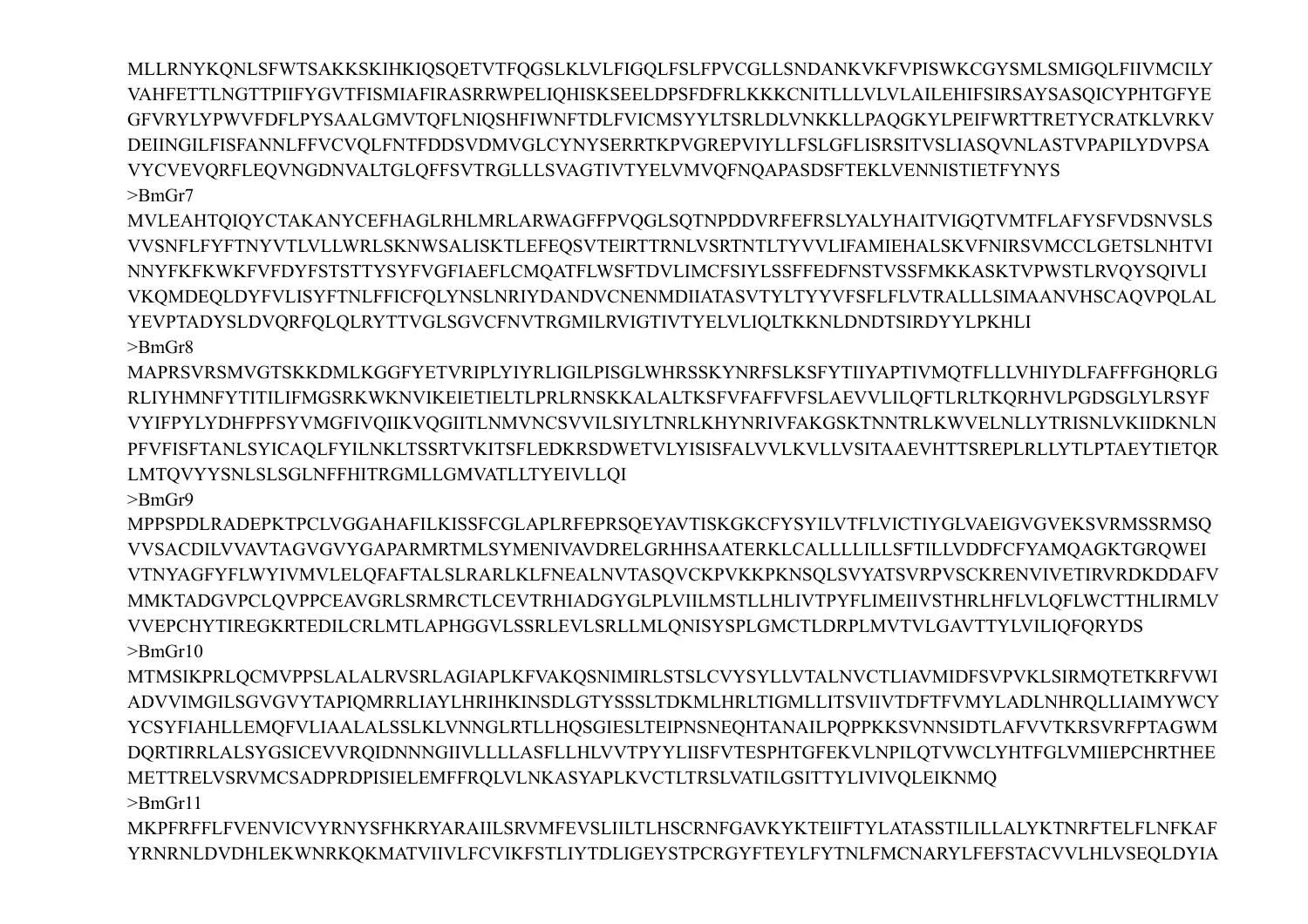MLLRNYKQNLSFWTSAKKSKIHKIQSQETVTFQGSLKLVLFIGQLFSLFPVCGLLSNDANKVKFVPISWKCGYSMLSMIGQLFIIVMCILY VAHFETTLNGTTPIIFYGVTFISMIAFIRASRRWPELIQHISKSEELDPSFDFRLKKKCNITLLLVLVLAILEHIFSIRSAYSASQICYPHTGFYE GFVRYLYPWVFDFLPYSAALGMVTOFLNIOSHFIWNFTDLFVICMSYYLTSRLDLVNKKLLPAOGKYLPEIFWRTTRETYCRATKLVRKV DEIINGILFISFANNLFFVCVOLFNTFDDSVDMVGLCYNYSERRTKPVGREPVIYLLFSLGFLISRSITVSLIASOVNLASTVPAPILYDVPSA VYCVEVQRFLEQVNGDNVALTGLQFFSVTRGLLLSVAGTIVTYELVMVQFNQAPASDSFTEKLVENNISTIETFYNYS  $\text{BrG}r7$ 

MVLEAHTQIQYCTAKANYCEFHAGLRHLMRLARWAGFFPVQGLSQTNPDDVRFEFRSLYALYHAITVIGQTVMTFLAFYSFVDSNVSLS VVSNFLFYFTNYVTLVLLWRLSKNWSALISKTLEFEQSVTEIRTTRNLVSRTNTLTYVVLIFAMIEHALSKVFNIRSVMCCLGETSLNHTVI NNYFKFKWKFVFDYFSTSTTYSYFVGFIAEFLCMQATFLWSFTDVLIMCFSIYLSSFFEDFNSTVSSFMKKASKTVPWSTLRVQYSQIVLI VKQMDEQLDYFVLISYFTNLFFICFQLYNSLNRIYDANDVCNENMDIIATASVTYLTYYVFSFLFLVTRALLLSIMAANVHSCAQVPQLAL YEVPTADYSLDVORFOLOLRYTTVGLSGVCFNVTRGMILRVIGTIVTYELVLIOLTKKNLDNDTSIRDYYLPKHLI

 $\mathsf{P}Bm\mathsf{Gr}8$ MAPRSVRSMVGTSKKDMLKGGFYETVRIPLYIYRLIGILPISGLWHRSSKYNRFSLKSFYTIIYAPTIVMQTFLLLVHIYDLFAFFFGHQRLG

RLIYHMNFYTITILIFMGSRKWKNVIKEIETIELTLPRLRNSKKALALTKSFVFAFFVFSLAEVVLILOFTLRLTKORHVLPGDSGLYLRSYF VYIFPYLYDHFPFSYVMGFIVQIIKVQGIITLNMVNCSVVILSIYLTNRLKHYNRIVFAKGSKTNNTRLKWVELNLLYTRISNLVKIIDKNLN PFVFISFTANLSYICAQLFYILNKLTSSRTVKITSFLEDKRSDWETVLYISISFALVVLKVLLVSITAAEVHTTSREPLRLLYTLPTAEYTIETQR LMTQVYYSNLSLSGLNFFHITRGMLLGMVATLLTYEIVLLQI  $>$ BmGr9

MPPSPDLRADEPKTPCLVGGAHAFILKISSFCGLAPLRFEPRSOEYAVTISKGKCFYSYILVTFLVICTIYGLVAEIGVGVEKSVRMSSRMSO VVSACDILVVAVTAGVGVYGAPARMRTMLSYMENIVAVDRELGRHHSAATERKLCALLLLILLSFTILLVDDFCFYAMQAGKTGRQWEI VTNYAGFYFLWYIVMVLELQFAFTALSLRARLKLFNEALNVTASQVCKPVKKPKNSQLSVYATSVRPVSCKRENVIVETIRVRDKDDAFV MMKTADGVPCLOVPPCEAVGRLSRMRCTLCEVTRHIADGYGLPLVIILMSTLLHLIVTPYFLIMEIIVSTHRLHFLVLOFLWCTTHLIRMLV VVEPCHYTIREGKRTEDILCRLMTLAPHGGVLSSRLEVLSRLLMLONISYSPLGMCTLDRPLMVTVLGAVTTYLVILIOFORYDS  $\text{~}$ BmGr10

MTMSIKPRLQCMVPPSLALALRVSRLAGIAPLKFVAKQSNIMIRLSTSLCVYSYLLVTALNVCTLIAVMIDFSVPVKLSIRMQTETKRFVWI ADVVIMGILSGVGVYTAPIQMRRLIAYLHRIHKINSDLGTYSSSLTDKMLHRLTIGMLLITSVIIVTDFTFVMYLADLNHRQLLIAIMYWCY YCSYFIAHLLEMOFVLIAALALSSLKLVNNGLRTLLHOSGIESLTEIPNSNEOHTANAILPOPPKKSVNNSIDTLAFVVTKRSVRFPTAGWM DQRTIRRLALSYGSICEVVRQIDNNNGIIVLLLLASFLLHLVVTPYYLIISFVTESPHTGFEKVLNPILQTVWCLYHTFGLVMIIEPCHRTHEE METTRELVSRVMCSADPRDPISIELEMFFRQLVLNKASYAPLKVCTLTRSLVATILGSITTYLIVIVQLEIKNMQ  $\geq$ BmGr11

MKPFRFFLFVENVICVYRNYSFHKRYARAIILSRVMFEVSLIILTLHSCRNFGAVKYKTEIIFTYLATASSTILILLALYKTNRFTELFLNFKAF YRNRNLDVDHLEKWNRKQKMATVIIVLFCVIKFSTLIYTDLIGEYSTPCRGYFTEYLFYTNLFMCNARYLFEFSTACVVLHLVSEQLDYIA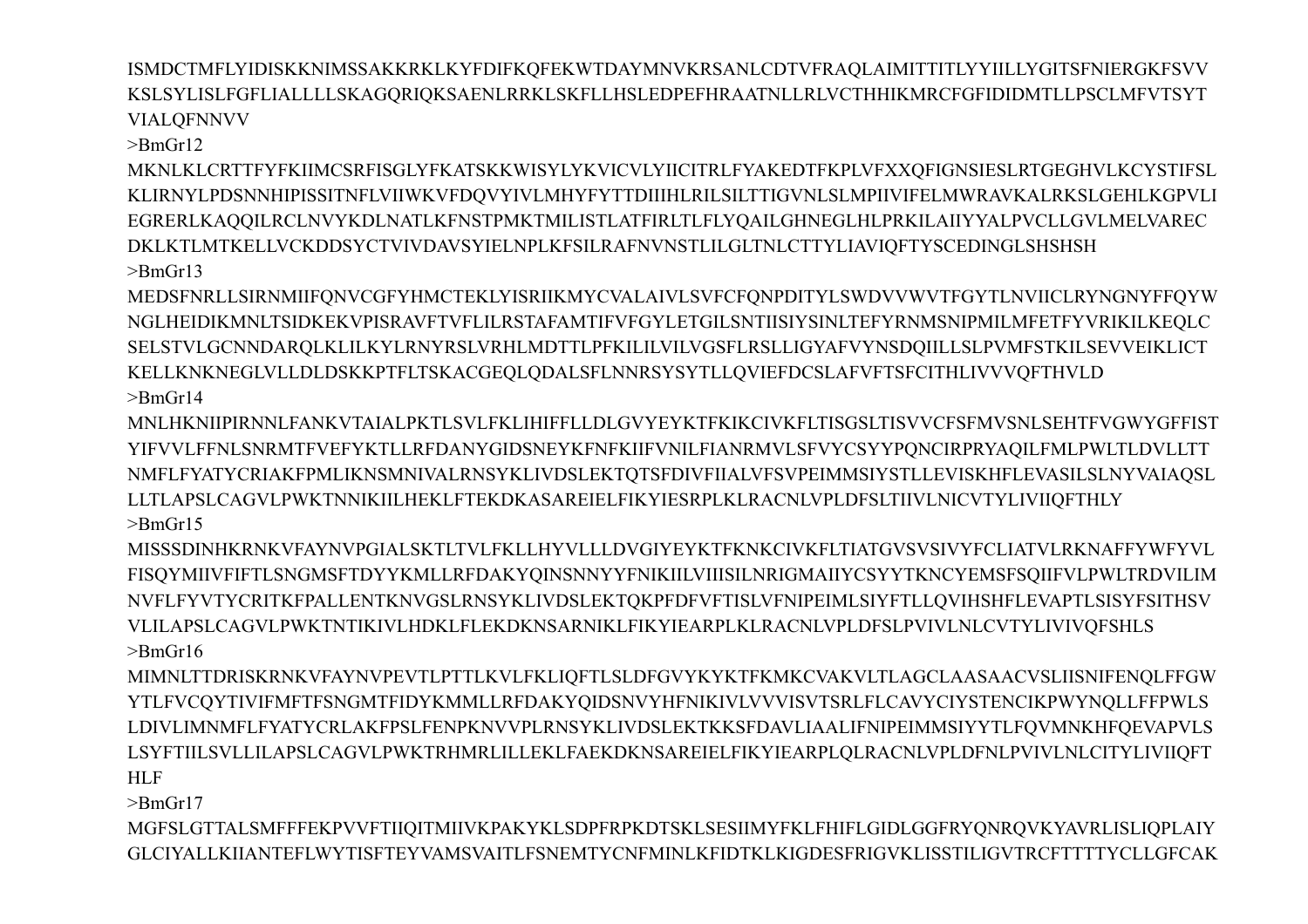ISMDCTMFLYIDISKKNIMSSAKKRKLKYFDIFKQFEKWTDAYMNVKRSANLCDTVFRAQLAIMITTITLYYIILLYGITSFNIERGKFSVV KSLSYLISLFGFLIALLLLSKAGQRIQKSAENLRRKLSKFLLHSLEDPEFHRAATNLLRLVCTHHIKMRCFGFIDIDMTLLPSCLMFVTSYT **VIALOFNNVV** 

 $>$ BmGr12

MKNLKLCRTTFYFKIIMCSRFISGLYFKATSKKWISYLYKVICVLYIICITRLFYAKEDTFKPLVFXXQFIGNSIESLRTGEGHVLKCYSTIFSL KLIRNYLPDSNNHIPISSITNFLVIIWKVFDQVYIVLMHYFYTTDIIIHLRILSILTTIGVNLSLMPIIVIFELMWRAVKALRKSLGEHLKGPVLI EGRERLKAQQILRCLNVYKDLNATLKFNSTPMKTMILISTLATFIRLTLFLYQAILGHNEGLHLPRKILAIIYYALPVCLLGVLMELVAREC DKLKTLMTKELLVCKDDSYCTVIVDAVSYIELNPLKFSILRAFNVNSTLILGLTNLCTTYLIAVIQFTYSCEDINGLSHSHSH  $\supset$ BmGr13

MEDSFNRLLSIRNMIIFQNVCGFYHMCTEKLYISRIIKMYCVALAIVLSVFCFQNPDITYLSWDVVWVTFGYTLNVIICLRYNGNYFFQYW NGLHEIDIKMNLTSIDKEKVPISRAVFTVFLILRSTAFAMTIFVFGYLETGILSNTIISIYSINLTEFYRNMSNIPMILMFETFYVRIKILKEOLC SELSTVLGCNNDARQLKLILKYLRNYRSLVRHLMDTTLPFKILILVILVGSFLRSLLIGYAFVYNSDQIILLSLPVMFSTKILSEVVEIKLICT KELLKNKNEGLVLLDLDSKKPTFLTSKACGEQLQDALSFLNNRSYSYTLLQVIEFDCSLAFVFTSFCITHLIVVVQFTHVLD  $>$ BmGr14

MNLHKNIIPIRNNLFANKVTAIALPKTLSVLFKLIHIFFLLDLGVYEYKTFKIKCIVKFLTISGSLTISVVCFSFMVSNLSEHTFVGWYGFFIST YIFVVLFFNLSNRMTFVEFYKTLLRFDANYGIDSNEYKFNFKIIFVNILFIANRMVLSFVYCSYYPONCIRPRYAOILFMLPWLTLDVLLTT NMFLFYATYCRIAKFPMLIKNSMNIVALRNSYKLIVDSLEKTQTSFDIVFIIALVFSVPEIMMSIYSTLLEVISKHFLEVASILSLNYVAIAQSL LLTLAPSLCAGVLPWKTNNIKIILHEKLFTEKDKASAREIELFIKYIESRPLKLRACNLVPLDFSLTIIVLNICVTYLIVIIQFTHLY  $>$ BmGr15

MISSSDINHKRNKVFAYNVPGIALSKTLTVLFKLLHYVLLLDVGIYEYKTFKNKCIVKFLTIATGVSVSIVYFCLIATVLRKNAFFYWFYVL FISQYMIIVFIFTLSNGMSFTDYYKMLLRFDAKYQINSNNYYFNIKIILVIIISILNRIGMAIIYCSYYTKNCYEMSFSQIIFVLPWLTRDVILIM NVFLFYVTYCRITKFPALLENTKNVGSLRNSYKLIVDSLEKTQKPFDFVFTISLVFNIPEIMLSIYFTLLQVIHSHFLEVAPTLSISYFSITHSV VLILAPSLCAGVLPWKTNTIKIVLHDKLFLEKDKNSARNIKLFIKYIEARPLKLRACNLVPLDFSLPVIVLNLCVTYLIVIVOFSHLS  $\text{~}$ -BmGr16

MIMNLTTDRISKRNKVFAYNVPEVTLPTTLKVLFKLIQFTLSLDFGVYKYKTFKMKCVAKVLTLAGCLAASAACVSLIISNIFENQLFFGW YTLFVCQYTIVIFMFTFSNGMTFIDYKMMLLRFDAKYQIDSNVYHFNIKIVLVVVISVTSRLFLCAVYCIYSTENCIKPWYNQLLFFPWLS LDIVLIMNMFLFYATYCRLAKFPSLFENPKNVVPLRNSYKLIVDSLEKTKKSFDAVLIAALIFNIPEIMMSIYYTLFQVMNKHFQEVAPVLS LSYFTIILSVLLILAPSLCAGVLPWKTRHMRLILLEKLFAEKDKNSAREIELFIKYIEARPLQLRACNLVPLDFNLPVIVLNLCITYLIVIIQFT **HLF** 

 $>$ BmGr17

MGFSLGTTALSMFFFEKPVVFTIIQITMIIVKPAKYKLSDPFRPKDTSKLSESIIMYFKLFHIFLGIDLGGFRYQNRQVKYAVRLISLIQPLAIY GLCIYALLKIIANTEFLWYTISFTEYVAMSVAITLFSNEMTYCNFMINLKFIDTKLKIGDESFRIGVKLISSTILIGVTRCFTTTTYCLLGFCAK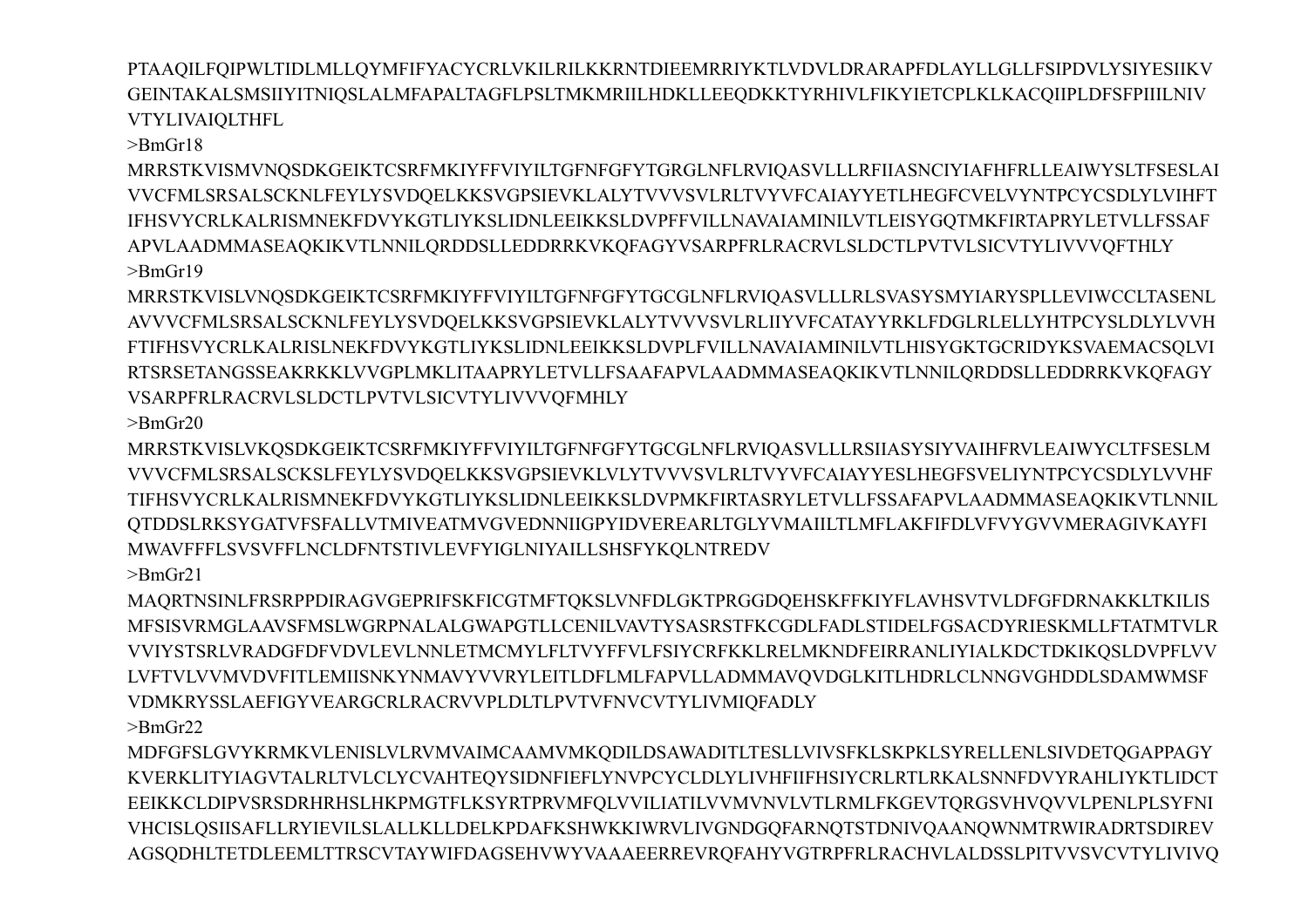PTAAQILFQIPWLTIDLMLLQYMFIFYACYCRLVKILRILKKRNTDIEEMRRIYKTLVDVLDRARAPFDLAYLLGLLFSIPDVLYSIYESIIKV GEINTAKALSMSIIYITNIQSLALMFAPALTAGFLPSLTMKMRIILHDKLLEEQDKKTYRHIVLFIKYIETCPLKLKACQIIPLDFSFPIIILNIV **VTYLIVAIOLTHFL** 

 $\geq$ BmGr18

MRRSTKVISMVNQSDKGEIKTCSRFMKIYFFVIYILTGFNFGFYTGRGLNFLRVIQASVLLLRFIIASNCIYIAFHFRLLEAIWYSLTFSESLAI VVCFMLSRSALSCKNLFEYLYSVDQELKKSVGPSIEVKLALYTVVVSVLRLTVYVFCAIAYYETLHEGFCVELVYNTPCYCSDLYLVIHFT IFHSVYCRLKALRISMNEKFDVYKGTLIYKSLIDNLEEIKKSLDVPFFVILLNAVAIAMINILVTLEISYGQTMKFIRTAPRYLETVLLFSSAF APVLAADMMASEAQKIKVTLNNILQRDDSLLEDDRRKVKQFAGYVSARPFRLRACRVLSLDCTLPVTVLSICVTYLIVVVQFTHLY  $>$ BmGr19

MRRSTKVISLVNQSDKGEIKTCSRFMKIYFFVIYILTGFNFGFYTGCGLNFLRVIQASVLLLRLSVASYSMYIARYSPLLEVIWCCLTASENL AVVVCFMLSRSALSCKNLFEYLYSVDQELKKSVGPSIEVKLALYTVVVSVLRLIIYVFCATAYYRKLFDGLRLELLYHTPCYSLDLYLVVH FTIFHSVYCRLKALRISLNEKFDVYKGTLIYKSLIDNLEEIKKSLDVPLFVILLNAVAIAMINILVTLHISYGKTGCRIDYKSVAEMACSQLVI RTSRSETANGSSEAKRKKLVVGPLMKLITAAPRYLETVLLFSAAFAPVLAADMMASEAQKIKVTLNNILQRDDSLLEDDRRKVKQFAGY **VSARPFRLRACRVLSLDCTLPVTVLSICVTYLIVVVOFMHLY** 

 $>$ BmGr20

VVVCFMLSRSALSCKSLFEYLYSVDQELKKSVGPSIEVKLVLYTVVVSVLRLTVYVFCAIAYYESLHEGFSVELIYNTPCYCSDLYLVVHF TIFHSVYCRLKALRISMNEKFDVYKGTLIYKSLIDNLEEIKKSLDVPMKFIRTASRYLETVLLFSSAFAPVLAADMMASEAQKIKVTLNNIL MWAVFFFLSVSVFFLNCLDFNTSTIVLEVFYIGLNIYAILLSHSFYKQLNTREDV

MRRSTKVISLVKQSDKGEIKTCSRFMKIYFFVIYILTGFNFGFYTGCGLNFLRVIQASVLLLRSIIASYSIYVAIHFRVLEAIWYCLTFSESLM OTDDSLRKSYGATVFSFALLVTMIVEATMVGVEDNNIIGPYIDVEREARLTGLYVMAIILTLMFLAKFIFDLVFVYGVVMERAGIVKAYFI

 $>$ BmGr21 MAORTNSINLFRSRPPDIRAGVGEPRIFSKFICGTMFTOKSLVNFDLGKTPRGGDOEHSKFFKIYFLAVHSVTVLDFGFDRNAKKLTKILIS MFSISVRMGLAAVSFMSLWGRPNALALGWAPGTLLCENILVAVTYSASRSTFKCGDLFADLSTIDELFGSACDYRIESKMLLFTATMTVLR VVIYSTSRLVRADGFDFVDVLEVLNNLETMCMYLFLTVYFFVLFSIYCRFKKLRELMKNDFEIRRANLIYIALKDCTDKIKQSLDVPFLVV LVFTVLVVMVDVFITLEMIISNKYNMAVYVVRYLEITLDFLMLFAPVLLADMMAVQVDGLKITLHDRLCLNNGVGHDDLSDAMWMSF VDMKRYSSLAEFIGYVEARGCRLRACRVVPLDLTLPVTVFNVCVTYLIVMIQFADLY  $>$ BmGr22

MDFGFSLGVYKRMKVLENISLVLRVMVAIMCAAMVMKQDILDSAWADITLTESLLVIVSFKLSKPKLSYRELLENLSIVDETQGAPPAGY KVERKLITYIAGVTALRLTVLCLYCVAHTEQYSIDNFIEFLYNVPCYCLDLYLIVHFIIFHSIYCRLRTLRKALSNNFDVYRAHLIYKTLIDCT EEIKKCLDIPVSRSDRHRHSLHKPMGTFLKSYRTPRVMFQLVVILIATILVVMVNVLVTLRMLFKGEVTQRGSVHVQVVLPENLPLSYFNI VHCISLQSIISAFLLRYIEVILSLALLKLLDELKPDAFKSHWKKIWRVLIVGNDGQFARNQTSTDNIVQAANQWNMTRWIRADRTSDIREV AGSODHLTETDLEEMLTTRSCVTAYWIFDAGSEHVWYVAAAEERREVRQFAHYVGTRPFRLRACHVLALDSSLPITVVSVCVTYLIVIVQ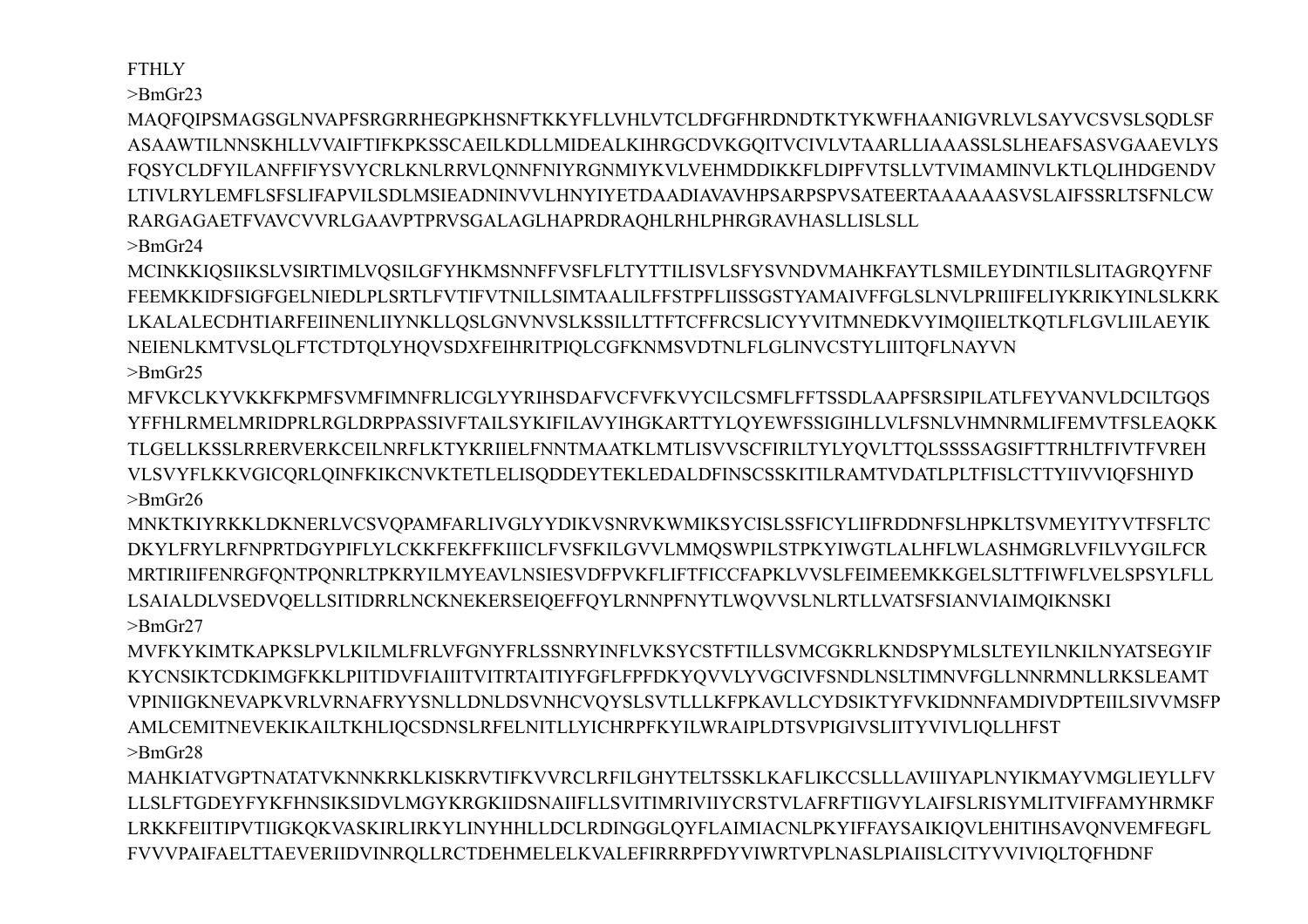**FTHLY** 

 $>$ BmGr23

MAOFOIPSMAGSGLNVAPFSRGRRHEGPKHSNFTKKYFLLVHLVTCLDFGFHRDNDTKTYKWFHAANIGVRLVLSAYVCSVSLSODLSF ASAAWTILNNSKHLLVVAIFTIFKPKSSCAEILKDLLMIDEALKIHRGCDVKGOITVCIVLVTAARLLIAAASSLSLHEAFSASVGAAEVLYS FQSYCLDFYILANFFIFYSVYCRLKNLRRVLQNNFNIYRGNMIYKVLVEHMDDIKKFLDIPFVTSLLVTVIMAMINVLKTLQLIHDGENDV LTIVLRYLEMFLSFSLIFAPVILSDLMSIEADNINVVLHNYIYETDAADIAVAVHPSARPSPVSATEERTAAAAAASVSLAIFSSRLTSFNLCW RARGAGAETFVAVCVVRLGAAVPTPRVSGALAGLHAPRDRAOHLRHLPHRGRAVHASLLISLSLL  $>$ BmGr24

MCINKKIQSIIKSLVSIRTIMLVQSILGFYHKMSNNFFVSFLFLTYTTILISVLSFYSVNDVMAHKFAYTLSMILEYDINTILSLITAGRQYFNF FEEMKKIDFSIGFGELNIEDLPLSRTLFVTIFVTNILLSIMTAALILFFSTPFLIISSGSTYAMAIVFFGLSLNVLPRIIIFELIYKRIKYINLSLKRK LKALALECDHTIARFEIINENLIIYNKLLOSLGNVNVSLKSSILLTTFTCFFRCSLICYYVITMNEDKVYIMOIIELTKOTLFLGVLIILAEYIK NEIENLKMTVSLQLFTCTDTQLYHQVSDXFEIHRITPIQLCGFKNMSVDTNLFLGLINVCSTYLIIITQFLNAYVN  $>$ BmGr25

MFVKCLKYVKKFKPMFSVMFIMNFRLICGLYYRIHSDAFVCFVFKVYCILCSMFLFFTSSDLAAPFSRSIPILATLFEYVANVLDCILTGOS YFFHLRMELMRIDPRLRGLDRPPASSIVFTAILSYKIFILAVYIHGKARTTYLOYEWFSSIGIHLLVLFSNLVHMNRMLIFEMVTFSLEAOKK TLGELLKSSLRRERVERKCEILNRFLKTYKRIIELFNNTMAATKLMTLISVVSCFIRILTYLYQVLTTQLSSSSAGSIFTTRHLTFIVTFVREH VLSVYFLKKVGICQRLQINFKIKCNVKTETLELISQDDEYTEKLEDALDFINSCSSKITILRAMTVDATLPLTFISLCTTYIIVVIQFSHIYD  $>$ BmGr26

MNKTKIYRKKLDKNERLVCSVOPAMFARLIVGLYYDIKVSNRVKWMIKSYCISLSSFICYLIIFRDDNFSLHPKLTSVMEYITYVTFSFLTC DKYLFRYLRFNPRTDGYPIFLYLCKKFEKFFKIIICLFVSFKILGVVLMMQSWPILSTPKYIWGTLALHFLWLASHMGRLVFILVYGILFCR MRTIRIIFENRGFONTPONRLTPKRYILMYEAVLNSIESVDFPVKFLIFTFICCFAPKLVVSLFEIMEEMKKGELSLTTFIWFLVELSPSYLFLL LSAIALDLVSEDVOELLSITIDRRLNCKNEKERSEIOEFFOYLRNNPFNYTLWOVVSLNLRTLLVATSFSIANVIAIMOIKNSKI  $>$ BmGr27

MVFKYKIMTKAPKSLPVLKILMLFRLVFGNYFRLSSNRYINFLVKSYCSTFTILLSVMCGKRLKNDSPYMLSLTEYILNKILNYATSEGYIF KYCNSIKTCDKIMGFKKLPIITIDVFIAIIITVITRTAITIYFGFLFPFDKYQVVLYVGCIVFSNDLNSLTIMNVFGLLNNRMNLLRKSLEAMT VPINIIGKNEVAPKVRLVRNAFRYYSNLLDNLDSVNHCVQYSLSVTLLLKFPKAVLLCYDSIKTYFVKIDNNFAMDIVDPTEIILSIVVMSFP AMLCEMITNEVEKIKAILTKHLIQCSDNSLRFELNITLLYICHRPFKYILWRAIPLDTSVPIGIVSLIITYVIVLIQLLHFST  $>$ BmGr28

MAHKIATVGPTNATATVKNNKRKLKISKRVTIFKVVRCLRFILGHYTELTSSKLKAFLIKCCSLLLAVIIIYAPLNYIKMAYVMGLIEYLLFV LLSLFTGDEYFYKFHNSIKSIDVLMGYKRGKIIDSNAIIFLLSVITIMRIVIIYCRSTVLAFRFTIIGVYLAIFSLRISYMLITVIFFAMYHRMKF LRKKFEIITIPVTIIGKQKVASKIRLIRKYLINYHHLLDCLRDINGGLQYFLAIMIACNLPKYIFFAYSAIKIQVLEHITIHSAVQNVEMFEGFL FVVVPAIFAELTTAEVERIIDVINRQLLRCTDEHMELELKVALEFIRRRPFDYVIWRTVPLNASLPIAIISLCITYVVIVIQLTQFHDNF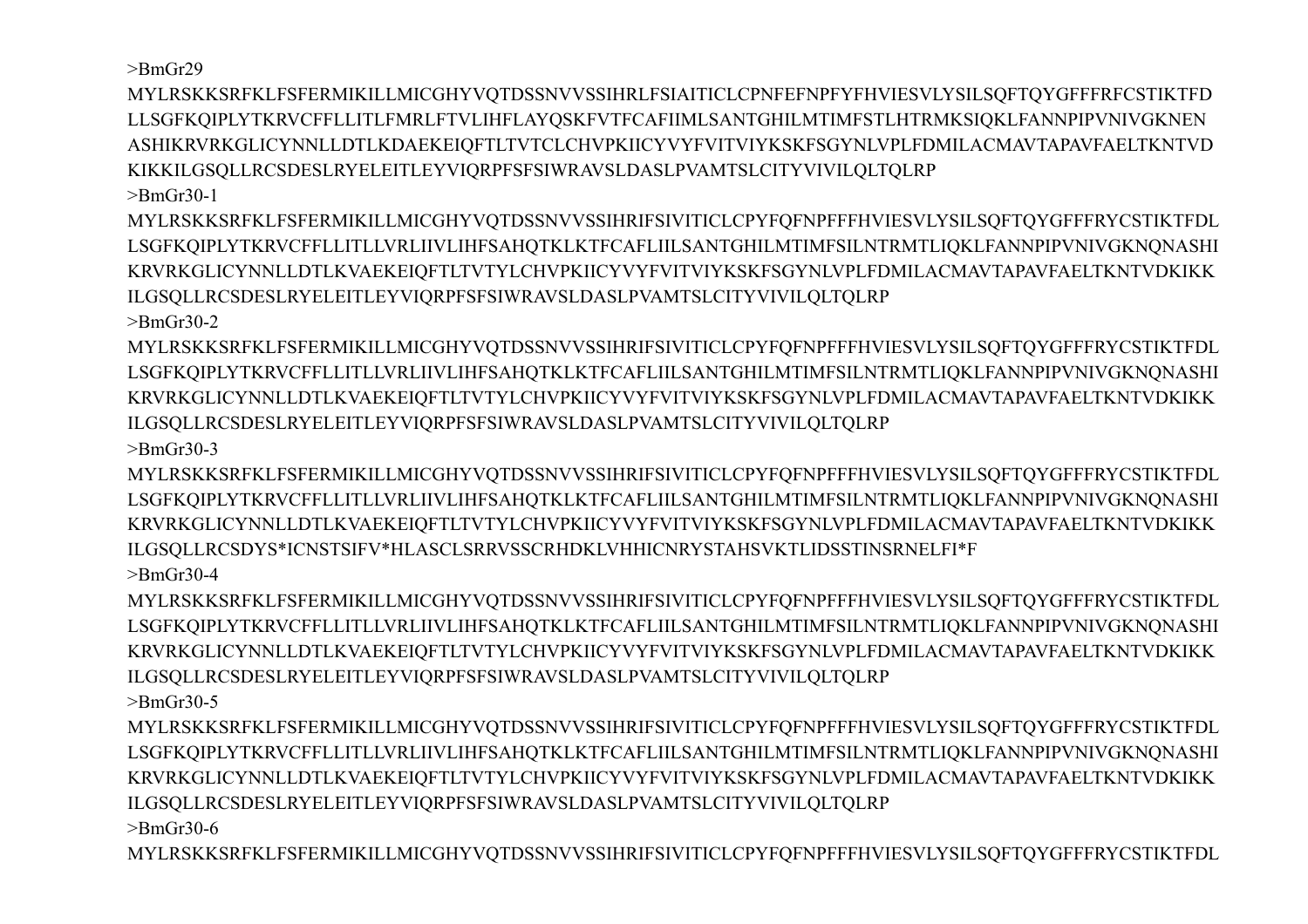$>$ BmGr29

MYLRSKKSRFKLFSFERMIKILLMICGHYVQTDSSNVVSSIHRLFSIAITICLCPNFEFNPFYFHVIESVLYSILSOFTQYGFFFRFCSTIKTFD LLSGFKOIPLYTKRVCFFLLITLFMRLFTVLIHFLAYOSKFVTFCAFIIMLSANTGHILMTIMFSTLHTRMKSIOKLFANNPIPVNIVGKNEN ASHIKRVRKGLICYNNLLDTLKDAEKEIOFTLTVTCLCHVPKIICYVYFVITVIYKSKFSGYNLVPLFDMILACMAVTAPAVFAELTKNTVD KIKKILGSQLLRCSDESLRYELEITLEYVIQRPFSFSIWRAVSLDASLPVAMTSLCITYVIVILQLTQLRP

 $\text{~}$ -BmGr30-1

MYLRSKKSRFKLFSFERMIKILLMICGHYVQTDSSNVVSSIHRIFSIVITICLCPYFQFNPFFFHVIESVLYSILSQFTQYGFFFRYCSTIKTFDL LSGFKQIPLYTKRVCFFLLITLLVRLIIVLIHFSAHQTKLKTFCAFLIILSANTGHILMTIMFSILNTRMTLIQKLFANNPIPVNIVGKNQNASHI KRVRKGLICYNNLLDTLKVAEKEIQFTLTVTYLCHVPKIICYVYFVITVIYKSKFSGYNLVPLFDMILACMAVTAPAVFAELTKNTVDKIKK ILGSQLLRCSDESLRYELEITLEYVIQRPFSFSIWRAVSLDASLPVAMTSLCITYVIVILQLTQLRP

 $>$ RmGr30-2

MYLRSKKSRFKLFSFERMIKILLMICGHYVQTDSSNVVSSIHRIFSIVITICLCPYFQFNPFFFHVIESVLYSILSQFTQYGFFFRYCSTIKTFDL LSGFKQIPLYTKRVCFFLLITLLVRLIIVLIHFSAHQTKLKTFCAFLIILSANTGHILMTIMFSILNTRMTLIQKLFANNPIPVNIVGKNQNASHI KRVRKGLICYNNLLDTLKVAEKEIOFTLTVTYLCHVPKIICYVYFVITVIYKSKFSGYNLVPLFDMILACMAVTAPAVFAELTKNTVDKIKK ILGSOLLRCSDESLRYELEITLEYVIORPFSFSIWRAVSLDASLPVAMTSLCITYVIVILOLTOLRP  $\text{~}$ -BmGr30-3

MYLRSKKSRFKLFSFERMIKILLMICGHYVQTDSSNVVSSIHRIFSIVITICLCPYFQFNPFFFHVIESVLYSILSQFTQYGFFFRYCSTIKTFDL LSGFKQIPLYTKRVCFFLLITLLVRLIIVLIHFSAHQTKLKTFCAFLIILSANTGHILMTIMFSILNTRMTLIQKLFANNPIPVNIVGKNQNASHI KRVRKGLICYNNLLDTLKVAEKEIOFTLTVTYLCHVPKIICYVYFVITVIYKSKFSGYNLVPLFDMILACMAVTAPAVFAELTKNTVDKIKK ILGSQLLRCSDYS\*ICNSTSIFV\*HLASCLSRRVSSCRHDKLVHHICNRYSTAHSVKTLIDSSTINSRNELFI\*F  $\text{~}$ -BmGr30-4

MYLRSKKSRFKLFSFERMIKILLMICGHYVQTDSSNVVSSIHRIFSIVITICLCPYFQFNPFFFHVIESVLYSILSQFTQYGFFFRYCSTIKTFDL LSGFKQIPLYTKRVCFFLLITLLVRLIIVLIHFSAHQTKLKTFCAFLIILSANTGHILMTIMFSILNTRMTLIQKLFANNPIPVNIVGKNQNASHI KRVRKGLICYNNLLDTLKVAEKEIQFTLTVTYLCHVPKIICYVYFVITVIYKSKFSGYNLVPLFDMILACMAVTAPAVFAELTKNTVDKIKK ILGSQLLRCSDESLRYELEITLEYVIQRPFSFSIWRAVSLDASLPVAMTSLCITYVIVILQLTQLRP  $\text{~}$ -BmGr30-5

MYLRSKKSRFKLFSFERMIKILLMICGHYVOTDSSNVVSSIHRIFSIVITICLCPYFOFNPFFFHVIESVLYSILSOFTOYGFFFRYCSTIKTFDL LSGFKQIPLYTKRVCFFLLITLLVRLIIVLIHFSAHQTKLKTFCAFLIILSANTGHILMTIMFSILNTRMTLIQKLFANNPIPVNIVGKNQNASHI KRVRKGLICYNNLLDTLKVAEKEIQFTLTVTYLCHVPKIICYVYFVITVIYKSKFSGYNLVPLFDMILACMAVTAPAVFAELTKNTVDKIKK ILGSQLLRCSDESLRYELEITLEYVIQRPFSFSIWRAVSLDASLPVAMTSLCITYVIVILQLTQLRP  $\text{~}$ -BmGr30-6

MYLRSKKSRFKLFSFERMIKILLMICGHYVQTDSSNVVSSIHRIFSIVITICLCPYFQFNPFFFHVIESVLYSILSQFTQYGFFFRYCSTIKTFDL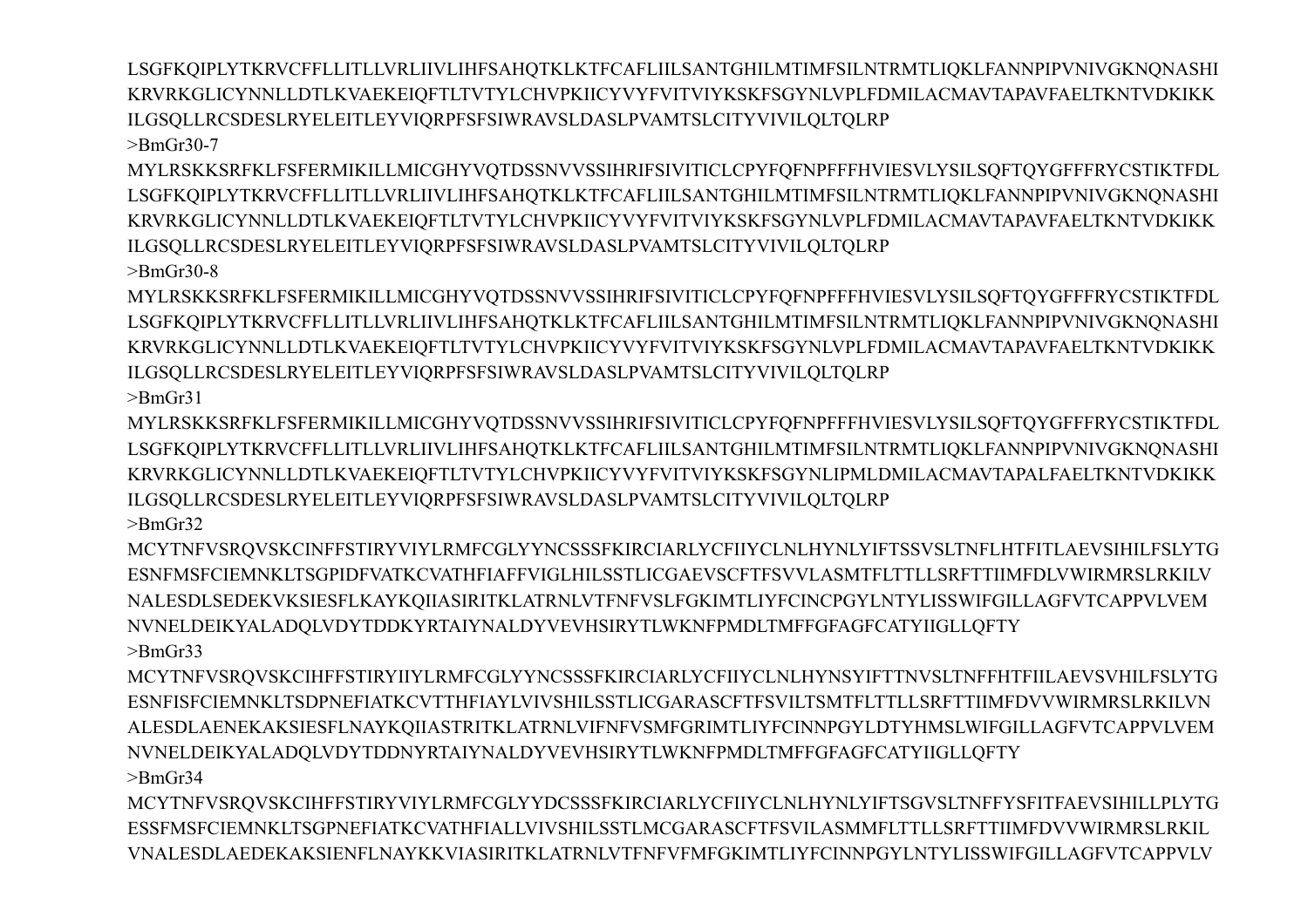LSGFKQIPLYTKRVCFFLLITLLVRLIIVLIHFSAHQTKLKTFCAFLIILSANTGHILMTIMFSILNTRMTLIQKLFANNPIPVNIVGKNQNASHI KRVRKGLICYNNLLDTLKVAEKEIQFTLTVTYLCHVPKIICYVYFVITVIYKSKFSGYNLVPLFDMILACMAVTAPAVFAELTKNTVDKIKK ILGSOLLRCSDESLRYELEITLEYVIORPFSFSIWRAVSLDASLPVAMTSLCITYVIVILOLTOLRP  $\text{~}$ -BmGr30-7

MYLRSKKSRFKLFSFERMIKILLMICGHYVQTDSSNVVSSIHRIFSIVITICLCPYFQFNPFFFHVIESVLYSILSQFTQYGFFFRYCSTIKTFDL LSGFKQIPLYTKRVCFFLLITLLVRLIIVLIHFSAHQTKLKTFCAFLIILSANTGHILMTIMFSILNTRMTLIQKLFANNPIPVNIVGKNQNASHI KRVRKGLICYNNLLDTLKVAEKEIQFTLTVTYLCHVPKIICYVYFVITVIYKSKFSGYNLVPLFDMILACMAVTAPAVFAELTKNTVDKIKK ILGSQLLRCSDESLRYELEITLEYVIQRPFSFSIWRAVSLDASLPVAMTSLCITYVIVILQLTQLRP

 $>$ BmGr30-8

MYLRSKKSRFKLFSFERMIKILLMICGHYVQTDSSNVVSSIHRIFSIVITICLCPYFQFNPFFFHVIESVLYSILSQFTQYGFFFRYCSTIKTFDL LSGFKOIPLYTKRVCFFLLITLLVRLIIVLIHFSAHOTKLKTFCAFLIILSANTGHILMTIMFSILNTRMTLIOKLFANNPIPVNIVGKNONASHI KRVRKGLICYNNLLDTLKVAEKEIQFTLTVTYLCHVPKIICYVYFVITVIYKSKFSGYNLVPLFDMILACMAVTAPAVFAELTKNTVDKIKK ILGSQLLRCSDESLRYELEITLEYVIQRPFSFSIWRAVSLDASLPVAMTSLCITYVIVILQLTQLRP  $>$ BmGr31

MYLRSKKSRFKLFSFERMIKILLMICGHYVOTDSSNVVSSIHRIFSIVITICLCPYFOFNPFFFHVIESVLYSILSOFTOYGFFFRYCSTIKTFDL LSGFKQIPLYTKRVCFFLLITLLVRLIIVLIHFSAHQTKLKTFCAFLIILSANTGHILMTIMFSILNTRMTLIQKLFANNPIPVNIVGKNQNASHI KRVRKGLICYNNLLDTLKVAEKEIQFTLTVTYLCHVPKIICYVYFVITVIYKSKFSGYNLIPMLDMILACMAVTAPALFAELTKNTVDKIKK ILGSQLLRCSDESLRYELEITLEYVIQRPFSFSIWRAVSLDASLPVAMTSLCITYVIVILQLTQLRP  $>$ Rm $Gr32$ 

MCYTNFVSRQVSKCINFFSTIRYVIYLRMFCGLYYNCSSSFKIRCIARLYCFIIYCLNLHYNLYIFTSSVSLTNFLHTFITLAEVSIHILFSLYTG ESNFMSFCIEMNKLTSGPIDFVATKCVATHFIAFFVIGLHILSSTLICGAEVSCFTFSVVLASMTFLTTLLSRFTTIIMFDLVWIRMRSLRKILV NALESDLSEDEKVKSIESFLKAYKOIIASIRITKLATRNLVTFNFVSLFGKIMTLIYFCINCPGYLNTYLISSWIFGILLAGFVTCAPPVLVEM NVNELDEIKYALADQLVDYTDDKYRTAIYNALDYVEVHSIRYTLWKNFPMDLTMFFGFAGFCATYIIGLLQFTY  $\text{~}$ BmGr33

MCYTNFVSRQVSKCIHFFSTIRYIIYLRMFCGLYYNCSSSFKIRCIARLYCFIIYCLNLHYNSYIFTTNVSLTNFFHTFIILAEVSVHILFSLYTG ESNFISFCIEMNKLTSDPNEFIATKCVTTHFIAYLVIVSHILSSTLICGARASCFTFSVILTSMTFLTTLLSRFTTIIMFDVVWIRMRSLRKILVN ALESDLAENEKAKSIESFLNAYKOIIASTRITKLATRNLVIFNFVSMFGRIMTLIYFCINNPGYLDTYHMSLWIFGILLAGFVTCAPPVLVEM NVNELDEIKYALADQLVDYTDDNYRTAIYNALDYVEVHSIRYTLWKNFPMDLTMFFGFAGFCATYIIGLLQFTY

 $>$ BmGr34

MCYTNFVSRQVSKCIHFFSTIRYVIYLRMFCGLYYDCSSSFKIRCIARLYCFIIYCLNLHYNLYIFTSGVSLTNFFYSFITFAEVSIHILLPLYTG ESSFMSFCIEMNKLTSGPNEFIATKCVATHFIALLVIVSHILSSTLMCGARASCFTFSVILASMMFLTTLLSRFTTIIMFDVVWIRMRSLRKIL VNALESDLAEDEKAKSIENFLNAYKKVIASIRITKLATRNLVTFNFVFMFGKIMTLIYFCINNPGYLNTYLISSWIFGILLAGFVTCAPPVLV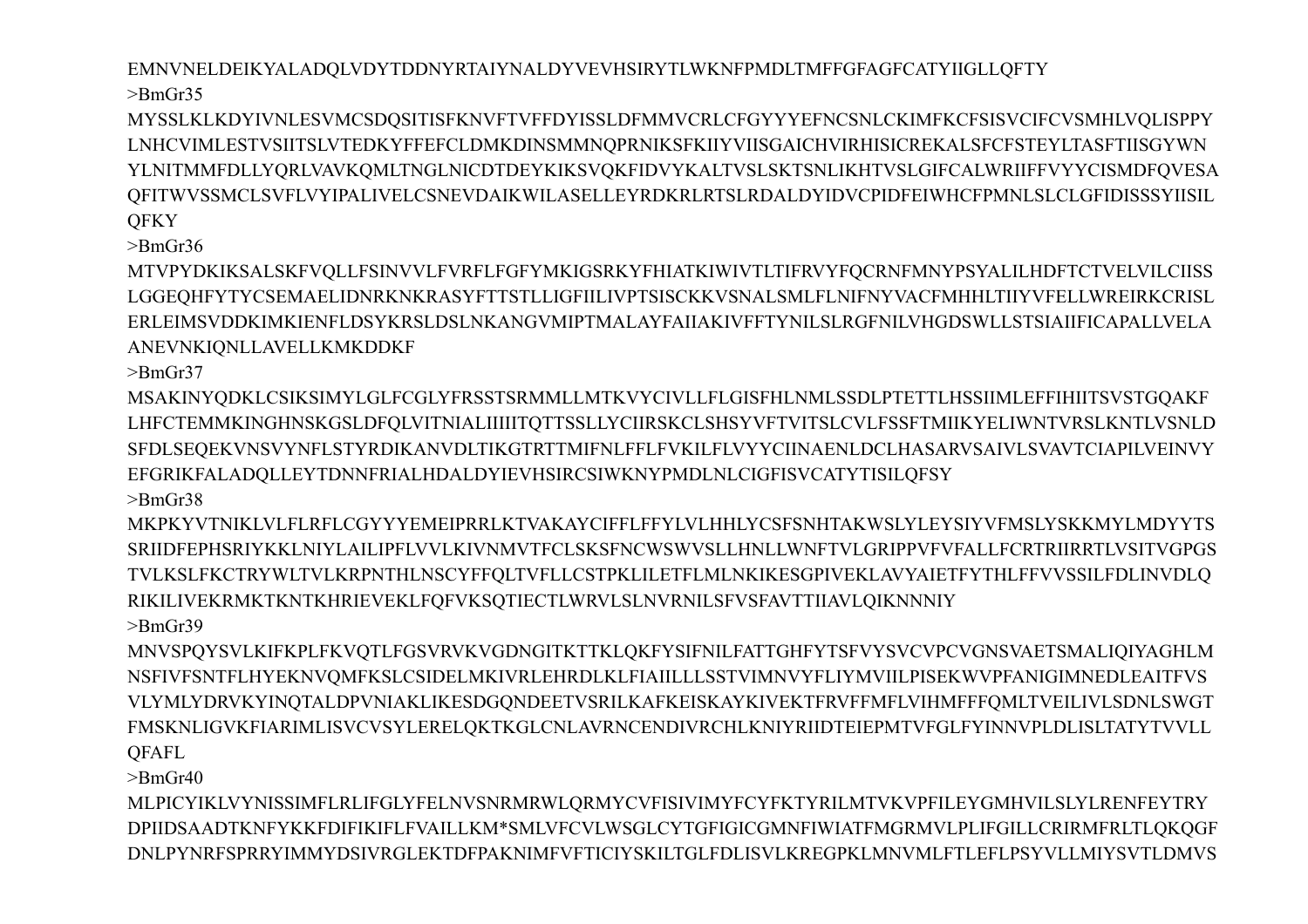EMNVNELDEIKYALADQLVDYTDDNYRTAIYNALDYVEVHSIRYTLWKNFPMDLTMFFGFAGFCATYIIGLLQFTY  $>$ BmGr35

MYSSLKLKDYIVNLESVMCSDQSITISFKNVFTVFFDYISSLDFMMVCRLCFGYYYEFNCSNLCKIMFKCFSISVCIFCVSMHLVQLISPPY LNHCVIMLESTVSIITSLVTEDKYFFEFCLDMKDINSMMNQPRNIKSFKIIYVIISGAICHVIRHISICREKALSFCFSTEYLTASFTIISGYWN YLNITMMFDLLYQRLVAVKQMLTNGLNICDTDEYKIKSVQKFIDVYKALTVSLSKTSNLIKHTVSLGIFCALWRIIFFVYYCISMDFQVESA QFITWVSSMCLSVFLVYIPALIVELCSNEVDAIKWILASELLEYRDKRLRTSLRDALDYIDVCPIDFEIWHCFPMNLSLCLGFIDISSSYIISIL **OFKY** 

 $\text{~}$ -BmGr36

MTVPYDKIKSALSKFVQLLFSINVVLFVRFLFGFYMKIGSRKYFHIATKIWIVTLTIFRVYFQCRNFMNYPSYALILHDFTCTVELVILCIISS LGGEQHFYTYCSEMAELIDNRKNKRASYFTTSTLLIGFIILIVPTSISCKKVSNALSMLFLNIFNYVACFMHHLTIIYVFELLWREIRKCRISL ERLEIMSVDDKIMKIENFLDSYKRSLDSLNKANGVMIPTMALAYFAIIAKIVFFTYNILSLRGFNILVHGDSWLLSTSIAIIFICAPALLVELA ANEVNKIQNLLAVELLKMKDDKF

 $\text{~}$ -BmGr37

MSAKINYQDKLCSIKSIMYLGLFCGLYFRSSTSRMMLLMTKVYCIVLLFLGISFHLNMLSSDLPTETTLHSSIIMLEFFIHIITSVSTGQAKF

LHFCTEMMKINGHNSKGSLDFOLVITNIALIIIIITOTTSSLLYCIIRSKCLSHSYVFTVITSLCVLFSSFTMIIKYELIWNTVRSLKNTLVSNLD SFDLSEQEKVNSVYNFLSTYRDIKANVDLTIKGTRTTMIFNLFFLFVKILFLVYYCIINAENLDCLHASARVSAIVLSVAVTCIAPILVEINVY EFGRIKFALADQLLEYTDNNFRIALHDALDYIEVHSIRCSIWKNYPMDLNLCIGFISVCATYTISILQFSY  $>$ BmGr38

MKPKYVTNIKLVLFLRFLCGYYYEMEIPRRLKTVAKAYCIFFLFFYLVLHHLYCSFSNHTAKWSLYLEYSIYVFMSLYSKKMYLMDYYTS SRIIDFEPHSRIYKKLNIYLAILIPFLVVLKIVNMVTFCLSKSFNCWSWVSLLHNLLWNFTVLGRIPPVFVFALLFCRTRIIRRTLVSITVGPGS TVLKSLFKCTRYWLTVLKRPNTHLNSCYFFQLTVFLLCSTPKLILETFLMLNKIKESGPIVEKLAVYAIETFYTHLFFVVSSILFDLINVDLQ RIKILIVEKRMKTKNTKHRIEVEKLFQFVKSQTIECTLWRVLSLNVRNILSFVSFAVTTIIAVLQIKNNNIY

 $\geq$ BmGr39 MNVSPQYSVLKIFKPLFKVQTLFGSVRVKVGDNGITKTTKLQKFYSIFNILFATTGHFYTSFVYSVCVPCVGNSVAETSMALIQIYAGHLM NSFIVFSNTFLHYEKNVQMFKSLCSIDELMKIVRLEHRDLKLFIAIILLLSSTVIMNVYFLIYMVIILPISEKWVPFANIGIMNEDLEAITFVS VLYMLYDRVKYINQTALDPVNIAKLIKESDGQNDEETVSRILKAFKEISKAYKIVEKTFRVFFMFLVIHMFFFQMLTVEILIVLSDNLSWGT

FMSKNLIGVKFIARIMLISVCVSYLERELOKTKGLCNLAVRNCENDIVRCHLKNIYRIIDTEIEPMTVFGLFYINNVPLDLISLTATYTVVLL **OFAFL** 

 $>$ BmGr40

MLPICYIKLVYNISSIMFLRLIFGLYFELNVSNRMRWLQRMYCVFISIVIMYFCYFKTYRILMTVKVPFILEYGMHVILSLYLRENFEYTRY DPIIDSAADTKNFYKKFDIFIKIFLFVAILLKM\*SMLVFCVLWSGLCYTGFIGICGMNFIWIATFMGRMVLPLIFGILLCRIRMFRLTLQKQGF DNLPYNRFSPRRYIMMYDSIVRGLEKTDFPAKNIMFVFTICIYSKILTGLFDLISVLKREGPKLMNVMLFTLEFLPSYVLLMIYSVTLDMVS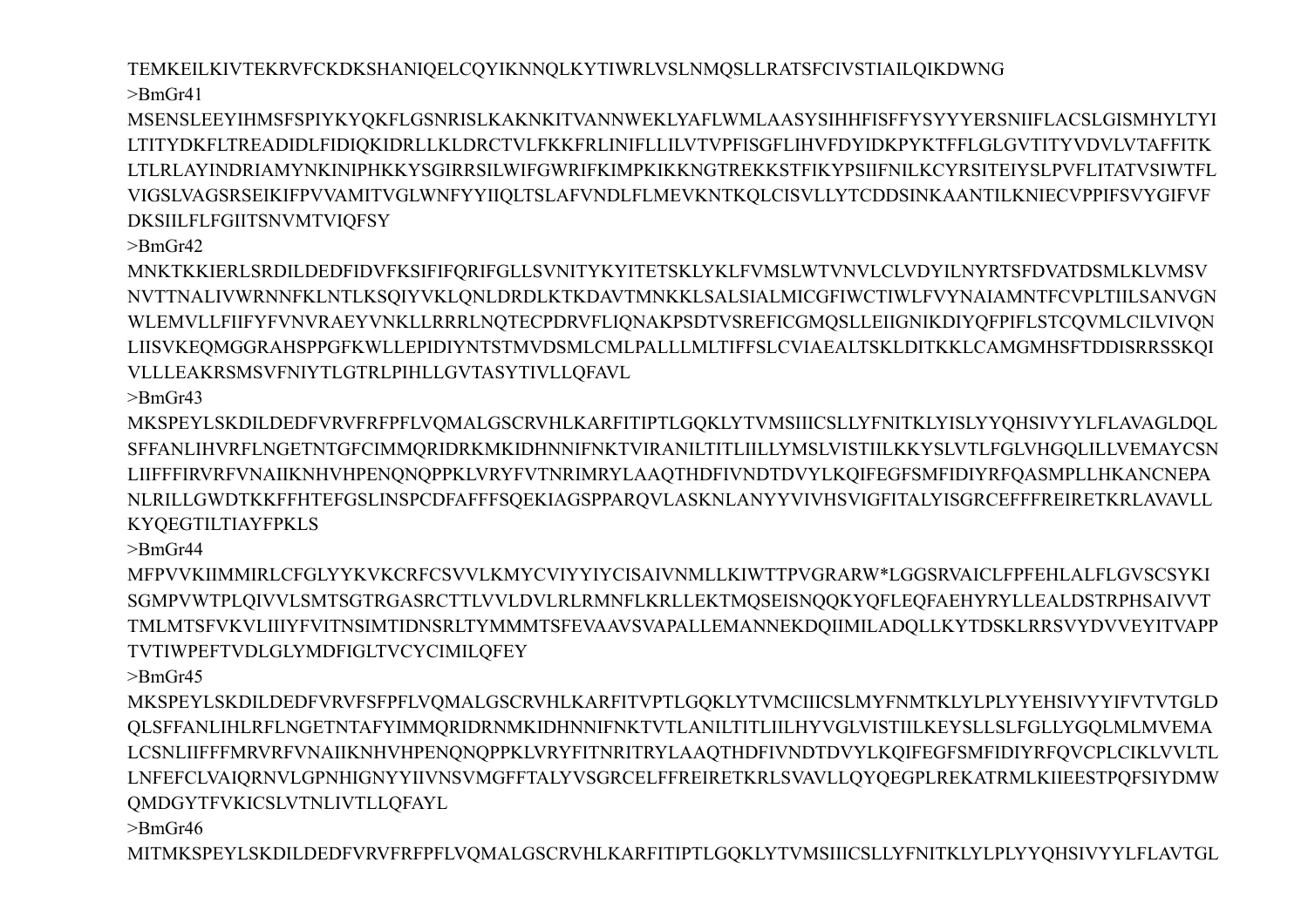TEMKEILKIVTEKRVFCKDKSHANIQELCQYIKNNQLKYTIWRLVSLNMQSLLRATSFCIVSTIAILQIKDWNG  $>$ BmGr41

MSENSLEEYIHMSFSPIYKYOKFLGSNRISLKAKNKITVANNWEKLYAFLWMLAASYSIHHFISFFYSYYYERSNIIFLACSLGISMHYLTYI LTITYDKFLTREADIDLFIDIOKIDRLLKLDRCTVLFKKFRLINIFLLILVTVPFISGFLIHVFDYIDKPYKTFFLGLGVTITYVDVLVTAFFITK LTLRLAYINDRIAMYNKINIPHKKYSGIRRSILWIFGWRIFKIMPKIKKNGTREKKSTFIKYPSIIFNILKCYRSITEIYSLPVFLITATVSIWTFL VIGSLVAGSRSEIKIFPVVAMITVGLWNFYYIIQLTSLAFVNDLFLMEVKNTKQLCISVLLYTCDDSINKAANTILKNIECVPPIFSVYGIFVF **DKSIILFLFGIITSNVMTVIOFSY** 

 $>$ BmGr42

MNKTKKIERLSRDILDEDFIDVFKSIFIFQRIFGLLSVNITYKYITETSKLYKLFVMSLWTVNVLCLVDYILNYRTSFDVATDSMLKLVMSV NVTTNALIVWRNNFKLNTLKSQIYVKLQNLDRDLKTKDAVTMNKKLSALSIALMICGFIWCTIWLFVYNAIAMNTFCVPLTIILSANVGN WLEMVLLFIIFYFVNVRAEYVNKLLRRRLNOTECPDRVFLIONAKPSDTVSREFICGMOSLLEIIGNIKDIYOFPIFLSTCOVMLCILVIVON LIISVKEQMGGRAHSPPGFKWLLEPIDIYNTSTMVDSMLCMLPALLLMLTIFFSLCVIAEALTSKLDITKKLCAMGMHSFTDDISRRSSKQI VLLLEAKRSMSVFNIYTLGTRLPIHLLGVTASYTIVLLQFAVL

 $>$ BmGr43

MKSPEYLSKDILDEDFVRVFRFPFLVOMALGSCRVHLKARFITIPTLGOKLYTVMSIIICSLLYFNITKLYISLYYOHSIVYYLFLAVAGLDOL SFFANLIHVRFLNGETNTGFCIMMORIDRKMKIDHNNIFNKTVIRANILTITLIILLYMSLVISTIILKKYSLVTLFGLVHGOLILLVEMAYCSN LIIFFFIRVRFVNAIIKNHVHPENQNQPPKLVRYFVTNRIMRYLAAQTHDFIVNDTDVYLKQIFEGFSMFIDIYRFQASMPLLHKANCNEPA NLRILLGWDTKKFFHTEFGSLINSPCDFAFFFSQEKIAGSPPARQVLASKNLANYYVIVHSVIGFITALYISGRCEFFFREIRETKRLAVAVLL

**KYOEGTILTIAYFPKLS**  $>$ BmGr44 MFPVVKIIMMIRLCFGLYYKVKCRFCSVVLKMYCVIYYIYCISAIVNMLLKIWTTPVGRARW\*LGGSRVAICLFPFEHLALFLGVSCSYKI SGMPVWTPLOIVVLSMTSGTRGASRCTTLVVLDVLRLRMNFLKRLLEKTMOSEISNOOKYOFLEOFAEHYRYLLEALDSTRPHSAIVVT

TMLMTSFVKVLIIIYFVITNSIMTIDNSRLTYMMMTSFEVAAVSVAPALLEMANNEKDOIIMILADOLLKYTDSKLRRSVYDVVEYITVAPP

TVTIWPEFTVDLGLYMDFIGLTVCYCIMILQFEY  $>$ BmGr45

MKSPEYLSKDILDEDFVRVFSFPFLVQMALGSCRVHLKARFITVPTLGQKLYTVMCIIICSLMYFNMTKLYLPLYYEHSIVYYIFVTVTGLD OLSFFANLIHLRFLNGETNTAFYIMMORIDRNMKIDHNNIFNKTVTLANILTITLIILHYVGLVISTIILKEYSLLSLFGLLYGOLMLMVEMA LCSNLIIFFFMRVRFVNAIIKNHVHPENONQPPKLVRYFITNRITRYLAAOTHDFIVNDTDVYLKQIFEGFSMFIDIYRFQVCPLCIKLVVLTL LNFEFCLVAIQRNVLGPNHIGNYYIIVNSVMGFFTALYVSGRCELFFREIRETKRLSVAVLLQYQEGPLREKATRMLKIIEESTPQFSIYDMW QMDGYTFVKICSLVTNLIVTLLQFAYL

 $\text{~}$ BmGr46

MITMKSPEYLSKDILDEDFVRVFRFPFLVQMALGSCRVHLKARFITIPTLGQKLYTVMSIIICSLLYFNITKLYLPLYYQHSIVYYLFLAVTGL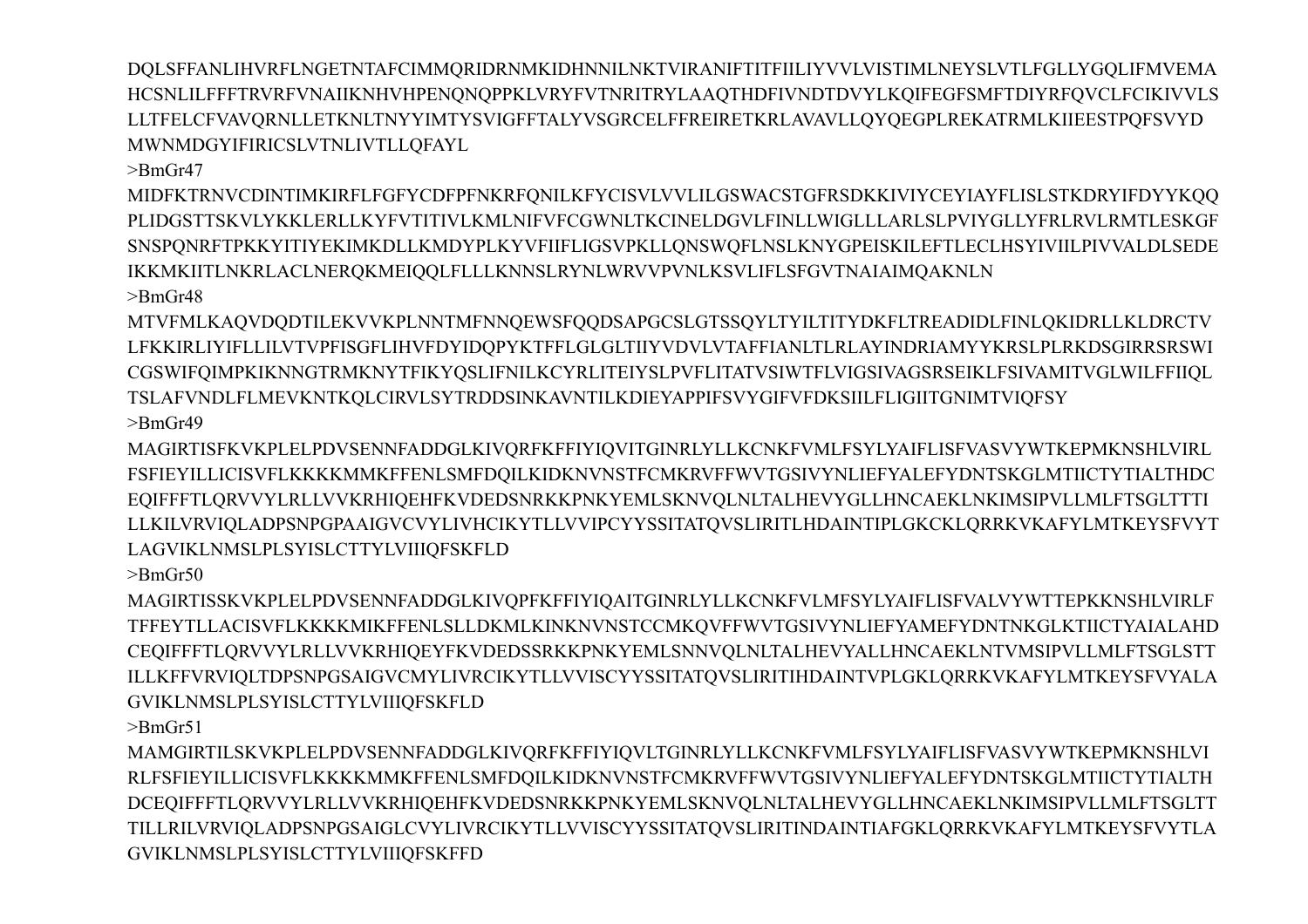HCSNLILFFFTRVRFVNAIIKNHVHPENQNQPPKLVRYFVTNRITRYLAAQTHDFIVNDTDVYLKQIFEGFSMFTDIYRFOVCLFCIKIVVLS LLTFELCFVAVORNLLETKNLTNYYIMTYSVIGFFTALYVSGRCELFFREIRETKRLAVAVLLOYOEGPLREKATRMLKIIEESTPOFSVYD MWNMDGYIFIRICSLVTNLIVTLLOFAYL  $>$ BmGr47

MIDFKTRNVCDINTIMKIRFLFGFYCDFPFNKRFQNILKFYCISVLVVLILGSWACSTGFRSDKKIVIYCEYIAYFLISLSTKDRYIFDYYKQQ PLIDGSTTSKVLYKKLERLLKYFVTITIVLKMLNIFVFCGWNLTKCINELDGVLFINLLWIGLLLARLSLPVIYGLLYFRLRVLRMTLESKGF SNSPQNRFTPKKYITIYEKIMKDLLKMDYPLKYVFIIFLIGSVPKLLQNSWQFLNSLKNYGPEISKILEFTLECLHSYIVIILPIVVALDLSEDE IKKMKIITLNKRLACLNERQKMEIQQLFLLLKNNSLRYNLWRVVPVNLKSVLIFLSFGVTNAIAIMQAKNLN  $\text{~}$ BmGr48

DQLSFFANLIHVRFLNGETNTAFCIMMQRIDRNMKIDHNNILNKTVIRANIFTITFIILIYVVLVISTIMLNEYSLVTLFGLLYGQLIFMVEMA

MTVFMLKAOVDODTILEKVVKPLNNTMFNNOEWSFOODSAPGCSLGTSSOYLTYILTITYDKFLTREADIDLFINLOKIDRLLKLDRCTV LFKKIRLIYIFLLILVTVPFISGFLIHVFDYIDQPYKTFFLGLGLTIIYVDVLVTAFFIANLTLRLAYINDRIAMYYKRSLPLRKDSGIRRSRSWI CGSWIFQIMPKIKNNGTRMKNYTFIKYQSLIFNILKCYRLITEIYSLPVFLITATVSIWTFLVIGSIVAGSRSEIKLFSIVAMITVGLWILFFIIQL TSLAFVNDLFLMEVKNTKOLCIRVLSYTRDDSINKAVNTILKDIEYAPPIFSVYGIFVFDKSIILFLIGIITGNIMTVIOFSY  $>$ BmGr49

MAGIRTISFKVKPLELPDVSENNFADDGLKIVQRFKFFIYIQVITGINRLYLLKCNKFVMLFSYLYAIFLISFVASVYWTKEPMKNSHLVIRL FSFIEYILLICISVFLKKKKMMKFFENLSMFDQILKIDKNVNSTFCMKRVFFWVTGSIVYNLIEFYALEFYDNTSKGLMTIICTYTIALTHDC EQIFFFTLQRVVYLRLLVVKRHIQEHFKVDEDSNRKKPNKYEMLSKNVQLNLTALHEVYGLLHNCAEKLNKIMSIPVLLMLFTSGLTTTI LAGVIKLNMSLPLSYISLCTTYLVIIIQFSKFLD

LLKILVRVIOLADPSNPGPAAIGVCVYLIVHCIKYTLLVVIPCYYSSITATOVSLIRITLHDAINTIPLGKCKLORRKVKAFYLMTKEYSFVYT

 $\text{~}$ -BmGr50 MAGIRTISSKVKPLELPDVSENNFADDGLKIVQPFKFFIYIQAITGINRLYLLKCNKFVLMFSYLYAIFLISFVALVYWTTEPKKNSHLVIRLF TFFEYTLLACISVFLKKKKMIKFFENLSLLDKMLKINKNVNSTCCMKOVFFWVTGSIVYNLIEFYAMEFYDNTNKGLKTIICTYAIALAHD CEQIFFFTLQRVVYLRLLVVKRHIQEYFKVDEDSSRKKPNKYEMLSNNVQLNLTALHEVYALLHNCAEKLNTVMSIPVLLMLFTSGLSTT ILLKFFVRVIQLTDPSNPGSAIGVCMYLIVRCIKYTLLVVISCYYSSITATQVSLIRITIHDAINTVPLGKLQRRKVKAFYLMTKEYSFVYALA GVIKLNMSLPLSYISLCTTYLVIIIQFSKFLD

 $>$ Rm $Gr51$ 

MAMGIRTILSKVKPLELPDVSENNFADDGLKIVQRFKFFIYIQVLTGINRLYLLKCNKFVMLFSYLYAIFLISFVASVYWTKEPMKNSHLVI RLFSFIEYILLICISVFLKKKKMMKFFENLSMFDQILKIDKNVNSTFCMKRVFFWVTGSIVYNLIEFYALEFYDNTSKGLMTIICTYTIALTH DCEQIFFFTLQRVVYLRLLVVKRHIQEHFKVDEDSNRKKPNKYEMLSKNVQLNLTALHEVYGLLHNCAEKLNKIMSIPVLLMLFTSGLTT TILLRILVRVIQLADPSNPGSAIGLCVYLIVRCIKYTLLVVISCYYSSITATQVSLIRITINDAINTIAFGKLQRRKVKAFYLMTKEYSFVYTLA GVIKLNMSLPLSYISLCTTYLVIIIQFSKFFD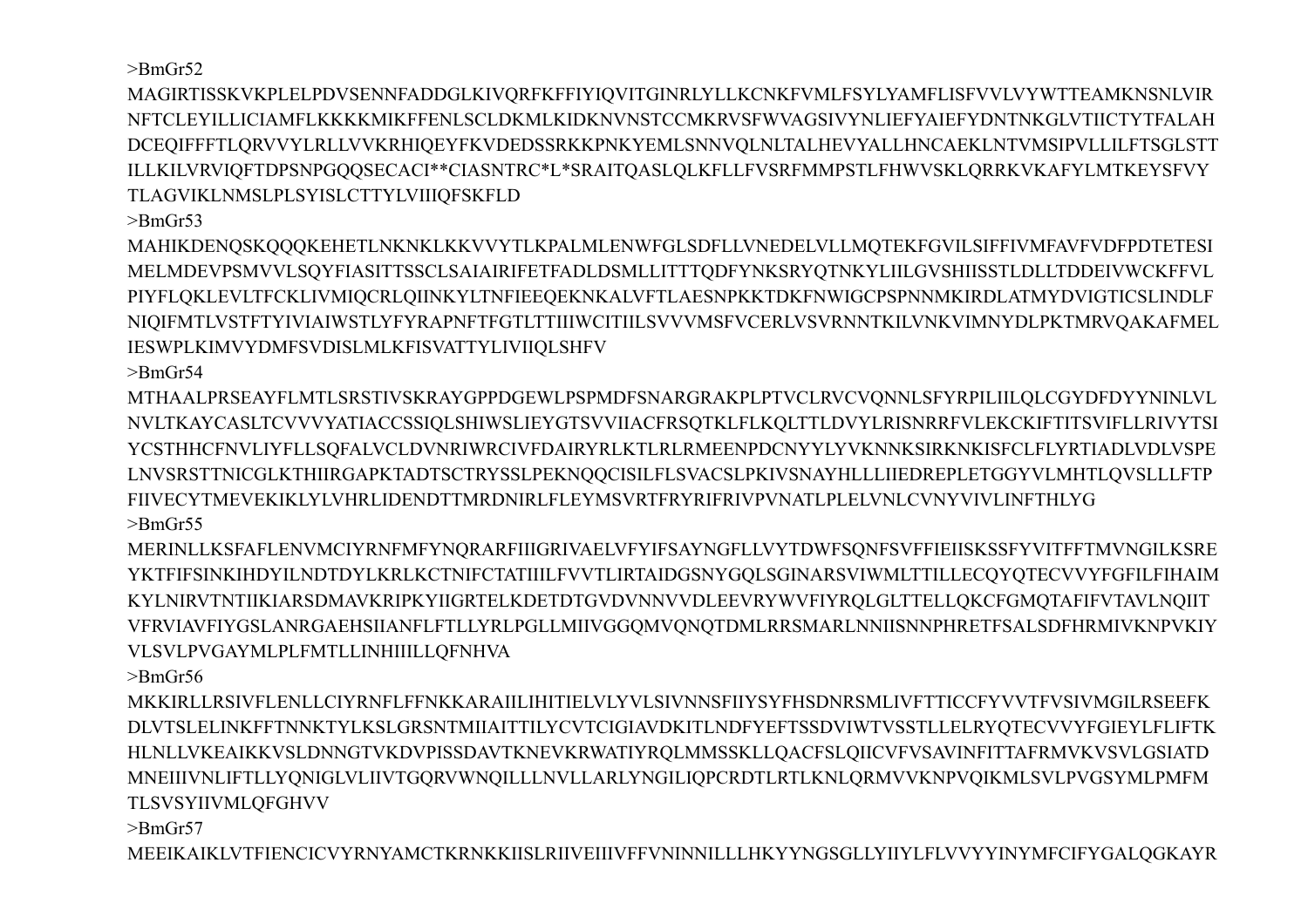$>$ BmGr52

MAGIRTISSKVKPLELPDVSENNFADDGLKIVQRFKFFIYIQVITGINRLYLLKCNKFVMLFSYLYAMFLISFVVLVYWTTEAMKNSNLVIR NETCLEYILLICIAMFLKKKKMIKFFENLSCLDKMLKIDKNVNSTCCMKRVSFWVAGSIVYNLIEFYAIEFYDNTNKGLVTIICTYTFALAH DCEOIFFFTLORVVYLRLLVVKRHIOEYFKVDEDSSRKKPNKYEMLSNNVOLNLTALHEVYALLHNCAEKLNTVMSIPVLLILFTSGLSTT ILLKILVRVIQFTDPSNPGQQSECACI\*\*CIASNTRC\*L\*SRAITQASLQLKFLLFVSRFMMPSTLFHWVSKLQRRKVKAFYLMTKEYSFVY TLAGVIKLNMSLPLSYISLCTTYLVIIIQFSKFLD

 $\text{BrnGr53}$ 

MAHIKDENQSKQQQKEHETLNKNKLKKVVYTLKPALMLENWFGLSDFLLVNEDELVLLMQTEKFGVILSIFFIVMFAVFVDFPDTETESI MELMDEVPSMVVLSQYFIASITTSSCLSAIAIRIFETFADLDSMLLITTTQDFYNKSRYQTNKYLIILGVSHIISSTLDLLTDDEIVWCKFFVL PIYFLQKLEVLTFCKLIVMIQCRLQIINKYLTNFIEEQEKNKALVFTLAESNPKKTDKFNWIGCPSPNNMKIRDLATMYDVIGTICSLINDLF NIOIFMTLVSTFTYIVIAIWSTLYFYRAPNFTFGTLTTIIIWCITIILSVVVMSFVCERLVSVRNNTKILVNKVIMNYDLPKTMRVOAKAFMEL IESWPLKIMVYDMFSVDISLMLKFISVATTYLIVIIQLSHFV

 $\text{~}$ -BmGr54

MTHAALPRSEAYFLMTLSRSTIVSKRAYGPPDGEWLPSPMDFSNARGRAKPLPTVCLRVCVONNLSFYRPILIILOLCGYDFDYYNINLVL NVLTKAYCASLTCVVVYATIACCSSIQLSHIWSLIEYGTSVVIIACFRSQTKLFLKQLTTLDVYLRISNRRFVLEKCKIFTITSVIFLLRIVYTSI YCSTHHCFNVLIYFLLSOFALVCLDVNRIWRCIVFDAIRYRLKTLRLRMEENPDCNYYLYVKNNKSIRKNKISFCLFLYRTIADLVDLVSPE LNVSRSTTNICGLKTHIIRGAPKTADTSCTRYSSLPEKNQQCISILFLSVACSLPKIVSNAYHLLLIIEDREPLETGGYVLMHTLQVSLLLFTP FIIVECYTMEVEKIKLYLVHRLIDENDTTMRDNIRLFLEYMSVRTFRYRIFRIVPVNATLPLELVNLCVNYVIVLINFTHLYG  $>$ BmGr55

MERINLLKSFAFLENVMCIYRNFMFYNQRARFIIIGRIVAELVFYIFSAYNGFLLVYTDWFSQNFSVFFIEIISKSSFYVITFFTMVNGILKSRE YKTFIFSINKIHDYILNDTDYLKRLKCTNIFCTATIIILFVVTLIRTAIDGSNYGQLSGINARSVIWMLTTILLECQYQTECVVYFGFILFIHAIM KYLNIRVTNTIIKIARSDMAVKRIPKYIIGRTELKDETDTGVDVNNVVDLEEVRYWVFIYROLGLTTELLOKCFGMOTAFIFVTAVLNOIIT VFRVIAVFIYGSLANRGAEHSIIANFLFTLLYRLPGLLMIIVGGOMVONOTDMLRRSMARLNNIISNNPHRETFSALSDFHRMIVKNPVKIY VLSVLPVGAYMLPLFMTLLINHIIILLQFNHVA

 $\text{BrnGr56}$ 

MKKIRLLRSIVFLENLLCIYRNFLFFNKKARAIILIHITIELVLYVLSIVNNSFIIYSYFHSDNRSMLIVFTTICCFYVVTFVSIVMGILRSEEFK DLVTSLELINKFFTNNKTYLKSLGRSNTMIIAITTILYCVTCIGIAVDKITLNDFYEFTSSDVIWTVSSTLLELRYOTECVVYFGIEYLFLIFTK HLNLLVKEAIKKVSLDNNGTVKDVPISSDAVTKNEVKRWATIYRQLMMSSKLLQACFSLQIICVFVSAVINFITTAFRMVKVSVLGSIATD MNEIIIVNLIFTLLYQNIGLVLIIVTGQRVWNQILLLNVLLARLYNGILIQPCRDTLRTLKNLQRMVVKNPVQIKMLSVLPVGSYMLPMFM TLSVSYIIVMLQFGHVV

 $\text{~}$ -BmGr57

MEEIKAIKLVTFIENCICVYRNYAMCTKRNKKIISLRIIVEIIIVFFVNINNILLLHKYYNGSGLLYIIYLFLVVYYINYMFCIFYGALQGKAYR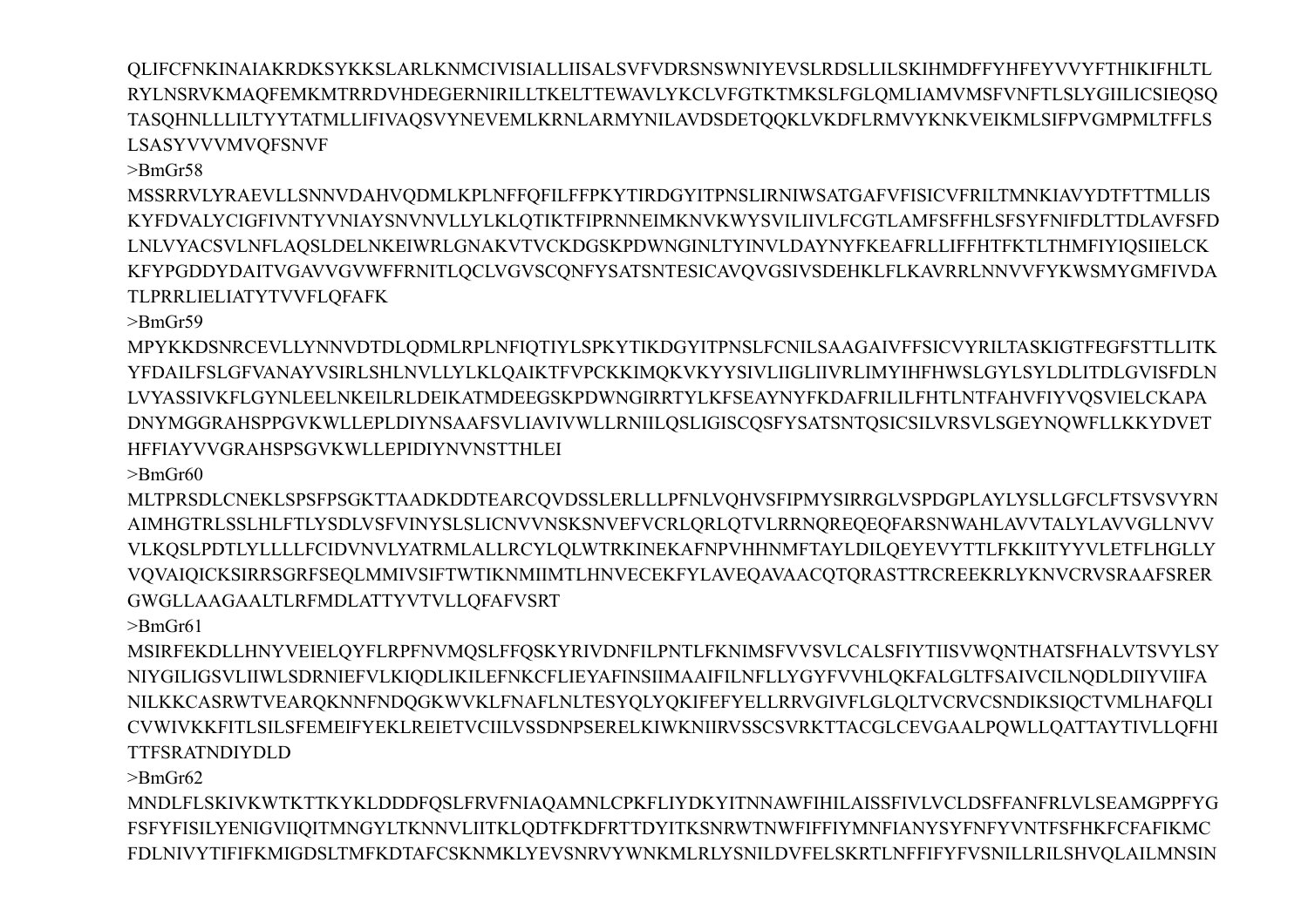$>$ BmGr62 MNDLFLSKIVKWTKTTKYKLDDDFQSLFRVFNIAQAMNLCPKFLIYDKYITNNAWFIHILAISSFIVLVCLDSFFANFRLVLSEAMGPPFYG FSFYFISILYENIGVIIQITMNGYLTKNNVLIITKLQDTFKDFRTTDYITKSNRWTNWFIFFIYMNFIANYSYFNFYVNTFSFHKFCFAFIKMC FDLNIVYTIFIFKMIGDSLTMFKDTAFCSKNMKLYEVSNRVYWNKMLRLYSNILDVFELSKRTLNFFIFYFVSNILLRILSHVQLAILMNSIN

**TTFSRATNDIYDLD** 

 $\text{BrG}(r58)$ 

 $\geq$ BmGr61 MSIRFEKDLLHNYVEIELQYFLRPFNVMQSLFFQSKYRIVDNFILPNTLFKNIMSFVVSVLCALSFIYTIISVWQNTHATSFHALVTSVYLSY NIYGILIGSVLIIWLSDRNIEFVLKIQDLIKILEFNKCFLIEYAFINSIIMAAIFILNFLLYGYFVVHLQKFALGLTFSAIVCILNQDLDIIYVIIFA NILKKCASRWTVEARQKNNFNDQGKWVKLFNAFLNLTESYQLYQKIFEFYELLRRVGIVFLGLQLTVCRVCSNDIKSIQCTVMLHAFQLI CVWIVKKFITLSILSFEMEIFYEKLREIETVCIILVSSDNPSERELKIWKNIIRVSSCSVRKTTACGLCEVGAALPOWLLOATTAYTIVLLOFHI

**GWGLLAAGAALTLRFMDLATTYVTVLLOFAFVSRT** 

 $>$ BmGr60 MLTPRSDLCNEKLSPSFPSGKTTAADKDDTEARCQVDSSLERLLLPFNLVQHVSFIPMYSIRRGLVSPDGPLAYLYSLLGFCLFTSVSVYRN AIMHGTRLSSLHLFTLYSDLVSFVINYSLSLICNVVNSKSNVEFVCRLORLOTVLRRNOREOEOFARSNWAHLAVVTALYLAVVGLLNVV VLKQSLPDTLYLLLLFCIDVNVLYATRMLALLRCYLQLWTRKINEKAFNPVHHNMFTAYLDILQEYEVYTTLFKKIITYYVLETFLHGLLY VOVAIQICKSIRRSGRFSEQLMMIVSIFTWTIKNMIIMTLHNVECEKFYLAVEQAVAACQTQRASTTRCREEKRLYKNVCRVSRAAFSRER

HFFIAYVVGRAHSPSGVKWLLEPIDIYNVNSTTHLEI

 $>$ Rm $Gr59$ MPYKKDSNRCEVLLYNNVDTDLQDMLRPLNFIQTIYLSPKYTIKDGYITPNSLFCNILSAAGAIVFFSICVYRILTASKIGTFEGFSTTLLITK YFDAILFSLGFVANAYVSIRLSHLNVLLYLKLQAIKTFVPCKKIMQKVKYYSIVLIIGLIIVRLIMYIHFHWSLGYLSYLDLITDLGVISFDLN LVYASSIVKFLGYNLEELNKEILRLDEIKATMDEEGSKPDWNGIRRTYLKFSEAYNYFKDAFRILILFHTLNTFAHVFIYVQSVIELCKAPA DNYMGGRAHSPPGVKWLLEPLDIYNSAAFSVLIAVIVWLLRNIILQSLIGISCQSFYSATSNTQSICSILVRSVLSGEYNOWFLLKKYDVET

MSSRRVLYRAEVLLSNNVDAHVQDMLKPLNFFQFILFFPKYTIRDGYITPNSLIRNIWSATGAFVFISICVFRILTMNKIAVYDTFTTMLLIS KYFDVALYCIGFIVNTYVNIAYSNVNVLLYLKLQTIKTFIPRNNEIMKNVKWYSVILIIVLFCGTLAMFSFFHLSFSYFNIFDLTTDLAVFSFD LNLVYACSVLNFLAQSLDELNKEIWRLGNAKVTVCKDGSKPDWNGINLTYINVLDAYNYFKEAFRLLIFFHTFKTLTHMFIYIQSIIELCK KFYPGDDYDAITVGAVVGVWFFRNITLQCLVGVSCQNFYSATSNTESICAVQVGSIVSDEHKLFLKAVRRLNNVVFYKWSMYGMFIVDA TLPRRLIELIATYTVVFLOFAFK

QLIFCFNKINAIAKRDKSYKKSLARLKNMCIVISIALLIISALSVFVDRSNSWNIYEVSLRDSLLILSKIHMDFFYHFEYVVYFTHIKIFHLTL RYLNSRVKMAQFEMKMTRRDVHDEGERNIRILLTKELTTEWAVLYKCLVFGTKTMKSLFGLQMLIAMVMSFVNFTLSLYGIILICSIEQSQ TASOHNLLLILTYYTATMLLIFIVAOSVYNEVEMLKRNLARMYNILAVDSDETOOKLVKDFLRMVYKNKVEIKMLSIFPVGMPMLTFFLS **LSASYVVVMVQFSNVF**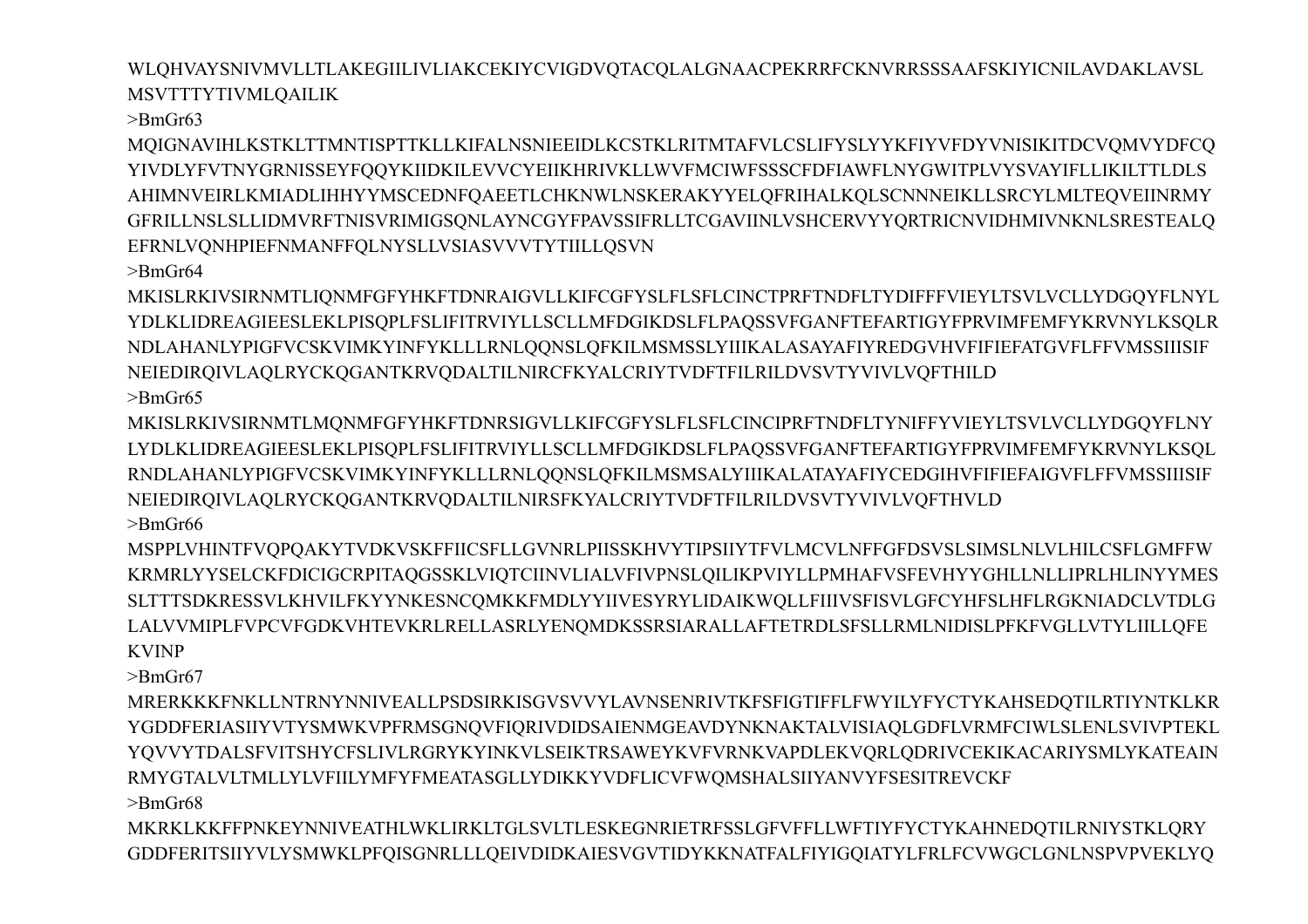WLQHVAYSNIVMVLLTLAKEGIILIVLIAKCEKIYCVIGDVQTACQLALGNAACPEKRRFCKNVRRSSSAAFSKIYICNILAVDAKLAVSL **MSVTTTYTIVMLOAILIK** 

 $>$ BmGr63

MQIGNAVIHLKSTKLTTMNTISPTTKLLKIFALNSNIEEIDLKCSTKLRITMTAFVLCSLIFYSLYYKFIYVFDYVNISIKITDCVQMVYDFCQ YIVDLYFVTNYGRNISSEYFQQYKIIDKILEVVCYEIIKHRIVKLLWVFMCIWFSSSCFDFIAWFLNYGWITPLVYSVAYIFLLIKILTTLDLS AHIMNVEIRLKMIADLIHHYYMSCEDNFQAEETLCHKNWLNSKERAKYYELQFRIHALKQLSCNNNEIKLLSRCYLMLTEQVEIINRMY GFRILLNSLSLLIDMVRFTNISVRIMIGSONLAYNCGYFPAVSSIFRLLTCGAVIINLVSHCERVYYORTRICNVIDHMIVNKNLSRESTEALO EFRNLVQNHPIEFNMANFFQLNYSLLVSIASVVVTYTIILLQSVN

 $\text{BrnGr64}$ 

MKISLRKIVSIRNMTLIQNMFGFYHKFTDNRAIGVLLKIFCGFYSLFLSFLCINCTPRFTNDFLTYDIFFFVIEYLTSVLVCLLYDGQYFLNYL YDLKLIDREAGIEESLEKLPISOPLFSLIFITRVIYLLSCLLMFDGIKDSLFLPAOSSVFGANFTEFARTIGYFPRVIMFEMFYKRVNYLKSOLR NDLAHANLYPIGFVCSKVIMKYINFYKLLLRNLQQNSLQFKILMSMSSLYIIIKALASAYAFIYREDGVHVFIFIEFATGVFLFFVMSSIIISIF NEIEDIRQIVLAQLRYCKQGANTKRVQDALTILNIRCFKYALCRIYTVDFTFILRILDVSVTYVIVLVQFTHILD  $>$ BmGr65

MKISLRKIVSIRNMTLMONMFGFYHKFTDNRSIGVLLKIFCGFYSLFLSFLCINCIPRFTNDFLTYNIFFYVIEYLTSVLVCLLYDGOYFLNY LYDLKLIDREAGIEESLEKLPISQPLFSLIFITRVIYLLSCLLMFDGIKDSLFLPAQSSVFGANFTEFARTIGYFPRVIMFEMFYKRVNYLKSQL RNDLAHANLYPIGFVCSKVIMKYINFYKLLLRNLQQNSLQFKILMSMSALYIIIKALATAYAFIYCEDGIHVFIFIEFAIGVFLFFVMSSIIISIF NEIEDIRQIVLAQLRYCKQGANTKRVQDALTILNIRSFKYALCRIYTVDFTFILRILDVSVTYVIVLVQFTHVLD  $>$ BmGr66

MSPPLVHINTFVQPQAKYTVDKVSKFFIICSFLLGVNRLPIISSKHVYTIPSIIYTFVLMCVLNFFGFDSVSLSIMSLNLVLHILCSFLGMFFW KRMRLYYSELCKFDICIGCRPITAQGSSKLVIQTCIINVLIALVFIVPNSLQILIKPVIYLLPMHAFVSFEVHYYGHLLNLLIPRLHLINYYMES SLTTTSDKRESSVLKHVILFKYYNKESNCOMKKFMDLYYIIVESYRYLIDAIKWOLLFIIIVSFISVLGFCYHFSLHFLRGKNIADCLVTDLG LALVVMIPLFVPCVFGDKVHTEVKRLRELLASRLYENOMDKSSRSIARALLAFTETRDLSFSLLRMLNIDISLPFKFVGLLVTYLIILLOFE **KVINP** 

 $\rm>BmGr67$ 

MRERKKKFNKLLNTRNYNNIVEALLPSDSIRKISGVSVVYLAVNSENRIVTKFSFIGTIFFLFWYILYFYCTYKAHSEDQTILRTIYNTKLKR YGDDFERIASIIYVTYSMWKVPFRMSGNOVFIORIVDIDSAIENMGEAVDYNKNAKTALVISIAOLGDFLVRMFCIWLSLENLSVIVPTEKL YQVVYTDALSFVITSHYCFSLIVLRGRYKYINKVLSEIKTRSAWEYKVFVRNKVAPDLEKVQRLQDRIVCEKIKACARIYSMLYKATEAIN RMYGTALVLTMLLYLVFIILYMFYFMEATASGLLYDIKKYVDFLICVFWQMSHALSIIYANVYFSESITREVCKF

 $\text{~}$ BmGr68

MKRKLKKFFPNKEYNNIVEATHLWKLIRKLTGLSVLTLESKEGNRIETRFSSLGFVFFLLWFTIYFYCTYKAHNEDQTILRNIYSTKLQRY GDDFERITSIIYVLYSMWKLPFQISGNRLLLQEIVDIDKAIESVGVTIDYKKNATFALFIYIGQIATYLFRLFCVWGCLGNLNSPVPVEKLYQ